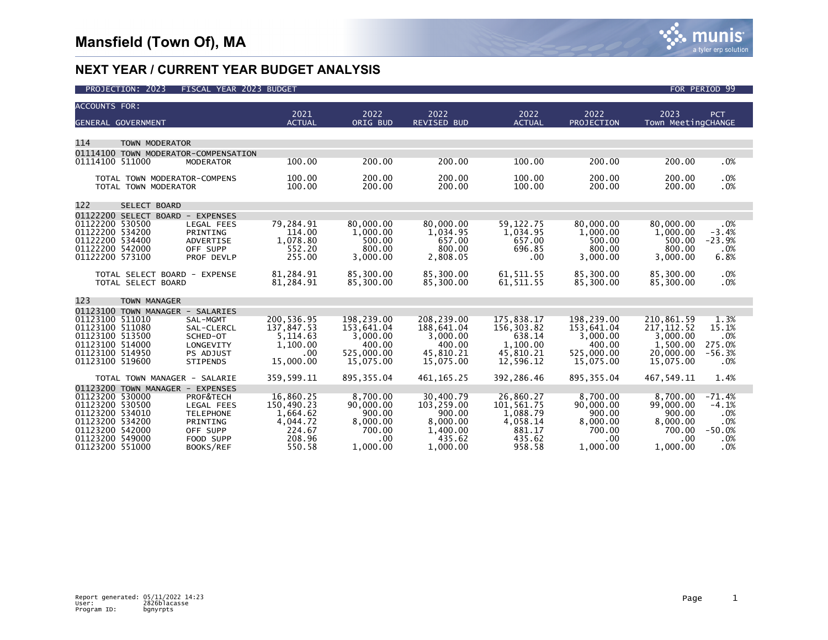| <b>ACCOUNTS FOR:</b>                             | 2021                   | 2022                | 2022                 | 2022                   | 2022                | 2023                | PCT            |  |  |
|--------------------------------------------------|------------------------|---------------------|----------------------|------------------------|---------------------|---------------------|----------------|--|--|
| <b>GENERAL GOVERNMENT</b>                        | <b>ACTUAL</b>          | ORIG BUD            | <b>REVISED BUD</b>   | <b>ACTUAL</b>          | PROJECTION          | Town MeetingCHANGE  |                |  |  |
|                                                  |                        |                     |                      |                        |                     |                     |                |  |  |
| 114<br>TOWN MODERATOR                            |                        |                     |                      |                        |                     |                     |                |  |  |
|                                                  |                        |                     |                      |                        |                     |                     |                |  |  |
| 01114100 TOWN MODERATOR-COMPENSATION             |                        |                     |                      |                        |                     |                     |                |  |  |
| 01114100 511000<br><b>MODERATOR</b>              | 100.00                 | 200.00              | 200.00               | 100.00                 | 200.00              | 200.00              | .0%            |  |  |
| TOTAL TOWN MODERATOR-COMPENS                     | 100.00                 | 200.00              | 200.00               | 100.00                 | 200.00              | 200.00              | .0%            |  |  |
| TOTAL TOWN MODERATOR                             | 100.00                 | 200.00              | 200.00               | 100.00                 | 200.00              | 200.00              | .0%            |  |  |
|                                                  |                        |                     |                      |                        |                     |                     |                |  |  |
| 122<br>SELECT BOARD                              |                        |                     |                      |                        |                     |                     |                |  |  |
| 01122200 SELECT BOARD - EXPENSES                 |                        |                     |                      |                        |                     |                     |                |  |  |
| 01122200 530500<br><b>LEGAL FEES</b>             | 79,284.91              | 80,000.00           | 80,000.00            | 59, 122. 75            | 80,000.00           | 80,000.00           | .0%            |  |  |
| 01122200 534200<br>PRINTING                      | 114.00                 | 1,000.00            | 1,034.95             | 1,034.95               | 1,000.00            | 1,000.00            | $-3.4%$        |  |  |
| 01122200 534400<br>ADVERTISE                     | 1,078.80               | 500.00              | 657.00               | 657.00                 | 500.00              | 500.00              | $-23.9%$       |  |  |
| 01122200 542000<br>OFF SUPP                      | 552.20                 | 800.00              | 800.00               | 696.85                 | 800.00              | 800.00              | .0%            |  |  |
| 01122200 573100<br>PROF DEVLP                    | 255.00                 | 3,000.00            | 2,808.05             | .00                    | 3,000.00            | 3,000.00            | 6.8%           |  |  |
|                                                  |                        |                     |                      |                        |                     |                     |                |  |  |
| TOTAL SELECT BOARD - EXPENSE                     | 81,284.91              | 85,300.00           | 85,300.00            | 61, 511.55             | 85,300.00           | 85,300.00           | .0%            |  |  |
| TOTAL SELECT BOARD                               | 81,284.91              | 85,300.00           | 85,300.00            | 61, 511.55             | 85,300.00           | 85,300.00           | .0%            |  |  |
|                                                  |                        |                     |                      |                        |                     |                     |                |  |  |
| 123<br><b>TOWN MANAGER</b>                       |                        |                     |                      |                        |                     |                     |                |  |  |
| 01123100 TOWN MANAGER - SALARIES                 |                        |                     |                      |                        |                     |                     |                |  |  |
| 01123100 511010<br>SAL-MGMT                      | 200, 536.95            | 198,239.00          | 208,239.00           | 175,838.17             | 198,239.00          | 210,861.59          | 1.3%           |  |  |
| 01123100 511080<br>SAL-CLERCL                    | 137,847.53             | 153,641.04          | 188,641.04           | 156,303.82             | 153,641.04          | 217, 112.52         | 15.1%          |  |  |
| 01123100 513500<br>SCHED-OT                      | 5, 114.63              | 3,000.00            | 3,000.00             | 638.14                 | 3,000.00            | 3,000.00            | .0%            |  |  |
| 01123100 514000<br>LONGEVITY                     | 1,100.00               | 400.00              | 400.00               | 1,100.00               | 400.00              | 1,500.00            | 275.0%         |  |  |
| 01123100 514950<br>PS ADJUST                     | .00                    | 525,000.00          | 45,810.21            | 45,810.21              | 525,000.00          | 20,000.00           | $-56.3%$       |  |  |
| 01123100 519600<br><b>STIPENDS</b>               | 15,000.00              | 15,075.00           | 15,075.00            | 12,596.12              | 15,075.00           | 15,075.00           | .0%            |  |  |
|                                                  |                        |                     |                      |                        |                     |                     |                |  |  |
| TOTAL TOWN MANAGER - SALARIE                     | 359,599.11             | 895, 355.04         | 461, 165. 25         | 392,286.46             | 895, 355.04         | 467,549.11          | 1.4%           |  |  |
| 01123200 TOWN MANAGER - EXPENSES                 |                        |                     |                      |                        |                     |                     |                |  |  |
| 01123200 530000<br>PROF&TECH                     | 16.860.25              | 8.700.00            | 30.400.79            | 26,860.27              | 8.700.00            | 8.700.00            | $-71.4%$       |  |  |
| 01123200 530500<br>LEGAL FEES<br>01123200 534010 | 150,490.23<br>1.664.62 | 90,000.00<br>900.00 | 103,259.00<br>900.00 | 101,561.75<br>1,088.79 | 90,000.00<br>900.00 | 99,000.00<br>900.00 | $-4.1%$<br>.0% |  |  |
| <b>TELEPHONE</b><br>01123200 534200<br>PRINTING  | 4,044.72               | 8,000.00            | 8,000.00             | 4,058.14               | 8,000.00            | 8.000.00            | .0%            |  |  |
| 01123200 542000<br>OFF SUPP                      | 224.67                 | 700.00              | 1,400.00             | 881.17                 | 700.00              | 700.00              | $-50.0%$       |  |  |
| 01123200 549000<br>FOOD SUPP                     | 208.96                 | $.00 \,$            | 435.62               | 435.62                 | .00                 | .00                 | .0%            |  |  |
| 01123200 551000<br>BOOKS/REF                     | 550.58                 | 1,000.00            | 1.000.00             | 958.58                 | 1,000.00            | 1.000.00            | .0%            |  |  |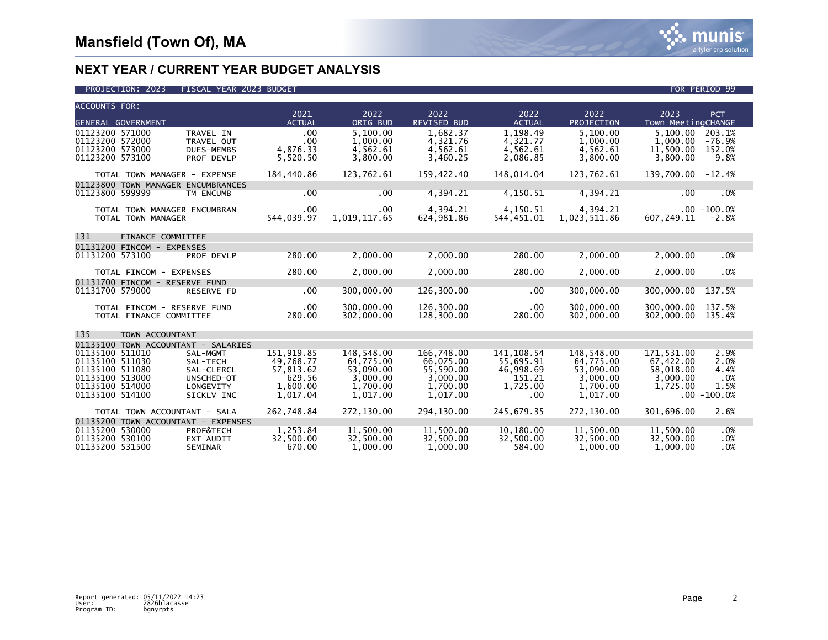| <b>ACCOUNTS FOR:</b>               |                                |                                     |                         |                         |                            |                         |                         | 2023                    |                |
|------------------------------------|--------------------------------|-------------------------------------|-------------------------|-------------------------|----------------------------|-------------------------|-------------------------|-------------------------|----------------|
|                                    | GENERAL GOVERNMENT             |                                     | 2021<br><b>ACTUAL</b>   | 2022<br>ORIG BUD        | 2022<br><b>REVISED BUD</b> | 2022<br><b>ACTUAL</b>   | 2022<br>PROJECTION      | Town MeetingCHANGE      | PCT            |
| 01123200 571000                    |                                | TRAVEL IN                           | .00                     | 5,100.00                | 1,682.37                   | 1,198.49                | 5,100.00                | 5,100.00                | 203.1%         |
| 01123200 572000                    |                                | TRAVEL OUT                          | .00                     | 1,000.00                | 4,321.76                   | 4,321.77                | 1,000.00                | 1,000.00                | $-76.9%$       |
| 01123200 573000                    |                                | DUES-MEMBS                          | 4,876.33                | 4,562.61                | 4,562.61                   | 4,562.61                | 4,562.61                | 11,500.00               | 152.0%         |
| 01123200 573100                    |                                | PROF DEVLP                          | 5,520.50                | 3,800.00                | 3,460.25                   | 2,086.85                | 3,800.00                | 3,800.00                | 9.8%           |
|                                    |                                |                                     |                         |                         |                            |                         |                         |                         |                |
|                                    | TOTAL TOWN MANAGER - EXPENSE   |                                     | 184,440.86              | 123,762.61              | 159,422.40                 | 148,014.04              | 123,762.61              | 139,700.00              | $-12.4%$       |
|                                    |                                | 01123800 TOWN MANAGER ENCUMBRANCES  |                         |                         |                            |                         |                         |                         |                |
| 01123800 599999                    |                                | TM ENCUMB                           | .00                     | .00                     | 4,394.21                   | 4,150.51                | 4,394.21                | $.00 \,$                | .0%            |
|                                    |                                |                                     |                         |                         |                            |                         |                         |                         |                |
|                                    | TOTAL TOWN MANAGER ENCUMBRAN   |                                     | .00                     | $.00 \,$                | 4,394.21                   | 4,150.51                | 4,394.21                |                         | $.00 - 100.0%$ |
|                                    | TOTAL TOWN MANAGER             |                                     | 544,039.97              | 1,019,117.65            | 624,981.86                 | 544,451.01              | 1,023,511.86            | 607,249.11              | $-2.8%$        |
| 131                                | FINANCE COMMITTEE              |                                     |                         |                         |                            |                         |                         |                         |                |
|                                    | 01131200 FINCOM - EXPENSES     |                                     |                         |                         |                            |                         |                         |                         |                |
| 01131200 573100                    |                                | PROF DEVLP                          | 280.00                  | 2,000.00                | 2,000.00                   | 280.00                  | 2,000.00                | 2,000.00                | .0%            |
|                                    |                                |                                     |                         |                         |                            |                         |                         |                         |                |
|                                    | TOTAL FINCOM - EXPENSES        |                                     | 280.00                  | 2,000.00                | 2.000.00                   | 280.00                  | 2,000.00                | 2,000.00                | .0%            |
|                                    | 01131700 FINCOM - RESERVE FUND |                                     |                         |                         |                            |                         |                         |                         |                |
| 01131700 579000                    |                                | <b>RESERVE FD</b>                   | .00                     | 300,000.00              | 126,300.00                 | .00                     | 300,000.00              | 300,000.00              | 137.5%         |
|                                    |                                |                                     |                         |                         |                            |                         |                         |                         |                |
|                                    | TOTAL FINCOM - RESERVE FUND    |                                     | .00                     | 300,000.00              | 126,300.00                 | .00                     | 300,000.00              | 300,000.00              | 137.5%         |
|                                    | TOTAL FINANCE COMMITTEE        |                                     | 280.00                  | 302,000.00              | 128,300.00                 | 280.00                  | 302,000.00              | 302,000.00              | 135.4%         |
|                                    |                                |                                     |                         |                         |                            |                         |                         |                         |                |
| 135                                | TOWN ACCOUNTANT                |                                     |                         |                         |                            |                         |                         |                         |                |
|                                    |                                | 01135100 TOWN ACCOUNTANT - SALARIES |                         |                         |                            |                         |                         |                         |                |
| 01135100 511010<br>01135100 511030 |                                | SAL-MGMT<br>SAL-TECH                | 151.919.85<br>49.768.77 | 148.548.00<br>64.775.00 | 166.748.00<br>66,075.00    | 141.108.54<br>55,695.91 | 148.548.00<br>64.775.00 | 171.531.00<br>67,422.00 | 2.9%<br>2.0%   |
| 01135100 511080                    |                                | SAL-CLERCL                          | 57,813.62               | 53.090.00               | 55,590.00                  | 46,998.69               | 53.090.00               | 58,018.00               | 4.4%           |
| 01135100 513000                    |                                | UNSCHED-OT                          | 629.56                  | 3,000.00                | 3,000.00                   | 151.21                  | 3,000.00                | 3,000.00                | .0%            |
| 01135100 514000                    |                                | LONGEVITY                           | 1,600.00                | 1.700.00                | 1,700.00                   | 1,725.00                | 1,700.00                | 1,725.00                | 1.5%           |
| 01135100 514100                    |                                | SICKLV INC                          | 1,017.04                | 1,017.00                | 1,017.00                   | .00                     | 1,017.00                |                         | $.00 - 100.0%$ |
|                                    |                                |                                     |                         |                         |                            |                         |                         |                         |                |
|                                    | TOTAL TOWN ACCOUNTANT - SALA   |                                     | 262,748.84              | 272,130.00              | 294,130.00                 | 245,679.35              | 272,130.00              | 301,696.00              | 2.6%           |
| 01135200                           |                                | TOWN ACCOUNTANT - EXPENSES          |                         |                         |                            |                         |                         |                         |                |
| 01135200 530000                    |                                | PROF&TECH                           | 1,253.84                | 11,500.00               | 11,500.00                  | 10,180.00               | 11,500.00               | 11,500.00               | .0%            |
| 01135200 530100                    |                                | EXT AUDIT                           | 32.500.00               | 32.500.00               | 32,500.00                  | 32.500.00               | 32.500.00               | 32,500.00               | .0%            |
| 01135200 531500                    |                                | SEMINAR                             | 670.00                  | 1,000.00                | 1,000.00                   | 584.00                  | 1,000.00                | 1,000.00                | .0%            |

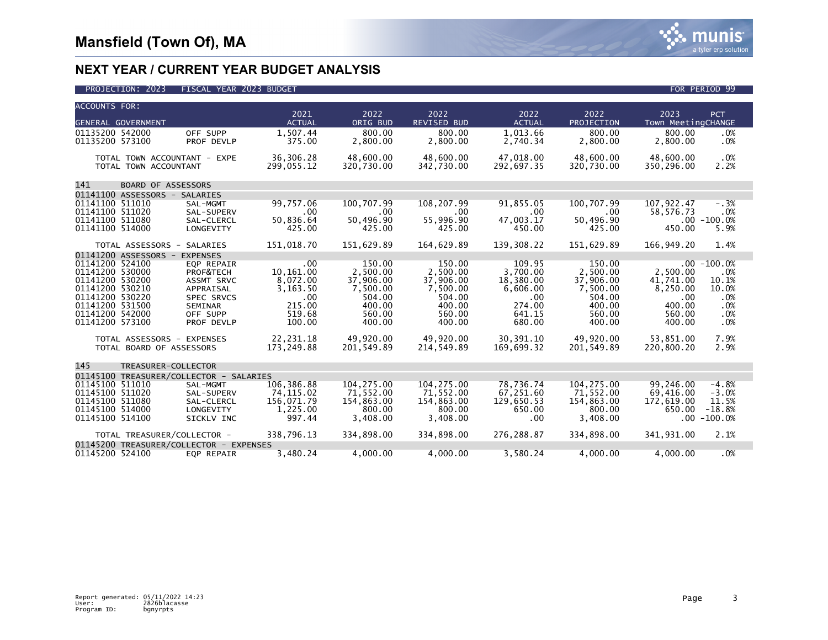

| <b>ACCOUNTS FOR:</b> |                               |                                                       |               |            |                    |               |            |                    |                |
|----------------------|-------------------------------|-------------------------------------------------------|---------------|------------|--------------------|---------------|------------|--------------------|----------------|
|                      |                               |                                                       | 2021          | 2022       | 2022               | 2022          | 2022       | 2023               | PCT            |
|                      | GENERAL GOVERNMENT            |                                                       | <b>ACTUAL</b> | ORIG BUD   | <b>REVISED BUD</b> | <b>ACTUAL</b> | PROJECTION | Town MeetingCHANGE |                |
| 01135200 542000      |                               | OFF SUPP                                              | 1,507.44      | 800.00     | 800.00             | 1,013.66      | 800.00     | 800.00             | .0%            |
| 01135200 573100      |                               | PROF DEVLP                                            | 375.00        | 2,800.00   | 2,800.00           | 2,740.34      | 2,800.00   | 2,800.00           | .0%            |
|                      |                               |                                                       |               |            |                    |               |            |                    |                |
|                      | TOTAL TOWN ACCOUNTANT - EXPE  |                                                       | 36,306.28     | 48,600,00  | 48.600.00          | 47.018.00     | 48,600,00  | 48.600.00          | .0%            |
|                      | TOTAL TOWN ACCOUNTANT         |                                                       | 299,055.12    | 320,730.00 | 342,730.00         | 292,697.35    | 320,730.00 | 350,296.00         | 2.2%           |
|                      |                               |                                                       |               |            |                    |               |            |                    |                |
| 141                  | <b>BOARD OF ASSESSORS</b>     |                                                       |               |            |                    |               |            |                    |                |
|                      | 01141100 ASSESSORS - SALARIES |                                                       |               |            |                    |               |            |                    |                |
| 01141100 511010      |                               | SAL-MGMT                                              | 99,757.06     | 100,707.99 | 108,207.99         | 91,855.05     | 100,707.99 | 107,922.47         | $-1.3%$        |
| 01141100 511020      |                               | SAL-SUPERV                                            | .00           | $.00 \,$   | .00                | .00           | $.00 \,$   | 58,576.73          | .0%            |
| 01141100 511080      |                               | SAL-CLERCL                                            | 50,836.64     | 50,496.90  | 55,996.90          | 47.003.17     | 50,496.90  |                    | $.00 - 100.0%$ |
| 01141100 514000      |                               | LONGEVITY                                             | 425.00        | 425.00     | 425.00             | 450.00        | 425.00     | 450.00             | 5.9%           |
|                      | TOTAL ASSESSORS -             | SALARIES                                              | 151,018.70    | 151,629.89 | 164,629.89         | 139,308.22    | 151,629.89 | 166,949.20         | 1.4%           |
|                      | 01141200 ASSESSORS -          | <b>EXPENSES</b>                                       |               |            |                    |               |            |                    |                |
| 01141200 524100      |                               | EQP REPAIR                                            | .00.          | 150.00     | 150.00             | 109.95        | 150.00     |                    | $.00 - 100.0%$ |
| 01141200 530000      |                               | PROF&TECH                                             | 10,161.00     | 2.500.00   | 2.500.00           | 3.700.00      | 2.500.00   | 2.500.00           | .0%            |
| 01141200 530200      |                               | ASSMT SRVC                                            | 8,072.00      | 37,906.00  | 37,906.00          | 18,380.00     | 37,906.00  | 41,741.00          | 10.1%          |
| 01141200 530210      |                               | APPRAISAL                                             | 3,163.50      | 7,500.00   | 7,500.00           | 6,606.00      | 7,500.00   | 8,250.00           | 10.0%          |
| 01141200 530220      |                               | SPEC SRVCS                                            | .00           | 504.00     | 504.00             | $.00 \,$      | 504.00     | .00                | .0%            |
| 01141200 531500      |                               | <b>SEMINAR</b>                                        | 215.00        | 400.00     | 400.00             | 274.00        | 400.00     | 400.00             | .0%            |
| 01141200 542000      |                               | OFF SUPP                                              | 519.68        | 560.00     | 560.00             | 641.15        | 560.00     | 560.00             | .0%            |
| 01141200 573100      |                               | PROF DEVLP                                            | 100.00        | 400.00     | 400.00             | 680.00        | 400.00     | 400.00             | .0%            |
|                      |                               |                                                       |               |            |                    |               |            |                    |                |
|                      | TOTAL ASSESSORS - EXPENSES    |                                                       | 22,231.18     | 49,920.00  | 49,920.00          | 30,391.10     | 49,920.00  | 53,851.00          | 7.9%           |
|                      | TOTAL BOARD OF ASSESSORS      |                                                       | 173,249.88    | 201,549.89 | 214,549.89         | 169,699.32    | 201,549.89 | 220,800.20         | 2.9%           |
|                      |                               |                                                       |               |            |                    |               |            |                    |                |
| 145                  | TREASURER-COLLECTOR           |                                                       |               |            |                    |               |            |                    |                |
|                      |                               | 01145100 TREASURER/COLLECTOR - SALARIES               |               |            |                    |               |            |                    |                |
| 01145100 511010      |                               | SAL-MGMT                                              | 106,386.88    | 104.275.00 | 104.275.00         | 78.736.74     | 104.275.00 | 99.246.00          | $-4.8%$        |
| 01145100 511020      |                               | SAL-SUPERV                                            | 74,115.02     | 71,552.00  | 71,552.00          | 67,251.60     | 71,552.00  | 69,416.00          | $-3.0%$        |
| 01145100 511080      |                               | SAL-CLERCL                                            | 156,071.79    | 154,863.00 | 154,863.00         | 129,650.53    | 154,863.00 | 172,619.00         | 11.5%          |
| 01145100 514000      |                               | LONGEVITY                                             | 1,225.00      | 800.00     | 800.00             | 650.00        | 800.00     | 650.00             | $-18.8%$       |
| 01145100 514100      |                               | SICKLV INC                                            | 997.44        | 3,408.00   | 3,408.00           | .00           | 3,408.00   |                    | $.00 - 100.0%$ |
|                      | TOTAL TREASURER/COLLECTOR -   |                                                       | 338.796.13    | 334.898.00 | 334.898.00         | 276,288.87    | 334.898.00 | 341,931.00         | 2.1%           |
|                      |                               |                                                       |               |            |                    |               |            |                    |                |
| 01145200 524100      |                               | 01145200 TREASURER/COLLECTOR - EXPENSES<br>EQP REPAIR | 3,480.24      | 4,000.00   | 4,000.00           | 3,580.24      | 4,000.00   | 4,000.00           | .0%            |
|                      |                               |                                                       |               |            |                    |               |            |                    |                |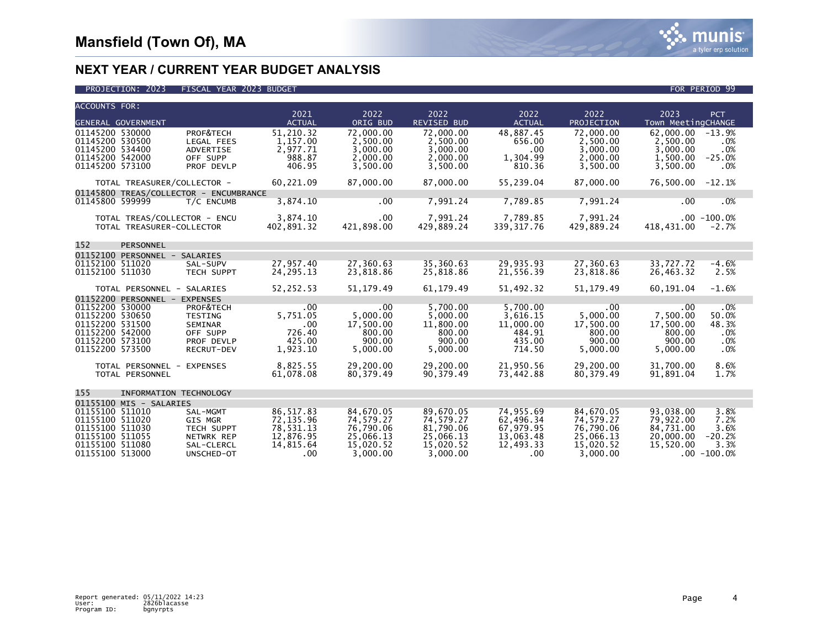| <b>ACCOUNTS FOR:</b> |                                               |                                                      | 2021          | 2022         | 2022               | 2022          | 2022       | 2023<br><b>PCT</b>    |
|----------------------|-----------------------------------------------|------------------------------------------------------|---------------|--------------|--------------------|---------------|------------|-----------------------|
| GENERAL GOVERNMENT   |                                               |                                                      | <b>ACTUAL</b> | ORIG BUD     | <b>REVISED BUD</b> | <b>ACTUAL</b> | PROJECTION | Town MeetingCHANGE    |
| 01145200 530000      |                                               | PROF&TECH                                            | 51,210.32     | 72,000.00    | 72,000,00          | 48.887.45     | 72.000.00  | 62.000.00<br>$-13.9%$ |
| 01145200 530500      |                                               | LEGAL FEES                                           | 1,157.00      | 2,500.00     | 2,500.00           | 656.00        | 2,500.00   | 2,500.00<br>.0%       |
| 01145200 534400      |                                               | <b>ADVERTISE</b>                                     | 2,977.71      | 3,000.00     | 3,000.00           | .00           | 3,000.00   | .0%<br>3.000.00       |
| 01145200 542000      |                                               | OFF SUPP                                             | 988.87        | 2,000.00     | 2,000.00           | 1,304.99      | 2,000.00   | 1,500.00<br>$-25.0%$  |
| 01145200 573100      |                                               | PROF DEVLP                                           | 406.95        | 3,500.00     | 3,500.00           | 810.36        | 3,500.00   | 3,500.00<br>.0%       |
|                      | TOTAL TREASURER/COLLECTOR -                   |                                                      | 60,221.09     | 87,000.00    | 87,000.00          | 55,239.04     | 87,000.00  | 76,500.00<br>-12.1%   |
|                      |                                               |                                                      |               |              |                    |               |            |                       |
| 01145800 599999      |                                               | 01145800 TREAS/COLLECTOR - ENCUMBRANCE<br>T/C ENCUMB | 3,874.10      | $.00 \,$     | 7,991.24           | 7,789.85      | 7,991.24   | $.00 \,$<br>.0%       |
|                      |                                               |                                                      |               |              |                    |               |            |                       |
|                      | TOTAL TREAS/COLLECTOR - ENCU                  |                                                      | 3,874.10      | $.00 \times$ | 7,991.24           | 7,789.85      | 7,991.24   | $.00 - 100.0%$        |
|                      | TOTAL TREASURER-COLLECTOR                     |                                                      | 402,891.32    | 421,898.00   | 429,889.24         | 339, 317.76   | 429,889.24 | 418,431.00<br>$-2.7%$ |
|                      |                                               |                                                      |               |              |                    |               |            |                       |
| 152                  | PERSONNEL                                     |                                                      |               |              |                    |               |            |                       |
|                      | 01152100 PERSONNEL - SALARIES                 |                                                      |               |              |                    |               |            |                       |
| 01152100 511020      |                                               | SAL-SUPV                                             | 27,957.40     | 27,360.63    | 35,360.63          | 29,935.93     | 27,360.63  | 33,727.72<br>$-4.6%$  |
| 01152100 511030      |                                               | <b>TECH SUPPT</b>                                    | 24, 295. 13   | 23,818.86    | 25,818.86          | 21,556.39     | 23,818.86  | 26,463.32<br>2.5%     |
|                      | TOTAL PERSONNEL - SALARIES                    |                                                      | 52,252.53     | 51, 179.49   | 61.179.49          | 51,492.32     | 51, 179.49 | 60,191.04<br>$-1.6%$  |
|                      | 01152200 PERSONNEL - EXPENSES                 |                                                      |               |              |                    |               |            |                       |
| 01152200 530000      |                                               | PROF&TECH                                            | .00           | $.00 \,$     | 5.700.00           | 5,700.00      | .00.       | .0%<br>$.00 \,$       |
| 01152200 530650      |                                               | <b>TESTING</b>                                       | 5,751.05      | 5.000.00     | 5.000.00           | 3,616.15      | 5.000.00   | 7.500.00<br>50.0%     |
| 01152200 531500      |                                               | <b>SEMINAR</b>                                       | .00           | 17,500.00    | 11,800.00          | 11,000.00     | 17,500.00  | 17.500.00<br>48.3%    |
| 01152200 542000      |                                               | OFF SUPP                                             | 726.40        | 800.00       | 800.00             | 484.91        | 800.00     | 800.00<br>.0%         |
| 01152200 573100      |                                               | PROF DEVLP                                           | 425.00        | 900.00       | 900.00             | 435.00        | 900.00     | 900.00<br>.0%         |
| 01152200 573500      |                                               | <b>RECRUT-DEV</b>                                    | 1,923.10      | 5,000.00     | 5,000.00           | 714.50        | 5,000.00   | 5,000.00<br>.0%       |
|                      |                                               |                                                      | 8.825.55      | 29,200.00    | 29,200,00          | 21.950.56     | 29.200.00  | 31,700.00<br>8.6%     |
|                      | TOTAL PERSONNEL - EXPENSES<br>TOTAL PERSONNEL |                                                      | 61,078.08     | 80, 379.49   | 90,379.49          | 73,442.88     | 80,379.49  | 91,891.04<br>1.7%     |
|                      |                                               |                                                      |               |              |                    |               |            |                       |
| 155                  | INFORMATION TECHNOLOGY                        |                                                      |               |              |                    |               |            |                       |
|                      | 01155100 MIS - SALARIES                       |                                                      |               |              |                    |               |            |                       |
| 01155100 511010      |                                               | SAL-MGMT                                             | 86, 517.83    | 84,670.05    | 89,670.05          | 74,955.69     | 84,670.05  | 93,038.00<br>3.8%     |
| 01155100 511020      |                                               | GIS MGR                                              | 72,135.96     | 74,579.27    | 74,579.27          | 62,496.34     | 74,579.27  | 79,922.00<br>7.2%     |
| 01155100 511030      |                                               | TECH SUPPT                                           | 78,531.13     | 76,790.06    | 81,790.06          | 67,979.95     | 76,790.06  | 84,731.00<br>3.6%     |
| 01155100 511055      |                                               | NETWRK REP                                           | 12,876.95     | 25,066.13    | 25.066.13          | 13,063.48     | 25,066.13  | 20,000.00<br>$-20.2%$ |
| 01155100 511080      |                                               | SAL-CLERCL                                           | 14,815.64     | 15,020.52    | 15,020.52          | 12,493.33     | 15,020.52  | 15,520.00<br>3.3%     |
| 01155100 513000      |                                               | UNSCHED-OT                                           | .00           | 3.000.00     | 3.000.00           | .00           | 3.000.00   | $.00 - 100.0%$        |

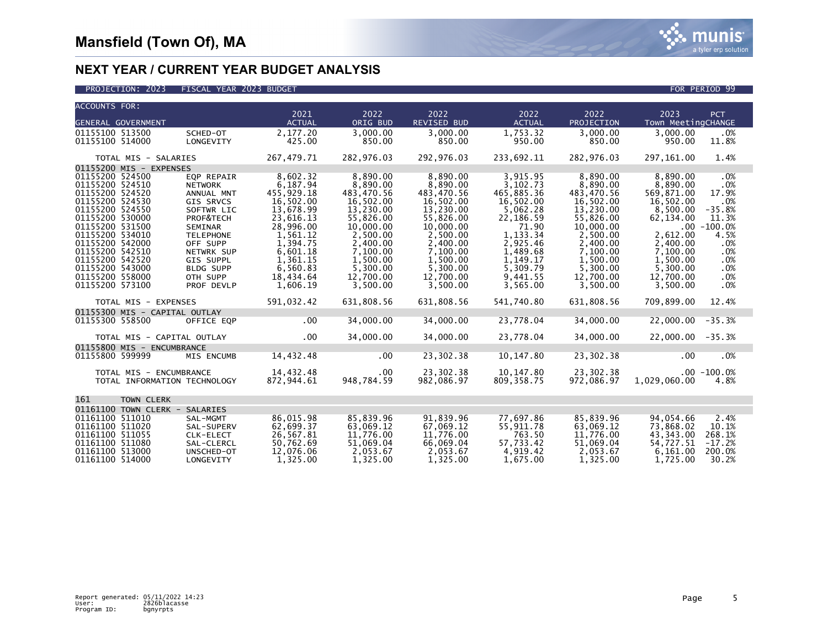

| <b>ACCOUNTS FOR:</b>               |                               |                             | 2021                  | 2022                   | 2022                  | 2022               | 2022                  | 2023<br>PCT <sup>'</sup>               |  |
|------------------------------------|-------------------------------|-----------------------------|-----------------------|------------------------|-----------------------|--------------------|-----------------------|----------------------------------------|--|
|                                    | GENERAL GOVERNMENT            |                             | <b>ACTUAL</b>         | ORIG BUD               | REVISED BUD           | <b>ACTUAL</b>      | PROJECTION            | Town MeetingCHANGE                     |  |
| 01155100 513500                    |                               | SCHED-OT                    | 2,177.20              | 3,000.00               | 3,000.00              | 1,753.32           | 3,000.00              | 3,000.00<br>.0%                        |  |
| 01155100 514000                    |                               | LONGEVITY                   | 425.00                | 850.00                 | 850.00                | 950.00             | 850.00                | 950.00<br>11.8%                        |  |
|                                    |                               |                             |                       |                        |                       |                    |                       |                                        |  |
|                                    | TOTAL MIS - SALARIES          |                             | 267,479.71            | 282,976.03             | 292,976.03            | 233,692.11         | 282,976.03            | 297,161.00<br>1.4%                     |  |
|                                    | 01155200 MIS - EXPENSES       |                             |                       |                        |                       |                    |                       |                                        |  |
| 01155200 524500                    |                               | EQP REPAIR                  | 8,602.32              | 8,890.00               | 8,890.00              | 3,915.95           | 8,890.00              | 8,890.00<br>.0%                        |  |
| 01155200 524510                    |                               | <b>NETWORK</b>              | 6,187.94              | 8,890.00               | 8,890.00              | 3,102.73           | 8,890.00              | 8,890.00<br>.0%                        |  |
| 01155200 524520                    |                               | ANNUAL MNT                  | 455,929.18            | 483,470.56             | 483,470.56            | 465,885.36         | 483,470.56            | 569,871.00<br>17.9%                    |  |
| 01155200 524530                    |                               | <b>GIS SRVCS</b>            | 16,502.00             | 16,502.00              | 16,502.00             | 16,502.00          | 16,502.00             | 16,502.00<br>.0%                       |  |
| 01155200 524550                    |                               | SOFTWR LIC                  | 13,678.99             | 13,230.00              | 13,230.00             | 5,062.28           | 13,230.00             | 8,500.00<br>$-35.8%$                   |  |
| 01155200 530000<br>01155200 531500 |                               | PROF&TECH                   | 23,616.13             | 55,826.00              | 55,826.00             | 22,186.59<br>71.90 | 55,826.00             | 62,134.00<br>11.3%<br>$.00 \,$         |  |
| 01155200 534010                    |                               | SEMINAR<br><b>TELEPHONE</b> | 28,996.00<br>1,561.12 | 10,000.00<br>2,500.00  | 10,000.00<br>2,500.00 | 1,133.34           | 10,000.00<br>2,500.00 | $-100.0%$<br>4.5%<br>2,612.00          |  |
| 01155200 542000                    |                               | OFF SUPP                    | 1,394.75              | 2,400.00               | 2,400.00              | 2,925.46           | 2,400.00              | 2,400.00<br>.0%                        |  |
| 01155200 542510                    |                               | NETWRK SUP                  | 6,601.18              | 7,100.00               | 7,100.00              | 1,489.68           | 7,100.00              | 7,100.00<br>.0%                        |  |
| 01155200 542520                    |                               | GIS SUPPL                   | 1,361.15              | 1,500.00               | 1,500.00              | 1,149.17           | 1,500.00              | 1,500.00<br>.0%                        |  |
| 01155200 543000                    |                               | <b>BLDG SUPP</b>            | 6,560.83              | 5.300.00               | 5.300.00              | 5.309.79           | 5.300.00              | 5.300.00<br>.0%                        |  |
| 01155200 558000                    |                               | OTH SUPP                    | 18,434.64             | 12.700.00              | 12,700.00             | 9.441.55           | 12.700.00             | 12,700.00<br>.0%                       |  |
| 01155200 573100                    |                               | PROF DEVLP                  | 1,606.19              | 3,500.00               | 3,500.00              | 3,565.00           | 3,500.00              | 3,500.00<br>.0%                        |  |
|                                    |                               |                             |                       |                        |                       |                    |                       |                                        |  |
|                                    | TOTAL MIS - EXPENSES          |                             | 591,032.42            | 631,808.56             | 631,808.56            | 541,740.80         | 631,808.56            | 709,899.00<br>12.4%                    |  |
|                                    | 01155300 MIS - CAPITAL OUTLAY |                             |                       |                        |                       |                    |                       |                                        |  |
| 01155300 558500                    |                               | OFFICE EQP                  | $.00 \,$              | 34,000.00              | 34,000.00             | 23,778.04          | 34,000.00             | 22,000.00<br>$-35.3%$                  |  |
|                                    |                               |                             |                       |                        |                       |                    |                       |                                        |  |
|                                    | TOTAL MIS - CAPITAL OUTLAY    |                             | .00                   | 34,000.00              | 34,000.00             | 23,778.04          | 34,000.00             | 22,000.00 -35.3%                       |  |
|                                    | 01155800 MIS - ENCUMBRANCE    |                             |                       |                        |                       |                    |                       |                                        |  |
| 01155800 599999                    |                               | MIS ENCUMB                  | 14,432.48             | .00                    | 23,302.38             | 10,147.80          | 23,302.38             | $.00 \,$<br>.0%                        |  |
|                                    |                               |                             |                       |                        |                       |                    |                       |                                        |  |
|                                    | TOTAL MIS - ENCUMBRANCE       |                             | 14,432.48             | $.00 \,$<br>948,784.59 | 23,302.38             | 10,147.80          | 23,302.38             | $.00 - 100.0%$<br>1,029,060.00<br>4.8% |  |
|                                    | TOTAL INFORMATION TECHNOLOGY  |                             | 872,944.61            |                        | 982,086.97            | 809, 358.75        | 972,086.97            |                                        |  |
| 161                                | TOWN CLERK                    |                             |                       |                        |                       |                    |                       |                                        |  |
|                                    | 01161100 TOWN CLERK -         | <b>SALARIES</b>             |                       |                        |                       |                    |                       |                                        |  |
| 01161100 511010                    |                               | SAL-MGMT                    | 86,015.98             | 85,839.96              | 91.839.96             | 77,697.86          | 85,839.96             | 94,054.66<br>2.4%                      |  |
| 01161100 511020                    |                               | SAL-SUPERV                  | 62,699.37             | 63,069.12              | 67,069.12             | 55,911.78          | 63,069.12             | 10.1%<br>73,868.02                     |  |
| 01161100 511055                    |                               | CLK-ELECT                   | 26,567.81             | 11,776.00              | 11,776.00             | 763.50             | 11,776.00             | 43,343.00<br>268.1%                    |  |
| 01161100 511080                    |                               | SAL-CLERCL                  | 50,762.69             | 51,069.04              | 66,069.04             | 57,733.42          | 51,069.04             | 54,727.51<br>$-17.2%$                  |  |
| 01161100 513000                    |                               | UNSCHED-OT                  | 12,076.06             | 2,053.67               | 2,053.67              | 4,919.42           | 2,053.67              | 6,161.00<br>200.0%                     |  |
| 01161100 514000                    |                               | LONGEVITY                   | 1,325.00              | 1,325.00               | 1,325.00              | 1,675.00           | 1,325.00              | 1,725.00<br>30.2%                      |  |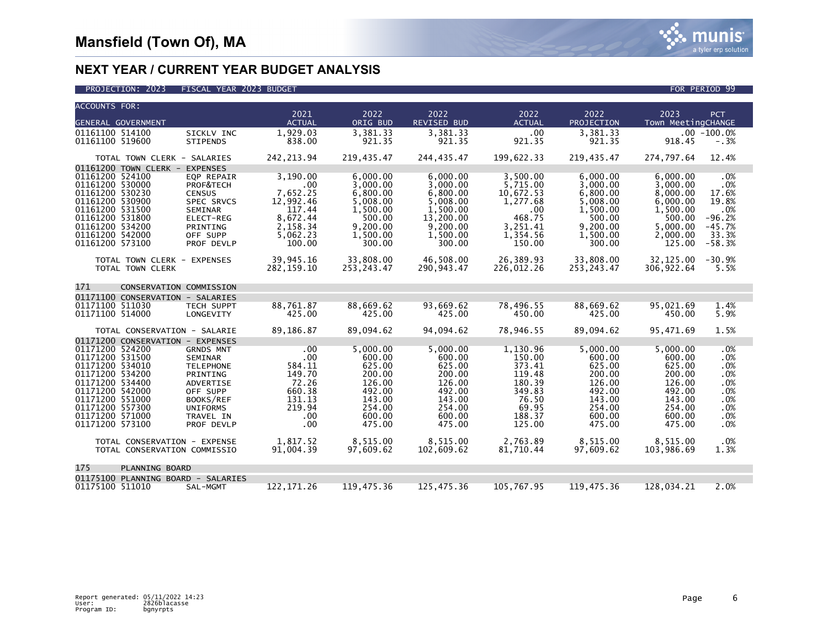| <b>ACCOUNTS FOR:</b>               |                                  |                                    |                     |                      |                      |                       |                      |                      |                   |
|------------------------------------|----------------------------------|------------------------------------|---------------------|----------------------|----------------------|-----------------------|----------------------|----------------------|-------------------|
|                                    |                                  |                                    | 2021                | 2022                 | 2022                 | 2022                  | 2022                 | 2023                 | <b>PCT</b>        |
|                                    | <b>GENERAL GOVERNMENT</b>        |                                    | <b>ACTUAL</b>       | ORIG BUD             | <b>REVISED BUD</b>   | <b>ACTUAL</b>         | PROJECTION           | Town MeetingCHANGE   |                   |
| 01161100 514100                    |                                  | SICKLV INC                         | 1,929.03            | 3,381.33             | 3,381.33             | .00                   | 3,381.33             |                      | $.00 - 100.0%$    |
| 01161100 519600                    |                                  | <b>STIPENDS</b>                    | 838.00              | 921.35               | 921.35               | 921.35                | 921.35               | 918.45               | $-1.3%$           |
|                                    | TOTAL TOWN CLERK - SALARIES      |                                    | 242, 213.94         | 219.435.47           | 244.435.47           | 199.622.33            | 219,435.47           | 274,797.64           | 12.4%             |
|                                    | 01161200 TOWN CLERK -            | <b>EXPENSES</b>                    |                     |                      |                      |                       |                      |                      |                   |
| 01161200 524100                    |                                  | EQP REPAIR                         | 3.190.00            | 6.000.00             | 6.000.00             | 3.500.00              | 6.000.00             | 6.000.00             | .0%               |
| 01161200 530000<br>01161200 530230 |                                  | PROF&TECH<br><b>CENSUS</b>         | .00<br>7,652.25     | 3,000.00<br>6,800.00 | 3,000.00<br>6.800.00 | 5,715.00<br>10,672.53 | 3,000.00<br>6.800.00 | 3,000.00<br>8.000.00 | .0%<br>17.6%      |
| 01161200 530900                    |                                  | SPEC SRVCS                         | 12,992.46           | 5,008.00             | 5,008.00             | 1,277.68              | 5,008.00             | 6,000.00             | 19.8%             |
| 01161200 531500                    |                                  | SEMINAR                            | 117.44              | 1,500.00             | 1,500.00             | .00                   | 1,500.00             | 1,500.00             | .0%               |
| 01161200 531800                    |                                  | ELECT-REG                          | 8,672.44            | 500.00               | 13.200.00            | 468.75                | 500.00               | 500.00               | $-96.2%$          |
| 01161200 534200                    |                                  | PRINTING                           | 2,158.34            | 9.200.00             | 9,200.00             | 3,251.41              | 9.200.00             | 5.000.00             | $-45.7%$          |
| 01161200 542000<br>01161200 573100 |                                  | OFF SUPP<br>PROF DEVLP             | 5,062.23<br>100.00  | 1,500.00<br>300.00   | 1,500.00<br>300.00   | 1,354.56<br>150.00    | 1,500.00<br>300.00   | 2,000.00<br>125.00   | 33.3%<br>$-58.3%$ |
|                                    |                                  |                                    |                     |                      |                      |                       |                      |                      |                   |
|                                    | TOTAL TOWN CLERK - EXPENSES      |                                    | 39,945.16           | 33,808.00            | 46,508.00            | 26,389.93             | 33,808.00            | 32,125.00            | $-30.9%$          |
|                                    | TOTAL TOWN CLERK                 |                                    | 282, 159. 10        | 253, 243.47          | 290,943.47           | 226,012.26            | 253, 243.47          | 306,922.64           | 5.5%              |
|                                    |                                  |                                    |                     |                      |                      |                       |                      |                      |                   |
| 171                                | CONSERVATION COMMISSION          |                                    |                     |                      |                      |                       |                      |                      |                   |
|                                    | 01171100 CONSERVATION - SALARIES |                                    |                     |                      |                      |                       |                      |                      |                   |
| 01171100 511030<br>01171100 514000 |                                  | <b>TECH SUPPT</b><br>LONGEVITY     | 88.761.87<br>425.00 | 88,669.62<br>425.00  | 93,669.62<br>425.00  | 78.496.55<br>450.00   | 88,669.62<br>425.00  | 95,021.69<br>450.00  | 1.4%<br>5.9%      |
|                                    |                                  |                                    |                     |                      |                      |                       |                      |                      |                   |
|                                    | TOTAL CONSERVATION - SALARIE     |                                    | 89,186.87           | 89,094.62            | 94,094.62            | 78,946.55             | 89,094.62            | 95,471.69            | 1.5%              |
|                                    | 01171200 CONSERVATION - EXPENSES |                                    |                     |                      |                      |                       |                      |                      |                   |
| 01171200 524200                    |                                  | <b>GRNDS MNT</b>                   | .00                 | 5,000.00             | 5,000.00             | 1,130.96              | 5,000.00             | 5,000.00             | .0%               |
| 01171200 531500                    |                                  | SEMINAR                            | .00                 | 600.00               | 600.00               | 150.00                | 600.00               | 600.00               | .0%               |
| 01171200 534010<br>01171200 534200 |                                  | <b>TELEPHONE</b>                   | 584.11<br>149.70    | 625.00<br>200.00     | 625.00<br>200.00     | 373.41<br>119.48      | 625.00<br>200.00     | 625.00<br>200.00     | .0%<br>.0%        |
| 01171200 534400                    |                                  | PRINTING<br>ADVERTISE              | 72.26               | 126.00               | 126.00               | 180.39                | 126.00               | 126.00               | .0%               |
| 01171200 542000                    |                                  | OFF SUPP                           | 660.38              | 492.00               | 492.00               | 349.83                | 492.00               | 492.00               | .0%               |
| 01171200 551000                    |                                  | BOOKS/REF                          | 131.13              | 143.00               | 143.00               | 76.50                 | 143.00               | 143.00               | .0%               |
| 01171200 557300                    |                                  | <b>UNIFORMS</b>                    | 219.94              | 254.00               | 254.00               | 69.95                 | 254.00               | 254.00               | .0%               |
| 01171200 571000                    |                                  | TRAVEL IN                          | .00                 | 600.00               | 600.00               | 188.37                | 600.00               | 600.00               | .0%               |
| 01171200 573100                    |                                  | PROF DEVLP                         | .00                 | 475.00               | 475.00               | 125.00                | 475.00               | 475.00               | .0%               |
|                                    | TOTAL CONSERVATION - EXPENSE     |                                    | 1,817.52            | 8,515.00             | 8,515.00             | 2,763.89              | 8,515.00             | 8,515.00             | .0%               |
|                                    | TOTAL CONSERVATION COMMISSIO     |                                    | 91.004.39           | 97,609.62            | 102.609.62           | 81,710.44             | 97,609.62            | 103,986.69           | 1.3%              |
|                                    |                                  |                                    |                     |                      |                      |                       |                      |                      |                   |
| 175                                | PLANNING BOARD                   |                                    |                     |                      |                      |                       |                      |                      |                   |
|                                    |                                  | 01175100 PLANNING BOARD - SALARIES |                     |                      |                      |                       |                      |                      |                   |
| 01175100 511010                    |                                  | SAL-MGMT                           | 122.171.26          | 119.475.36           | 125.475.36           | 105.767.95            | 119.475.36           | 128.034.21           | 2.0%              |

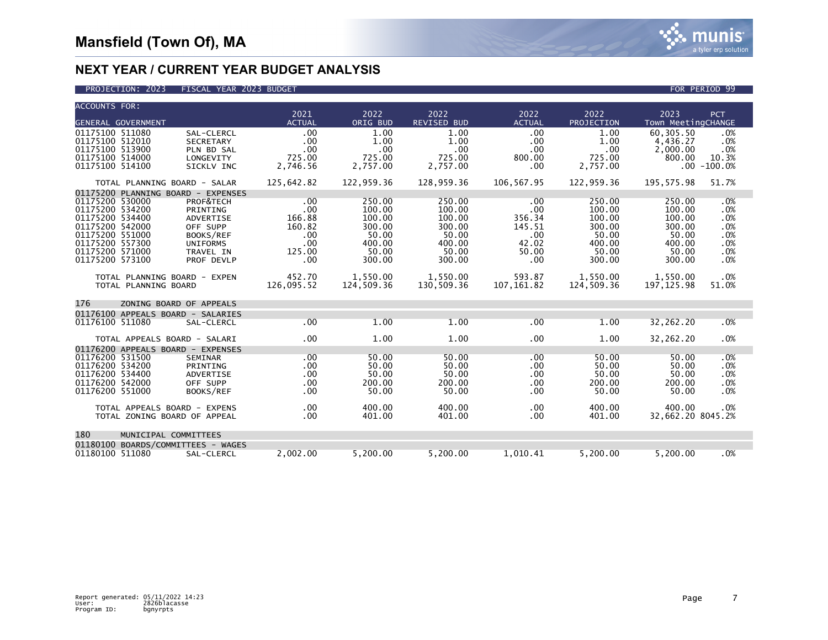| <b>ACCOUNTS FOR:</b>               |                                   |                                                  |                       |                  |                            |                            |                    |                                          |  |
|------------------------------------|-----------------------------------|--------------------------------------------------|-----------------------|------------------|----------------------------|----------------------------|--------------------|------------------------------------------|--|
|                                    | <b>GENERAL GOVERNMENT</b>         |                                                  | 2021<br><b>ACTUAL</b> | 2022<br>ORIG BUD | 2022<br><b>REVISED BUD</b> | 2022<br><b>ACTUAL</b>      | 2022<br>PROJECTION | 2023<br><b>PCT</b><br>Town MeetingCHANGE |  |
| 01175100 511080                    |                                   | SAL-CLERCL                                       | .00                   | 1.00             | 1.00                       | .00                        | 1.00               | 60,305.50<br>.0%                         |  |
| 01175100 512010                    |                                   | <b>SECRETARY</b>                                 | .00                   | 1.00             | 1.00                       | .00                        | 1.00               | 4.436.27<br>.0%                          |  |
| 01175100 513900                    |                                   | PLN BD SAL                                       | .00                   | .00              | .00                        | .00                        | .00                | .0%<br>2.000.00                          |  |
| 01175100 514000<br>01175100 514100 |                                   | LONGEVITY                                        | 725.00                | 725.00           | 725.00                     | 800.00                     | 725.00             | 10.3%<br>800.00                          |  |
|                                    |                                   | SICKLV INC                                       | 2,746.56              | 2,757.00         | 2,757.00                   | .00                        | 2,757.00           | $.00 - 100.0%$                           |  |
|                                    | TOTAL PLANNING BOARD - SALAR      |                                                  | 125,642.82            | 122,959.36       | 128,959.36                 | 106,567.95                 | 122,959.36         | 195,575.98<br>51.7%                      |  |
|                                    |                                   | 01175200 PLANNING BOARD - EXPENSES               |                       |                  |                            |                            |                    |                                          |  |
| 01175200 530000                    |                                   | PROF&TECH                                        | .00                   | 250.00           | 250.00                     | .00                        | 250.00             | 250.00<br>.0%                            |  |
| 01175200 534200<br>01175200 534400 |                                   | PRINTING<br>ADVERTISE                            | .00<br>166.88         | 100.00<br>100.00 | 100.00<br>100.00           | .00 <sub>1</sub><br>356.34 | 100.00<br>100.00   | 100.00<br>.0%<br>.0%<br>100.00           |  |
| 01175200 542000                    |                                   | OFF SUPP                                         | 160.82                | 300.00           | 300.00                     | 145.51                     | 300.00             | .0%<br>300.00                            |  |
| 01175200 551000                    |                                   | BOOKS/REF                                        | .00                   | 50.00            | 50.00                      | .00                        | 50.00              | .0%<br>50.00                             |  |
| 01175200 557300                    |                                   | <b>UNIFORMS</b>                                  | .00                   | 400.00           | 400.00                     | 42.02                      | 400.00             | .0%<br>400.00                            |  |
| 01175200 571000                    |                                   | TRAVEL IN                                        | 125.00                | 50.00            | 50.00                      | 50.00                      | 50.00              | 50.00<br>.0%                             |  |
| 01175200 573100                    |                                   | PROF DEVLP                                       | .00                   | 300.00           | 300.00                     | .00                        | 300.00             | 300.00<br>.0%                            |  |
|                                    | TOTAL PLANNING BOARD - EXPEN      |                                                  | 452.70                | 1,550.00         | 1,550.00                   | 593.87                     | 1,550.00           | .0%<br>1,550.00                          |  |
|                                    | TOTAL PLANNING BOARD              |                                                  | 126,095.52            | 124,509.36       | 130,509.36                 | 107, 161.82                | 124,509.36         | 197, 125.98<br>51.0%                     |  |
| 176                                | ZONING BOARD OF APPEALS           |                                                  |                       |                  |                            |                            |                    |                                          |  |
|                                    | 01176100 APPEALS BOARD - SALARIES |                                                  |                       |                  |                            |                            |                    |                                          |  |
| 01176100 511080                    |                                   | SAL-CLERCL                                       | .00                   | 1.00             | 1.00                       | .00                        | 1.00               | 32,262.20<br>.0%                         |  |
|                                    | TOTAL APPEALS BOARD - SALARI      |                                                  | .00                   | 1.00             | 1.00                       | .00                        | 1.00               | 32,262.20<br>.0%                         |  |
|                                    | 01176200 APPEALS BOARD - EXPENSES |                                                  |                       |                  |                            |                            |                    |                                          |  |
| 01176200 531500                    |                                   | <b>SEMINAR</b>                                   | .00                   | 50.00            | 50.00                      | .00                        | 50.00              | 50.00<br>.0%                             |  |
| 01176200 534200                    |                                   | PRINTING                                         | .00                   | 50.00            | 50.00                      | .00                        | 50.00              | 50.00<br>.0%                             |  |
| 01176200 534400                    |                                   | ADVERTISE                                        | .00                   | 50.00            | 50.00                      | .00                        | 50.00              | 50.00<br>.0%                             |  |
| 01176200 542000<br>01176200 551000 |                                   | OFF SUPP<br>BOOKS/REF                            | .00<br>.00            | 200.00<br>50.00  | 200.00<br>50.00            | .00<br>.00                 | 200.00<br>50.00    | 200.00<br>.0%<br>50.00<br>.0%            |  |
|                                    |                                   |                                                  |                       |                  |                            |                            |                    |                                          |  |
|                                    | TOTAL APPEALS BOARD - EXPENS      |                                                  | .00                   | 400.00           | 400.00                     | $.00 \,$                   | 400.00             | .0%<br>400.00                            |  |
|                                    | TOTAL ZONING BOARD OF APPEAL      |                                                  | .00                   | 401.00           | 401.00                     | $.00 \times$               | 401.00             | 32,662.20 8045.2%                        |  |
|                                    |                                   |                                                  |                       |                  |                            |                            |                    |                                          |  |
| 180                                | MUNICIPAL COMMITTEES              |                                                  |                       |                  |                            |                            |                    |                                          |  |
| 01180100 511080                    |                                   | 01180100 BOARDS/COMMITTEES - WAGES<br>SAL-CLERCL | 2,002.00              | 5,200.00         | 5,200.00                   | 1,010.41                   | 5,200.00           | 5,200.00<br>.0%                          |  |
|                                    |                                   |                                                  |                       |                  |                            |                            |                    |                                          |  |

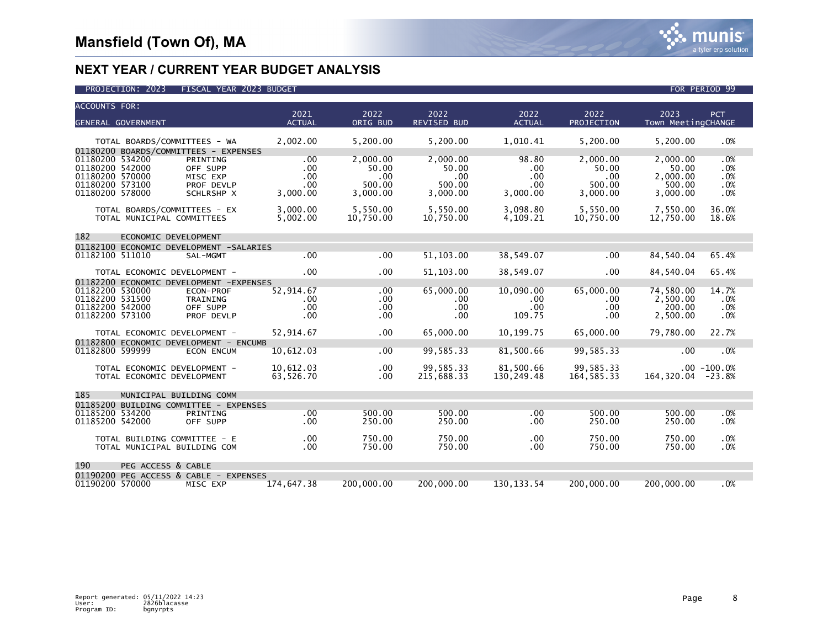| <b>ACCOUNTS FOR:</b>                     |                         | 2021             | 2022             | 2022               | 2022          | 2022       | 2023                | <b>PCT</b>     |
|------------------------------------------|-------------------------|------------------|------------------|--------------------|---------------|------------|---------------------|----------------|
| GENERAL GOVERNMENT                       |                         | <b>ACTUAL</b>    | ORIG BUD         | <b>REVISED BUD</b> | <b>ACTUAL</b> | PROJECTION | Town MeetingCHANGE  |                |
|                                          |                         |                  |                  |                    |               |            |                     |                |
| TOTAL BOARDS/COMMITTEES - WA             |                         | 2,002.00         | 5.200.00         | 5,200.00           | 1,010.41      | 5,200.00   | 5,200.00            | .0%            |
| 01180200 BOARDS/COMMITTEES - EXPENSES    |                         |                  |                  |                    |               |            |                     |                |
| 01180200 534200                          | PRINTING                | .00              | 2.000.00         | 2.000.00           | 98.80         | 2,000.00   | 2,000.00            | .0%            |
| 01180200 542000                          | OFF SUPP                | .00              | 50.00            | 50.00              | .00           | 50.00      | 50.00               | .0%            |
| 01180200 570000                          | MISC EXP                | .00 <sub>1</sub> | .00              | $.00 \times$       | .00           | .00        | 2.000.00            | .0%            |
| 01180200 573100                          | PROF DEVLP              | .00 <sub>1</sub> | 500.00           | 500.00             | .00           | 500.00     | 500.00              | .0%            |
| 01180200 578000                          | SCHLRSHP X              | 3,000.00         | 3,000.00         | 3,000.00           | 3,000.00      | 3,000.00   | 3,000.00            | .0%            |
| TOTAL BOARDS/COMMITTEES - EX             |                         | 3,000.00         | 5,550.00         | 5,550.00           | 3,098.80      | 5,550.00   | 7,550.00            | 36.0%          |
| TOTAL MUNICIPAL COMMITTEES               |                         | 5,002.00         | 10,750.00        | 10,750.00          | 4,109.21      | 10,750.00  | 12,750.00           | 18.6%          |
|                                          |                         |                  |                  |                    |               |            |                     |                |
| 182                                      | ECONOMIC DEVELOPMENT    |                  |                  |                    |               |            |                     |                |
| 01182100 ECONOMIC DEVELOPMENT -SALARIES  |                         |                  |                  |                    |               |            |                     |                |
| 01182100 511010                          | SAL-MGMT                | .00              | .00              | 51,103.00          | 38,549.07     | .00        | 84,540.04           | 65.4%          |
|                                          |                         |                  |                  |                    |               |            |                     |                |
| TOTAL ECONOMIC DEVELOPMENT -             |                         | .00              | .00              | 51, 103.00         | 38,549.07     | $.00 \,$   | 84,540.04           | 65.4%          |
| 01182200 ECONOMIC DEVELOPMENT - EXPENSES |                         |                  |                  |                    |               |            |                     |                |
| 01182200 530000                          | ECON-PROF               | 52,914.67        | $.00 \,$         | 65,000.00          | 10,090.00     | 65,000.00  | 74,580.00           | 14.7%          |
| 01182200 531500                          | TRAINING                | .00              | $.00 \,$         | $.00 \times$       | .00           | $.00 \,$   | 2,500.00            | .0%            |
| 01182200 542000                          | OFF SUPP                | .00              | $.00 \,$         | $.00 \,$           | .00           | .00        | 200.00              | .0%            |
| 01182200 573100                          | PROF DEVLP              | .00              | .00              | $.00 \,$           | 109.75        | .00        | 2,500.00            | .0%            |
|                                          |                         |                  |                  |                    |               |            |                     |                |
| TOTAL ECONOMIC DEVELOPMENT -             |                         | 52,914.67        | .00 <sub>1</sub> | 65,000.00          | 10,199.75     | 65,000.00  | 79,780.00           | 22.7%          |
| 01182800 ECONOMIC DEVELOPMENT - ENCUMB   |                         |                  |                  |                    |               |            |                     |                |
| 01182800 599999                          | <b>ECON ENCUM</b>       | 10,612.03        | $.00 \times$     | 99,585.33          | 81,500.66     | 99,585.33  | .00                 | .0%            |
| TOTAL ECONOMIC DEVELOPMENT -             |                         | 10,612.03        | .00 <sub>1</sub> | 99,585.33          | 81,500.66     | 99,585.33  |                     | $.00 - 100.0%$ |
| TOTAL ECONOMIC DEVELOPMENT               |                         | 63,526.70        | $.00 \,$         | 215,688.33         | 130,249.48    | 164,585.33 | 164, 320.04 - 23.8% |                |
|                                          |                         |                  |                  |                    |               |            |                     |                |
| 185                                      | MUNICIPAL BUILDING COMM |                  |                  |                    |               |            |                     |                |
| 01185200 BUILDING COMMITTEE - EXPENSES   |                         |                  |                  |                    |               |            |                     |                |
| 01185200 534200                          | PRINTING                | $.00 \,$         | 500.00           | 500.00             | .00           | 500.00     | 500.00              | .0%            |
| 01185200 542000                          | OFF SUPP                | .00              | 250.00           | 250.00             | .00           | 250.00     | 250.00              | .0%            |
|                                          |                         |                  |                  |                    |               |            |                     |                |
| TOTAL BUILDING COMMITTEE - E             |                         | .00              | 750.00           | 750.00             | .00           | 750.00     | 750.00              | .0%            |
| TOTAL MUNICIPAL BUILDING COM             |                         | .00.             | 750.00           | 750.00             | .00           | 750.00     | 750.00              | .0%            |
|                                          |                         |                  |                  |                    |               |            |                     |                |
| 190<br>PEG ACCESS & CABLE                |                         |                  |                  |                    |               |            |                     |                |
| 01190200 PEG ACCESS & CABLE - EXPENSES   |                         |                  |                  |                    |               |            |                     |                |
| 01190200 570000                          | MISC EXP                | 174.647.38       | 200,000.00       | 200,000,00         | 130.133.54    | 200.000.00 | 200,000,00          | .0%            |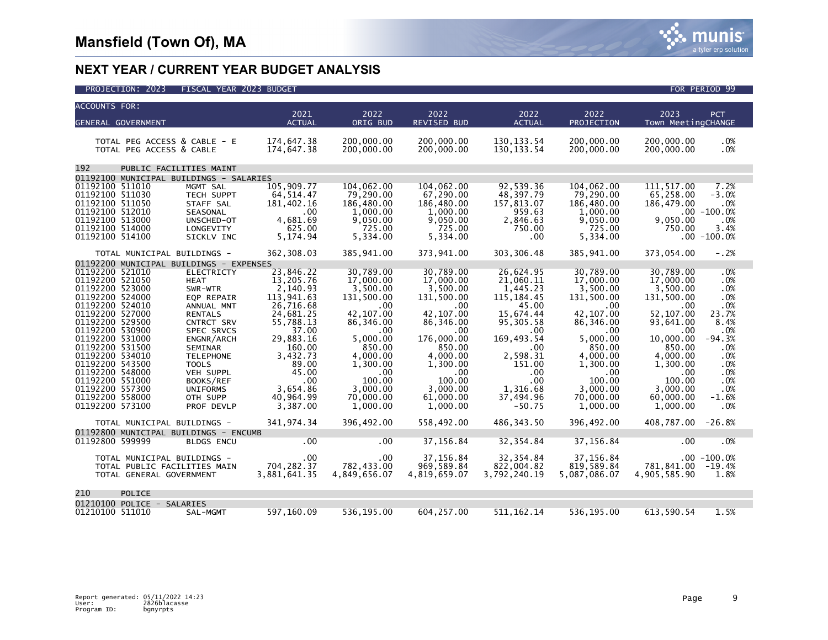| <b>ACCOUNTS FOR:</b>                                                                                                                                                                                                                                                                                                                                                                                                                                                                                                                                                                                       |                                                                                                                                                                                                   |                                                                                                                                                                                                            |                                                                                                                                                                                                      |                                                                                                                                                                                                |                                                                                                                                                                                              |                                                                                                                                                                                                                                                                                                                                                     |
|------------------------------------------------------------------------------------------------------------------------------------------------------------------------------------------------------------------------------------------------------------------------------------------------------------------------------------------------------------------------------------------------------------------------------------------------------------------------------------------------------------------------------------------------------------------------------------------------------------|---------------------------------------------------------------------------------------------------------------------------------------------------------------------------------------------------|------------------------------------------------------------------------------------------------------------------------------------------------------------------------------------------------------------|------------------------------------------------------------------------------------------------------------------------------------------------------------------------------------------------------|------------------------------------------------------------------------------------------------------------------------------------------------------------------------------------------------|----------------------------------------------------------------------------------------------------------------------------------------------------------------------------------------------|-----------------------------------------------------------------------------------------------------------------------------------------------------------------------------------------------------------------------------------------------------------------------------------------------------------------------------------------------------|
| GENERAL GOVERNMENT                                                                                                                                                                                                                                                                                                                                                                                                                                                                                                                                                                                         | 2021<br><b>ACTUAL</b>                                                                                                                                                                             | 2022<br>ORIG BUD                                                                                                                                                                                           | 2022<br><b>REVISED BUD</b>                                                                                                                                                                           | 2022<br><b>ACTUAL</b>                                                                                                                                                                          | 2022<br>PROJECTION                                                                                                                                                                           | 2023<br>PCT<br>Town MeetingCHANGE                                                                                                                                                                                                                                                                                                                   |
| TOTAL PEG ACCESS & CABLE - E<br>TOTAL PEG ACCESS & CABLE                                                                                                                                                                                                                                                                                                                                                                                                                                                                                                                                                   | 174,647.38<br>174,647.38                                                                                                                                                                          | 200,000.00<br>200,000.00                                                                                                                                                                                   | 200,000.00<br>200,000.00                                                                                                                                                                             | 130, 133.54<br>130, 133.54                                                                                                                                                                     | 200,000.00<br>200,000.00                                                                                                                                                                     | 200,000.00<br>.0%<br>200,000.00<br>.0%                                                                                                                                                                                                                                                                                                              |
| 192<br>PUBLIC FACILITIES MAINT                                                                                                                                                                                                                                                                                                                                                                                                                                                                                                                                                                             |                                                                                                                                                                                                   |                                                                                                                                                                                                            |                                                                                                                                                                                                      |                                                                                                                                                                                                |                                                                                                                                                                                              |                                                                                                                                                                                                                                                                                                                                                     |
| 01192100 MUNICIPAL BUILDINGS - SALARIES<br>01192100 511010<br>MGMT SAL<br>01192100 511030<br><b>TECH SUPPT</b><br>01192100 511050<br>STAFF SAL                                                                                                                                                                                                                                                                                                                                                                                                                                                             | 105,909.77<br>64,514.47<br>181,402.16                                                                                                                                                             | 104,062.00<br>79,290.00<br>186,480.00                                                                                                                                                                      | 104,062.00<br>67,290.00<br>186,480.00                                                                                                                                                                | 92,539.36<br>48,397.79<br>157,813.07                                                                                                                                                           | 104,062.00<br>79,290.00<br>186,480.00                                                                                                                                                        | 111,517.00<br>7.2%<br>65,258.00<br>$-3.0%$<br>186,479.00<br>.0%                                                                                                                                                                                                                                                                                     |
| 01192100 512010<br>SEASONAL<br>01192100 513000<br>UNSCHED-OT<br>01192100 514000<br>LONGEVITY<br>01192100 514100<br>SICKLV INC                                                                                                                                                                                                                                                                                                                                                                                                                                                                              | .00<br>4,681.69<br>625.00<br>5,174.94                                                                                                                                                             | 1,000.00<br>9,050.00<br>725.00<br>5,334.00                                                                                                                                                                 | 1,000.00<br>9,050.00<br>725.00<br>5,334.00                                                                                                                                                           | 959.63<br>2,846.63<br>750.00<br>$.00 \,$                                                                                                                                                       | 1,000.00<br>9,050.00<br>725.00<br>5,334.00                                                                                                                                                   | $.00 - 100.0%$<br>9,050.00<br>.0%<br>750.00<br>3.4%<br>$.00 - 100.0%$                                                                                                                                                                                                                                                                               |
| TOTAL MUNICIPAL BUILDINGS -                                                                                                                                                                                                                                                                                                                                                                                                                                                                                                                                                                                | 362,308.03                                                                                                                                                                                        | 385,941.00                                                                                                                                                                                                 | 373,941.00                                                                                                                                                                                           | 303,306.48                                                                                                                                                                                     | 385,941.00                                                                                                                                                                                   | 373,054.00<br>$-.2%$                                                                                                                                                                                                                                                                                                                                |
| 01192200 MUNICIPAL BUILDINGS - EXPENSES                                                                                                                                                                                                                                                                                                                                                                                                                                                                                                                                                                    |                                                                                                                                                                                                   |                                                                                                                                                                                                            |                                                                                                                                                                                                      |                                                                                                                                                                                                |                                                                                                                                                                                              |                                                                                                                                                                                                                                                                                                                                                     |
| 01192200 521010<br><b>ELECTRICTY</b><br>01192200 521050<br><b>HEAT</b><br>01192200 523000<br>SWR-WTR<br>01192200 524000<br>EQP REPAIR<br>01192200 524010<br>ANNUAL MNT<br>01192200 527000<br><b>RENTALS</b><br>01192200 529500<br>CNTRCT SRV<br>01192200 530900<br>SPEC SRVCS<br>01192200 531000<br>ENGNR/ARCH<br>01192200 531500<br><b>SEMINAR</b><br>01192200 534010<br><b>TELEPHONE</b><br>01192200 543500<br><b>TOOLS</b><br>01192200 548000<br><b>VEH SUPPL</b><br>01192200 551000<br>BOOKS/REF<br>01192200 557300<br><b>UNIFORMS</b><br>01192200 558000<br>OTH SUPP<br>01192200 573100<br>PROF DEVLP | 23,846.22<br>13,205.76<br>2,140.93<br>113,941.63<br>26,716.68<br>24,681.25<br>55,788.13<br>37.00<br>29,883.16<br>160.00<br>3,432.73<br>89.00<br>45.00<br>.00<br>3,654.86<br>40,964.99<br>3,387.00 | 30,789.00<br>17,000.00<br>3,500.00<br>131,500.00<br>$.00 \times$<br>42.107.00<br>86,346.00<br>.00<br>5,000.00<br>850.00<br>4,000.00<br>1,300.00<br>$.00 \,$<br>100.00<br>3.000.00<br>70,000.00<br>1,000.00 | 30,789.00<br>17,000.00<br>3,500.00<br>131,500.00<br>.00<br>42.107.00<br>86,346.00<br>.00.<br>176,000.00<br>850.00<br>4,000.00<br>1,300.00<br>$.00 \,$<br>100.00<br>3.000.00<br>61,000.00<br>1,000.00 | 26,624.95<br>21,060.11<br>1,445.23<br>115, 184.45<br>45.00<br>15,674.44<br>95,305.58<br>$.00 \,$<br>169,493.54<br>.00<br>2,598.31<br>151.00<br>.00<br>.00<br>1,316.68<br>37,494.96<br>$-50.75$ | 30,789.00<br>17,000.00<br>3,500.00<br>131,500.00<br>.00<br>42.107.00<br>86,346.00<br>.00<br>5,000.00<br>850.00<br>4,000.00<br>1,300.00<br>.00<br>100.00<br>3.000.00<br>70,000.00<br>1,000.00 | 30,789.00<br>.0%<br>17,000.00<br>.0%<br>.0%<br>3,500.00<br>131,500.00<br>.0%<br>.0%<br>$.00 \times$<br>52,107.00<br>23.7%<br>93,641.00<br>8.4%<br>.0%<br>$.00 \,$<br>$-94.3%$<br>10,000.00<br>850.00<br>.0%<br>4,000.00<br>.0%<br>1,300.00<br>.0%<br>$.00 \,$<br>.0%<br>100.00<br>.0%<br>3.000.00<br>.0%<br>60,000.00<br>$-1.6%$<br>1,000.00<br>.0% |
| TOTAL MUNICIPAL BUILDINGS -                                                                                                                                                                                                                                                                                                                                                                                                                                                                                                                                                                                | 341,974.34                                                                                                                                                                                        | 396,492.00                                                                                                                                                                                                 | 558,492.00                                                                                                                                                                                           | 486,343.50                                                                                                                                                                                     | 396,492.00                                                                                                                                                                                   | 408,787.00<br>$-26.8%$                                                                                                                                                                                                                                                                                                                              |
| 01192800 MUNICIPAL BUILDINGS - ENCUMB                                                                                                                                                                                                                                                                                                                                                                                                                                                                                                                                                                      |                                                                                                                                                                                                   |                                                                                                                                                                                                            |                                                                                                                                                                                                      |                                                                                                                                                                                                |                                                                                                                                                                                              |                                                                                                                                                                                                                                                                                                                                                     |
| 01192800 599999<br><b>BLDGS ENCU</b>                                                                                                                                                                                                                                                                                                                                                                                                                                                                                                                                                                       | $.00 \cdot$                                                                                                                                                                                       | $.00 \cdot$                                                                                                                                                                                                | 37,156.84                                                                                                                                                                                            | 32,354.84                                                                                                                                                                                      | 37, 156.84                                                                                                                                                                                   | .00<br>.0%                                                                                                                                                                                                                                                                                                                                          |
| TOTAL MUNICIPAL BUILDINGS -<br>TOTAL PUBLIC FACILITIES MAIN<br>TOTAL GENERAL GOVERNMENT                                                                                                                                                                                                                                                                                                                                                                                                                                                                                                                    | .00<br>704,282.37<br>3,881,641.35                                                                                                                                                                 | $.00 \,$<br>782,433.00<br>4,849,656.07                                                                                                                                                                     | 37, 156.84<br>969,589.84<br>4,819,659.07                                                                                                                                                             | 32, 354.84<br>822,004.82<br>3,792,240.19                                                                                                                                                       | 37, 156.84<br>819.589.84<br>5,087,086.07                                                                                                                                                     | $.00 - 100.0%$<br>781,841.00 -19.4%<br>4,905,585.90<br>1.8%                                                                                                                                                                                                                                                                                         |
| 210<br>POLICE                                                                                                                                                                                                                                                                                                                                                                                                                                                                                                                                                                                              |                                                                                                                                                                                                   |                                                                                                                                                                                                            |                                                                                                                                                                                                      |                                                                                                                                                                                                |                                                                                                                                                                                              |                                                                                                                                                                                                                                                                                                                                                     |
| 01210100 POLICE - SALARIES<br>01210100 511010<br>SAL-MGMT                                                                                                                                                                                                                                                                                                                                                                                                                                                                                                                                                  | 597,160.09                                                                                                                                                                                        | 536,195.00                                                                                                                                                                                                 | 604,257.00                                                                                                                                                                                           | 511, 162. 14                                                                                                                                                                                   | 536,195.00                                                                                                                                                                                   | 613,590.54<br>1.5%                                                                                                                                                                                                                                                                                                                                  |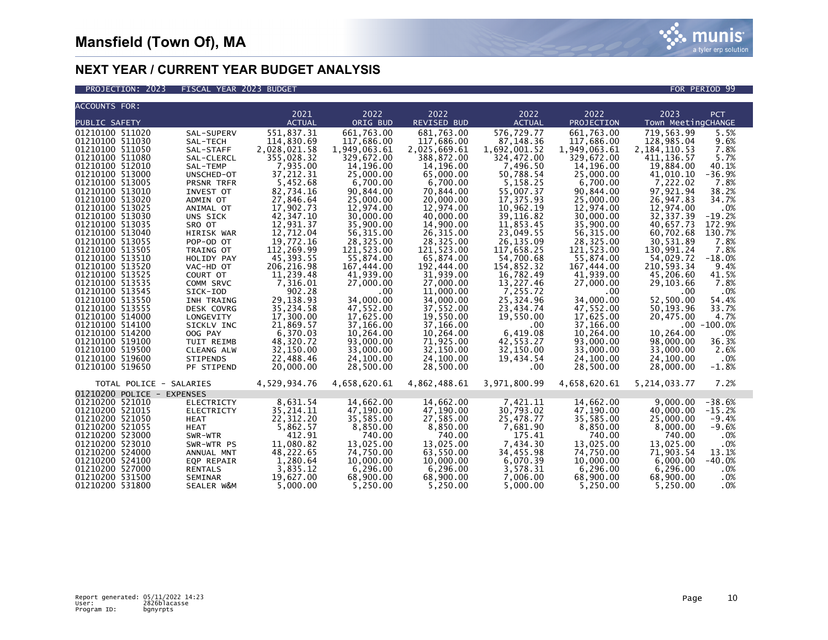

| <b>ACCOUNTS FOR:</b>                                                                                                                                                                                                                                                                                                                                                                                                                                                                  |                                                                                                                                                                                                                                                                                                                             |                                                                                                                                                                                                                                                                                                                                                   |                                                                                                                                                                                                                                                                                                                                            |                                                                                                                                                                                                                                                                                                                                                     |                                                                                                                                                                                                                                                                                                                                                  |                                                                                                                                                                                                                                                                                                                                              |                                                                                                                                                                                                                                                                                                                                                                                                                                                                                                                                                                                |
|---------------------------------------------------------------------------------------------------------------------------------------------------------------------------------------------------------------------------------------------------------------------------------------------------------------------------------------------------------------------------------------------------------------------------------------------------------------------------------------|-----------------------------------------------------------------------------------------------------------------------------------------------------------------------------------------------------------------------------------------------------------------------------------------------------------------------------|---------------------------------------------------------------------------------------------------------------------------------------------------------------------------------------------------------------------------------------------------------------------------------------------------------------------------------------------------|--------------------------------------------------------------------------------------------------------------------------------------------------------------------------------------------------------------------------------------------------------------------------------------------------------------------------------------------|-----------------------------------------------------------------------------------------------------------------------------------------------------------------------------------------------------------------------------------------------------------------------------------------------------------------------------------------------------|--------------------------------------------------------------------------------------------------------------------------------------------------------------------------------------------------------------------------------------------------------------------------------------------------------------------------------------------------|----------------------------------------------------------------------------------------------------------------------------------------------------------------------------------------------------------------------------------------------------------------------------------------------------------------------------------------------|--------------------------------------------------------------------------------------------------------------------------------------------------------------------------------------------------------------------------------------------------------------------------------------------------------------------------------------------------------------------------------------------------------------------------------------------------------------------------------------------------------------------------------------------------------------------------------|
|                                                                                                                                                                                                                                                                                                                                                                                                                                                                                       |                                                                                                                                                                                                                                                                                                                             |                                                                                                                                                                                                                                                                                                                                                   |                                                                                                                                                                                                                                                                                                                                            |                                                                                                                                                                                                                                                                                                                                                     |                                                                                                                                                                                                                                                                                                                                                  |                                                                                                                                                                                                                                                                                                                                              |                                                                                                                                                                                                                                                                                                                                                                                                                                                                                                                                                                                |
| PUBLIC SAFETY<br>01210100 511020<br>01210100 511030<br>01210100 511050<br>01210100 511080<br>01210100 512010<br>01210100 513000<br>01210100 513005<br>01210100 513010<br>01210100 513020<br>01210100 513025<br>01210100 513030<br>01210100 513035<br>01210100 513040<br>01210100 513055<br>01210100 513505<br>01210100 513510<br>01210100 513520<br>01210100 513525<br>01210100 513535<br>01210100 513545<br>01210100 513550<br>01210100 513555<br>01210100 514000<br>01210100 514100 | SAL-SUPERV<br>SAL-TECH<br>SAL-STAFF<br>SAL-CLERCL<br>SAL-TEMP<br>UNSCHED-OT<br>PRSNR TRFR<br>INVEST OT<br>ADMIN OT<br>ANIMAL OT<br>UNS SICK<br>SRO OT<br>HIRISK WAR<br>POP-OD OT<br>TRAING OT<br>HOLIDY PAY<br>VAC-HD OT<br>COURT OT<br>COMM SRVC<br>SICK-IOD<br>INH TRAING<br><b>DESK COVRG</b><br>LONGEVITY<br>SICKLV INC | 2021<br><b>ACTUAL</b><br>551,837.31<br>114,830.69<br>2,028,021.58<br>355,028.32<br>7,935.00<br>37, 212.31<br>5,452.68<br>82,734.16<br>27,846.64<br>17,902.73<br>42,347.10<br>12,931.37<br>12,712.04<br>19,772.16<br>112,269.99<br>45,393.55<br>206, 216.98<br>11,239.48<br>7,316.01<br>902.28<br>29,138.93<br>35,234.58<br>17,300.00<br>21,869.57 | 2022<br>ORIG BUD<br>661,763.00<br>117,686.00<br>1,949,063.61<br>329,672.00<br>14,196.00<br>25,000.00<br>6,700.00<br>90,844.00<br>25,000.00<br>12,974.00<br>30,000,00<br>35,900.00<br>56, 315.00<br>28,325.00<br>121,523.00<br>55,874.00<br>167,444.00<br>41,939.00<br>27,000.00<br>.00<br>34,000.00<br>47,552.00<br>17,625.00<br>37,166.00 | 2022<br>REVISED BUD<br>681,763.00<br>117,686.00<br>2,025,669.61<br>388,872.00<br>14,196.00<br>65,000.00<br>6,700.00<br>70.844.00<br>20,000.00<br>12,974.00<br>40.000.00<br>14,900.00<br>26, 315.00<br>28,325.00<br>121,523.00<br>65,874.00<br>192,444.00<br>31.939.00<br>27,000.00<br>11,000.00<br>34,000.00<br>37,552.00<br>19.550.00<br>37,166.00 | 2022<br><b>ACTUAL</b><br>576,729.77<br>87,148.36<br>1,692,001.52<br>324,472.00<br>7,496.50<br>50,788.54<br>5,158.25<br>55,007.37<br>17.375.93<br>10,962.19<br>39.116.82<br>11,853.45<br>23,049.55<br>26,135.09<br>117,658.25<br>54,700.68<br>154,852.32<br>16,782.49<br>13,227.46<br>7,255.72<br>25,324.96<br>23,434.74<br>19,550.00<br>$.00 \,$ | 2022<br>PROJECTION<br>661.763.00<br>117,686.00<br>1,949,063.61<br>329,672.00<br>14,196.00<br>25,000.00<br>6,700.00<br>90,844.00<br>25,000.00<br>12,974.00<br>30,000,00<br>35,900.00<br>56, 315.00<br>28,325.00<br>121,523.00<br>55,874.00<br>167,444.00<br>41,939.00<br>27,000.00<br>.00<br>34,000,00<br>47,552.00<br>17,625.00<br>37,166.00 | 2023<br>PCT<br>Town MeetingCHANGE<br>719,563.99<br>5.5%<br>128,985.04<br>9.6%<br>7.8%<br>2, 184, 110.53<br>5.7%<br>411, 136.57<br>19,884.00<br>40.1%<br>$-36.9%$<br>41,010.10<br>7,222.02<br>7.8%<br>97,921.94<br>38.2%<br>26.947.83<br>34.7%<br>12,974.00<br>.0%<br>32.337.39<br>$-19.2%$<br>172.9%<br>40,657.73<br>60,702.68<br>130.7%<br>30,531.89<br>7.8%<br>7.8%<br>130,991.24<br>54,029.72<br>$-18.0%$<br>210,593.34<br>9.4%<br>45,206.60<br>41.5%<br>7.8%<br>29,103.66<br>.0%<br>.00<br>52,500.00<br>54.4%<br>33.7%<br>50,193.96<br>20,475.00<br>4.7%<br>$.00 - 100.0%$ |
| 01210100 514200<br>01210100 519100<br>01210100 519500<br>01210100 519600<br>01210100 519650<br>TOTAL POLICE - SALARIES                                                                                                                                                                                                                                                                                                                                                                | OOG PAY<br>TUIT REIMB<br>CLEANG ALW<br><b>STIPENDS</b><br>PF STIPEND                                                                                                                                                                                                                                                        | 6,370.03<br>48,320.72<br>32,150.00<br>22,488.46<br>20,000.00<br>4,529,934.76                                                                                                                                                                                                                                                                      | 10,264.00<br>93,000.00<br>33,000.00<br>24,100.00<br>28,500.00<br>4,658,620.61                                                                                                                                                                                                                                                              | 10,264.00<br>71,925.00<br>32,150.00<br>24,100.00<br>28,500.00<br>4,862,488.61                                                                                                                                                                                                                                                                       | 6,419.08<br>42,553.27<br>32,150.00<br>19,434.54<br>$.00 \,$<br>3,971,800.99                                                                                                                                                                                                                                                                      | 10,264.00<br>93,000.00<br>33,000.00<br>24,100.00<br>28,500.00<br>4,658,620.61                                                                                                                                                                                                                                                                | 10,264.00<br>.0%<br>98,000.00<br>36.3%<br>2.6%<br>33,000.00<br>24,100.00<br>.0%<br>28,000.00<br>$-1.8%$<br>5, 214, 033. 77<br>7.2%                                                                                                                                                                                                                                                                                                                                                                                                                                             |
| 01210200 POLICE - EXPENSES                                                                                                                                                                                                                                                                                                                                                                                                                                                            |                                                                                                                                                                                                                                                                                                                             |                                                                                                                                                                                                                                                                                                                                                   |                                                                                                                                                                                                                                                                                                                                            |                                                                                                                                                                                                                                                                                                                                                     |                                                                                                                                                                                                                                                                                                                                                  |                                                                                                                                                                                                                                                                                                                                              |                                                                                                                                                                                                                                                                                                                                                                                                                                                                                                                                                                                |
| 01210200 521010<br>01210200 521015<br>01210200 521050<br>01210200 521055<br>01210200 523000<br>01210200 523010<br>01210200 524000<br>01210200 524100<br>01210200 527000<br>01210200 531500<br>01210200 531800                                                                                                                                                                                                                                                                         | <b>ELECTRICTY</b><br><b>ELECTRICTY</b><br><b>HEAT</b><br><b>HEAT</b><br>SWR-WTR<br>SWR-WTR PS<br>ANNUAL MNT<br>EQP REPAIR<br><b>RENTALS</b><br><b>SEMINAR</b><br>SEALER W&M                                                                                                                                                 | 8,631.54<br>35, 214.11<br>22,312.20<br>5,862.57<br>412.91<br>11,080.82<br>48,222.65<br>1,280.64<br>3,835.12<br>19,627.00<br>5.000.00                                                                                                                                                                                                              | 14,662.00<br>47,190.00<br>35,585.00<br>8,850.00<br>740.00<br>13,025.00<br>74.750.00<br>10,000.00<br>6,296.00<br>68,900.00<br>5.250.00                                                                                                                                                                                                      | 14,662.00<br>47,190.00<br>27,585.00<br>8,850.00<br>740.00<br>13,025.00<br>63,550.00<br>10,000.00<br>6.296.00<br>68,900.00<br>5.250.00                                                                                                                                                                                                               | 7,421.11<br>30,793.02<br>25,478.77<br>7,681.90<br>175.41<br>7,434.30<br>34,455.98<br>6,070.39<br>3,578.31<br>7,006.00<br>5.000.00                                                                                                                                                                                                                | 14,662.00<br>47,190.00<br>35,585.00<br>8,850.00<br>740.00<br>13,025.00<br>74.750.00<br>10,000.00<br>6,296.00<br>68,900.00<br>5,250.00                                                                                                                                                                                                        | 9,000.00<br>$-38.6%$<br>40,000.00<br>$-15.2%$<br>25,000.00<br>$-9.4%$<br>8,000.00<br>$-9.6%$<br>740.00<br>.0%<br>13,025.00<br>.0%<br>71,903.54<br>13.1%<br>$-40.0%$<br>6,000.00<br>6.296.00<br>.0%<br>68,900.00<br>.0%<br>5,250.00<br>.0%                                                                                                                                                                                                                                                                                                                                      |

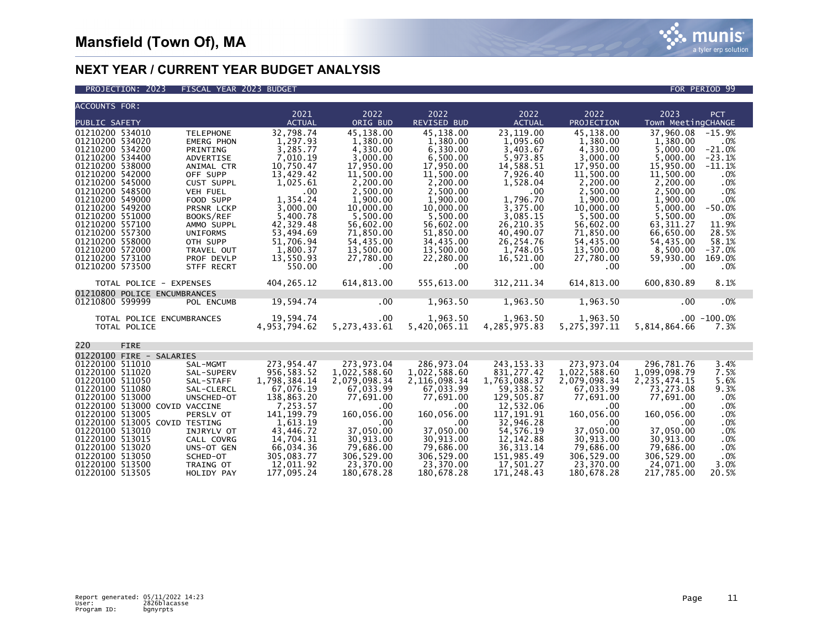### PROJECTION: 2023 FISCAL YEAR 2023 BUDGET AND RESERVE TO A SERVE THE RESERVE TO A SERVE TO A SERVE TO PERIOD 99

| <b>ACCOUNTS FOR:</b>                                                                                                                                                                                                                                                                                                                                                                                                                                                                                                                                              | 2021                                                                                                                                                                                           | 2022                                                                                                                                                                                                  | 2022                                                                                                                                                                                                  | 2022                                                                                                                                                                                               | 2022                                                                                                                                                                                                  | 2023                                                                                                                                                                                                 | PCT                                                                                                                                                 |
|-------------------------------------------------------------------------------------------------------------------------------------------------------------------------------------------------------------------------------------------------------------------------------------------------------------------------------------------------------------------------------------------------------------------------------------------------------------------------------------------------------------------------------------------------------------------|------------------------------------------------------------------------------------------------------------------------------------------------------------------------------------------------|-------------------------------------------------------------------------------------------------------------------------------------------------------------------------------------------------------|-------------------------------------------------------------------------------------------------------------------------------------------------------------------------------------------------------|----------------------------------------------------------------------------------------------------------------------------------------------------------------------------------------------------|-------------------------------------------------------------------------------------------------------------------------------------------------------------------------------------------------------|------------------------------------------------------------------------------------------------------------------------------------------------------------------------------------------------------|-----------------------------------------------------------------------------------------------------------------------------------------------------|
| PUBLIC SAFETY                                                                                                                                                                                                                                                                                                                                                                                                                                                                                                                                                     | <b>ACTUAL</b>                                                                                                                                                                                  | ORIG BUD                                                                                                                                                                                              | <b>REVISED BUD</b>                                                                                                                                                                                    | <b>ACTUAL</b>                                                                                                                                                                                      | PROJECTION                                                                                                                                                                                            | Town MeetingCHANGE                                                                                                                                                                                   |                                                                                                                                                     |
| 01210200 534010<br><b>TELEPHONE</b><br>01210200 534020<br><b>EMERG PHON</b><br>01210200 534200<br>PRINTING<br>01210200 534400<br>ADVERTISE<br>01210200 538000<br>ANIMAL CTR<br>01210200 542000<br>OFF SUPP<br>01210200 545000<br><b>CUST SUPPL</b><br>01210200 548500<br><b>VEH FUEL</b><br>01210200 549000<br>FOOD SUPP<br>01210200 549200<br>PRSNR LCKP<br>01210200 551000<br>BOOKS/REF<br>01210200 557100<br>AMMO SUPPL<br>01210200 557300<br><b>UNIFORMS</b><br>01210200 558000<br>OTH SUPP<br>01210200 572000<br>TRAVEL OUT<br>01210200 573100<br>PROF DEVLP | 32,798.74<br>1,297.93<br>3,285.77<br>7,010.19<br>10,750.47<br>13,429.42<br>1,025.61<br>.00<br>1,354.24<br>3,000.00<br>5,400.78<br>42,329.48<br>53,494.69<br>51,706.94<br>1,800.37<br>13,550.93 | 45,138.00<br>1,380.00<br>4,330.00<br>3,000.00<br>17,950.00<br>11,500.00<br>2,200.00<br>2,500.00<br>1,900.00<br>10,000.00<br>5,500.00<br>56,602.00<br>71,850.00<br>54,435.00<br>13,500.00<br>27,780.00 | 45,138.00<br>1,380.00<br>6,330.00<br>6,500.00<br>17,950.00<br>11,500.00<br>2,200.00<br>2,500.00<br>1,900.00<br>10,000.00<br>5,500.00<br>56,602.00<br>51,850.00<br>34,435.00<br>13,500.00<br>22,280.00 | 23,119.00<br>1,095.60<br>3,403.67<br>5,973.85<br>14,588.51<br>7,926.40<br>1,528.04<br>$.00 \,$<br>1,796.70<br>3,375.00<br>3,085.15<br>26,210.35<br>40,490.07<br>26,254.76<br>1,748.05<br>16,521.00 | 45,138.00<br>1,380.00<br>4,330.00<br>3,000.00<br>17,950.00<br>11,500.00<br>2,200.00<br>2,500.00<br>1,900.00<br>10,000.00<br>5,500.00<br>56,602.00<br>71,850.00<br>54,435.00<br>13,500.00<br>27,780.00 | 37,960.08<br>1,380.00<br>5,000.00<br>5,000.00<br>15.950.00<br>11,500.00<br>2,200.00<br>2,500.00<br>1,900.00<br>5,000.00<br>5,500.00<br>63, 311.27<br>66,650.00<br>54,435.00<br>8,500.00<br>59,930.00 | $-15.9%$<br>.0%<br>$-21.0%$<br>$-23.1%$<br>$-11.1%$<br>.0%<br>.0%<br>.0%<br>.0%<br>$-50.0%$<br>.0%<br>11.9%<br>28.5%<br>58.1%<br>$-37.0%$<br>169.0% |
| 01210200 573500<br>STFF RECRT                                                                                                                                                                                                                                                                                                                                                                                                                                                                                                                                     | 550.00                                                                                                                                                                                         | .00.                                                                                                                                                                                                  | .00                                                                                                                                                                                                   | $.00 \,$                                                                                                                                                                                           | $.00 \,$                                                                                                                                                                                              | .00                                                                                                                                                                                                  | .0%                                                                                                                                                 |
| TOTAL POLICE - EXPENSES                                                                                                                                                                                                                                                                                                                                                                                                                                                                                                                                           | 404,265.12                                                                                                                                                                                     | 614,813.00                                                                                                                                                                                            | 555,613.00                                                                                                                                                                                            | 312,211.34                                                                                                                                                                                         | 614,813.00                                                                                                                                                                                            | 600,830.89                                                                                                                                                                                           | 8.1%                                                                                                                                                |
| 01210800 POLICE ENCUMBRANCES                                                                                                                                                                                                                                                                                                                                                                                                                                                                                                                                      |                                                                                                                                                                                                |                                                                                                                                                                                                       |                                                                                                                                                                                                       |                                                                                                                                                                                                    |                                                                                                                                                                                                       |                                                                                                                                                                                                      |                                                                                                                                                     |
| 01210800 599999<br>POL ENCUMB                                                                                                                                                                                                                                                                                                                                                                                                                                                                                                                                     | 19,594.74                                                                                                                                                                                      | .00                                                                                                                                                                                                   | 1,963.50                                                                                                                                                                                              | 1,963.50                                                                                                                                                                                           | 1,963.50                                                                                                                                                                                              | .00                                                                                                                                                                                                  | .0%                                                                                                                                                 |
| TOTAL POLICE ENCUMBRANCES<br>TOTAL POLICE                                                                                                                                                                                                                                                                                                                                                                                                                                                                                                                         | 19.594.74<br>4, 953, 794.62                                                                                                                                                                    | $.00 \,$<br>5, 273, 433.61                                                                                                                                                                            | 1,963.50<br>5,420,065.11                                                                                                                                                                              | 1,963.50<br>4,285,975.83                                                                                                                                                                           | 1.963.50<br>5, 275, 397.11                                                                                                                                                                            | 5,814,864.66                                                                                                                                                                                         | $.00 - 100.0%$<br>7.3%                                                                                                                              |
| 220<br><b>FIRE</b>                                                                                                                                                                                                                                                                                                                                                                                                                                                                                                                                                |                                                                                                                                                                                                |                                                                                                                                                                                                       |                                                                                                                                                                                                       |                                                                                                                                                                                                    |                                                                                                                                                                                                       |                                                                                                                                                                                                      |                                                                                                                                                     |
| 01220100 FIRE - SALARIES                                                                                                                                                                                                                                                                                                                                                                                                                                                                                                                                          |                                                                                                                                                                                                |                                                                                                                                                                                                       |                                                                                                                                                                                                       |                                                                                                                                                                                                    |                                                                                                                                                                                                       |                                                                                                                                                                                                      |                                                                                                                                                     |
| 01220100 511010<br>SAL-MGMT<br>01220100 511020<br>SAL-SUPERV<br>01220100 511050<br>SAL-STAFF<br>01220100 511080<br>SAL-CLERCL<br>01220100 513000<br>UNSCHED-OT<br>01220100 513000 COVID VACCINE<br>01220100 513005<br>PERSLV OT<br>01220100 513005 COVID TESTING<br>01220100 513010<br>INJRYLV OT<br>01220100 513015<br>CALL COVRG<br>01220100 513020<br>UNS-OT GEN<br>01220100 513050<br>SCHED-OT<br>01220100 513500<br>TRAING OT<br>01220100 513505<br>HOLIDY PAY                                                                                               | 273.954.47<br>956,583.52<br>1,798,384.14<br>67,076.19<br>138,863.20<br>7,253.57<br>141, 199.79<br>1,613.19<br>43,446.72<br>14,704.31<br>66,034.36<br>305,083.77<br>12,011.92<br>177.095.24     | 273.973.04<br>1,022,588.60<br>2,079,098.34<br>67,033.99<br>77,691.00<br>$.00 \times$<br>160,056.00<br>.00<br>37,050.00<br>30,913.00<br>79,686.00<br>306,529.00<br>23,370.00<br>180,678.28             | 286,973.04<br>1,022,588.60<br>2,116,098.34<br>67,033.99<br>77,691.00<br>.00<br>160,056.00<br>.00<br>37,050.00<br>30,913.00<br>79,686.00<br>306,529.00<br>23,370.00<br>180,678.28                      | 243, 153. 33<br>831, 277.42<br>1,763,088.37<br>59,338.52<br>129,505.87<br>12,532.06<br>117, 191.91<br>32,946.28<br>54,576.19<br>12, 142.88<br>36, 313. 14<br>151,985.49<br>17,501.27<br>171.248.43 | 273.973.04<br>1,022,588.60<br>2,079,098.34<br>67,033.99<br>77,691.00<br>.00<br>160,056.00<br>.00<br>37,050.00<br>30.913.00<br>79,686.00<br>306,529.00<br>23,370.00<br>180,678.28                      | 296,781.76<br>1,099,098.79<br>2, 235, 474. 15<br>73,273.08<br>77,691.00<br>.00<br>160,056.00<br>.00<br>37,050.00<br>30.913.00<br>79,686.00<br>306,529.00<br>24,071.00<br>217,785.00                  | 3.4%<br>7.5%<br>5.6%<br>9.3%<br>.0%<br>.0%<br>.0%<br>.0%<br>.0%<br>.0%<br>.0%<br>.0%<br>3.0%<br>20.5%                                               |

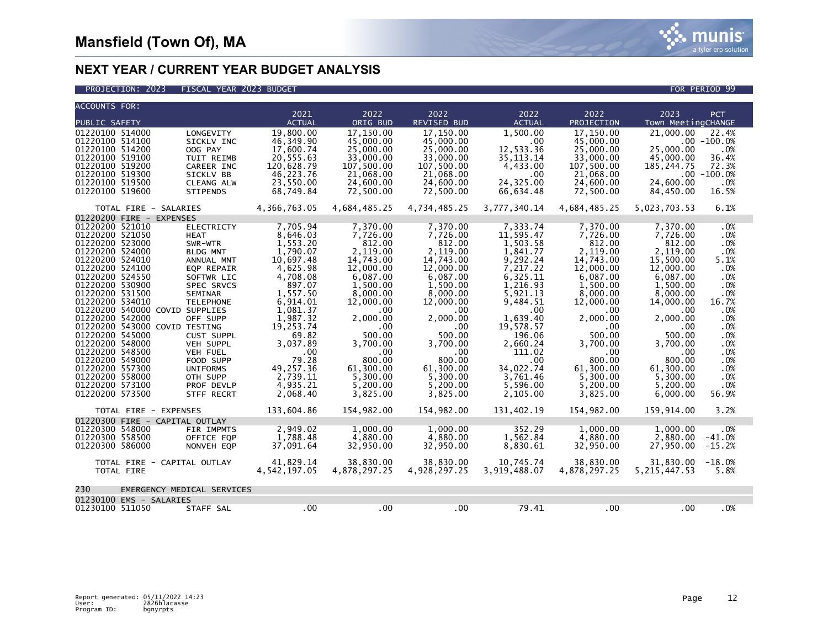

| <b>ACCOUNTS FOR:</b>     |            |                                |                              |              |                    |               |              |                    |                |
|--------------------------|------------|--------------------------------|------------------------------|--------------|--------------------|---------------|--------------|--------------------|----------------|
|                          |            |                                | 2021                         | 2022         | 2022               | 2022          | 2022         | 2023               | PCT            |
| PUBLIC SAFETY            |            |                                | <b>ACTUAL</b>                | ORIG BUD     | <b>REVISED BUD</b> | <b>ACTUAL</b> | PROJECTION   | Town MeetingCHANGE |                |
| 01220100 514000          |            | LONGEVITY                      | 19,800.00                    | 17.150.00    | 17.150.00          | 1,500.00      | 17,150.00    | 21,000.00          | 22.4%          |
| 01220100 514100          |            | SICKLV INC                     | 46,349.90                    | 45,000.00    | 45,000.00          | .00           | 45,000.00    |                    | $.00 - 100.0%$ |
| 01220100 514200          |            | OOG PAY                        | 17,600.74                    | 25,000.00    | 25,000.00          | 12,533.36     | 25,000.00    | 25,000.00          | .0%            |
| 01220100 519100          |            | TUIT REIMB                     | 20,555.63                    | 33,000.00    | 33,000.00          | 35, 113. 14   | 33,000.00    | 45,000.00          | 36.4%          |
| 01220100 519200          |            | CAREER INC                     | 120,628.79                   | 107,500.00   | 107,500.00         | 4,433.00      | 107,500.00   | 185, 244. 75       | 72.3%          |
| 01220100 519300          |            | SICKLV BB                      | 46,223.76                    | 21,068.00    | 21,068.00          | .00           | 21,068.00    |                    | $.00 - 100.0%$ |
| 01220100 519500          |            | CLEANG ALW                     | 23,550.00                    | 24,600.00    | 24,600.00          | 24,325.00     | 24,600.00    | 24,600.00          | .0%            |
| 01220100 519600          |            |                                |                              |              | 72,500.00          | 66,634.48     | 72,500.00    |                    | 16.5%          |
|                          |            | <b>STIPENDS</b>                | 68,749.84                    | 72,500.00    |                    |               |              | 84,450.00          |                |
|                          |            | TOTAL FIRE - SALARIES          | 4,366,763.05                 | 4,684,485.25 | 4,734,485.25       | 3,777,340.14  | 4,684,485.25 | 5,023,703.53       | 6.1%           |
| 01220200 FIRE - EXPENSES |            |                                |                              |              |                    |               |              |                    |                |
| 01220200 521010          |            | <b>ELECTRICTY</b>              | 7,705.94                     | 7.370.00     | 7,370.00           | 7,333.74      | 7,370.00     | 7,370.00           | .0%            |
| 01220200 521050          |            | <b>HEAT</b>                    | 8,646.03                     | 7,726.00     | 7,726.00           | 11,595.47     | 7,726.00     | 7,726.00           | .0%            |
| 01220200 523000          |            | SWR-WTR                        | 1,553.20                     | 812.00       | 812.00             | 1.503.58      | 812.00       | 812.00             | .0%            |
| 01220200 524000          |            | <b>BLDG MNT</b>                | 1,790.07                     | 2,119.00     | 2,119.00           | 1,841.77      | 2,119.00     | 2,119.00           | .0%            |
| 01220200 524010          |            | ANNUAL MNT                     | 10,697.48                    | 14,743.00    | 14,743.00          | 9,292.24      | 14,743.00    | 15,500.00          | 5.1%           |
| 01220200 524100          |            | EQP REPAIR                     | 4,625.98                     | 12,000.00    | 12,000.00          | 7,217.22      | 12,000.00    | 12,000.00          | .0%            |
| 01220200 524550          |            | SOFTWR LIC                     | 4,708.08                     | 6,087.00     | 6,087.00           | 6,325.11      | 6,087.00     | 6,087.00           | .0%            |
| 01220200 530900          |            | SPEC SRVCS                     | 897.07                       | 1,500.00     | 1,500.00           | 1,216.93      | 1,500.00     | 1,500.00           | .0%            |
| 01220200 531500          |            | <b>SEMINAR</b>                 | 1,557.50                     | 8,000.00     | 8.000.00           | 5,921.13      | 8,000.00     | 8.000.00           | .0%            |
| 01220200 534010          |            | <b>TELEPHONE</b>               | 6,914.01                     | 12,000.00    | 12,000.00          | 9,484.51      | 12,000.00    | 14,000.00          | 16.7%          |
|                          |            | 01220200 540000 COVID SUPPLIES | 1,081.37                     | $.00 \cdot$  | $.00 \times$       | .00           | .00          | .00                | .0%            |
| 01220200 542000          |            | OFF SUPP                       | 1,987.32                     | 2.000.00     | 2,000.00           | 1.639.40      | 2,000.00     | 2.000.00           | .0%            |
|                          |            | 01220200 543000 COVID TESTING  | 19,253.74                    | $.00 \,$     | .00.               | 19,578.57     | .00.         | .00                | .0%            |
| 01220200 545000          |            | CUST SUPPL                     | 69.82                        | 500.00       | 500.00             | 196.06        | 500.00       | 500.00             | .0%            |
| 01220200 548000          |            | VEH SUPPL                      | 3,037.89                     | 3,700.00     | 3,700.00           | 2,660.24      | 3,700.00     | 3.700.00           | .0%            |
| 01220200 548500          |            | <b>VEH FUEL</b>                | $\overline{\phantom{0}}$ .00 | $.00 \,$     | $.00 \cdot$        | 111.02        | .00.         | .00                | .0%            |
| 01220200 549000          |            | FOOD SUPP                      | 79.28                        | 800.00       | 800.00             | $.00 \,$      | 800.00       | 800.00             | .0%            |
| 01220200 557300          |            | <b>UNIFORMS</b>                | 49,257.36                    | 61.300.00    | 61,300.00          | 34,022.74     | 61,300.00    | 61,300.00          | .0%            |
| 01220200 558000          |            | OTH SUPP                       | 2,739.11                     | 5,300.00     | 5,300.00           | 3,761.46      | 5,300.00     | 5,300.00           | .0%            |
| 01220200 573100          |            | PROF DEVLP                     | 4,935.21                     | 5,200.00     | 5,200.00           | 5,596.00      | 5,200.00     | 5.200.00           | .0%            |
| 01220200 573500          |            | <b>STFF RECRT</b>              | 2,068.40                     | 3,825.00     | 3,825.00           | 2,105.00      | 3,825.00     | 6,000.00           | 56.9%          |
|                          |            |                                |                              |              |                    |               |              |                    |                |
|                          |            | TOTAL FIRE - EXPENSES          | 133,604.86                   | 154,982.00   | 154,982.00         | 131,402.19    | 154,982.00   | 159,914.00         | 3.2%           |
|                          |            | 01220300 FIRE - CAPITAL OUTLAY |                              |              |                    |               |              |                    |                |
| 01220300 548000          |            | FIR IMPMTS                     | 2,949.02                     | 1.000.00     | 1.000.00           | 352.29        | 1.000.00     | 1.000.00           | .0%            |
| 01220300 558500          |            | OFFICE EOP                     | 1,788.48                     | 4,880.00     | 4.880.00           | 1,562.84      | 4,880.00     | 2.880.00           | $-41.0%$       |
| 01220300 586000          |            | NONVEH EQP                     | 37,091.64                    | 32,950.00    | 32,950.00          | 8,830.61      | 32,950.00    | 27,950.00          | $-15.2%$       |
|                          |            |                                |                              |              |                    |               |              |                    |                |
|                          |            | TOTAL FIRE - CAPITAL OUTLAY    | 41,829.14                    | 38,830.00    | 38,830.00          | 10,745.74     | 38,830.00    | 31,830.00          | $-18.0%$       |
|                          | TOTAL FIRE |                                | 4,542,197.05                 | 4,878,297.25 | 4,928,297.25       | 3,919,488.07  | 4,878,297.25 | 5, 215, 447.53     | 5.8%           |
| 230                      |            | EMERGENCY MEDICAL SERVICES     |                              |              |                    |               |              |                    |                |
| 01230100 EMS - SALARIES  |            |                                |                              |              |                    |               |              |                    |                |
| 01230100 511050          |            | STAFF SAL                      | .00                          | .00          | .00 <sub>1</sub>   | 79.41         | .00          | $.00 \,$           | .0%            |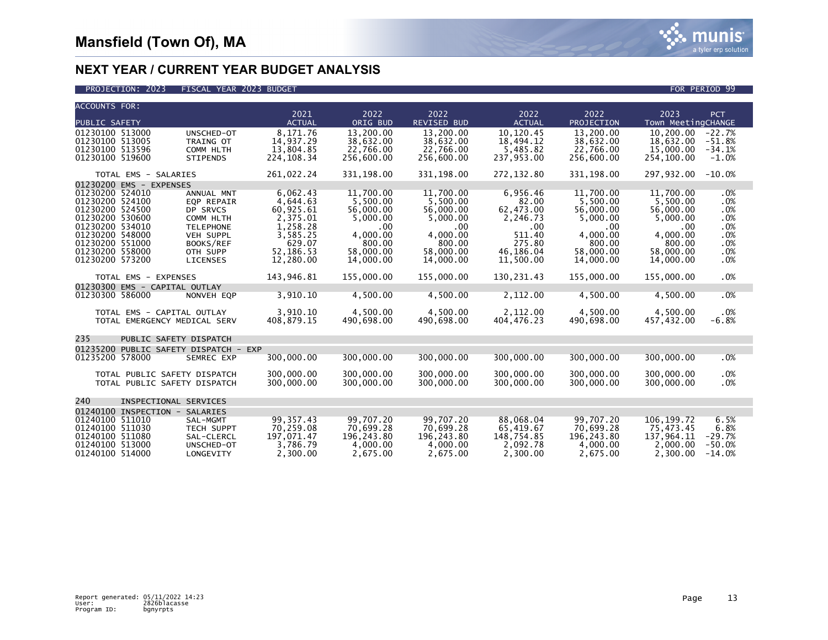| <b>ACCOUNTS FOR:</b>                                                                                                                                                    |                                                              |                                                                                                                                | 2021                                                                                                        | 2022                                                                                                  | 2022                                                                                                       | 2022                                                                                            | 2022                                                                                                  | 2023                                                                                                  | <b>PCT</b>                                                  |
|-------------------------------------------------------------------------------------------------------------------------------------------------------------------------|--------------------------------------------------------------|--------------------------------------------------------------------------------------------------------------------------------|-------------------------------------------------------------------------------------------------------------|-------------------------------------------------------------------------------------------------------|------------------------------------------------------------------------------------------------------------|-------------------------------------------------------------------------------------------------|-------------------------------------------------------------------------------------------------------|-------------------------------------------------------------------------------------------------------|-------------------------------------------------------------|
| PUBLIC SAFETY                                                                                                                                                           |                                                              |                                                                                                                                | <b>ACTUAL</b>                                                                                               | ORIG BUD                                                                                              | <b>REVISED BUD</b>                                                                                         | <b>ACTUAL</b>                                                                                   | PROJECTION                                                                                            | Town MeetingCHANGE                                                                                    |                                                             |
| 01230100 513000<br>01230100 513005<br>01230100 513596<br>01230100 519600                                                                                                |                                                              | UNSCHED-OT<br><b>TRAING OT</b><br>COMM HLTH<br><b>STIPENDS</b>                                                                 | 8,171.76<br>14,937.29<br>13,804.85<br>224, 108.34                                                           | 13,200.00<br>38,632.00<br>22,766.00<br>256,600.00                                                     | 13,200,00<br>38,632.00<br>22,766.00<br>256,600.00                                                          | 10,120.45<br>18,494.12<br>5,485.82<br>237,953.00                                                | 13,200,00<br>38,632.00<br>22,766.00<br>256,600.00                                                     | 10.200.00<br>18,632.00<br>15,000.00<br>254,100.00                                                     | $-22.7%$<br>$-51.8%$<br>$-34.1%$<br>$-1.0%$                 |
|                                                                                                                                                                         | TOTAL EMS - SALARIES                                         |                                                                                                                                | 261,022.24                                                                                                  | 331,198.00                                                                                            | 331,198.00                                                                                                 | 272,132.80                                                                                      | 331,198.00                                                                                            | 297,932.00                                                                                            | $-10.0%$                                                    |
|                                                                                                                                                                         | 01230200 EMS - EXPENSES                                      |                                                                                                                                |                                                                                                             |                                                                                                       |                                                                                                            |                                                                                                 |                                                                                                       |                                                                                                       |                                                             |
| 01230200 524010<br>01230200 524100<br>01230200 524500<br>01230200 530600<br>01230200 534010<br>01230200 548000<br>01230200 551000<br>01230200 558000<br>01230200 573200 |                                                              | ANNUAL MNT<br>EQP REPAIR<br>DP SRVCS<br>COMM HLTH<br><b>TELEPHONE</b><br><b>VEH SUPPL</b><br>BOOKS/REF<br>OTH SUPP<br>LICENSES | 6,062.43<br>4,644.63<br>60,925.61<br>2,375.01<br>1,258.28<br>3,585.25<br>629.07<br>52, 186. 53<br>12,280.00 | 11,700.00<br>5,500.00<br>56,000.00<br>5,000.00<br>.00<br>4,000.00<br>800.00<br>58,000.00<br>14,000.00 | 11,700.00<br>5.500.00<br>56,000.00<br>5,000.00<br>$.00 \,$<br>4,000.00<br>800.00<br>58,000.00<br>14,000.00 | 6,956.46<br>82.00<br>62,473.00<br>2,246.73<br>.00<br>511.40<br>275.80<br>46,186.04<br>11,500.00 | 11,700.00<br>5,500.00<br>56,000.00<br>5,000.00<br>.00<br>4,000.00<br>800.00<br>58,000.00<br>14,000.00 | 11,700.00<br>5.500.00<br>56,000.00<br>5,000.00<br>.00<br>4,000.00<br>800.00<br>58,000.00<br>14,000.00 | .0%<br>.0%<br>.0%<br>.0%<br>.0%<br>.0%<br>.0%<br>.0%<br>.0% |
|                                                                                                                                                                         | TOTAL EMS - EXPENSES                                         |                                                                                                                                | 143,946.81                                                                                                  | 155,000.00                                                                                            | 155,000.00                                                                                                 | 130,231.43                                                                                      | 155,000.00                                                                                            | 155,000.00                                                                                            | .0%                                                         |
| 01230300 586000                                                                                                                                                         | 01230300 EMS - CAPITAL OUTLAY                                | NONVEH EQP                                                                                                                     | 3,910.10                                                                                                    | 4,500.00                                                                                              | 4,500.00                                                                                                   | 2,112.00                                                                                        | 4,500.00                                                                                              | 4,500.00                                                                                              | .0%                                                         |
|                                                                                                                                                                         |                                                              |                                                                                                                                |                                                                                                             |                                                                                                       |                                                                                                            |                                                                                                 |                                                                                                       |                                                                                                       |                                                             |
|                                                                                                                                                                         | TOTAL EMS - CAPITAL OUTLAY<br>TOTAL EMERGENCY MEDICAL SERV   |                                                                                                                                | 3,910.10<br>408,879.15                                                                                      | 4,500.00<br>490,698.00                                                                                | 4,500.00<br>490,698.00                                                                                     | 2,112.00<br>404,476.23                                                                          | 4,500.00<br>490,698.00                                                                                | 4,500.00<br>457,432.00                                                                                | .0%<br>$-6.8%$                                              |
| 235                                                                                                                                                                     | PUBLIC SAFETY DISPATCH                                       |                                                                                                                                |                                                                                                             |                                                                                                       |                                                                                                            |                                                                                                 |                                                                                                       |                                                                                                       |                                                             |
|                                                                                                                                                                         | 01235200 PUBLIC SAFETY DISPATCH - EXP                        |                                                                                                                                |                                                                                                             |                                                                                                       |                                                                                                            |                                                                                                 |                                                                                                       |                                                                                                       |                                                             |
| 01235200 578000                                                                                                                                                         |                                                              | SEMREC EXP                                                                                                                     | 300,000.00                                                                                                  | 300,000.00                                                                                            | 300,000.00                                                                                                 | 300,000.00                                                                                      | 300,000.00                                                                                            | 300,000.00                                                                                            | .0%                                                         |
|                                                                                                                                                                         | TOTAL PUBLIC SAFETY DISPATCH<br>TOTAL PUBLIC SAFETY DISPATCH |                                                                                                                                | 300,000.00<br>300,000.00                                                                                    | 300,000,00<br>300,000.00                                                                              | 300,000.00<br>300,000.00                                                                                   | 300,000.00<br>300,000.00                                                                        | 300,000.00<br>300,000.00                                                                              | 300,000.00<br>300,000.00                                                                              | .0%<br>.0%                                                  |
| 240                                                                                                                                                                     | INSPECTIONAL SERVICES                                        |                                                                                                                                |                                                                                                             |                                                                                                       |                                                                                                            |                                                                                                 |                                                                                                       |                                                                                                       |                                                             |
| 01240100 511010<br>01240100 511030<br>01240100 511080<br>01240100 513000<br>01240100 514000                                                                             | 01240100 INSPECTION - SALARIES                               | SAL-MGMT<br>TECH SUPPT<br>SAL-CLERCL<br>UNSCHED-OT<br>LONGEVITY                                                                | 99, 357.43<br>70,259.08<br>197.071.47<br>3,786.79<br>2.300.00                                               | 99,707.20<br>70,699.28<br>196,243.80<br>4,000.00<br>2.675.00                                          | 99,707.20<br>70,699.28<br>196,243.80<br>4,000.00<br>2.675.00                                               | 88,068.04<br>65,419.67<br>148,754.85<br>2,092.78<br>2.300.00                                    | 99,707.20<br>70,699.28<br>196,243.80<br>4,000.00<br>2.675.00                                          | 106,199.72<br>75,473.45<br>137,964.11<br>2,000.00<br>2.300.00                                         | 6.5%<br>6.8%<br>$-29.7%$<br>$-50.0%$<br>$-14.0%$            |

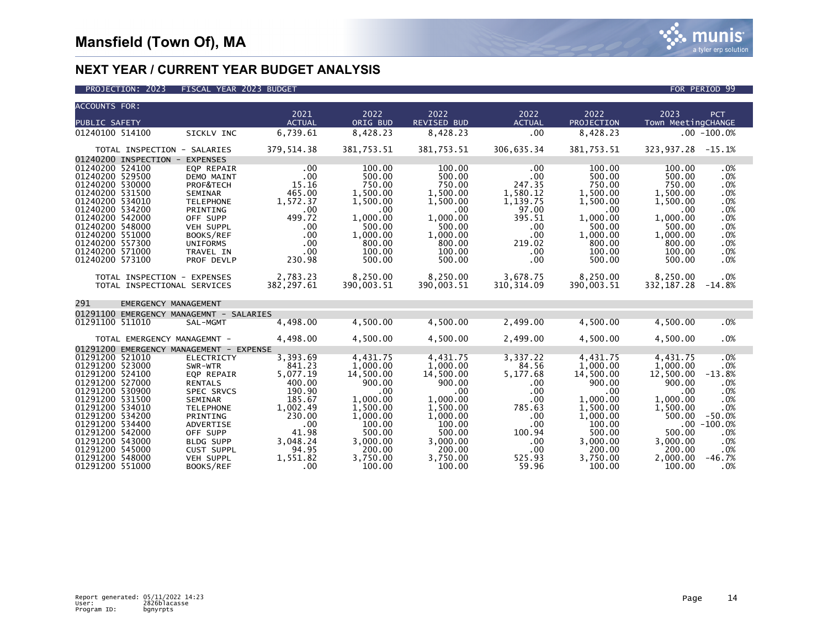

| <b>ACCOUNTS FOR:</b>                                                                                                                                                                                                                                                                           |                                                                                                                                                                                                  | 2021                                                                                                                                 | 2022                                                                                                                                                | 2022                                                                                                                                                     | 2022                                                                                                                                            | 2022                                                                                                                                                     | 2023                                                                                                                                                  | PCT                                                                                                  |
|------------------------------------------------------------------------------------------------------------------------------------------------------------------------------------------------------------------------------------------------------------------------------------------------|--------------------------------------------------------------------------------------------------------------------------------------------------------------------------------------------------|--------------------------------------------------------------------------------------------------------------------------------------|-----------------------------------------------------------------------------------------------------------------------------------------------------|----------------------------------------------------------------------------------------------------------------------------------------------------------|-------------------------------------------------------------------------------------------------------------------------------------------------|----------------------------------------------------------------------------------------------------------------------------------------------------------|-------------------------------------------------------------------------------------------------------------------------------------------------------|------------------------------------------------------------------------------------------------------|
| PUBLIC SAFETY                                                                                                                                                                                                                                                                                  |                                                                                                                                                                                                  | <b>ACTUAL</b>                                                                                                                        | ORIG BUD                                                                                                                                            | <b>REVISED BUD</b>                                                                                                                                       | <b>ACTUAL</b>                                                                                                                                   | <b>PROJECTION</b>                                                                                                                                        | Town MeetingCHANGE                                                                                                                                    |                                                                                                      |
| 01240100 514100                                                                                                                                                                                                                                                                                | SICKLV INC                                                                                                                                                                                       | 6,739.61                                                                                                                             | 8,428.23                                                                                                                                            | 8,428.23                                                                                                                                                 | .00                                                                                                                                             | 8,428.23                                                                                                                                                 | $.00 - 100.0%$                                                                                                                                        |                                                                                                      |
|                                                                                                                                                                                                                                                                                                |                                                                                                                                                                                                  |                                                                                                                                      |                                                                                                                                                     |                                                                                                                                                          |                                                                                                                                                 |                                                                                                                                                          |                                                                                                                                                       |                                                                                                      |
| TOTAL INSPECTION - SALARIES                                                                                                                                                                                                                                                                    |                                                                                                                                                                                                  | 379,514.38                                                                                                                           | 381,753.51                                                                                                                                          | 381,753.51                                                                                                                                               | 306,635.34                                                                                                                                      | 381,753.51                                                                                                                                               | 323, 937. 28 -15. 1%                                                                                                                                  |                                                                                                      |
| 01240200 INSPECTION -                                                                                                                                                                                                                                                                          | <b>EXPENSES</b>                                                                                                                                                                                  |                                                                                                                                      |                                                                                                                                                     |                                                                                                                                                          |                                                                                                                                                 |                                                                                                                                                          |                                                                                                                                                       |                                                                                                      |
| 01240200 524100<br>01240200 529500<br>01240200 530000<br>01240200 531500<br>01240200 534010<br>01240200 534200<br>01240200 542000<br>01240200 548000<br>01240200 551000<br>01240200 557300<br>01240200 571000<br>01240200 573100<br>TOTAL INSPECTION - EXPENSES<br>TOTAL INSPECTIONAL SERVICES | <b>EOP REPAIR</b><br><b>DEMO MAINT</b><br>PROF&TECH<br><b>SEMINAR</b><br><b>TELEPHONE</b><br>PRINTING<br>OFF SUPP<br><b>VEH SUPPL</b><br>BOOKS/REF<br><b>UNIFORMS</b><br>TRAVEL IN<br>PROF DEVLP | $.00 \,$<br>$.00 \,$<br>15.16<br>465.00<br>1,572.37<br>.00<br>499.72<br>.00<br>.00<br>.00<br>.00<br>230.98<br>2,783.23<br>382,297.61 | 100.00<br>500.00<br>750.00<br>1,500.00<br>1,500.00<br>.00<br>1.000.00<br>500.00<br>1,000.00<br>800.00<br>100.00<br>500.00<br>8,250.00<br>390,003.51 | 100.00<br>500.00<br>750.00<br>1,500.00<br>1,500.00<br>$.00 \,$<br>1.000.00<br>500.00<br>1,000.00<br>800.00<br>100.00<br>500.00<br>8,250.00<br>390,003.51 | $.00 \,$<br>.00<br>247.35<br>1,580.12<br>1,139.75<br>97.00<br>395.51<br>$.00 \,$<br>.00<br>219.02<br>$.00 \,$<br>.00<br>3,678.75<br>310, 314.09 | 100.00<br>500.00<br>750.00<br>1,500.00<br>1,500.00<br>$.00 \,$<br>1.000.00<br>500.00<br>1,000.00<br>800.00<br>100.00<br>500.00<br>8,250.00<br>390,003.51 | 100.00<br>500.00<br>750.00<br>1,500.00<br>1,500.00<br>.00<br>1.000.00<br>500.00<br>1,000.00<br>800.00<br>100.00<br>500.00<br>8,250.00<br>332, 187. 28 | .0%<br>.0%<br>.0%<br>.0%<br>.0%<br>.0%<br>.0%<br>.0%<br>.0%<br>.0%<br>.0%<br>.0%<br>.0%<br>$-14.8\%$ |
|                                                                                                                                                                                                                                                                                                |                                                                                                                                                                                                  |                                                                                                                                      |                                                                                                                                                     |                                                                                                                                                          |                                                                                                                                                 |                                                                                                                                                          |                                                                                                                                                       |                                                                                                      |
| 291                                                                                                                                                                                                                                                                                            | EMERGENCY MANAGEMENT                                                                                                                                                                             |                                                                                                                                      |                                                                                                                                                     |                                                                                                                                                          |                                                                                                                                                 |                                                                                                                                                          |                                                                                                                                                       |                                                                                                      |
| 01291100 EMERGENCY MANAGEMNT - SALARIES<br>01291100 511010                                                                                                                                                                                                                                     |                                                                                                                                                                                                  | 4,498.00                                                                                                                             | 4,500.00                                                                                                                                            | 4,500.00                                                                                                                                                 | 2,499.00                                                                                                                                        | 4,500.00                                                                                                                                                 | 4,500.00                                                                                                                                              | .0%                                                                                                  |
|                                                                                                                                                                                                                                                                                                | SAL-MGMT                                                                                                                                                                                         |                                                                                                                                      |                                                                                                                                                     |                                                                                                                                                          |                                                                                                                                                 |                                                                                                                                                          |                                                                                                                                                       |                                                                                                      |
| TOTAL EMERGENCY MANAGEMNT -                                                                                                                                                                                                                                                                    |                                                                                                                                                                                                  | 4,498.00                                                                                                                             | 4,500.00                                                                                                                                            | 4,500.00                                                                                                                                                 | 2,499.00                                                                                                                                        | 4,500.00                                                                                                                                                 | 4,500.00                                                                                                                                              | .0%                                                                                                  |
| 01291200 EMERGENCY MANAGEMENT - EXPENSE                                                                                                                                                                                                                                                        |                                                                                                                                                                                                  |                                                                                                                                      |                                                                                                                                                     |                                                                                                                                                          |                                                                                                                                                 |                                                                                                                                                          |                                                                                                                                                       |                                                                                                      |
| 01291200 521010<br>01291200 523000<br>01291200 524100<br>01291200 527000<br>01291200 530900<br>01291200 531500<br>01291200 534010<br>01291200 534200<br>01291200 534400<br>01291200 542000<br>01291200 543000<br>01291200 545000                                                               | <b>ELECTRICTY</b><br>SWR-WTR<br>EQP REPAIR<br><b>RENTALS</b><br>SPEC SRVCS<br>SEMINAR<br><b>TELEPHONE</b><br>PRINTING<br><b>ADVERTISE</b><br>OFF SUPP<br>BLDG SUPP<br><b>CUST SUPPL</b>          | 3,393.69<br>841.23<br>5,077.19<br>400.00<br>190.90<br>185.67<br>1,002.49<br>230.00<br>.00<br>41.98<br>3,048.24<br>94.95              | 4,431.75<br>1.000.00<br>14,500.00<br>900.00<br>.00<br>1,000.00<br>1,500.00<br>1,000.00<br>100.00<br>500.00<br>3,000.00<br>200.00                    | 4,431.75<br>1.000.00<br>14,500.00<br>900.00<br>.00.<br>1,000.00<br>1,500.00<br>1,000.00<br>100.00<br>500.00<br>3,000.00<br>200.00                        | 3,337.22<br>84.56<br>5,177.68<br>.00<br>.00<br>.00<br>785.63<br>.00<br>.00<br>100.94<br>$.00 \,$<br>$.00 \,$                                    | 4,431.75<br>1.000.00<br>14,500.00<br>900.00<br>.00<br>1,000.00<br>1,500.00<br>1,000.00<br>100.00<br>500.00<br>3,000.00<br>200.00                         | 4,431.75<br>1.000.00<br>12,500.00<br>900.00<br>.00<br>1,000.00<br>1,500.00<br>500.00<br>$.00 - 100.0%$<br>500.00<br>3,000.00<br>200.00                | .0%<br>.0%<br>$-13.8%$<br>.0%<br>.0%<br>.0%<br>.0%<br>$-50.0%$<br>.0%<br>.0%<br>.0%                  |
| 01291200 548000<br>01291200 551000                                                                                                                                                                                                                                                             | <b>VEH SUPPL</b><br>BOOKS/REF                                                                                                                                                                    | 1,551.82<br>$.00 \,$                                                                                                                 | 3,750.00<br>100.00                                                                                                                                  | 3,750.00<br>100.00                                                                                                                                       | 525.93<br>59.96                                                                                                                                 | 3,750.00<br>100.00                                                                                                                                       | 2,000.00<br>100.00                                                                                                                                    | $-46.7%$<br>.0%                                                                                      |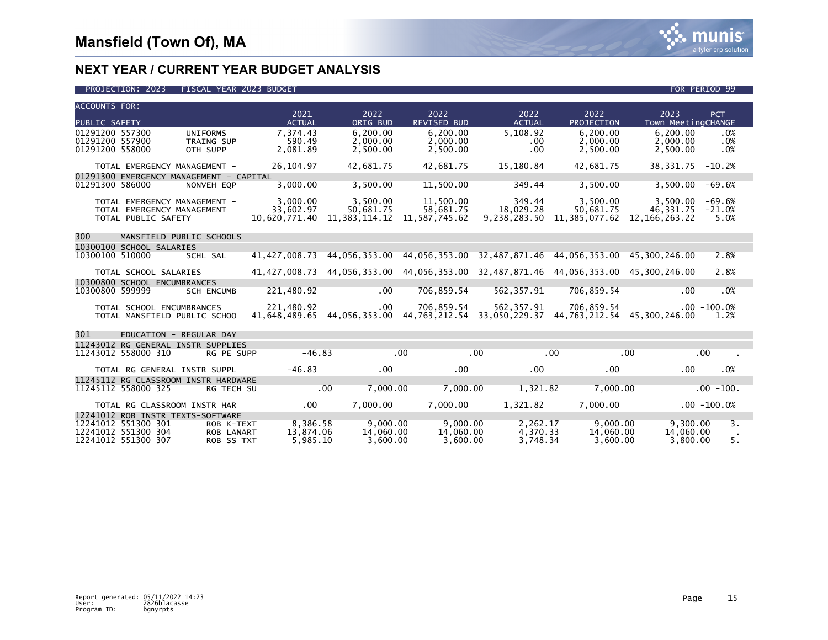|     | <b>ACCOUNTS FOR:</b>     |                                         |               |                 |                                           |                                                                                     |                                                |                         |
|-----|--------------------------|-----------------------------------------|---------------|-----------------|-------------------------------------------|-------------------------------------------------------------------------------------|------------------------------------------------|-------------------------|
|     |                          |                                         | 2021          | 2022            | 2022                                      | 2022                                                                                | 2022                                           | 2023<br>PCT             |
|     | PUBLIC SAFETY            |                                         | <b>ACTUAL</b> | ORIG BUD        | REVISED BUD                               | <b>ACTUAL</b>                                                                       | PROJECTION                                     | Town MeetingCHANGE      |
|     | 01291200 557300          | <b>UNIFORMS</b>                         | 7,374.43      | 6,200.00        | 6,200.00                                  | 5,108.92                                                                            | 6,200.00                                       | 6,200.00<br>.0%         |
|     | 01291200 557900          | TRAING SUP                              | 590.49        | 2,000.00        | 2,000.00                                  | .00                                                                                 | 2,000.00                                       | 2,000.00<br>.0%         |
|     | 01291200 558000          | OTH SUPP                                | 2,081.89      | 2,500.00        | 2.500.00                                  | .00                                                                                 | 2,500.00                                       | .0%<br>2,500.00         |
|     |                          |                                         |               |                 |                                           |                                                                                     |                                                |                         |
|     |                          | TOTAL EMERGENCY MANAGEMENT -            | 26,104.97     | 42,681.75       | 42,681.75                                 | 15,180.84                                                                           | 42,681.75                                      | 38, 331. 75<br>$-10.2%$ |
|     |                          | 01291300 EMERGENCY MANAGEMENT - CAPITAL |               |                 |                                           |                                                                                     |                                                |                         |
|     | 01291300 586000          | NONVEH EQP                              | 3,000.00      | 3,500.00        | 11,500.00                                 | 349.44                                                                              | 3,500.00                                       | 3,500.00<br>-69.6%      |
|     |                          |                                         |               |                 |                                           |                                                                                     |                                                |                         |
|     |                          | TOTAL EMERGENCY MANAGEMENT -            | 3,000.00      | 3,500.00        | 11,500.00                                 | 349.44                                                                              | 3,500.00                                       | 3,500.00<br>$-69.6%$    |
|     |                          | TOTAL EMERGENCY MANAGEMENT              | 33,602.97     | 50,681.75       | 58,681.75                                 | 18,029.28                                                                           | 50,681.75                                      | 46,331.75<br>$-21.0%$   |
|     | TOTAL PUBLIC SAFETY      |                                         | 10.620.771.40 |                 | 11, 383, 114, 12 11, 587, 745, 62         |                                                                                     | 9, 238, 283.50 11, 385, 077.62 12, 166, 263.22 | 5.0%                    |
|     |                          |                                         |               |                 |                                           |                                                                                     |                                                |                         |
| 300 |                          | MANSFIELD PUBLIC SCHOOLS                |               |                 |                                           |                                                                                     |                                                |                         |
|     | 10300100 SCHOOL SALARIES |                                         |               |                 |                                           |                                                                                     |                                                |                         |
|     | 10300100 510000          | SCHL SAL                                | 41.427.008.73 |                 |                                           | 44,056,353.00 44,056,353.00 32,487,871.46 44,056,353.00 45,300,246.00               |                                                | 2.8%                    |
|     |                          |                                         |               |                 |                                           |                                                                                     |                                                |                         |
|     | TOTAL SCHOOL SALARIES    |                                         |               |                 |                                           | 41,427,008.73 44,056,353.00 44,056,353.00 32,487,871.46 44,056,353.00 45,300,246.00 |                                                | 2.8%                    |
|     |                          | 10300800 SCHOOL ENCUMBRANCES            |               |                 |                                           |                                                                                     |                                                |                         |
|     | 10300800 599999          | <b>SCH ENCUMB</b>                       | 221,480.92    | $.00 \,$        | 706,859.54                                | 562,357.91                                                                          | 706,859.54                                     | .0%<br>$.00 \,$         |
|     |                          |                                         |               |                 |                                           |                                                                                     |                                                |                         |
|     |                          | TOTAL SCHOOL ENCUMBRANCES               | 221,480.92    | $.00 \,$        | 706,859.54                                | 562,357.91                                                                          | 706,859.54                                     | $.00 - 100.0%$          |
|     |                          | TOTAL MANSFIELD PUBLIC SCHOO            |               |                 | 41,648,489.65 44,056,353.00 44,763,212.54 | 33,050,229.37                                                                       | 44,763,212.54 45,300,246.00                    | 1.2%                    |
|     |                          |                                         |               |                 |                                           |                                                                                     |                                                |                         |
| 301 |                          | EDUCATION - REGULAR DAY                 |               |                 |                                           |                                                                                     |                                                |                         |
|     |                          | 11243012 RG GENERAL INSTR SUPPLIES      |               |                 |                                           |                                                                                     |                                                |                         |
|     | 11243012 558000 310      | RG PE SUPP                              | $-46.83$      |                 | .00                                       | .00                                                                                 | .00.                                           | .00<br>.00.             |
|     |                          |                                         |               |                 |                                           |                                                                                     |                                                |                         |
|     |                          | TOTAL RG GENERAL INSTR SUPPL            | $-46.83$      | $.00 \,$        | $.00 \ \,$                                | .00                                                                                 | $.00 \,$                                       | $.00 \,$<br>$.0\%$      |
|     |                          | 11245112 RG CLASSROOM INSTR HARDWARE    |               |                 |                                           |                                                                                     |                                                |                         |
|     | 11245112 558000 325      | RG TECH SU                              |               | .00<br>7.000.00 | 7,000.00                                  | 1,321.82                                                                            | 7,000.00                                       | $.00 - 100.$            |
|     |                          |                                         |               |                 |                                           |                                                                                     |                                                |                         |
|     |                          | TOTAL RG CLASSROOM INSTR HAR            | $.00 \times$  | 7,000.00        | 7.000.00                                  | 1,321.82                                                                            | 7.000.00                                       | $.00 - 100.0%$          |
|     |                          | 12241012 ROB INSTR TEXTS-SOFTWARE       |               |                 |                                           |                                                                                     |                                                |                         |
|     | 12241012 551300 301      | ROB K-TEXT                              | 8.386.58      | 9,000.00        | 9.000.00                                  | 2,262.17                                                                            | 9,000.00                                       | 9.300.00<br>3.          |
|     | 12241012 551300 304      | ROB LANART                              | 13.874.06     | 14,060,00       | 14,060.00                                 | 4,370.33                                                                            | 14,060,00                                      | 14.060.00               |
|     | 12241012 551300 307      | ROB SS TXT                              | 5,985.10      | 3.600.00        | 3,600.00                                  | 3,748.34                                                                            | 3.600.00                                       | 5.<br>3,800.00          |

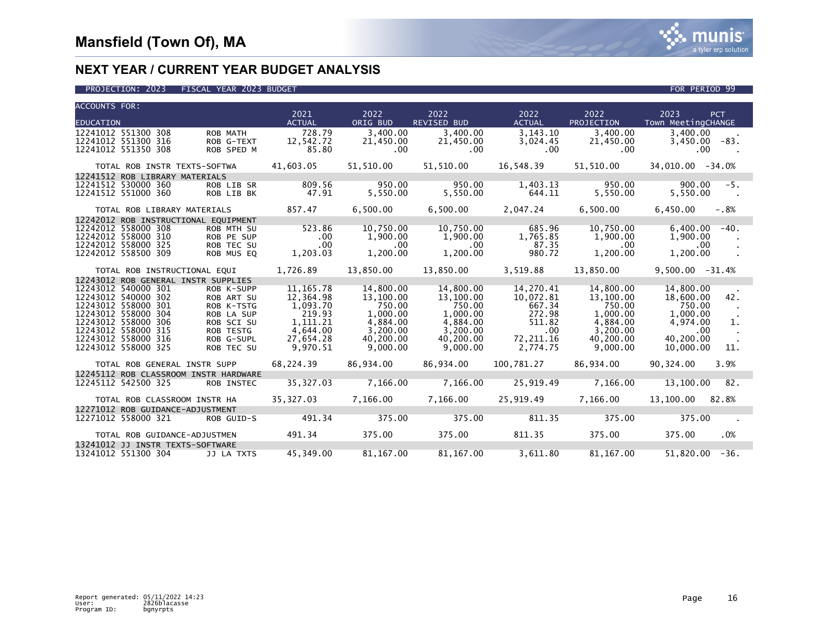| <b>ACCOUNTS FOR:</b>                 |                                       |                              |           |                                                                                                                                                                                                                                                                               |                                                                                                                                                    |                 |                                   |
|--------------------------------------|---------------------------------------|------------------------------|-----------|-------------------------------------------------------------------------------------------------------------------------------------------------------------------------------------------------------------------------------------------------------------------------------|----------------------------------------------------------------------------------------------------------------------------------------------------|-----------------|-----------------------------------|
|                                      |                                       | 2021                         | 2022      | 2022                                                                                                                                                                                                                                                                          | 2022                                                                                                                                               | 2022            | 2023<br>PCT.                      |
| <b>EDUCATION</b>                     |                                       | ACTUAL                       | ORIG BUD  | REVISED BUD                                                                                                                                                                                                                                                                   | <b>ACTUAL</b>                                                                                                                                      | PROJECTION      | Town MeetingCHANGE                |
| 12241012 551300 308                  | ROB MATH                              | 728.79                       | 3.400.00  | 3,400.00                                                                                                                                                                                                                                                                      | 3.143.10                                                                                                                                           | 3,400.00        | 3,400.00                          |
| 12241012 551300 316                  | ROB G-TEXT                            | 12,542.72                    | 21,450.00 | 21,450.00                                                                                                                                                                                                                                                                     | 3,024.45                                                                                                                                           | 21,450.00       | $3,450.00 - 83.$                  |
| 12241012 551350 308                  | ROB SPED M                            | 85.80                        | $.00 \,$  | .00                                                                                                                                                                                                                                                                           | $.00 \,$                                                                                                                                           | $.00 \ \,$      | $.00 \,$                          |
|                                      |                                       |                              |           |                                                                                                                                                                                                                                                                               |                                                                                                                                                    |                 |                                   |
|                                      | TOTAL ROB INSTR TEXTS-SOFTWA          | 41,603.05                    |           |                                                                                                                                                                                                                                                                               | 51,510.00 51,510.00 16,548.39                                                                                                                      | 51,510.00       | 34.010.00 -34.0%                  |
| 12241512 ROB LIBRARY MATERIALS       |                                       |                              |           |                                                                                                                                                                                                                                                                               |                                                                                                                                                    |                 |                                   |
| 12241512 530000 360                  |                                       | ROB LIB SR 809.56            | 950.00    | 950.00                                                                                                                                                                                                                                                                        |                                                                                                                                                    | 1,403.13 950.00 | $900.00 - 5$ .                    |
| 12241512 551000 360                  | ROB LIB BK                            | 47.91                        | 5,550.00  | 5,550.00                                                                                                                                                                                                                                                                      | 644.11                                                                                                                                             | 5,550.00        | 5,550.00<br><b>Contract State</b> |
| TOTAL ROB LIBRARY MATERIALS          |                                       |                              |           |                                                                                                                                                                                                                                                                               |                                                                                                                                                    | 6,500.00        | $6,450.00 - 8\%$                  |
| 12242012 ROB INSTRUCTIONAL EQUIPMENT |                                       |                              |           |                                                                                                                                                                                                                                                                               |                                                                                                                                                    |                 |                                   |
| 12242012 558000 308                  | ROB MTH SU                            | 523.86                       | 10,750.00 |                                                                                                                                                                                                                                                                               | $\begin{array}{ccc} 10\,,750\,.00 & \phantom{00} & 685\,.96\\ 1\,,900\,.00 & \phantom{0} & 1\,,765\,.85\\ .00 & \phantom{0} & 87\,.35 \end{array}$ | 10,750.00       | $6.400.00 - 40.$                  |
| 12242012 558000 310                  | ROB PE SUP                            | .00.                         | 1,900.00  | 1,900.00                                                                                                                                                                                                                                                                      |                                                                                                                                                    | 1,900.00        | 1,900.00                          |
| 12242012 558000 325                  | ROB TEC SU                            | $\overline{\phantom{0}}$ .00 | $.00 \,$  |                                                                                                                                                                                                                                                                               |                                                                                                                                                    | $.00 \,$        | $.00 \,$                          |
| 12242012 558500 309                  | ROB MUS EQ                            | 1,203.03                     | 1,200.00  | 1,200.00                                                                                                                                                                                                                                                                      | 980.72                                                                                                                                             | 1,200.00        | 1,200.00                          |
|                                      | TOTAL ROB INSTRUCTIONAL EQUI          | 1,726.89                     | 13,850.00 |                                                                                                                                                                                                                                                                               | 13,850.00 3,519.88                                                                                                                                 | 13,850.00       | $9.500.00 - 31.4%$                |
| 12243012 ROB GENERAL INSTR SUPPLIES  |                                       |                              |           |                                                                                                                                                                                                                                                                               |                                                                                                                                                    |                 |                                   |
| 12243012 540000 301                  | ROB K-SUPP                            | 11.165.78                    | 14,800.00 | 14,800.00                                                                                                                                                                                                                                                                     | 14,270.41                                                                                                                                          | 14,800.00       | 14,800.00                         |
| 12243012 540000 302                  | ROB ART SU                            | 12.364.98                    | 13.100.00 | 13,100.00                                                                                                                                                                                                                                                                     | 10,072.81                                                                                                                                          | 13,100.00       | 42.<br>18,600,00                  |
| 12243012 558000 301                  | ROB K-TSTG                            | 1,093.70                     | 750.00    | 750.00                                                                                                                                                                                                                                                                        | 667.34                                                                                                                                             | 750.00          | 750.00                            |
| 12243012 558000 304                  | ROB LA SUP                            | 219.93                       | 1.000.00  | 1.000.00                                                                                                                                                                                                                                                                      | 272.98                                                                                                                                             | 1.000.00        | 1.000.00                          |
| 12243012 558000 306                  | ROB SCI SU                            | 1.111.21                     | 4,884.00  | 4,884.00                                                                                                                                                                                                                                                                      | 511.82                                                                                                                                             | 4,884.00        | 4,974.00<br>1.                    |
| 12243012 558000 315                  | ROB TESTG                             | 4,644.00                     | 3,200.00  | 3,200.00                                                                                                                                                                                                                                                                      | $.00 \,$                                                                                                                                           | 3,200.00        | $\sim$ .00                        |
| 12243012 558000 316                  | ROB G-SUPL                            | 27,654.28                    | 40,200,00 | 40,200.00                                                                                                                                                                                                                                                                     | 72,211.16                                                                                                                                          | 40.200.00       | 40,200.00                         |
| 12243012 558000 325                  | ROB TEC SU                            | 9,970.51                     | 9,000.00  | 9,000.00                                                                                                                                                                                                                                                                      | 2,774.75                                                                                                                                           | 9,000.00        | 10,000.00<br>11.                  |
|                                      | TOTAL ROB GENERAL INSTR SUPP          | 68,224.39                    |           |                                                                                                                                                                                                                                                                               |                                                                                                                                                    |                 | 90,324.00 3.9%                    |
|                                      | 12245112 ROB CLASSROOM INSTR HARDWARE |                              |           |                                                                                                                                                                                                                                                                               |                                                                                                                                                    |                 |                                   |
| 12245112 542500 325                  | ROB INSTEC                            |                              |           |                                                                                                                                                                                                                                                                               | 35,327.03 7,166.00 7,166.00 25,919.49                                                                                                              | 7,166.00        | 13,100.00 82.                     |
|                                      |                                       |                              |           |                                                                                                                                                                                                                                                                               |                                                                                                                                                    |                 |                                   |
|                                      | TOTAL ROB CLASSROOM INSTR HA          |                              |           |                                                                                                                                                                                                                                                                               |                                                                                                                                                    | 7,166.00        | 13,100.00<br>82.8%                |
| 12271012 ROB GUIDANCE-ADJUSTMENT     |                                       |                              |           |                                                                                                                                                                                                                                                                               |                                                                                                                                                    |                 |                                   |
| 12271012 558000 321                  |                                       |                              | 375.00    | 375.00<br>$\label{eq:2.1} \frac{1}{\sqrt{2}}\int_{\mathbb{R}^3}\frac{1}{\sqrt{2}}\left(\frac{1}{\sqrt{2}}\right)^2\frac{1}{\sqrt{2}}\left(\frac{1}{\sqrt{2}}\right)^2\frac{1}{\sqrt{2}}\left(\frac{1}{\sqrt{2}}\right)^2\frac{1}{\sqrt{2}}\left(\frac{1}{\sqrt{2}}\right)^2.$ |                                                                                                                                                    | 811.35 375.00   | 375.00                            |
|                                      | TOTAL ROB GUIDANCE-ADJUSTMEN          | 491.34                       | 375.00    | 375.00                                                                                                                                                                                                                                                                        | 811.35                                                                                                                                             | 375.00          | 375.00<br>.0%                     |
| 13241012 JJ INSTR TEXTS-SOFTWARE     |                                       |                              |           |                                                                                                                                                                                                                                                                               |                                                                                                                                                    |                 |                                   |
| 13241012 551300 304                  | JJ LA TXTS                            | 45,349.00                    | 81,167.00 |                                                                                                                                                                                                                                                                               | 81, 167.00 3, 611.80                                                                                                                               | 81,167.00       | $51,820.00 -36.$                  |

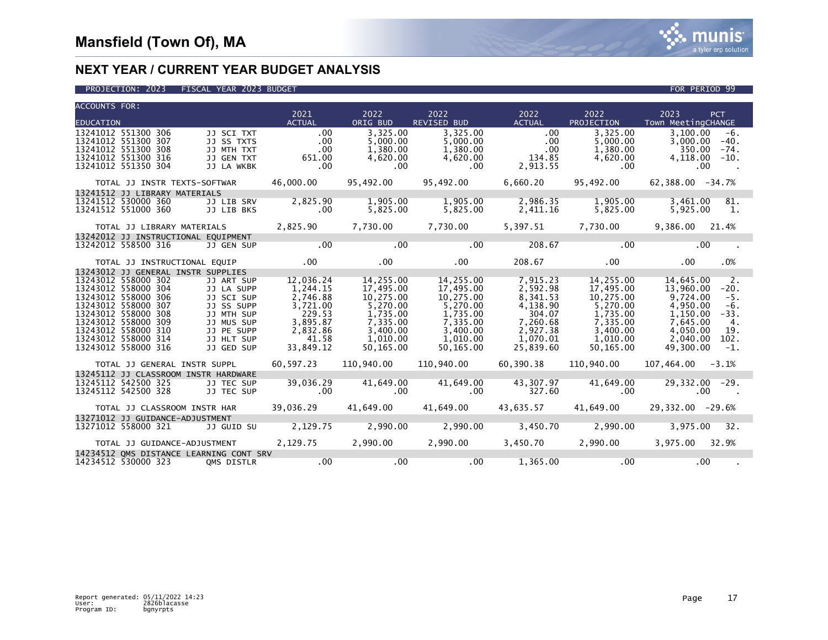| <b>ACCOUNTS FOR:</b>                                                                                                                                                                                        |                                                                                                                            |                                                                                                       |                                                                                                              |                                                                                                              |                                                                                                         |                                                                                                              |                                                                                                                                                                                     |
|-------------------------------------------------------------------------------------------------------------------------------------------------------------------------------------------------------------|----------------------------------------------------------------------------------------------------------------------------|-------------------------------------------------------------------------------------------------------|--------------------------------------------------------------------------------------------------------------|--------------------------------------------------------------------------------------------------------------|---------------------------------------------------------------------------------------------------------|--------------------------------------------------------------------------------------------------------------|-------------------------------------------------------------------------------------------------------------------------------------------------------------------------------------|
|                                                                                                                                                                                                             |                                                                                                                            | 2021                                                                                                  | 2022                                                                                                         | 2022                                                                                                         | 2022                                                                                                    | 2022                                                                                                         | 2023<br>PCT                                                                                                                                                                         |
| <b>EDUCATION</b>                                                                                                                                                                                            |                                                                                                                            | <b>ACTUAL</b>                                                                                         | ORIG BUD                                                                                                     | REVISED BUD ACTUAL                                                                                           |                                                                                                         | PROJECTION                                                                                                   | Town MeetingCHANGE                                                                                                                                                                  |
| 13241012 551300 306<br>13241012 551300 307<br>13241012 551300 308<br>13241012 551300 316<br>13241012 551350 304                                                                                             | JJ SCI TXT<br>JJ SS TXTS<br>JJ MTH TXT<br>JJ GEN TXT<br>JJ LA WKBK                                                         | .00<br>.00<br>00.00<br>.00                                                                            | 3.325.00<br>5,000.00<br>1,380.00<br>4,620.00<br>.00                                                          | 3.325.00<br>5.000.00<br>1.380.00<br>4,620.00<br>$\sim$ 00                                                    | $.00 \,$<br>.00<br>.00<br>134.85<br>2,913.55                                                            | 3,325.00<br>5,000.00<br>1,380.00<br>4,620.00<br>$\overline{\phantom{0}}$ .00                                 | $3.100.00 - 6.$<br>3,000.00<br>$-40.$<br>350.00<br>$-74.$<br>4,118.00<br>$-10.$<br>.00                                                                                              |
| TOTAL JJ INSTR TEXTS-SOFTWAR    46,000.00    95,492.00    95,492.00     6,660.20    95,492.00                                                                                                               |                                                                                                                            |                                                                                                       |                                                                                                              |                                                                                                              |                                                                                                         |                                                                                                              | 62,388.00 -34.7%                                                                                                                                                                    |
| 13241512 JJ LIBRARY MATERIALS                                                                                                                                                                               |                                                                                                                            |                                                                                                       |                                                                                                              |                                                                                                              |                                                                                                         |                                                                                                              |                                                                                                                                                                                     |
| 13241512 530000 360<br>13241512 551000 360                                                                                                                                                                  | JJ LIB BKS                                                                                                                 |                                                                                                       |                                                                                                              |                                                                                                              |                                                                                                         |                                                                                                              | 3,461.00<br>81.<br>5,925.00<br>- 1.                                                                                                                                                 |
| TOTAL JJ LIBRARY MATERIALS $2,825.90$ $7,730.00$ $7,730.00$ $5,397.51$                                                                                                                                      |                                                                                                                            |                                                                                                       |                                                                                                              |                                                                                                              |                                                                                                         | 7,730.00                                                                                                     | 9,386.00 21.4%                                                                                                                                                                      |
| 13242012 JJ INSTRUCTIONAL EQUIPMENT                                                                                                                                                                         |                                                                                                                            |                                                                                                       |                                                                                                              |                                                                                                              |                                                                                                         |                                                                                                              |                                                                                                                                                                                     |
| 13242012 558500 316                                                                                                                                                                                         |                                                                                                                            |                                                                                                       |                                                                                                              |                                                                                                              |                                                                                                         |                                                                                                              | $\sim$                                                                                                                                                                              |
|                                                                                                                                                                                                             |                                                                                                                            |                                                                                                       |                                                                                                              |                                                                                                              |                                                                                                         |                                                                                                              | .0%                                                                                                                                                                                 |
| 13243012 JJ GENERAL INSTR SUPPLIES                                                                                                                                                                          |                                                                                                                            |                                                                                                       |                                                                                                              |                                                                                                              |                                                                                                         |                                                                                                              |                                                                                                                                                                                     |
| 13243012 558000 302<br>13243012 558000 304<br>13243012 558000 306<br>13243012 558000 307<br>13243012 558000 308<br>13243012 558000 309<br>13243012 558000 310<br>13243012 558000 314<br>13243012 558000 316 | JJ ART SUP<br>JJ LA SUPP<br>JJ SCI SUP<br>JJ SS SUPP<br>JJ MTH SUP<br>JJ MUS SUP<br>JJ PE SUPP<br>JJ HLT SUP<br>JJ GED SUP | 12,036.24<br>1,244.15<br>2,746.88<br>3,721.00<br>229.53<br>3,895.87<br>2,832.86<br>41.58<br>33,849.12 | 14,255.00<br>17,495.00<br>10,275.00<br>5,270.00<br>1,735.00<br>7,335.00<br>3,400.00<br>1,010.00<br>50,165.00 | 14,255.00<br>17,495.00<br>10,275.00<br>5,270.00<br>1.735.00<br>7.335.00<br>3,400.00<br>1,010.00<br>50,165.00 | 7,915.23<br>2,592.98<br>8,341.53<br>4.138.90<br>304.07<br>7,260.68<br>2,927.38<br>1,070.01<br>25,839.60 | 14,255.00<br>17,495.00<br>10,275.00<br>5,270.00<br>1,735.00<br>7,335.00<br>3,400.00<br>1,010.00<br>50,165.00 | 14,645.00<br>2.<br>13,960.00<br>$-20.$<br>9,724.00<br>$-5.$<br>4,950.00<br>$-6.$<br>1.150.00<br>$-33.$<br>7.645.00<br>4.<br>4,050.00<br>19.<br>2,040.00<br>102.<br>49,300.00<br>-1. |
| TOTAL JJ GENERAL INSTR SUPPL                                                                                                                                                                                |                                                                                                                            |                                                                                                       |                                                                                                              |                                                                                                              |                                                                                                         |                                                                                                              | $60,597.23$ 110,940.00 110,940.00 60,390.38 110,940.00 107,464.00 -3.1%                                                                                                             |
| 13245112 JJ CLASSROOM INSTR HARDWARE<br>13245112 542500 325<br>13245112 542500 328                                                                                                                          | <b>JJ TEC SUP</b><br>JJ TEC SUP                                                                                            |                                                                                                       |                                                                                                              | $39,036.29$ $41,649.00$ $41,649.00$ $43,307.97$ $41,649.00$ $29,332.00$<br>0.0 $327.60$ $0$                  |                                                                                                         |                                                                                                              | 29,332.00 -29.                                                                                                                                                                      |
| TOTAL JJ CLASSROOM INSTR HAR                                                                                                                                                                                |                                                                                                                            |                                                                                                       |                                                                                                              |                                                                                                              |                                                                                                         |                                                                                                              | 39,036.29 41,649.00 41,649.00 43,635.57 41,649.00 29,332.00 -29.6%                                                                                                                  |
| 13271012 JJ GUIDANCE-ADJUSTMENT                                                                                                                                                                             |                                                                                                                            |                                                                                                       |                                                                                                              |                                                                                                              |                                                                                                         |                                                                                                              |                                                                                                                                                                                     |
| 13271012 558000 321                                                                                                                                                                                         |                                                                                                                            |                                                                                                       |                                                                                                              | $3,450.70$ 2,990.00 $2,990.00$ $3,450.70$ $2,990.00$                                                         |                                                                                                         |                                                                                                              | 3,975.00 32.                                                                                                                                                                        |
| 700 1,975 TOTAL JJ GUIDANCE-ADJUSTMENT 2,129.75 2,990.00 2,990.00 3,450.70 2,990.00 3,975.00                                                                                                                |                                                                                                                            |                                                                                                       |                                                                                                              |                                                                                                              |                                                                                                         |                                                                                                              |                                                                                                                                                                                     |
| 14234512 OMS DISTANCE LEARNING CONT SRV                                                                                                                                                                     |                                                                                                                            |                                                                                                       |                                                                                                              |                                                                                                              |                                                                                                         |                                                                                                              |                                                                                                                                                                                     |
| 14234512 530000 323 OMS DISTLR                                                                                                                                                                              |                                                                                                                            |                                                                                                       |                                                                                                              |                                                                                                              |                                                                                                         |                                                                                                              |                                                                                                                                                                                     |

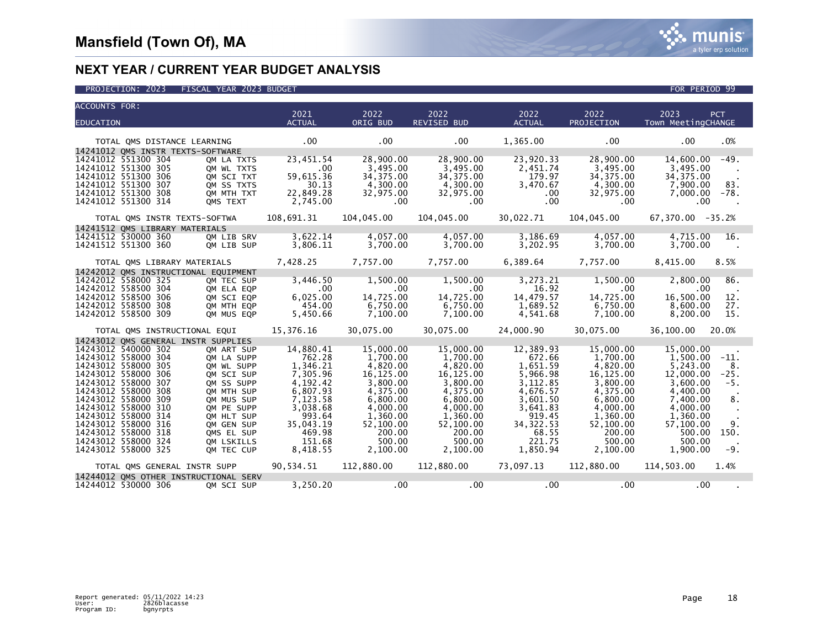

| <b>ACCOUNTS FOR:</b>                                                                                                                                                                                                                                                                                                                                                                                                                                                                          |                                                                                                                                                    |                                                                                                                                                         |                                                                                                                                                         |                                                                                                                                                    |                                                                                                                                                         |                                                                                                                                                                                                                         |
|-----------------------------------------------------------------------------------------------------------------------------------------------------------------------------------------------------------------------------------------------------------------------------------------------------------------------------------------------------------------------------------------------------------------------------------------------------------------------------------------------|----------------------------------------------------------------------------------------------------------------------------------------------------|---------------------------------------------------------------------------------------------------------------------------------------------------------|---------------------------------------------------------------------------------------------------------------------------------------------------------|----------------------------------------------------------------------------------------------------------------------------------------------------|---------------------------------------------------------------------------------------------------------------------------------------------------------|-------------------------------------------------------------------------------------------------------------------------------------------------------------------------------------------------------------------------|
| <b>EDUCATION</b>                                                                                                                                                                                                                                                                                                                                                                                                                                                                              | 2021<br><b>ACTUAL</b>                                                                                                                              | 2022<br>ORIG BUD                                                                                                                                        | 2022<br><b>REVISED BUD</b>                                                                                                                              | 2022<br><b>ACTUAL</b>                                                                                                                              | 2022<br>PROJECTION                                                                                                                                      | 2023<br><b>PCT</b><br>Town MeetingCHANGE                                                                                                                                                                                |
| TOTAL OMS DISTANCE LEARNING                                                                                                                                                                                                                                                                                                                                                                                                                                                                   | $\sim$ 00                                                                                                                                          | $.00 \,$                                                                                                                                                | $.00 \,$                                                                                                                                                | 1,365.00                                                                                                                                           | $\sim$ 00                                                                                                                                               | .00<br>.0%                                                                                                                                                                                                              |
| 14241012 OMS INSTR TEXTS-SOFTWARE<br>14241012 551300 304<br>QM LA TXTS<br>14241012 551300 305<br>QM WL TXTS<br>14241012 551300 306<br>QM SCI TXT<br>14241012 551300 307<br>QM SS TXTS<br>14241012 551300 308<br>OM MTH TXT<br>14241012 551300 314<br>OMS TEXT                                                                                                                                                                                                                                 | 23,451.54<br>.00<br>59,615.36<br>30.13<br>22,849.28<br>2,745.00                                                                                    | 28,900.00<br>3,495.00<br>34, 375.00<br>4,300.00<br>32,975.00<br>$\overline{\phantom{0}}$ .00                                                            | 28,900.00<br>3,495.00<br>34, 375.00<br>4,300.00<br>32,975.00<br>$\overline{0}$ .                                                                        | 23,920.33<br>2,451.74<br>179.97<br>3,470.67<br>$.00 \,$<br>.00                                                                                     | 28,900.00<br>3,495.00<br>34, 375.00<br>4,300.00<br>32,975.00<br>.00                                                                                     | 14,600.00<br>$-49.$<br>3,495.00<br>34, 375.00<br>7,900.00<br>83.<br>7.000.00<br>$-78.$<br>.00                                                                                                                           |
| TOTAL QMS INSTR TEXTS-SOFTWA 108,691.31 104,045.00 104,045.00 30,022.71 104,045.00                                                                                                                                                                                                                                                                                                                                                                                                            |                                                                                                                                                    |                                                                                                                                                         |                                                                                                                                                         |                                                                                                                                                    |                                                                                                                                                         | 67,370.00 -35.2%                                                                                                                                                                                                        |
| 14241512 QMS LIBRARY MATERIALS<br>14241512 530000 360<br>14241512 551300 360<br>QM LIB SUP                                                                                                                                                                                                                                                                                                                                                                                                    | QM LIB SRV 3,622.14<br>3,806.11                                                                                                                    | 4,057.00<br>3,700.00                                                                                                                                    | 4,057.00<br>3,700.00                                                                                                                                    | 3,186.69<br>3,202.95                                                                                                                               | 4,057.00<br>3,700.00                                                                                                                                    | 4.715.00<br>16.<br>3,700.00                                                                                                                                                                                             |
| TOTAL OMS LIBRARY MATERIALS                                                                                                                                                                                                                                                                                                                                                                                                                                                                   |                                                                                                                                                    |                                                                                                                                                         |                                                                                                                                                         |                                                                                                                                                    |                                                                                                                                                         | 8,415.00 8.5%                                                                                                                                                                                                           |
| 14242012 QMS INSTRUCTIONAL EQUIPMENT<br>14242012 558000 325<br>OM TEC SUP<br>14242012 558500 304<br>OM ELA EOP<br>14242012 558500 306<br>OM SCI EOP<br>14242012 558500 308<br>OM MTH EOP<br>14242012 558500 309<br>OM MUS EOP<br>TOTAL OMS INSTRUCTIONAL EQUI                                                                                                                                                                                                                                 | $\sim 00$<br>6,025.00<br>454.00<br>5,450.66<br>15,376.16                                                                                           | $\sim$ 00<br>14,725.00<br>6,750.00<br>7,100.00                                                                                                          | 3,446.50 1,500.00 1,500.00 3,273.21 1,500.00 2,800.00<br>00.<br>14 725 PM<br>14,725.00<br>6,750.00<br>7,100.00<br>30,075.00 30,075.00 24,000.90         | $\frac{16.92}{14.479.57}$<br>14,479.57<br>1,689.52<br>4,541.68                                                                                     | $\begin{array}{c} 00 \\ 14.725 \end{array}$<br>14,725.00<br>6,750.00<br>7,100.00<br>30,075.00                                                           | 86.<br>$\sim 00$<br>16,500.00<br>12.<br>27.<br>8,600.00<br>8,200.00<br>15.<br>36,100.00<br>20.0%                                                                                                                        |
| 14243012 QMS GENERAL INSTR SUPPLIES                                                                                                                                                                                                                                                                                                                                                                                                                                                           |                                                                                                                                                    |                                                                                                                                                         |                                                                                                                                                         |                                                                                                                                                    |                                                                                                                                                         |                                                                                                                                                                                                                         |
| 14243012 540000 302<br>OM ART SUP<br>14243012 558000 304<br>QM LA SUPP<br>14243012 558000 305<br>OM WL SUPP<br>14243012 558000 306<br>OM SCI SUP<br>14243012 558000 307<br>QM SS SUPP<br>14243012 558000 308<br>OM MTH SUP<br>14243012 558000 309<br>OM MUS SUP<br>14243012 558000 310<br>QM PE SUPP<br>14243012 558000 314<br>OM HLT SUP<br>14243012 558000 316<br>QM GEN SUP<br>14243012 558000 318<br>QMS EL SUP<br>14243012 558000 324<br>QM LSKILLS<br>14243012 558000 325<br>QM TEC CUP | 14,880.41<br>762.28<br>1,346.21<br>7,305.96<br>4,192.42<br>6,807.93<br>7,123.58<br>3,038.68<br>993.64<br>35,043.19<br>469.98<br>151.68<br>8,418.55 | 15,000.00<br>1,700.00<br>4.820.00<br>16,125.00<br>3,800.00<br>4.375.00<br>6,800.00<br>4,000.00<br>1,360.00<br>52,100.00<br>200.00<br>500.00<br>2,100.00 | 15,000.00<br>1,700.00<br>4.820.00<br>16,125.00<br>3,800.00<br>4,375.00<br>6,800.00<br>4,000.00<br>1,360.00<br>52,100.00<br>200.00<br>500.00<br>2,100.00 | 12,389.93<br>672.66<br>1,651.59<br>5,966.98<br>3,112.85<br>4,676.57<br>3,601.50<br>3,641.83<br>919.45<br>34, 322.53<br>68.55<br>221.75<br>1,850.94 | 15,000.00<br>1,700.00<br>4.820.00<br>16,125.00<br>3,800.00<br>4.375.00<br>6,800.00<br>4,000.00<br>1,360.00<br>52,100.00<br>200.00<br>500.00<br>2,100.00 | 15,000,00<br>$-11.$<br>1,500.00<br>5.243.00<br>8.<br>12,000.00<br>$-25.$<br>$-5.$<br>3,600.00<br>4.400.00<br>8.<br>7,400.00<br>4,000.00<br>1,360.00<br>57,100.00<br>9.<br>500.00<br>150.<br>500.00<br>1,900.00<br>$-9.$ |
| TOTAL QMS GENERAL INSTR SUPP                                                                                                                                                                                                                                                                                                                                                                                                                                                                  |                                                                                                                                                    | 90,534.51 112,880.00                                                                                                                                    |                                                                                                                                                         |                                                                                                                                                    |                                                                                                                                                         | $112,880.00$ $73,097.13$ $112,880.00$ $114,503.00$ $1.4\%$                                                                                                                                                              |
| 14244012 QMS OTHER INSTRUCTIONAL SERV<br>14244012 530000 306<br>QM SCI SUP                                                                                                                                                                                                                                                                                                                                                                                                                    |                                                                                                                                                    | $3,250.20$ .00                                                                                                                                          | .00                                                                                                                                                     | $\sim$ 00 $\sim$                                                                                                                                   | $\sim$ 00                                                                                                                                               | .00                                                                                                                                                                                                                     |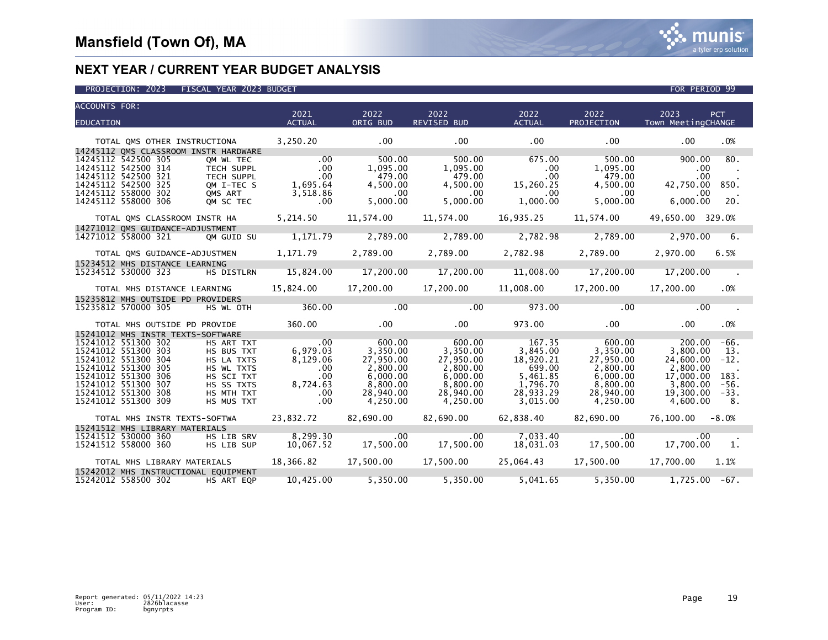| <b>ACCOUNTS FOR:</b>                                                                                                       |                                        |                                     |                       |                       |                                                 |                       |                                                                           |
|----------------------------------------------------------------------------------------------------------------------------|----------------------------------------|-------------------------------------|-----------------------|-----------------------|-------------------------------------------------|-----------------------|---------------------------------------------------------------------------|
| <b>EDUCATION</b>                                                                                                           |                                        | 2021<br><b>ACTUAL</b>               | 2022<br>ORIG BUD      | 2022<br>REVISED BUD   | 2022<br><b>ACTUAL</b>                           | 2022<br>PROJECTION    | 2023<br><b>PCT</b><br>Town MeetingCHANGE                                  |
|                                                                                                                            |                                        |                                     |                       |                       |                                                 |                       |                                                                           |
| TOTAL QMS OTHER INSTRUCTIONA 3,250.20 00<br>14245112 QMS CLASSROOM INSTR HARDWARE<br>14245112 QMS CLASSROOM INSTR HARDWARE |                                        |                                     |                       | $.00 \,$              | .00                                             | .00                   | $.00 \,$<br>.0%                                                           |
|                                                                                                                            |                                        |                                     | 500.00                | 500.00                |                                                 | $675.00$ 500.00       | 900.00<br>80.                                                             |
| 14245112 542500 314<br>14245112 542500 321                                                                                 | <b>TECH SUPPL</b><br><b>TECH SUPPL</b> | $\overline{00}$<br>.00              | 1,095.00<br>479.00    | 1,095.00<br>479.00    | .00<br>00 .<br>00 .<br>15 , 260 . 15            | 1,095.00<br>1479.00   | $\frac{42}{1}$<br>.00.<br>$.00 \,$                                        |
| 14245112 542500 325                                                                                                        | QM I-TEC S                             | 1,695.64                            | 4,500.00              | 4,500.00              |                                                 | 4,500.00              | 42,750.00 850.                                                            |
| 14245112 558000 302<br>14245112 558000 306                                                                                 | QMS ART<br>QM SC TEC                   | 3,518.86<br>$\epsilon$<br>$\sim$ 00 | $\sim 00$<br>5,000.00 | $5.000 \, \text{no}$  | $\begin{array}{c} 0.00 \\ 1,000.00 \end{array}$ | $\sim 00$<br>5,000.00 | 00.<br>6.000 .00<br>20.                                                   |
|                                                                                                                            |                                        |                                     |                       |                       |                                                 |                       |                                                                           |
| TOTAL QMS CLASSROOM INSTR HA 5,214.50 11,574.00 11,574.00 16,935.25 11,574.00 49,650.00 329.0%                             |                                        |                                     |                       |                       |                                                 |                       |                                                                           |
| 14271012 QMS GUIDANCE-ADJUSTMENT<br>14271012 558000 321                                                                    | OM GUID SU                             |                                     |                       |                       |                                                 |                       | $1,171.79$ 2,789.00 2,789.00 2,782.98 2,789.00 2,970.00 6.                |
| TOTAL QMS GUIDANCE-ADJUSTMEN $1,171.79$ $2,789.00$ $2,789.00$ $2,782.98$ $2,789.00$ $2,970.00$ $6.5\%$                     |                                        |                                     |                       |                       |                                                 |                       |                                                                           |
| 15234512 MHS DISTANCE LEARNING                                                                                             |                                        |                                     |                       |                       |                                                 |                       |                                                                           |
|                                                                                                                            |                                        |                                     |                       |                       |                                                 |                       |                                                                           |
| 0%. TOTAL MHS DISTANCE LEARNING $15,824.00$ $17,200.00$ $17,200.00$ $11,008.00$ $17,200.00$ $17,200.00$                    |                                        |                                     |                       |                       |                                                 |                       |                                                                           |
| 15235812 MHS OUTSIDE PD PROVIDERS                                                                                          |                                        |                                     |                       |                       |                                                 |                       |                                                                           |
|                                                                                                                            |                                        |                                     |                       |                       |                                                 |                       | $\sim 100$                                                                |
| TOTAL MHS OUTSIDE PD PROVIDE 360.00 0 00 00 00 00 073.00 00 00 00 00 00 00                                                 |                                        |                                     |                       |                       |                                                 |                       | .0%                                                                       |
| 15241012 MHS INSTR TEXTS-SOFTWARE<br>15241012 551300 302                                                                   | HS ART TXT                             | $\frac{1}{2}$                       | 600.00                | 600.00                |                                                 | 167.35 600.00         | 200.00<br>-66.                                                            |
| 15241012 551300 303                                                                                                        | HS BUS TXT                             | 6,979.03                            | 3,350.00              | 3,350.00              | 3,845.00                                        | 3,350.00              | 3,800.00<br>13.                                                           |
| 15241012 551300 304<br>15241012 551300 305                                                                                 | HS LA TXTS<br>HS WL TXTS               | 8,129.06<br>.00                     | 27,950.00<br>2,800.00 | 27,950.00<br>2,800.00 | 18,920.21<br>699.00                             | 27,950.00<br>2,800.00 | 24,600.00<br>$-12.$<br>2,800.00                                           |
| 15241012 551300 306                                                                                                        | HS SCI TXT                             | .00                                 | 6,000.00              | 6,000.00              | $5,461.85$<br>$1,796.70$<br>$28,933.29$         | 6.000.00              | 17,000,00<br>183.                                                         |
| 15241012 551300 307<br>15241012 551300 308                                                                                 | HS SS TXTS<br>HS MTH TXT               |                                     | 8,800.00<br>28,940.00 | 8,800.00<br>28,940.00 | 28,933.29                                       | 8.800.00<br>28,940.00 | 3.800.00<br>-56.<br>19,300.00<br>$-33.$                                   |
| 15241012 551300 309                                                                                                        | HS MUS TXT                             | 00<br>8,724.63<br>00.<br>00.        | 4,250.00              | 4,250.00              | 3,015.00                                        | 4,250.00              | 4,600.00<br>8.                                                            |
| TOTAL MHS INSTR TEXTS-SOFTWA 23,832.72 82,690.00 82,690.00 62,838.40 82,690.00 76,100.00 −8.0%                             |                                        |                                     |                       |                       |                                                 |                       |                                                                           |
| 15241512 MHS LIBRARY MATERIALS<br>15241512 530000 360                                                                      |                                        |                                     |                       |                       |                                                 |                       | .00                                                                       |
| 15241512 558000 360                                                                                                        |                                        |                                     |                       |                       |                                                 |                       | 17,700.00 1.                                                              |
| TOTAL MHS LIBRARY MATERIALS $18,366.82$ $17,500.00$ $17,500.00$ $25,064.43$ $17,500.00$ $17,700.00$ $1.1\%$                |                                        |                                     |                       |                       |                                                 |                       |                                                                           |
| 15242012 MHS INSTRUCTIONAL EQUIPMENT                                                                                       |                                        |                                     |                       |                       |                                                 |                       |                                                                           |
| 15242012 558500 302 HS ART EQP                                                                                             |                                        |                                     |                       |                       |                                                 |                       | $10,425.00$ $5,350.00$ $5,350.00$ $5,041.65$ $5,350.00$ $1,725.00$ $-67.$ |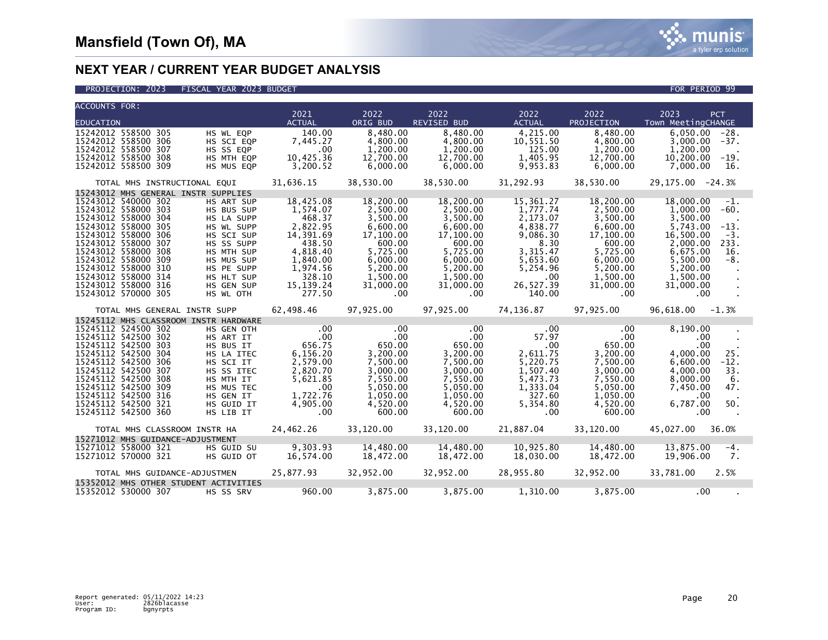| <b>ACCOUNTS FOR:</b>                                                                                                                                                                                                                                                                                                    |                                                                                                                                                                     |                                                                                                                                         |                                                                                                                                          |                                                                                                                                          |                                                                                                                                          |                                                                                                                                                               |                                                                                                                                                                                                       |
|-------------------------------------------------------------------------------------------------------------------------------------------------------------------------------------------------------------------------------------------------------------------------------------------------------------------------|---------------------------------------------------------------------------------------------------------------------------------------------------------------------|-----------------------------------------------------------------------------------------------------------------------------------------|------------------------------------------------------------------------------------------------------------------------------------------|------------------------------------------------------------------------------------------------------------------------------------------|------------------------------------------------------------------------------------------------------------------------------------------|---------------------------------------------------------------------------------------------------------------------------------------------------------------|-------------------------------------------------------------------------------------------------------------------------------------------------------------------------------------------------------|
| <b>EDUCATION</b>                                                                                                                                                                                                                                                                                                        |                                                                                                                                                                     | 2021<br><b>ACTUAL</b>                                                                                                                   | 2022<br>ORIG BUD                                                                                                                         | 2022<br>REVISED BUD                                                                                                                      | 2022<br>ACTUAL                                                                                                                           | 2022<br>PROJECTION                                                                                                                                            | 2023<br>PCT<br>Town MeetingCHANGE                                                                                                                                                                     |
| 15242012 558500 305<br>15242012 558500 306<br>15242012 558500 307<br>15242012 558500 308<br>15242012 558500 309                                                                                                                                                                                                         | HS SS EQP<br>HS MTH EQP<br>HS MUS EQP                                                                                                                               | HS WL EQP 140.00<br>$HS$ SCI EQP $7,445.27$<br>$\sim$ .00<br>$\frac{10,425}{3,200.52}$                                                  | 8,480.00<br>4,800.00<br>1,200.00<br>12,700.00<br>6,000.00                                                                                | 8,480.00<br>4,800.00<br>1,200.00<br>12,700.00<br>6,000.00                                                                                | 4,215.00<br>10,551.50<br>125.00<br>1,405.95<br>9,953.83                                                                                  | 8,480.00<br>4,800.00<br>1,200.00<br>12,700.00<br>6,000.00                                                                                                     | $6,050.00 -28.$<br>$3.000.00 - 37.$<br>1,200.00<br>$10,200.00 -19.$<br>7,000.00<br>- 16.                                                                                                              |
| TOTAL MHS INSTRUCTIONAL EQUI                                                                                                                                                                                                                                                                                            |                                                                                                                                                                     | 31,636.15                                                                                                                               |                                                                                                                                          | 38,530.00 38,530.00 31,292.93 38,530.00                                                                                                  |                                                                                                                                          |                                                                                                                                                               | 29,175.00 -24.3%                                                                                                                                                                                      |
| 15243012 MHS GENERAL INSTR SUPPLIES<br>15243012 540000 302<br>15243012 558000 303<br>15243012 558000 304<br>15243012 558000 305<br>15243012 558000 306<br>15243012 558000 307<br>15243012 558000 308<br>15243012 558000 309<br>15243012 558000 310<br>15243012 558000 314<br>15243012 558000 316<br>15243012 570000 305 | HS ART SUP<br>HS BUS SUP<br>HS LA SUPP<br>HS WL SUPP<br>HS SCI SUP<br>HS SS SUPP<br>HS MTH SUP<br>HS MUS SUP<br>HS PE SUPP<br>HS HLT SUP<br>HS GEN SUP<br>HS WL OTH | 18,425.08<br>1,574.07<br>468.37<br>2,822.95<br>14,391.69<br>438.50<br>4,818.40<br>1,840.00<br>1,974.56<br>328.10<br>15,139.24<br>277.50 | 18,200.00<br>2,500.00<br>3,500.00<br>6,600.00<br>17,100.00<br>600.00<br>5,725.00<br>6,000.00<br>5,200.00<br>1,500.00<br>31,000.00<br>.00 | 18,200.00<br>2,500.00<br>3,500.00<br>6,600.00<br>17,100.00<br>600.00<br>5,725.00<br>6,000.00<br>5,200.00<br>1,500.00<br>31,000.00<br>.00 | 15,361.27<br>1,777.74<br>2,173.07<br>4,838.77<br>9,086.30<br>8.30<br>3,315.47<br>5,653.60<br>5,254.96<br>$.00 \,$<br>26,527.39<br>140.00 | 18,200.00<br>2,500.00<br>3,500.00<br>6,600.00<br>17,100.00<br>600.00<br>5,725.00<br>6,000.00<br>5,200.00<br>1,500.00<br>31,000.00<br>.00                      | 18,000.00<br>-1.<br>$1,000.00 - 60.$<br>3,500.00<br>5.743.00<br>$-13.$<br>16.500.00<br>$-3.$<br>2.000.00<br>233.<br>6,675.00<br>16.<br>5,500.00<br>$-8.$<br>5,200.00<br>1,500.00<br>31,000.00<br>.00. |
| TOTAL MHS GENERAL INSTR SUPP    62,498.46   97,925.00   97,925.00   74,136.87   97,925.00                                                                                                                                                                                                                               |                                                                                                                                                                     |                                                                                                                                         |                                                                                                                                          |                                                                                                                                          |                                                                                                                                          |                                                                                                                                                               | $96,618.00 -1.3%$                                                                                                                                                                                     |
| 15245112 MHS CLASSROOM INSTR HARDWARE                                                                                                                                                                                                                                                                                   |                                                                                                                                                                     |                                                                                                                                         |                                                                                                                                          |                                                                                                                                          |                                                                                                                                          |                                                                                                                                                               |                                                                                                                                                                                                       |
| 15245112 524500 302<br>15245112 542500 302<br>15245112 542500 303<br>15245112 542500 304<br>15245112 542500 306<br>15245112 542500 307<br>15245112 542500 308<br>15245112 542500 309<br>15245112 542500 316<br>15245112 542500 321<br>15245112 542500 360                                                               | HS GEN OTH<br>HS ART IT<br>HS BUS IT<br>HS LA ITEC<br>HS SCI IT<br>HS SS ITEC<br>HS MTH IT<br>HS MUS TEC<br>HS GEN IT                                               | 656.75<br>6,156.20<br>2,579.00<br>2,820.70<br>5,621.85<br>$\sim$ 00<br>1,722.76<br>HS GEN IT<br>HS GUID IT 4,905.00<br>HS LIB IT .00    | 650.00<br>3,200.00<br>7,500.00<br>3,000.00<br>7,550.00<br>5,050.00<br>1,050.00<br>4,520.00<br>600.00                                     | $\frac{00}{100}$<br>650.00<br>3,200.00<br>7,500.00<br>3,000.00<br>7,550.00<br>5,050.00<br>1,050.00<br>4,520.00<br>600.00                 | 2,611.75<br>5,220.75<br>1,507.40<br>5,473.73<br>1,333.04<br>327.60<br>5,354.80<br>$\overline{\phantom{0}}$ .00                           | 00. 00.<br>00. 57.97 00.<br>00.00 00. 650.00 00<br>3,200.00<br>7,500.00<br>3,000.00<br>7,550.00<br>5,050.00<br>1,050.00<br>$\frac{1}{4}, \frac{520}{600}$ .00 | 8,190.00<br>.00<br>.00<br>4,000.00<br>25.<br>6.600.00<br>$-12.$<br>33.<br>4,000.00<br>8,000.00<br>6.<br>7,450.00<br>47.<br>$\sim$ .00<br>6,787.00<br>50.<br>.00                                       |
|                                                                                                                                                                                                                                                                                                                         |                                                                                                                                                                     |                                                                                                                                         |                                                                                                                                          |                                                                                                                                          |                                                                                                                                          |                                                                                                                                                               | 33,120.00 33,120.00 21,887.04 33,120.00 45,027.00 36.0%                                                                                                                                               |
| 15271012 MHS GUIDANCE-ADJUSTMENT<br>15271012 MHS GUIDANCE-ADJUSIMENT<br>15271012 558000 321 HS GUID SU 9,303.93<br>15271012 570000 321 HS GUID OT 16,574.00                                                                                                                                                             |                                                                                                                                                                     |                                                                                                                                         | 18,472.00                                                                                                                                | 14,480.00 14,480.00 10,925.80 14,480.00                                                                                                  | 18,472.00 18,030.00 18,472.00                                                                                                            |                                                                                                                                                               | $13,875.00 -4.$<br>19,906.00<br>7.                                                                                                                                                                    |
| TOTAL MHS GUIDANCE-ADJUSTMEN                                                                                                                                                                                                                                                                                            |                                                                                                                                                                     |                                                                                                                                         |                                                                                                                                          | 25,877.93 32,952.00 32,952.00 28,955.80 32,952.00                                                                                        |                                                                                                                                          |                                                                                                                                                               | 33,781.00 2.5%                                                                                                                                                                                        |
| 15352012 MHS OTHER STUDENT ACTIVITIES<br>15352012 530000 307                                                                                                                                                                                                                                                            |                                                                                                                                                                     | HS SS SRV 960.00                                                                                                                        |                                                                                                                                          | 3,875.00 3,875.00 1,310.00                                                                                                               |                                                                                                                                          |                                                                                                                                                               | 3,875.00 .00                                                                                                                                                                                          |

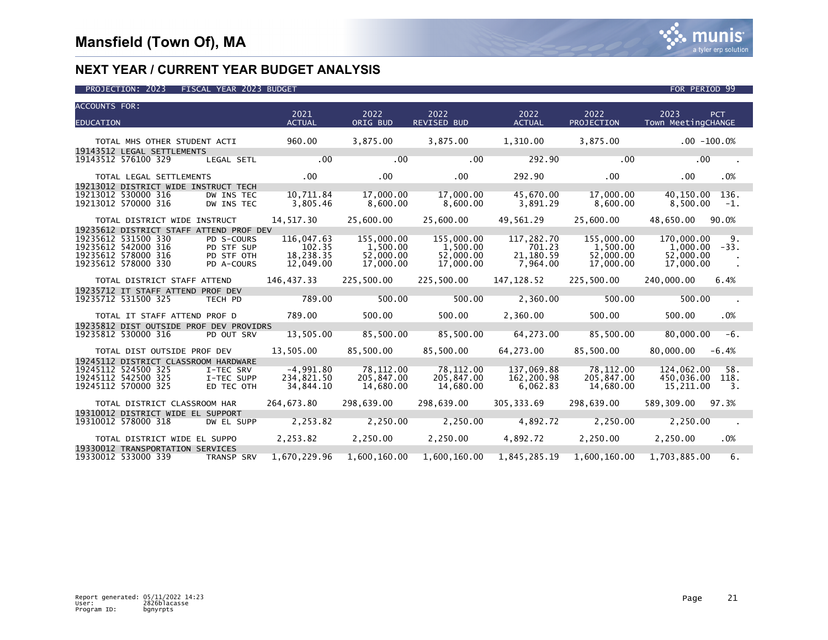

| <b>ACCOUNTS FOR:</b><br>2022<br>2021<br>2022<br>2022<br>2022<br>2023<br><b>PCT</b><br>ORIG BUD<br><b>ACTUAL</b><br>Town MeetingCHANGE<br><b>EDUCATION</b><br><b>ACTUAL</b><br>REVISED BUD<br>PROJECTION<br>3,875.00<br>3,875.00<br>1,310.00<br>3,875.00<br>960.00<br>$.00 - 100.0%$<br>TOTAL MHS OTHER STUDENT ACTI |              |
|---------------------------------------------------------------------------------------------------------------------------------------------------------------------------------------------------------------------------------------------------------------------------------------------------------------------|--------------|
|                                                                                                                                                                                                                                                                                                                     |              |
|                                                                                                                                                                                                                                                                                                                     |              |
|                                                                                                                                                                                                                                                                                                                     |              |
|                                                                                                                                                                                                                                                                                                                     |              |
| 19143512 LEGAL SETTLEMENTS                                                                                                                                                                                                                                                                                          |              |
| .00<br>.00<br>292.90<br>.00<br>.00<br>19143512 576100 329<br>LEGAL SETL                                                                                                                                                                                                                                             |              |
| $.00 \,$<br>$.00 \,$<br>$.00 \,$<br>$.00 \,$<br>292.90<br>$.00 \,$<br>.0%<br>TOTAL LEGAL SETTLEMENTS                                                                                                                                                                                                                |              |
| 19213012 DISTRICT WIDE INSTRUCT TECH                                                                                                                                                                                                                                                                                |              |
| 17,000.00<br>17,000.00<br>45,670.00<br>17,000.00<br>10,711.84<br>40,150.00 136.<br>19213012 530000 316<br>DW INS TEC                                                                                                                                                                                                |              |
| 19213012 570000 316<br>3,805.46<br>8,600.00<br>8,600.00<br>3,891.29<br>8,600.00<br>8,500.00<br>DW INS TEC<br>$-1.$                                                                                                                                                                                                  |              |
|                                                                                                                                                                                                                                                                                                                     |              |
| 14,517.30<br>25,600.00<br>25,600.00<br>49,561.29<br>25,600.00<br>48,650.00<br>90.0%<br>TOTAL DISTRICT WIDE INSTRUCT                                                                                                                                                                                                 |              |
| 19235612 DISTRICT STAFF ATTEND PROF DEV                                                                                                                                                                                                                                                                             |              |
| 19235612 531500 330<br>116,047.63<br>155.000.00<br>155,000,00<br>117,282.70<br>155.000.00<br>170,000,00<br>9.<br>PD S-COURS                                                                                                                                                                                         |              |
| 19235612 542000 316<br>102.35<br>1,500.00<br>1,500.00<br>701.23<br>1,500.00<br>PD STF SUP<br>1,000.00<br>$-33.$                                                                                                                                                                                                     |              |
| 21,180.59<br>18,238.35<br>52,000.00<br>52,000.00<br>19235612 578000 316<br>PD STF OTH<br>52,000.00<br>52,000.00<br>19235612 578000 330<br>17,000.00<br>17,000.00<br>7,964.00<br>17,000.00                                                                                                                           |              |
| PD A-COURS<br>12,049.00<br>17,000.00                                                                                                                                                                                                                                                                                |              |
| 146,437.33<br>225,500.00<br>225,500.00<br>147,128.52<br>225,500.00<br>240,000.00<br>6.4%<br>TOTAL DISTRICT STAFF ATTEND                                                                                                                                                                                             |              |
| 19235712 IT STAFF ATTEND PROF DEV                                                                                                                                                                                                                                                                                   |              |
| 789.00<br>500.00<br>500.00<br>2,360.00<br>500.00<br>500.00<br>19235712 531500 325<br>TECH PD                                                                                                                                                                                                                        | $\mathbf{r}$ |
|                                                                                                                                                                                                                                                                                                                     |              |
| 789.00<br>500.00<br>500.00<br>2.360.00<br>500.00<br>500.00<br>.0%<br>TOTAL IT STAFF ATTEND PROF D                                                                                                                                                                                                                   |              |
| 19235812 DIST OUTSIDE PROF DEV PROVIDRS                                                                                                                                                                                                                                                                             |              |
| 85,500.00<br>85,500.00<br>64,273.00<br>85,500.00<br>80,000.00<br>13,505.00<br>19235812 530000 316<br>PD OUT SRV                                                                                                                                                                                                     | $-6.$        |
| 13,505.00<br>85,500.00<br>64,273.00<br>TOTAL DIST OUTSIDE PROF DEV<br>85,500.00<br>85,500.00<br>80,000.00<br>$-6.4%$                                                                                                                                                                                                |              |
| 19245112 DISTRICT CLASSROOM HARDWARE                                                                                                                                                                                                                                                                                |              |
| $-4.991.80$<br>78.112.00<br>78.112.00<br>137.069.88<br>78.112.00<br>124.062.00<br>19245112 524500 325<br>I-TEC SRV                                                                                                                                                                                                  | 58.          |
| 234,821.50<br>205,847.00<br>19245112 542500 325<br>205.847.00<br>162,200.98<br>205,847.00<br>450,036.00<br>118.<br>I-TEC SUPP                                                                                                                                                                                       |              |
| 19245112 570000 325<br>34.844.10<br>14.680.00<br>14.680.00<br>6.062.83<br>14.680.00<br>15,211.00<br>ED TEC OTH                                                                                                                                                                                                      | 3.           |
|                                                                                                                                                                                                                                                                                                                     |              |
| 298.639.00<br>305.333.69<br>264.673.80<br>298,639.00<br>298.639.00<br>589.309.00<br>97.3%<br>TOTAL DISTRICT CLASSROOM HAR                                                                                                                                                                                           |              |
| 19310012 DISTRICT WIDE EL SUPPORT                                                                                                                                                                                                                                                                                   |              |
| 2,250.00<br>2,253.82<br>2,250.00<br>4,892.72<br>2,250.00<br>2,250.00<br>19310012 578000 318<br>DW EL SUPP                                                                                                                                                                                                           | $\sim$       |
| 2,253.82<br>2,250.00<br>2,250.00<br>4,892.72<br>2,250.00<br>2,250.00<br>$.0\%$<br>TOTAL DISTRICT WIDE EL SUPPO                                                                                                                                                                                                      |              |
| 19330012 TRANSPORTATION SERVICES                                                                                                                                                                                                                                                                                    |              |
| $1,670,229.96$ $1,600,160.00$ $1,600,160.00$ $1,845,285.19$ $1,600,160.00$<br>19330012 533000 339<br>1,703,885.00<br><b>TRANSP SRV</b>                                                                                                                                                                              | 6.           |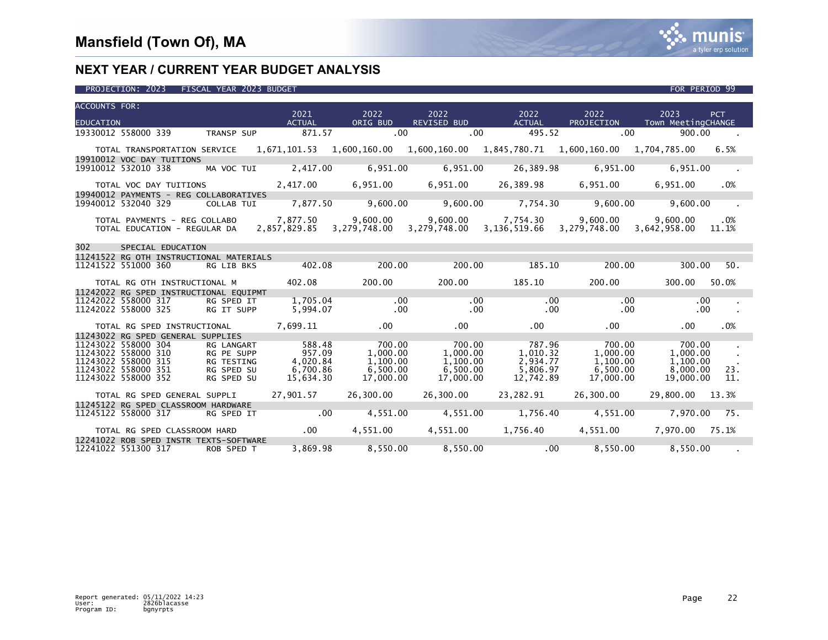

| <b>ACCOUNTS FOR:</b> |                                                                |                   |                     |                 |                                                                                                                                                                                                  |                      |                              |                                                                                                                      |
|----------------------|----------------------------------------------------------------|-------------------|---------------------|-----------------|--------------------------------------------------------------------------------------------------------------------------------------------------------------------------------------------------|----------------------|------------------------------|----------------------------------------------------------------------------------------------------------------------|
|                      |                                                                |                   | 2021                | 2022            | 2022                                                                                                                                                                                             | $\overline{2022}$    | 2022                         | 2023<br>PCT                                                                                                          |
| <b>EDUCATION</b>     |                                                                |                   | <b>ACTUAL</b>       | ORIG BUD        |                                                                                                                                                                                                  | REVISED BUD ACTUAL   |                              | PROJECTION Town MeetingCHANGE                                                                                        |
|                      | 19330012 558000 339                                            |                   | TRANSP SUP 871.57   |                 | $.00 \,$<br>$.00\,$                                                                                                                                                                              | 495.52               | $.00 \,$                     | 900.00                                                                                                               |
|                      |                                                                |                   |                     |                 |                                                                                                                                                                                                  |                      |                              | 6.5% TOTAL TRANSPORTATION SERVICE 1.671.101.53 1.600.160.00 1.600.160.00 1.845.780.71 1.600.160.00 1.704.785.00 6.5% |
|                      | 19910012 VOC DAY TUITIONS<br>19910012 532010 338               |                   | MA VOC TUI 2,417.00 | 6,951.00        |                                                                                                                                                                                                  | $6,951.00$ 26,389.98 | 6,951.00                     | 6,951.00<br>$\sim 100$                                                                                               |
|                      |                                                                |                   |                     |                 |                                                                                                                                                                                                  |                      |                              |                                                                                                                      |
|                      |                                                                |                   |                     |                 | TOTAL VOC DAY TUITIONS $2,417.00$ $6,951.00$ $6,951.00$ $26,389.98$ $6,951.00$                                                                                                                   |                      |                              | .0%<br>6,951.00                                                                                                      |
|                      | 19940012 PAYMENTS - REG COLLABORATIVES                         |                   |                     |                 |                                                                                                                                                                                                  |                      |                              |                                                                                                                      |
|                      | 19940012 532040 329                                            | COLLAB TUI        |                     |                 | $7,877.50$ 9,600.00 9,600.00 7,754.30                                                                                                                                                            |                      | 9,600.00                     | $9,600.00$ .                                                                                                         |
|                      |                                                                |                   |                     |                 | TOTAL PAYMENTS - REG COLLABO 7,877.50 9,600.00 9,600.00 7,754.30 9,600.00 9,600.00<br>TOTAL EDUCATION - REGULAR DA 2,857,829.85 3,279,748.00 3,279,748.00 3,136,519.66 3,279,748.00 3,642,958.00 |                      |                              | $.0\%$<br>11.1%                                                                                                      |
| 302 —                | SPECIAL EDUCATION                                              |                   |                     |                 |                                                                                                                                                                                                  |                      |                              |                                                                                                                      |
|                      |                                                                |                   |                     |                 |                                                                                                                                                                                                  |                      |                              |                                                                                                                      |
|                      | 11241522 RG OTH INSTRUCTIONAL MATERIALS<br>11241522 551000 360 | RG LIB BKS        |                     | $402.08$ 200.00 | 200.00                                                                                                                                                                                           | 185.10               | 200.00                       | 300.00<br>50.                                                                                                        |
|                      |                                                                |                   |                     |                 |                                                                                                                                                                                                  |                      |                              |                                                                                                                      |
|                      | TOTAL RG OTH INSTRUCTIONAL M 402.08 200.00                     |                   |                     |                 | 200.00                                                                                                                                                                                           |                      | 185.10 200.00                | 300.00 50.0%                                                                                                         |
|                      | 11242022 RG SPED INSTRUCTIONAL EQUIPMT                         |                   |                     |                 |                                                                                                                                                                                                  |                      |                              |                                                                                                                      |
|                      | 11242022 558000 317                                            | RG SPED IT        |                     | $1,705.04$ .00  | .00                                                                                                                                                                                              | .00                  | $\overline{\phantom{0}}$ .00 | .00                                                                                                                  |
|                      | 11242022 558000 325                                            | RG IT SUPP        | 5,994.07            | $\sim$ 00       | $.00\,$                                                                                                                                                                                          | $.00\,$              | $.00 \times$                 | $.00 \cdot$                                                                                                          |
|                      | TOTAL RG SPED INSTRUCTIONAL 7,699.11                           |                   |                     | .00             | .00                                                                                                                                                                                              | .00                  | .00                          | .00<br>$.0\%$                                                                                                        |
|                      | 11243022 RG SPED GENERAL SUPPLIES                              |                   |                     |                 |                                                                                                                                                                                                  |                      |                              |                                                                                                                      |
|                      | 11243022 558000 304                                            | RG LANGART        | 588.48              | 700.00          | 700.00                                                                                                                                                                                           |                      | $787.96$ 700.00              | 700.00                                                                                                               |
|                      | 11243022 558000 310                                            | RG PE SUPP        | 957.09              | 1,000.00        | 1,000.00                                                                                                                                                                                         | 1,010.32             | 1,000.00                     | 1.000.00<br>$\sim$                                                                                                   |
|                      | 11243022 558000 315                                            | <b>RG TESTING</b> | 4,020.84            | 1.100.00        | 1,100.00                                                                                                                                                                                         | 2,934.77             | 1,100.00                     | 1,100.00                                                                                                             |
|                      | 11243022 558000 351                                            | RG SPED SU        | 6,700.86            | 6,500.00        | 6,500.00                                                                                                                                                                                         | 5,806.97             | 6,500.00                     | 8,000.00<br>23.                                                                                                      |
|                      | 11243022 558000 352                                            | RG SPED SU        | 15,634.30           | 17,000,00       | 17.000.00                                                                                                                                                                                        | 12.742.89            | 17,000,00                    | 19,000,00<br>11.                                                                                                     |
|                      | TOTAL RG SPED GENERAL SUPPLI                                   |                   | 27,901.57           |                 | 26,300.00 26,300.00                                                                                                                                                                              | 23,282.91            | 26,300.00                    | 29,800.00 13.3%                                                                                                      |
|                      | 11245122 RG SPED CLASSROOM HARDWARE                            |                   |                     |                 |                                                                                                                                                                                                  |                      |                              |                                                                                                                      |
|                      | 11245122 558000 317                                            | RG SPED IT        |                     |                 | 4,551.00 4,551.00 1,756.40                                                                                                                                                                       |                      | 4,551.00                     | 7,970.00 75.                                                                                                         |
|                      |                                                                |                   |                     |                 | TOTAL RG SPED CLASSROOM HARD        .00    4,551.00    4,551.00    1,756.40                                                                                                                      |                      | 4,551.00                     | 7,970.00 75.1%                                                                                                       |
|                      | 12241022 ROB SPED INSTR TEXTS-SOFTWARE                         |                   |                     |                 |                                                                                                                                                                                                  |                      |                              |                                                                                                                      |
|                      | 12241022 551300 317                                            | ROB SPED T        |                     |                 | 3,869.98 8,550.00 8,550.00 .00                                                                                                                                                                   |                      | 8.550.00                     | 8.550.00                                                                                                             |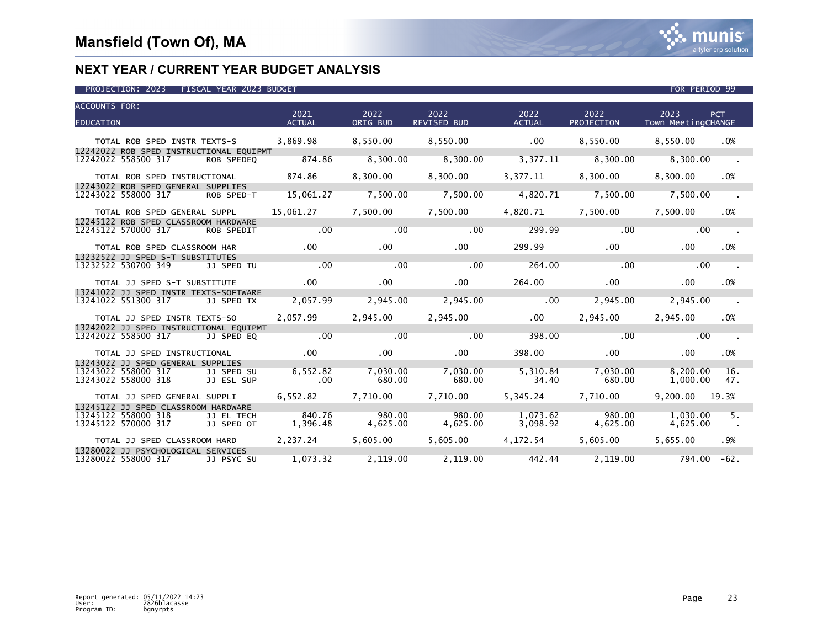

| <b>ACCOUNTS FOR:</b>                                          |                   |                                  |           |                                                                      |                  |                              |                    |                         |
|---------------------------------------------------------------|-------------------|----------------------------------|-----------|----------------------------------------------------------------------|------------------|------------------------------|--------------------|-------------------------|
|                                                               |                   | 2021                             | 2022      | 2022                                                                 | 2022             | 2022                         | 2023<br>PCT        |                         |
| <b>EDUCATION</b>                                              |                   | <b>ACTUAL</b>                    | ORIG BUD  | <b>REVISED BUD</b>                                                   | <b>ACTUAL</b>    | PROJECTION                   | Town MeetingCHANGE |                         |
| TOTAL ROB SPED INSTR TEXTS-S                                  |                   | 3.869.98 8.550.00 8.550.00       |           |                                                                      | $\sim 00$        | 8.550.00                     | 8.550.00 .0%       |                         |
| 12242022 ROB SPED INSTRUCTIONAL EQUIPMT                       |                   |                                  |           |                                                                      |                  |                              |                    |                         |
| 12242022 558500 317                                           | <b>ROB SPEDEQ</b> | 874.86                           | 8,300.00  | 8,300.00                                                             | 3,377.11         | 8,300.00                     | 8,300.00           |                         |
| TOTAL ROB SPED INSTRUCTIONAL 874.86                           |                   |                                  |           | 8,300.00 8,300.00                                                    | 3,377.11         | 8,300.00                     | 8,300.00           | .0%                     |
| 12243022 ROB SPED GENERAL SUPPLIES                            |                   |                                  |           |                                                                      |                  |                              |                    |                         |
| 12243022 558000 317 ROB SPED-T 15,061.27 7,500.00 7,500.00    |                   |                                  |           |                                                                      | 4,820.71         | 7,500.00                     | 7,500.00           | $\sim 100$ km s $^{-1}$ |
| TOTAL ROB SPED GENERAL SUPPL                                  |                   | 15,061.27 7,500.00 7,500.00      |           |                                                                      | 4,820.71         | 7,500.00                     | 7,500.00           | .0%                     |
| 12245122 ROB SPED CLASSROOM HARDWARE                          |                   | $\sim$ 00                        |           |                                                                      |                  |                              |                    |                         |
| 12245122 570000 317                                           | <b>ROB SPEDIT</b> |                                  |           |                                                                      |                  | $299.99$ . $00$              | .00                |                         |
| TOTAL ROB SPED CLASSROOM HAR                                  |                   | .00                              | $.00 \,$  | .00                                                                  | 299.99           | $.00 \,$                     | $.00 \,$           | .0%                     |
| 13232522 JJ SPED S-T SUBSTITUTES                              |                   |                                  |           |                                                                      |                  |                              |                    |                         |
| 13232522 530700 349                                           | JJ SPED TU        | $\sim$ 00                        | .00       | .00                                                                  | 264.00           | $\overline{\phantom{0}}$ .00 | .00                | <b>Contract</b>         |
| TOTAL JJ SPED S-T SUBSTITUTE                                  |                   | $\sim$ 00                        | .00       | .00                                                                  | 264.00           | $.00 \,$                     | $.00 \,$           | .0%                     |
| 13241022 JJ SPED INSTR TEXTS-SOFTWARE                         |                   |                                  |           |                                                                      |                  |                              |                    |                         |
| 13241022 551300 317 JJ SPED TX                                |                   | 2,057.99                         | 2,945.00  | 2,945.00                                                             | $\sim$ 00 $\sim$ | 2,945.00                     | 2,945.00           |                         |
| TOTAL JJ SPED INSTR TEXTS-SO                                  |                   | 2.057.99    2.945.00    2.945.00 |           |                                                                      | .00              | 2.945.00                     | 2.945.00           | .0%                     |
| 13242022 JJ SPED INSTRUCTIONAL EOUIPMT                        |                   |                                  |           |                                                                      |                  |                              |                    |                         |
| 13242022 558500 317                                           | JJ SPED EO        | $\sim$ 00                        | $\sim$ 00 | .00                                                                  | 398.00           | $\sim$ 00                    | $\sim$ 00          |                         |
| TOTAL JJ SPED INSTRUCTIONAL .00                               |                   |                                  | $\sim$ 00 | .00                                                                  | 398.00           | .00                          | .00                | .0%                     |
| 13243022 JJ SPED GENERAL SUPPLIES                             |                   |                                  |           |                                                                      |                  |                              |                    |                         |
| 13243022 558000 317                                           | <b>SPED SU</b>    | 6,552.82                         |           | $7,030.00$ $7,030.00$                                                |                  | 5,310.84 7,030.00            | 8,200.00           | 16.                     |
| 13243022 558000 318                                           | JJ ESL SUP        | $\overline{0}$ .                 | 680.00    | 680.00                                                               | 34.40            | 680.00                       | 1,000.00           | 47.                     |
| TOTAL JJ SPED GENERAL SUPPLI $6,552.82$ $7,710.00$ $7,710.00$ |                   |                                  |           |                                                                      | 5,345.24         | 7.710.00                     | 9.200.00 19.3%     |                         |
| 13245122 JJ SPED CLASSROOM HARDWARE                           |                   |                                  |           |                                                                      |                  |                              |                    |                         |
| 13245122 558000 318                                           | JJ EL TECH        | 840.76 980.00 980.00             |           |                                                                      |                  | 1,073.62 980.00              | $1,030.00$ 5.      |                         |
| 13245122 570000 317                                           | JJ SPED OT        | 1,396.48 4,625.00                |           | 4,625.00                                                             | 3,098.92         | 4,625.00                     | 4,625.00           |                         |
| TOTAL JJ SPED CLASSROOM HARD 2,237.24 5,605.00                |                   |                                  |           | 5,605.00                                                             | 4,172.54         | 5,605.00                     | 5,655.00           | .9%                     |
| 13280022 JJ PSYCHOLOGICAL SERVICES                            |                   |                                  |           |                                                                      |                  |                              |                    |                         |
| 13280022 558000 317 JJ PSYC SU                                |                   |                                  |           | $1,073.32$ $2,119.00$ $2,119.00$ $442.44$ $2,119.00$ $794.00$ $-62.$ |                  |                              |                    |                         |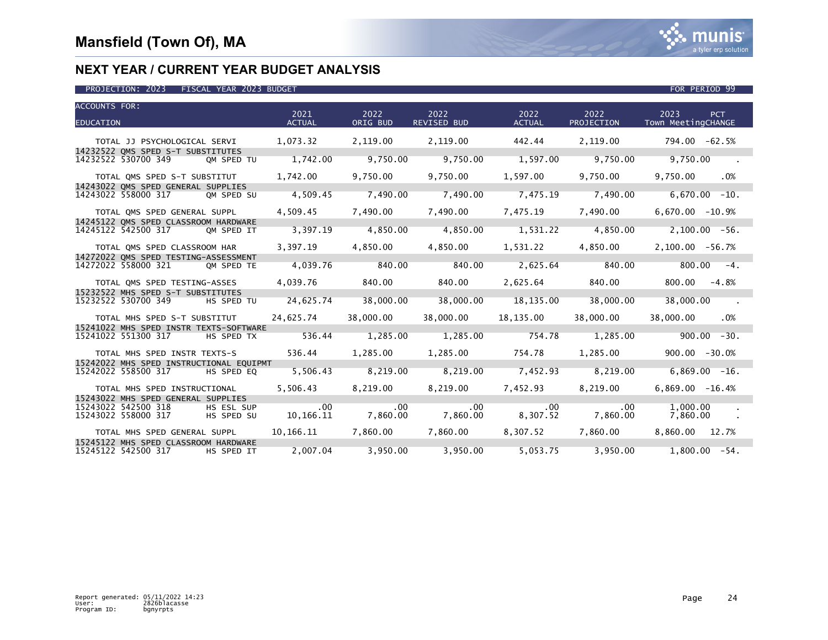

| <b>ACCOUNTS FOR:</b>                                                     |                          |                       |                   |                                                                                     |                       |                    |                                                         |
|--------------------------------------------------------------------------|--------------------------|-----------------------|-------------------|-------------------------------------------------------------------------------------|-----------------------|--------------------|---------------------------------------------------------|
| <b>EDUCATION</b>                                                         |                          | 2021<br><b>ACTUAL</b> | 2022<br>ORIG BUD  | 2022<br>REVISED BUD                                                                 | 2022<br><b>ACTUAL</b> | 2022<br>PROJECTION | 2023<br>PCT<br>Town MeetingCHANGE                       |
|                                                                          |                          |                       |                   |                                                                                     |                       |                    |                                                         |
|                                                                          |                          |                       |                   |                                                                                     |                       |                    | 2,119.00 794.00 -62.5%                                  |
| 14232522 QMS SPED S-T SUBSTITUTES                                        |                          |                       |                   |                                                                                     |                       |                    |                                                         |
| 14232522 530700 349                                                      | OM SPED TU               |                       |                   |                                                                                     |                       |                    | $1,742.00$ 9,750.00 9,750.00 1,597.00 9,750.00 9,750.00 |
| TOTAL QMS SPED S-T SUBSTITUT                                             |                          |                       | 1,742.00 9,750.00 | 9,750.00                                                                            | 1.597.00              | 9.750.00           | 9,750.00 .0%                                            |
| 14243022 OMS SPED GENERAL SUPPLIES                                       |                          |                       |                   |                                                                                     |                       |                    |                                                         |
| 14243022 558000 317 OM SPED SU                                           |                          |                       |                   | 4,509.45 7,490.00 7,490.00                                                          |                       |                    | 7,475.19 7,490.00 6,670.00 -10.                         |
| TOTAL OMS SPED GENERAL SUPPL                                             |                          | 4,509.45              | 7,490.00          | 7,490.00                                                                            | 7,475.19              | 7,490.00           | $6,670.00 - 10.9%$                                      |
| 14245122 QMS SPED CLASSROOM HARDWARE                                     |                          |                       |                   |                                                                                     |                       |                    |                                                         |
| 14245122 542500 317 QM SPED IT                                           |                          | 3,397.19              |                   | $4,850.00$ $4,850.00$                                                               | 1,531.22              | 4,850.00           | $2,100.00 - 56.$                                        |
| TOTAL QMS SPED CLASSROOM HAR                                             |                          |                       | 3,397.19 4,850.00 | 4,850.00                                                                            | 1,531.22              | 4,850.00           | 2,100.00 -56.7%                                         |
| 14272022 QMS SPED TESTING-ASSESSMENT                                     |                          |                       |                   |                                                                                     |                       |                    |                                                         |
| 14272022 558000 321                                                      | OM SPED TE               | 4,039.76 840.00       |                   | 840.00                                                                              |                       | 2,625.64 840.00    | $800.00 - 4$ .                                          |
| TOTAL QMS SPED TESTING-ASSES                                             |                          | 4,039.76 840.00       |                   | 840.00                                                                              |                       | 2,625.64 840.00    | $800.00 - 4.8%$                                         |
| 15232522 MHS SPED S-T SUBSTITUTES                                        |                          |                       |                   |                                                                                     |                       |                    |                                                         |
| 15232522 530700 349 HS SPED TU                                           |                          | 24,625.74 38,000.00   |                   |                                                                                     | 38,000.00 18,135.00   | 38,000.00          | 38,000.00 .                                             |
| TOTAL MHS SPED S-T SUBSTITUT                                             |                          | 24,625.74             | 38,000.00         | 38,000.00                                                                           | 18,135.00             | 38,000.00          | 38,000.00 .0%                                           |
| 15241022 MHS SPED INSTR TEXTS-SOFTWARE                                   |                          |                       |                   |                                                                                     |                       |                    |                                                         |
| 15241022 551300 317 THS SPED TX 536.44 1,285.00 1,285.00 754.78 1,285.00 |                          |                       |                   |                                                                                     |                       |                    | $900.00 - 30.$                                          |
| TOTAL MHS SPED INSTR TEXTS-S                                             |                          |                       | 536.44 1,285.00   |                                                                                     | 1,285.00 754.78       | 1,285.00           | $900.00 - 30.0%$                                        |
| 15242022 MHS SPED INSTRUCTIONAL EOUIPMT                                  |                          |                       |                   |                                                                                     |                       |                    |                                                         |
| 15242022 558500 317 HS SPED EQ                                           |                          |                       |                   | 5,506.43 8,219.00 8,219.00 7,452.93                                                 |                       | 8,219.00           | $6,869.00 -16.$                                         |
| TOTAL MHS SPED INSTRUCTIONAL                                             |                          |                       | 5,506.43 8,219.00 |                                                                                     | 8,219.00 7,452.93     | 8,219.00           | $6,869.00 -16.4%$                                       |
| 15243022 MHS SPED GENERAL SUPPLIES                                       |                          |                       |                   |                                                                                     |                       |                    |                                                         |
| 15243022 542500 318<br>15243022 558000 317                               | HS ESL SUP<br>HS SPED SU |                       |                   | $10,166.11$ $0$<br>10,166.11 $7,860.00$ $7,860.00$ $7,860.00$ $8,307.52$ $7,860.00$ |                       |                    | 1.000.00<br>7,860.00.                                   |
|                                                                          |                          |                       |                   |                                                                                     |                       |                    | 8,860.00 12.7%                                          |
| TOTAL MHS SPED GENERAL SUPPL<br>15245122 MHS SPED CLASSROOM HARDWARE     |                          |                       |                   | 10,166.11 7,860.00 7,860.00                                                         |                       | 8,307.52 7,860.00  |                                                         |
| 15245122 542500 317 HS SPED IT                                           |                          |                       |                   | $2,007.04$ $3,950.00$ $3,950.00$                                                    |                       |                    | $5,053.75$ $3,950.00$ $1,800.00$ $-54.$                 |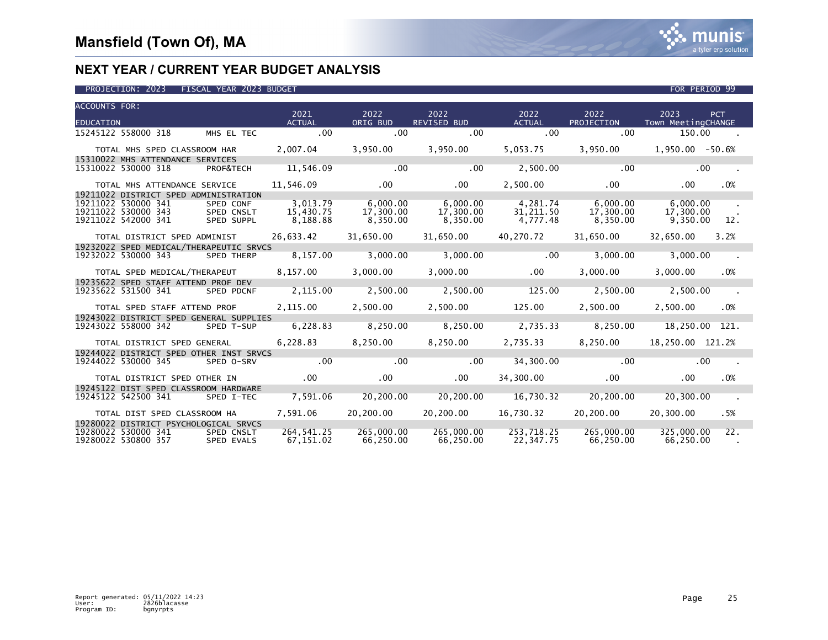

| <b>ACCOUNTS FOR:</b>                       |                          |                       |                       |                                  |                         |                       |                                      |
|--------------------------------------------|--------------------------|-----------------------|-----------------------|----------------------------------|-------------------------|-----------------------|--------------------------------------|
|                                            |                          | 2021                  | 2022                  | 2022                             | 2022                    | 2022                  | 2023<br>PCT                          |
| <b>EDUCATION</b>                           |                          | <b>ACTUAL</b>         | ORIG BUD              | REVISED BUD                      | <b>Example 2</b> ACTUAL | PROJECTION            | Town MeetingCHANGE                   |
| 15245122 558000 318                        | MHS EL TEC               | $\sim$ 00             | $.00 \,$              | $.00 \,$                         | .00                     | $.00 \,$              | 150.00                               |
|                                            |                          |                       |                       |                                  | 5,053.75                | 3,950.00              | $1,950.00 - 50.6%$                   |
| 15310022 MHS ATTENDANCE SERVICES           |                          |                       |                       |                                  |                         |                       |                                      |
| 15310022 530000 318                        | PROF&TECH                | 11,546.09             | $\sim$ 00             |                                  |                         | 2,500.00 .00          | $\sim$ 00                            |
| TOTAL MHS ATTENDANCE SERVICE               |                          | 11,546.09 .00         |                       | .00                              | 2.500.00                | .00                   | $.00\,$<br>.0%                       |
| 19211022 DISTRICT SPED ADMINISTRATION      |                          |                       |                       |                                  |                         |                       |                                      |
| 19211022 530000 341                        | SPED CONF                | 3,013.79              | 6,000.00              | $6,000.00$ $4,281.74$ $6,000.00$ |                         |                       | 6,000.00                             |
| 19211022 530000 343<br>19211022 542000 341 | SPED CNSLT<br>SPED SUPPL | 15,430.75<br>8,188.88 | 17,300.00<br>8,350.00 | 17,300.00<br>8,350.00            | 31.211.50<br>4,777.48   | 17,300.00<br>8,350.00 | 17.300.00<br>9,350.00<br>12.         |
|                                            |                          |                       |                       |                                  |                         |                       |                                      |
| TOTAL DISTRICT SPED ADMINIST               |                          | 26,633.42             | 31,650.00             | 31,650.00                        | 40,270.72               | 31,650.00             | 3.2%<br>32,650.00                    |
| 19232022 SPED MEDICAL/THERAPEUTIC SRVCS    |                          |                       |                       |                                  |                         |                       |                                      |
| 19232022 530000 343                        | <b>SPED THERP</b>        | 8,157.00              | 3,000.00              | 3,000.00                         | $\sim$ 00 $\sim$        | 3,000.00              | 3,000.00<br>$\sim 100$ km $^{-1}$    |
| TOTAL SPED MEDICAL/THERAPEUT               |                          | 8,157.00              | 3,000.00              | 3,000.00                         | .00                     | 3,000.00              | 3,000.00<br>.0%                      |
| 19235622 SPED STAFF ATTEND PROF DEV        |                          |                       |                       |                                  |                         |                       |                                      |
| 19235622 531500 341                        | SPED PDCNF               | 2,115.00              | 2,500.00              | 2,500.00                         | 125.00                  | 2,500.00              | 2,500.00<br>$\sim 100$ km s $^{-1}$  |
| TOTAL SPED STAFF ATTEND PROF               |                          |                       | 2,115.00 2,500.00     |                                  | 2,500.00 125.00         | 2,500.00              | .0%<br>2,500.00                      |
| 19243022 DISTRICT SPED GENERAL SUPPLIES    |                          |                       |                       |                                  |                         |                       |                                      |
| 19243022 558000 342                        | SPED T-SUP               | 6,228.83              | 8,250.00              | 8,250.00                         | 2,735.33                | 8,250.00              | 18,250.00 121.                       |
| TOTAL DISTRICT SPED GENERAL                |                          |                       |                       | $6,228.83$ $8,250.00$ $8,250.00$ | 2,735.33                | 8,250.00              | 18,250.00 121.2%                     |
| 19244022 DISTRICT SPED OTHER INST SRVCS    |                          |                       |                       |                                  |                         |                       |                                      |
| 19244022 530000 345                        | SPED 0-SRV               | $\sim$ 00             | $\sim$ 00             | .00                              |                         | 34,300.00 .00         | $\sim$ 00                            |
| TOTAL DISTRICT SPED OTHER IN .00           |                          |                       | $.00 \,$              | .00                              | 34,300.00               | .00                   | $.00 \,$<br>$.0\%$                   |
| 19245122 DIST SPED CLASSROOM HARDWARE      |                          |                       |                       |                                  |                         |                       |                                      |
| 19245122 542500 341                        | SPED I-TEC               | 7,591.06              | 20, 200, 00           |                                  | 20,200.00 16,730.32     | 20,200.00             | 20,300.00<br>$\sim 100$ km s $^{-1}$ |
| TOTAL DIST SPED CLASSROOM HA               |                          | 7,591.06              |                       | 20,200.00 20,200.00 16,730.32    |                         | 20,200.00             | 20,300.00<br>.5%                     |
| 19280022 DISTRICT PSYCHOLOGICAL SRVCS      |                          |                       |                       |                                  |                         |                       |                                      |
| 19280022 530000 341                        | SPED CNSLT               |                       | 264,541.25 265,000.00 | 265,000.00                       | 253,718.25              | 265,000.00            | 325,000.00<br>22.                    |
| 19280022 530800 357                        | SPED EVALS               | 67,151.02             | 66,250.00             | 66,250.00                        | 22,347.75               | 66,250.00             | 66,250.00                            |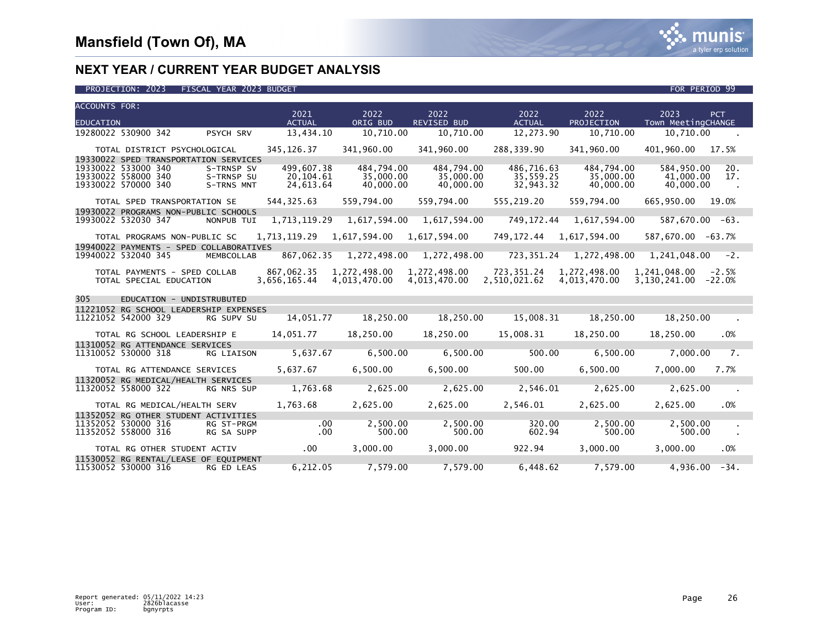

|                     | <b>ACCOUNTS FOR:</b>                                                  |                          |                            |                              |                                      |                            |                              |                                                     |
|---------------------|-----------------------------------------------------------------------|--------------------------|----------------------------|------------------------------|--------------------------------------|----------------------------|------------------------------|-----------------------------------------------------|
| <b>EDUCATION</b>    |                                                                       |                          | 2021<br><b>ACTUAL</b>      | 2022<br>ORIG BUD             | 2022<br><b>REVISED BUD</b>           | 2022<br><b>ACTUAL</b>      | 2022<br><b>PROJECTION</b>    | 2023<br>PCT<br>Town MeetingCHANGE                   |
|                     | 19280022 530900 342                                                   | PSYCH SRV                | 13,434.10                  | 10,710.00                    | 10,710.00                            | 12,273.90                  | 10,710.00                    | 10,710.00                                           |
|                     | TOTAL DISTRICT PSYCHOLOGICAL                                          |                          | 345,126.37                 | 341,960.00                   | 341,960.00                           | 288,339.90                 | 341,960.00                   | 401.960.00<br>17.5%                                 |
|                     | 19330022 SPED TRANSPORTATION SERVICES                                 |                          |                            |                              |                                      |                            |                              |                                                     |
|                     | 19330022 533000 340<br>19330022 558000 340                            | S-TRNSP SV<br>S-TRNSP SU | 499,607.38<br>20, 104.61   | 484,794.00<br>35,000.00      | 484,794.00<br>35,000.00              | 486,716.63<br>35,559.25    | 484,794.00<br>35,000.00      | 584,950.00<br>20.<br>41,000.00<br>17.               |
|                     | 19330022 570000 340                                                   | S-TRNS MNT               | 24,613.64                  | 40,000.00                    | 40,000.00                            | 32,943.32                  | 40,000.00                    | 40,000.00                                           |
|                     | TOTAL SPED TRANSPORTATION SE                                          |                          | 544, 325.63                | 559,794.00                   | 559.794.00                           | 555.219.20                 | 559.794.00                   | 665.950.00<br>19.0%                                 |
|                     | 19930022 PROGRAMS NON-PUBLIC SCHOOLS                                  |                          |                            |                              |                                      |                            |                              |                                                     |
|                     | 19930022 532030 347                                                   | NONPUB TUI               | 1,713,119.29               | 1,617,594.00                 | 1,617,594.00                         |                            | 749, 172. 44 1, 617, 594. 00 | $587,670.00 -63.$                                   |
|                     | TOTAL PROGRAMS NON-PUBLIC SC                                          |                          | 1,713,119.29               | 1,617,594.00                 | 1,617,594.00                         | 749,172.44 1,617,594.00    |                              | 587,670.00 -63.7%                                   |
|                     | 19940022 PAYMENTS - SPED COLLABORATIVES                               |                          |                            |                              |                                      |                            |                              |                                                     |
|                     | 19940022 532040 345                                                   | MEMBCOLLAB               |                            |                              | 867,062.35 1,272,498.00 1,272,498.00 |                            | 723,351.24 1,272,498.00      | $1,241,048.00 -2.$                                  |
|                     | TOTAL PAYMENTS - SPED COLLAB<br>TOTAL SPECIAL EDUCATION               |                          | 867,062.35<br>3,656,165.44 | 1,272,498.00<br>4,013,470.00 | 1,272,498.00<br>4,013,470.00         | 723,351.24<br>2,510,021.62 | 1,272,498.00<br>4,013,470.00 | 1,241,048.00<br>$-2.5%$<br>3,130,241.00<br>$-22.0%$ |
| 305                 | EDUCATION - UNDISTRUBUTED                                             |                          |                            |                              |                                      |                            |                              |                                                     |
|                     | 11221052 RG SCHOOL LEADERSHIP EXPENSES                                |                          |                            |                              |                                      |                            |                              |                                                     |
| 11221052 542000 329 |                                                                       |                          |                            |                              |                                      |                            |                              |                                                     |
|                     |                                                                       | RG SUPV SU               | 14,051.77                  | 18,250.00                    | 18,250.00                            | 15,008.31                  | 18,250.00                    | 18,250.00                                           |
|                     | TOTAL RG SCHOOL LEADERSHIP E                                          |                          | 14,051.77                  | 18,250.00                    | 18,250.00                            | 15,008.31                  | 18,250.00                    | 18,250.00<br>.0%                                    |
|                     | 11310052 RG ATTENDANCE SERVICES                                       |                          |                            |                              |                                      |                            |                              |                                                     |
|                     | 11310052 530000 318                                                   | RG LIAISON               | 5,637.67                   | 6,500.00                     | 6,500.00                             | 500.00                     | 6,500.00                     | 7,000.00<br>7.                                      |
|                     | TOTAL RG ATTENDANCE SERVICES                                          |                          | 5,637.67                   | 6,500.00                     | 6,500.00                             | 500.00                     | 6,500.00                     | 7.000.00<br>7.7%                                    |
|                     | 11320052 RG MEDICAL/HEALTH SERVICES                                   |                          |                            |                              |                                      |                            |                              |                                                     |
|                     | 11320052 558000 322                                                   | <b>RG NRS SUP</b>        | 1,763.68                   | 2,625.00                     | 2,625.00                             | 2,546.01                   | 2,625.00                     | 2,625.00<br>$\sim 10$                               |
|                     | TOTAL RG MEDICAL/HEALTH SERV                                          |                          | 1,763.68                   | 2,625.00                     | 2,625.00                             | 2,546.01                   | 2,625.00                     | 2,625.00<br>.0%                                     |
|                     | 11352052 RG OTHER STUDENT ACTIVITIES                                  |                          |                            |                              |                                      |                            |                              |                                                     |
|                     | 11352052 530000 316                                                   | RG ST-PRGM               | $00 - 00$                  | 2,500.00                     | 2,500.00                             | 320.00                     | 2,500.00                     | 2,500.00                                            |
|                     | 11352052 558000 316                                                   | RG SA SUPP               | .00                        | 500.00                       | 500.00                               | 602.94                     | 500.00                       | 500.00                                              |
|                     | TOTAL RG OTHER STUDENT ACTIV<br>11530052 RG RENTAL/LEASE OF EQUIPMENT |                          | $.00\,$                    | 3,000.00                     | 3.000.00                             | 922.94                     | 3,000.00                     | 3.000.00<br>$.0\%$                                  |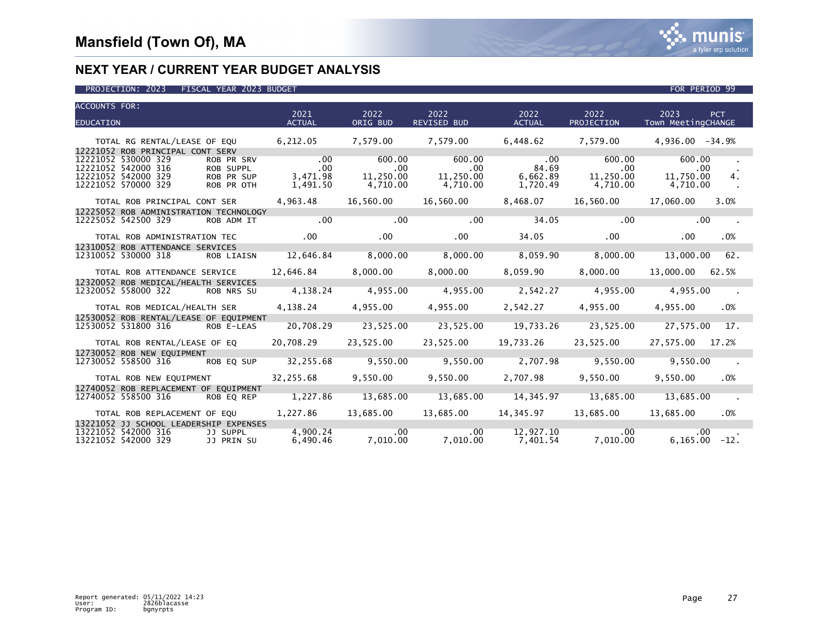

| <b>ACCOUNTS FOR:</b>                                                                         |                                       |                       |                       |             |                                  |                    |                                                                                 |
|----------------------------------------------------------------------------------------------|---------------------------------------|-----------------------|-----------------------|-------------|----------------------------------|--------------------|---------------------------------------------------------------------------------|
| <b>EDUCATION</b>                                                                             |                                       | 2021<br><b>ACTUAL</b> | 2022 2022<br>ORIG BUD | REVISED BUD | 2022<br><b>Example 20 ACTUAL</b> | 2022<br>PROJECTION | 2023<br>PCT<br>Town MeetingCHANGE                                               |
|                                                                                              |                                       |                       |                       |             |                                  |                    |                                                                                 |
| 7,579.00 4,936.00 -34.9% 7,579.00 -34.9% 7,579.00 7,579.00 6,448.62 7,579.00 4,936.00 -34.9% |                                       |                       |                       |             |                                  |                    |                                                                                 |
| 12221052 ROB PRINCIPAL CONT SERV                                                             |                                       |                       |                       |             |                                  |                    |                                                                                 |
| 12221052 530000 329                                                                          | <b>ROB PR SRV</b>                     |                       |                       |             |                                  |                    |                                                                                 |
| 12221052 542000 316                                                                          |                                       |                       |                       |             |                                  |                    |                                                                                 |
| 12221052 542000 329<br>12221052 570000 329                                                   | ROB SUPPL<br>ROB PR SUP<br>ROB PR OTH | 1,491.50              | 4,710.00              | 4,710.00    | 1,720.49                         | 4,710.00           | 4.<br>4,710.00                                                                  |
|                                                                                              |                                       |                       |                       |             |                                  |                    |                                                                                 |
| TOTAL ROB PRINCIPAL CONT SER 4,963.48 16,560.00 16,560.00 8,468.07 16,560.00 17,060.00 3.0%  |                                       |                       |                       |             |                                  |                    |                                                                                 |
| 12225052 ROB ADMINISTRATION TECHNOLOGY                                                       |                                       |                       |                       |             |                                  |                    |                                                                                 |
| 12225052 542500 329                                                                          | ROB ADM IT                            |                       |                       |             |                                  |                    | $\sim 100$ km s $^{-1}$                                                         |
|                                                                                              |                                       |                       |                       |             |                                  |                    | .0%                                                                             |
| 12310052 ROB ATTENDANCE SERVICES                                                             |                                       |                       |                       |             |                                  |                    |                                                                                 |
| 12310052 530000 318 ROB LIAISN 12,646.84 8,000.00 8,000.00 8,059.90 8,000.00                 |                                       |                       |                       |             |                                  |                    | 13,000.00 62.                                                                   |
| TOTAL ROB ATTENDANCE SERVICE 12,646.84 8,000.00 8,000.00 8,059.90 8,000.00 13,000.00 62.5%   |                                       |                       |                       |             |                                  |                    |                                                                                 |
| 12320052 ROB MEDICAL/HEALTH SERVICES                                                         |                                       |                       |                       |             |                                  |                    |                                                                                 |
| 12320052 558000 322 ROB NRS SU                                                               |                                       |                       |                       |             |                                  |                    | 4, 138.24 4, 955.00 4, 955.00 2, 542.27 4, 955.00 4, 955.00                     |
|                                                                                              |                                       |                       |                       |             |                                  |                    |                                                                                 |
| TOTAL ROB MEDICAL/HEALTH SER 4,138.24 4,955.00 4,955.00 2,542.27                             |                                       |                       |                       |             |                                  | 4,955.00           | 4,955.00 .0%                                                                    |
| 12530052 ROB RENTAL/LEASE OF EQUIPMENT                                                       |                                       |                       |                       |             |                                  |                    |                                                                                 |
| 12530052 531800 316 ROB E-LEAS                                                               |                                       |                       |                       |             |                                  |                    | 20,708.29 23,525.00 23,525.00 19,733.26 23,525.00 27,575.00 17.                 |
| TOTAL ROB RENTAL/LEASE OF EQ                                                                 |                                       |                       |                       |             |                                  |                    | 20,708.29 23,525.00 23,525.00 19,733.26 23,525.00 27,575.00 17.2%               |
| 12730052 ROB NEW EQUIPMENT                                                                   |                                       |                       |                       |             |                                  |                    |                                                                                 |
|                                                                                              |                                       |                       |                       |             |                                  |                    |                                                                                 |
| TOTAL ROB NEW EQUIPMENT $32,255.68$ $9,550.00$ $9,550.00$ $2,707.98$                         |                                       |                       |                       |             |                                  | 9,550.00           | 9.550.00 .0%                                                                    |
| 12740052 ROB REPLACEMENT OF EQUIPMENT                                                        |                                       |                       |                       |             |                                  |                    |                                                                                 |
| 12740052 558500 316 ROB EO REP                                                               |                                       |                       |                       |             |                                  |                    | $1,227.86$ $13,685.00$ $13,685.00$ $14,345.97$ $13,685.00$ $13,685.00$ $\ldots$ |
| 0%. 70TAL ROB REPLACEMENT OF EQU 1,227.86 13,685.00 13,685.00 14,345.97 13,685.00 13,685.00  |                                       |                       |                       |             |                                  |                    |                                                                                 |
| 13221052 JJ SCHOOL LEADERSHIP EXPENSES                                                       |                                       |                       |                       |             |                                  |                    |                                                                                 |
| 13221052 542000 316                                                                          | JJ SUPPL                              |                       |                       |             |                                  |                    | $.00\,$                                                                         |
| 13221052 542000 329                                                                          | JJ PRIN SU                            |                       |                       |             |                                  |                    | $6, 165.00 -12.$                                                                |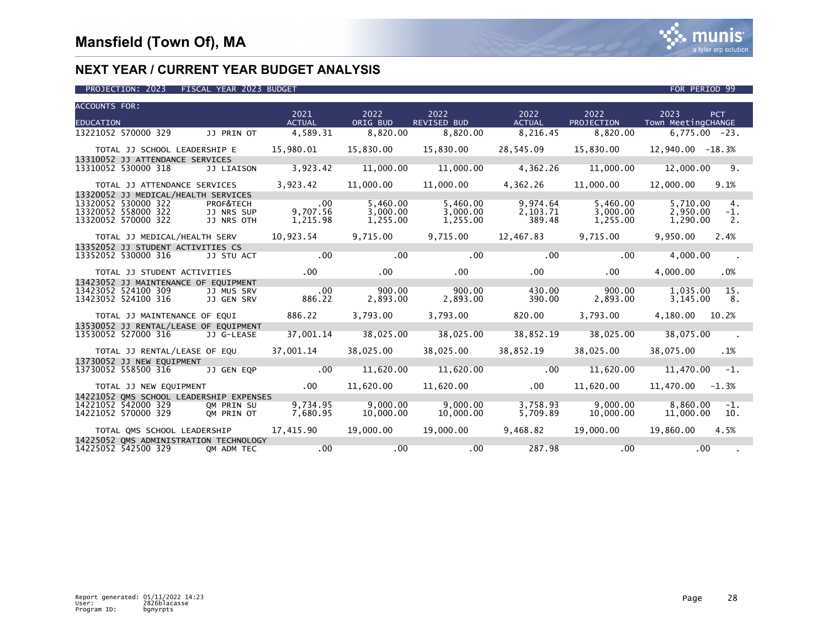

| <b>ACCOUNTS FOR:</b>                       |                          | 2021                        | 2022                 | 2022                                                        | 2022            | 2022                   | 2023<br>PCT                                                             |
|--------------------------------------------|--------------------------|-----------------------------|----------------------|-------------------------------------------------------------|-----------------|------------------------|-------------------------------------------------------------------------|
| <b>EDUCATION</b>                           |                          | ACTUAL                      | ORIG BUD             | REVISED BUD ACTUAL                                          |                 | PROJECTION             | Town MeetingCHANGE                                                      |
| 13221052 570000 329 JJ PRIN OT             |                          | 4,589.31 8,820.00           |                      | 8,820.00                                                    | 8,216.45        | 8,820.00               | $6,775.00 -23.$                                                         |
| TOTAL JJ SCHOOL LEADERSHIP E               |                          | 15,980.01                   |                      | 15,830.00    15,830.00    28,545.09                         |                 | 15,830.00              | 12,940.00 -18.3%                                                        |
| 13310052 JJ ATTENDANCE SERVICES            |                          |                             |                      |                                                             |                 |                        |                                                                         |
| 13310052 530000 318                        |                          |                             |                      |                                                             |                 |                        | JJ LIAISON 3,923.42 11,000.00 11,000.00 4,362.26 11,000.00 12,000.00 9. |
| TOTAL JJ ATTENDANCE SERVICES               |                          | 3,923.42                    |                      | $11,000.00$ $11,000.00$                                     |                 | 4,362.26 11,000.00     | 12,000.00<br>9.1%                                                       |
| 13320052 JJ MEDICAL/HEALTH SERVICES        |                          |                             |                      |                                                             |                 |                        |                                                                         |
| 13320052 530000 322<br>13320052 558000 322 | PROF&TECH                |                             | 5,460.00             | 5,460.00 9,974.64                                           | 2,103.71        | 5,460.00<br>3,000.00   | 5,710.00<br>4.<br>2,950.00<br>$-1.$                                     |
| 13320052 570000 322                        | 11 NRS SUP<br>11 NRS OTH | .00<br>9,707.56<br>1,215.98 | 3,000.00<br>1,255.00 | 3,000.00<br>1,255.00                                        | 389.48          | 1,255.00               | 1,290.00<br>$\overline{\phantom{a}}$ 2.                                 |
| TOTAL JJ MEDICAL/HEALTH SERV               |                          |                             |                      | $10,923.54$ $9,715.00$ $9,715.00$ $12,467.83$               |                 | 9,715.00               | 9,950.00 2.4%                                                           |
| 13352052 JJ STUDENT ACTIVITIES CS          |                          |                             |                      |                                                             |                 |                        |                                                                         |
| 13352052 530000 316                        |                          |                             |                      | $\sim$ 00 $\sim$ 00 $\sim$                                  |                 | $\sim$ 00              | 4,000.00<br>$\sim 100$ km $^{-1}$                                       |
| TOTAL JJ STUDENT ACTIVITIES                |                          | $\sim$ 00                   | .00                  | .00                                                         |                 | .00<br>.00             | .0%<br>4,000.00                                                         |
| 13423052 JJ MAINTENANCE OF EQUIPMENT       |                          |                             |                      |                                                             |                 |                        |                                                                         |
| 13423052 524100 309                        | JJ MUS SRV               |                             |                      | $900.00$ 900.00 900.00                                      |                 |                        | 430.00 900.00 1.035.00<br>15.                                           |
| 13423052 524100 316                        | JJ GEN SRV               | 886.22                      | 2,893.00             | 2,893.00                                                    | 390.00          | 2,893.00               | 3,145.00<br>8.                                                          |
| TOTAL JJ MAINTENANCE OF EQUI               |                          | 886.22 3,793.00             |                      |                                                             | 3,793.00 820.00 | 3,793.00               | 4,180.00<br>10.2%                                                       |
| 13530052 JJ RENTAL/LEASE OF EQUIPMENT      |                          |                             |                      |                                                             |                 |                        |                                                                         |
| 13530052 527000 316 JJ G-LEASE             |                          |                             |                      | 37,001.14 38,025.00 38,025.00 38,852.19 38,025.00           |                 |                        | $38,075.00$ .                                                           |
| TOTAL JJ RENTAL/LEASE OF EQU               |                          | 37,001.14                   |                      | 38,025.00 38,025.00                                         | 38,852.19       | 38,025.00              | 38,075.00<br>.1%                                                        |
| 13730052 JJ NEW EQUIPMENT                  |                          |                             |                      |                                                             |                 | 11,620.00              | $11,470.00 -1.$                                                         |
|                                            |                          |                             |                      |                                                             |                 |                        |                                                                         |
| TOTAL JJ NEW EQUIPMENT                     |                          | $\sim$ 00                   |                      | $11,620.00$ $11,620.00$ .00                                 |                 | 11.620.00              | 11.470.00<br>$-1.3%$                                                    |
| 14221052 OMS SCHOOL LEADERSHIP EXPENSES    |                          |                             |                      |                                                             |                 |                        |                                                                         |
| 14221052 542000 329<br>14221052 570000 329 | OM PRIN SU<br>OM PRIN OT | 7,680.95                    |                      | $9,734.95$ $9,000.00$ $9,000.00$<br>$10,000.00$ $10,000.00$ |                 | $5,709.89$ $10,000.00$ | $3,758.93$ $9,000.00$ $8,860.00$ $-1$ .<br>11,000.00<br>- 10.           |
|                                            |                          |                             |                      |                                                             |                 |                        |                                                                         |
|                                            |                          |                             |                      |                                                             |                 | 9,468.82 19,000.00     | 19,860.00 4.5%                                                          |
| 14225052 QMS ADMINISTRATION TECHNOLOGY     |                          |                             |                      |                                                             |                 |                        |                                                                         |
| 14225052 542500 329 OM ADM TEC             |                          | $\sim$ 00.                  |                      | $0.00$ . $0.00$ 287.98 . $0.00$ . $0.00$                    |                 |                        |                                                                         |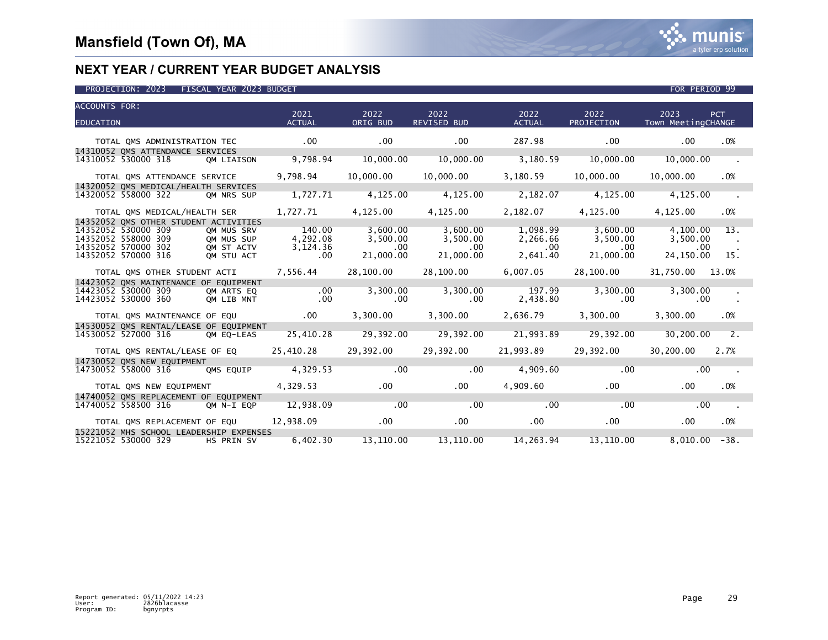| <b>ACCOUNTS FOR:</b>                                                      |                                         |                                                  |                                                                                                                 |                       |                                          |                                          |
|---------------------------------------------------------------------------|-----------------------------------------|--------------------------------------------------|-----------------------------------------------------------------------------------------------------------------|-----------------------|------------------------------------------|------------------------------------------|
| <b>EDUCATION</b>                                                          | 2021<br><b>ACTUAL</b>                   | 2022<br>ORIG BUD                                 | 2022<br>REVISED BUD                                                                                             | 2022<br><b>ACTUAL</b> | 2022<br>PROJECTION                       | 2023<br><b>PCT</b><br>Town MeetingCHANGE |
|                                                                           |                                         |                                                  |                                                                                                                 |                       |                                          |                                          |
| TOTAL OMS ADMINISTRATION TEC                                              | $\sim$ 00 $\sim$ 00                     |                                                  | .00                                                                                                             | 287.98 .00            |                                          | $\sim$ 00<br>.0%                         |
| 14310052 QMS ATTENDANCE SERVICES<br>14310052 530000 318                   | QM LIAISON 9,798.94                     | 10,000.00                                        |                                                                                                                 |                       | $10,000.00$ $3,180.59$ $10,000.00$       | 10,000.00                                |
| TOTAL OMS ATTENDANCE SERVICE                                              | 9,798.94                                |                                                  | $10,000.00$ $10,000.00$ $3,180.59$ $10,000.00$                                                                  |                       |                                          | .0%<br>10,000.00                         |
| 14320052 QMS MEDICAL/HEALTH SERVICES                                      |                                         |                                                  |                                                                                                                 |                       |                                          |                                          |
| 14320052 558000 322<br>OM NRS SUP                                         |                                         |                                                  | 1,727.71 4,125.00 4,125.00 2,182.07 4,125.00 4,125.00                                                           |                       |                                          |                                          |
| TOTAL QMS MEDICAL/HEALTH SER                                              |                                         |                                                  | $1,727.71$ $4,125.00$ $4,125.00$ $2,182.07$                                                                     |                       | 4,125.00                                 | 4,125.00<br>.0%                          |
| 14352052 QMS OTHER STUDENT ACTIVITIES                                     |                                         |                                                  |                                                                                                                 |                       |                                          |                                          |
| 14352052 530000 309<br>OM MUS SRV<br>14352052 558000 309                  | 140.00<br>4,292.08                      | 3,500.00                                         | $3,600.00$ $3,600.00$                                                                                           | 2,266.66              | $1,098.99$ $3,600.00$                    | 4,100.00<br>13.<br>3,500.00              |
| QM MUS SUP<br>14352052 570000 302                                         | 3,124.36                                | $\sim$ .00                                       | 3,500.00<br>.00                                                                                                 | $\sim$ 00             | 3,500.00<br>$.00\,$                      | $.00 \,$                                 |
| QM ST ACTV<br>QM STU ACT<br>14352052 570000 316                           | $\sim$ .00                              | 21,000.00                                        | 21,000.00                                                                                                       | 2,641.40              | 21,000.00                                | 24,150.00<br>15.                         |
| TOTAL QMS OTHER STUDENT ACTI 7,556.44                                     |                                         |                                                  |                                                                                                                 |                       |                                          | 31,750.00 13.0%                          |
| 14423052 QMS MAINTENANCE OF EQUIPMENT                                     |                                         |                                                  |                                                                                                                 |                       |                                          |                                          |
| 14423052 530000 309<br>OM ARTS EO<br>14423052 530000 360<br>OM LIB MNT    |                                         |                                                  | $\begin{array}{cccc} .00 & 3\,, 300\,.00 & 3\,, 300\,.00 & 0 & 0 \ .00 & .00 & .00 & 2\,, 438\,.80 \end{array}$ | 2,438.80              | 3,300.00<br>$3,300.00$ $3,300.00$<br>00. | 3,300.00                                 |
| TOTAL QMS MAINTENANCE OF EQU 40 100 2,636.79                              |                                         |                                                  |                                                                                                                 |                       | 3,300.00                                 | 3,300.00<br>.0%                          |
| 14530052 QMS RENTAL/LEASE OF EQUIPMENT                                    |                                         |                                                  |                                                                                                                 |                       |                                          |                                          |
| 14530052 527000 316 QM EQ-LEAS                                            |                                         |                                                  | 25,410.28 29,392.00 29,392.00 21,993.89 29,392.00                                                               |                       |                                          | $30,200.00$ 2.                           |
| TOTAL QMS RENTAL/LEASE OF EQ 25,410.28 29,392.00 29,392.00 21,993.89      |                                         |                                                  |                                                                                                                 |                       | 29,392.00                                | 30,200.00<br>2.7%                        |
| 14730052 QMS NEW EQUIPMENT                                                |                                         |                                                  |                                                                                                                 |                       |                                          |                                          |
| 14730052 558000 316 QMS EQUIP 4,329.53 00                                 |                                         |                                                  | $\sim$ 00.                                                                                                      |                       | 4,909.60 .00                             | $\sim$ 00.                               |
| TOTAL OMS NEW EQUIPMENT                                                   | 4,329.53                                | .00                                              | .00                                                                                                             | 4,909.60              | .00                                      | $.00 \,$<br>.0%                          |
| 14740052 OMS REPLACEMENT OF EQUIPMENT                                     |                                         |                                                  |                                                                                                                 |                       |                                          |                                          |
| 14740052 558500 316 QM N-I EQP                                            | 12,938.09                               | $\sim$ $\sim$ $\sim$ $\sim$ $\sim$ $\sim$ $\sim$ |                                                                                                                 | $\sim$ 00.            | $\sim$ 00                                | .00                                      |
| TOTAL QMS REPLACEMENT OF EQU 12,938.09 00                                 |                                         |                                                  |                                                                                                                 | $.00$ . $.00$         | .00                                      | .00<br>.0%                               |
| 15221052 MHS SCHOOL LEADERSHIP EXPENSES<br>15221052 530000 329 HS PRIN SV | $\mathcal{L}^{\text{max}}_{\text{max}}$ |                                                  | $6,402.30$ $13,110.00$ $13,110.00$ $14,263.94$ $13,110.00$                                                      |                       |                                          | $8,010.00 - 38.$                         |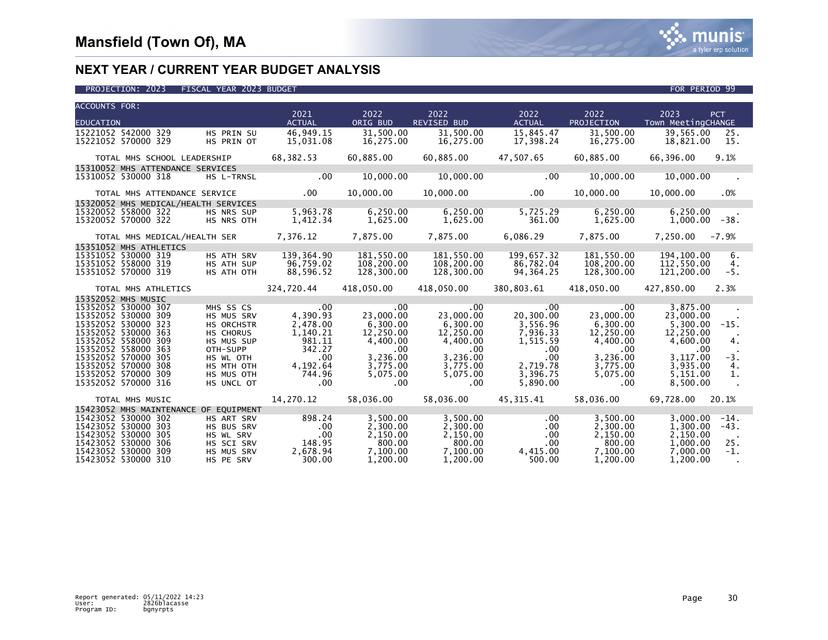| <b>ACCOUNTS FOR:</b> |                                            |                         | 2021               | 2022                 | 2022                       | 2022                       | 2022                             | 2023<br>PCT                   |
|----------------------|--------------------------------------------|-------------------------|--------------------|----------------------|----------------------------|----------------------------|----------------------------------|-------------------------------|
| <b>EDUCATION</b>     |                                            |                         | <b>ACTUAL</b>      | ORIG BUD             | <b>REVISED BUD</b>         | ACTUAL                     | PROJECTION                       | Town MeetingCHANGE            |
|                      | 15221052 542000 329                        | HS PRIN SU              | 46,949.15          | 31,500.00            | 31,500.00                  | 15,845.47                  | 31,500.00                        | 39,565.00<br>25.              |
|                      | 15221052 570000 329                        | HS PRIN OT              | 15,031.08          | 16,275.00            | 16,275.00                  | 17,398.24                  | 16,275.00                        | 18,821.00<br>15.              |
|                      |                                            |                         |                    |                      |                            |                            |                                  |                               |
|                      | TOTAL MHS SCHOOL LEADERSHIP                |                         | 68,382.53          | 60,885.00            | 60,885.00                  | 47,507.65                  | 60.885.00                        | 66.396.00<br>9.1%             |
|                      | 15310052 MHS ATTENDANCE SERVICES           |                         |                    |                      |                            |                            |                                  |                               |
|                      | 15310052 530000 318                        | HS L-TRNSL              | $\sim$ 00          | 10,000.00            | 10,000.00                  | $\sim$ 00 $\sim$           | 10,000.00                        | 10,000.00<br>$\sim$ $\sim$    |
|                      |                                            |                         |                    |                      |                            |                            |                                  |                               |
|                      | TOTAL MHS ATTENDANCE SERVICE               |                         | $\sim$ 00          | 10,000.00            | $10,000.00$ .00            |                            | 10,000.00                        | 10,000.00<br>$.0\%$           |
|                      | 15320052 MHS MEDICAL/HEALTH SERVICES       |                         |                    |                      |                            |                            |                                  |                               |
|                      | 15320052 558000 322                        | HS NRS SUP              | 5,963.78           | 6,250.00             | 6,250.00                   | 5,725.29                   | 6,250.00                         | 6,250.00                      |
|                      | 15320052 570000 322                        | HS NRS OTH              | 1,412.34           | 1,625.00             | 1,625.00                   | 361.00                     | 1,625.00                         | $1,000.00 - 38.$              |
|                      |                                            |                         |                    |                      |                            |                            |                                  |                               |
|                      | TOTAL MHS MEDICAL/HEALTH SER               |                         |                    |                      | 7,376.12 7,875.00 7,875.00 | 6,086.29                   | 7,875.00                         | 7,250.00<br>$-7.9%$           |
|                      | 15351052 MHS ATHLETICS                     |                         |                    |                      |                            |                            |                                  |                               |
|                      | 15351052 530000 319                        | HS ATH SRV              | 139,364.90         | 181,550.00           | 181,550.00                 | 199,657.32                 | 181,550.00                       | 194,100.00<br>6.              |
|                      | 15351052 558000 319<br>15351052 570000 319 | HS ATH SUP              | 96,759.02          | 108,200.00           | 108,200.00                 | 86,782.04                  | 108,200.00                       | 112,550.00<br>4.<br>$-5.$     |
|                      |                                            | HS ATH OTH              | 88,596.52          | 128,300.00           | 128,300.00                 | 94,364.25                  | 128,300.00                       | 121,200.00                    |
|                      |                                            |                         |                    |                      |                            |                            |                                  |                               |
|                      | TOTAL MHS ATHLETICS                        |                         | 324,720.44         | 418,050.00           |                            |                            | 418,050.00 380,803.61 418,050.00 | 427,850.00 2.3%               |
|                      | 15352052 MHS MUSIC                         |                         |                    |                      |                            |                            |                                  |                               |
|                      | 15352052 530000 307                        |                         | MHS SS CS .00      | $\sim$ 00            |                            | $\sim$ 00 $\sim$ 00 $\sim$ | $\sim$ 00                        | 3,875.00                      |
|                      | 15352052 530000 309                        | HS MUS SRV              | 4,390.93           | 23,000.00            | 23.000.00                  | 20,300.00                  | 23,000.00                        | 23,000,00                     |
|                      | 15352052 530000 323                        | HS ORCHSTR              | 2,478.00           | 6,300.00             | 6,300.00                   | 3,556.96                   | 6,300.00                         | 5,300.00<br>$-15.$            |
|                      | 15352052 530000 363                        | HS CHORUS               | 1,140.21           | 12,250.00            | 12,250.00                  | 7,936.33                   | 12,250.00                        | 12,250.00                     |
|                      | 15352052 558000 309                        | HS MUS SUP              | 981.11             | 4,400.00             | 4,400.00                   | 1,515.59                   | 4,400.00                         | 4.<br>4,600.00                |
|                      | 15352052 558000 363                        | OTH-SUPP                | 342.27             | .00                  | $.00 \,$                   | .00.                       | $.00 \,$                         | .00                           |
|                      | 15352052 570000 305                        | HS WL OTH               | $.00 \cdot$        | 3,236.00             | 3,236.00                   | $.00 \,$                   | 3,236.00                         | $-3.$<br>3.117.00             |
|                      | 15352052 570000 308                        | HS MTH OTH              | 4,192.64           | 3,775.00             | 3,775.00                   | 2,719.78                   | 3,775.00                         | 3,935.00<br>4.                |
|                      | 15352052 570000 309                        | HS MUS OTH              | 744.96             | 5,075.00             | 5,075.00                   | 3,396.75                   | 5,075.00                         | 5.151.00<br>1.                |
|                      | 15352052 570000 316                        | HS UNCL OT              | .00                | .00                  | $.00 \cdot$                | 5,890.00                   | $.00 \,$                         | 8,500.00<br>$\sim$            |
|                      | TOTAL MHS MUSIC                            |                         | 14,270.12          | 58,036.00            | 58,036.00                  | 45,315.41                  | 58,036.00                        | 69,728.00<br>20.1%            |
|                      | 15423052 MHS MAINTENANCE OF EQUIPMENT      |                         |                    |                      |                            |                            |                                  |                               |
|                      | 15423052 530000 302                        | HS ART SRV              | 898.24             | 3,500.00             | 3,500.00                   | $.00 \,$                   | 3,500.00                         | 3,000.00<br>$-14.$            |
|                      | 15423052 530000 303                        | HS BUS SRV              | .00                | 2,300.00             | 2,300.00                   | $.00 \,$                   | 2,300.00                         | 1,300.00<br>$-43.$            |
|                      | 15423052 530000 305                        | HS WL SRV               | .00                | 2,150.00             | 2,150.00                   | $.00 \,$                   | 2,150.00                         | 2,150.00                      |
|                      | 15423052 530000 306                        | HS SCI SRV              | 148.95             | 800.00               | 800.00                     | $.00 \,$                   | 800.00                           | 1,000.00<br>25.               |
|                      | 15423052 530000 309<br>15423052 530000 310 | HS MUS SRV<br>HS PE SRV | 2,678.94<br>300.00 | 7,100.00<br>1,200.00 | 7,100.00<br>1,200.00       | 4,415.00<br>500.00         | 7,100.00<br>1,200.00             | $-1.$<br>7,000.00<br>1,200.00 |

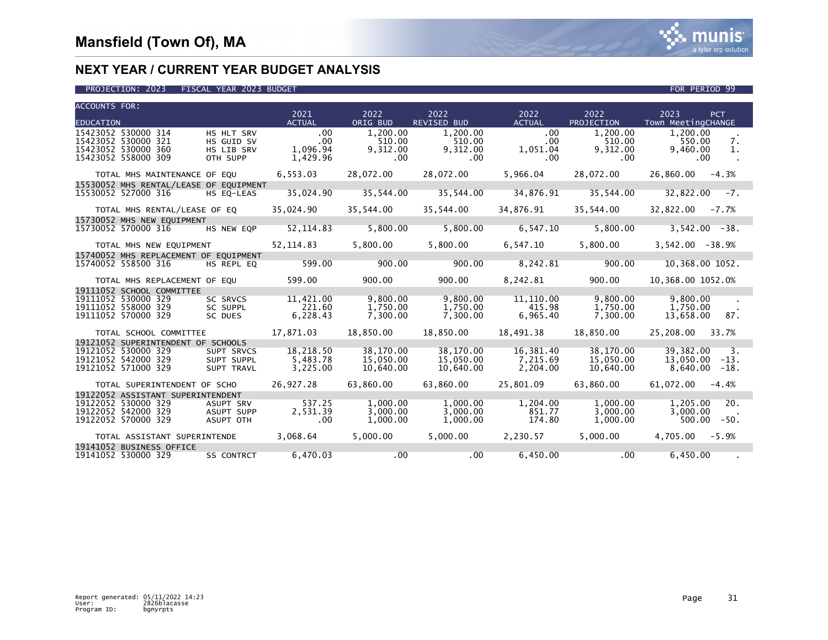| <b>ACCOUNTS FOR:</b>                                                                     |                                                    |                                         |                                       |                                                 |                                              |                                            |                                                                                    |
|------------------------------------------------------------------------------------------|----------------------------------------------------|-----------------------------------------|---------------------------------------|-------------------------------------------------|----------------------------------------------|--------------------------------------------|------------------------------------------------------------------------------------|
| <b>EDUCATION</b>                                                                         |                                                    | 2021<br><b>ACTUAL</b>                   | 2022<br>ORIG BUD                      | 2022<br><b>REVISED BUD</b>                      | 2022<br>ACTUAL                               | 2022<br>PROJECTION                         | 2023<br>PCT.<br>Town MeetingCHANGE                                                 |
| 15423052 530000 314<br>15423052 530000 321<br>15423052 530000 360<br>15423052 558000 309 | HS HLT SRV<br>HS GUID SV<br>HS LIB SRV<br>OTH SUPP | $.00 \,$<br>.00<br>1,096.94<br>1,429.96 | 1,200.00<br>510.00<br>9,312.00<br>.00 | 1.200.00<br>510.00<br>9,312.00<br>$.00 \,$      | $.00 \,$<br>$.00 \,$<br>1,051.04<br>$.00 \,$ | 1,200.00<br>510.00<br>9,312.00<br>$.00 \,$ | 1,200.00<br>550.00<br>7.<br>9,460.00<br>1.<br>.00                                  |
| TOTAL MHS MAINTENANCE OF EQU                                                             |                                                    | 6,553.03                                | 28,072.00                             | 28,072.00                                       | 5,966.04                                     | 28,072.00                                  | 26,860.00 -4.3%                                                                    |
| 15530052 MHS RENTAL/LEASE OF EQUIPMENT<br>15530052 527000 316                            | HS EO-LEAS                                         | 35,024.90                               | 35,544.00                             | 35,544.00                                       |                                              | 34,876.91 35,544.00                        | $32,822.00 -7.$                                                                    |
| TOTAL MHS RENTAL/LEASE OF EQ                                                             |                                                    | 35,024.90                               | 35,544.00                             | 35,544.00                                       | 34,876.91                                    | 35,544.00                                  | 32,822.00<br>$-7.7\%$                                                              |
| 15730052 MHS NEW EQUIPMENT                                                               |                                                    |                                         |                                       |                                                 |                                              |                                            |                                                                                    |
| 15730052 570000 316                                                                      |                                                    | HS NEW EQP 52,114.83                    |                                       | 5,800.00 5,800.00 6,547.10                      |                                              | 5,800.00                                   | $3,542.00 -38.$                                                                    |
| TOTAL MHS NEW EQUIPMENT                                                                  |                                                    | 52,114.83                               |                                       | 5,800.00 5,800.00 6,547.10                      |                                              | 5,800.00                                   | $3,542.00 - 38.9%$                                                                 |
| 15740052 MHS REPLACEMENT OF EQUIPMENT                                                    |                                                    | 599.00                                  |                                       |                                                 |                                              |                                            |                                                                                    |
| 15740052 558500 316                                                                      | HS REPL EO                                         |                                         |                                       | $900.00$ 900.00                                 |                                              | 8,242.81 900.00                            | 10,368.00 1052.                                                                    |
| TOTAL MHS REPLACEMENT OF EQU                                                             |                                                    | 599.00                                  | 900.00                                |                                                 |                                              | 900.00 8,242.81 900.00                     | 10,368.00 1052.0%                                                                  |
| 19111052 SCHOOL COMMITTEE                                                                |                                                    |                                         |                                       |                                                 |                                              |                                            |                                                                                    |
| 19111052 530000 329<br>19111052 558000 329<br>19111052 570000 329                        | <b>SC SRVCS</b><br><b>SC SUPPL</b><br>SC DUES      | 11,421.00<br>221.60<br>6,228.43         | 9.800.00<br>1,750.00<br>7,300.00      | 9.800.00<br>1,750.00<br>7,300.00                | 11.110.00<br>415.98<br>6,965.40              | 9,800.00<br>1,750.00<br>7,300.00           | 9,800.00<br>9,800.00<br>1,750.00<br>13,658.00<br>87.                               |
| TOTAL SCHOOL COMMITTEE                                                                   |                                                    | 17,871.03                               |                                       | $18,850.00$ $18,850.00$ $18,491.38$ $18,850.00$ |                                              |                                            | 25,208.00 33.7%                                                                    |
| 19121052 SUPERINTENDENT OF SCHOOLS                                                       |                                                    |                                         |                                       |                                                 |                                              |                                            |                                                                                    |
| 19121052 530000 329<br>19121052 542000 329<br>19121052 571000 329                        | SUPT SRVCS<br>SUPT SUPPL<br>SUPT TRAVL             | 18.218.50<br>5,483.78<br>3,225.00       | 38.170.00<br>15,050.00<br>10,640.00   | 38.170.00<br>15,050.00<br>10,640.00             | 16,381.40<br>7,215.69<br>2,204.00            | 38.170.00<br>15,050.00<br>10,640.00        | 39.382.00<br>$\overline{\phantom{a}}$ 3.<br>$13,050.00 -13.$<br>8,640.00<br>$-18.$ |
| TOTAL SUPERINTENDENT OF SCHO                                                             |                                                    | 26,927.28                               | 63,860.00                             | 63,860.00                                       | 25,801.09                                    | 63,860.00                                  | $61,072.00$ -4.4%                                                                  |
| 19122052 ASSISTANT SUPERINTENDENT                                                        |                                                    |                                         |                                       |                                                 |                                              |                                            |                                                                                    |
| 19122052 530000 329<br>19122052 542000 329<br>19122052 570000 329                        | ASUPT SRV<br>ASUPT SUPP<br>ASUPT OTH               | 537.25<br>2,531.39<br>$\sim$ .00        | 1,000.00<br>3.000.00<br>1.000.00      | 1.000.00<br>3,000.00<br>1,000.00                | 1,204.00<br>851.77<br>174.80                 | 1,000.00<br>3,000.00<br>1,000.00           | 1.205.00 20.<br>3,000.00<br>500.00<br>-50.                                         |
| TOTAL ASSISTANT SUPERINTENDE 3,068.64 5,000.00                                           |                                                    |                                         |                                       |                                                 | 5,000.00 2,230.57                            | 5,000.00                                   | $4.705.00 - 5.9%$                                                                  |
| 19141052 BUSINESS OFFICE                                                                 |                                                    |                                         |                                       |                                                 |                                              |                                            |                                                                                    |
| 19141052 530000 329                                                                      |                                                    | SS CONTRCT 6,470.03                     |                                       | $\sim$ 00 $\sim$ 00 $\sim$                      | 6,450.00                                     | $\overline{\phantom{0}}$ .00               | 6,450.00                                                                           |

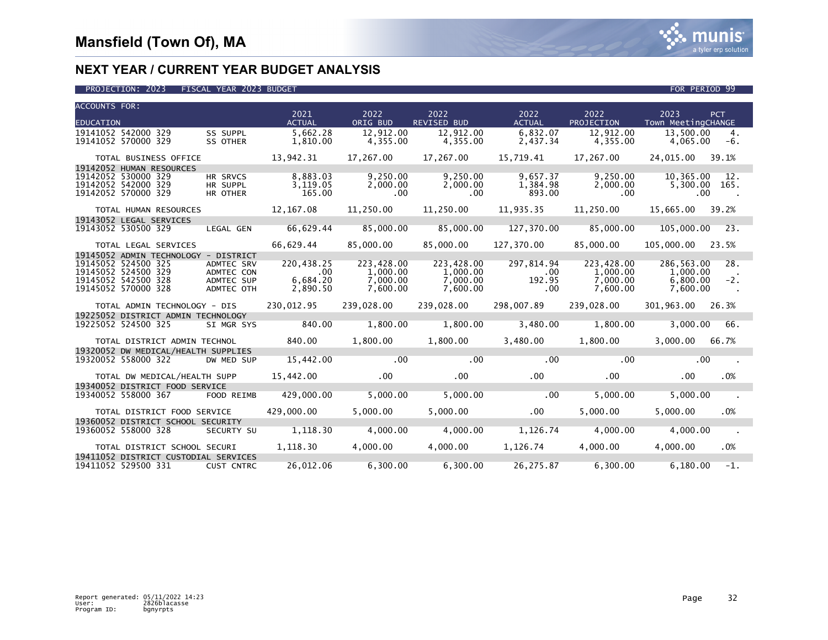#### PROJECTION: 2023 FISCAL YEAR 2023 BUDGET FOR PERIOD 99

| <b>ACCOUNTS FOR:</b> |                                                                                                                                  |                                                      |                                           |                                                |                                             |                                                     |                                                 |                                                                |
|----------------------|----------------------------------------------------------------------------------------------------------------------------------|------------------------------------------------------|-------------------------------------------|------------------------------------------------|---------------------------------------------|-----------------------------------------------------|-------------------------------------------------|----------------------------------------------------------------|
| <b>EDUCATION</b>     |                                                                                                                                  |                                                      | 2021<br><b>ACTUAL</b>                     | 2022<br>ORIG BUD                               | 2022<br>REVISED BUD                         | 2022<br><b>ACTUAL</b>                               | 2022<br>PROJECTION                              | 2023<br><b>PCT</b><br>Town MeetingCHANGE                       |
|                      | 19141052 542000 329<br>19141052 570000 329                                                                                       | SS SUPPL<br>SS OTHER                                 | 5,662.28<br>1,810.00                      | 12,912.00<br>4,355.00                          | 12,912.00<br>4,355.00                       | 6,832.07<br>2,437.34                                | 12,912.00<br>4,355.00                           | 13,500.00<br>4.<br>4,065.00<br>-6.                             |
|                      | TOTAL BUSINESS OFFICE                                                                                                            |                                                      | 13,942.31                                 |                                                | 17,267.00 17,267.00                         |                                                     | 15,719.41 17,267.00                             | 24,015.00 39.1%                                                |
|                      | 19142052 HUMAN RESOURCES<br>19142052 530000 329<br>19142052 542000 329<br>19142052 570000 329                                    | HR SRVCS<br>HR SUPPL<br>HR OTHER                     | 8.883.03<br>3,119.05<br>165.00            | 9,250.00<br>2,000.00<br>.00                    | 9.250.00<br>2,000.00<br>$.00 \,$            | 9.657.37<br>1,384.98<br>893.00                      | 9,250.00<br>2,000.00<br>$\sim$ 00               | $10,365.00$ 12.<br>5,300.00 165.<br>$.00 \,$                   |
|                      | TOTAL HUMAN RESOURCES                                                                                                            |                                                      | 12,167.08                                 |                                                |                                             |                                                     | $11,250.00$ $11,250.00$ $11,935.35$ $11,250.00$ | 15,665.00 39.2%                                                |
|                      | 19143052 LEGAL SERVICES<br>19143052 530500 329                                                                                   | LEGAL GEN                                            | 66,629.44                                 | 85,000.00                                      |                                             |                                                     |                                                 | 105,000.00 23.                                                 |
|                      | TOTAL LEGAL SERVICES                                                                                                             |                                                      | 66,629.44                                 | 85,000.00                                      | 85,000.00                                   | 127,370.00                                          | 85,000.00                                       | 105,000.00 23.5%                                               |
|                      | 19145052 ADMIN TECHNOLOGY - DISTRICT<br>19145052 524500 325<br>19145052 524500 329<br>19145052 542500 328<br>19145052 570000 328 | ADMTEC SRV<br>ADMTEC CON<br>ADMTEC SUP<br>ADMTEC OTH | 220,438.25<br>.00<br>6,684.20<br>2,890.50 | 223,428.00<br>1,000,00<br>7,000.00<br>7,600.00 | 223,428.00<br>$1,000.00$<br>7,000.00        | 297,814.94<br>$.00 \,$<br>192.95<br>7,600.00<br>.00 | 223,428.00<br>1.000.00<br>7,000.00<br>7,600.00  | 286,563.00<br>28.<br>1,000.00<br>6,800.00<br>$-2.$<br>7,600.00 |
|                      | TOTAL ADMIN TECHNOLOGY - DIS                                                                                                     |                                                      | 230,012.95 239,028.00                     |                                                |                                             |                                                     | 239,028.00 298,007.89 239,028.00                | 301,963.00 26.3%                                               |
|                      | 19225052 DISTRICT ADMIN TECHNOLOGY<br>19225052 524500 325                                                                        |                                                      |                                           |                                                | $1,800.00$ $1,800.00$                       | 3,480.00                                            | 1,800.00                                        | 3,000.00 66.                                                   |
|                      | TOTAL DISTRICT ADMIN TECHNOL 840.00 1,800.00 1,800.00                                                                            |                                                      |                                           |                                                |                                             |                                                     | 3,480.00 1,800.00                               | 3,000.00 66.7%                                                 |
|                      | 19320052 DW MEDICAL/HEALTH SUPPLIES<br>19320052 558000 322                                                                       | DW MED SUP                                           |                                           | 15,442.00 .00                                  | $\sim$ 00.                                  | $\sim$ 00 $\sim$                                    | $\sim$ 00 $\sim$                                | .00                                                            |
|                      | TOTAL DW MEDICAL/HEALTH SUPP                                                                                                     |                                                      | 15,442.00                                 |                                                | $\sim$ 00 $\sim$ 00 $\sim$                  | .00                                                 | .00                                             | .00<br>.0%                                                     |
|                      | 19340052 DISTRICT FOOD SERVICE<br>19340052 558000 367 FOOD REIMB                                                                 |                                                      | 429,000.00                                | 5,000.00                                       | 5,000.00                                    | $\sim$ 00                                           | 5,000.00                                        | 5,000.00                                                       |
|                      | TOTAL DISTRICT FOOD SERVICE                                                                                                      |                                                      |                                           | 429,000.00 5,000.00                            | 5,000.00                                    | .00                                                 | 5,000.00                                        | 5,000.00<br>.0%                                                |
|                      | 19360052 DISTRICT SCHOOL SECURITY<br>19360052 558000 328                                                                         |                                                      | SECURTY SU 1,118.30                       |                                                | $4,000.00$ $4,000.00$                       | 1,126.74                                            | 4,000.00                                        | 4,000.00                                                       |
|                      | TOTAL DISTRICT SCHOOL SECURI                                                                                                     |                                                      |                                           |                                                | $1,118.30$ $4,000.00$ $4,000.00$ $1,126.74$ |                                                     | 4,000.00                                        | 4.000.00<br>$.0\%$                                             |
|                      | 19411052 DISTRICT CUSTODIAL SERVICES<br>19411052 529500 331 CUST CNTRC                                                           |                                                      |                                           |                                                | 26,012.06 6,300.00 6,300.00 26,275.87       |                                                     | 6,300.00                                        | $6,180.00 -1.$                                                 |

a tyler erp solutior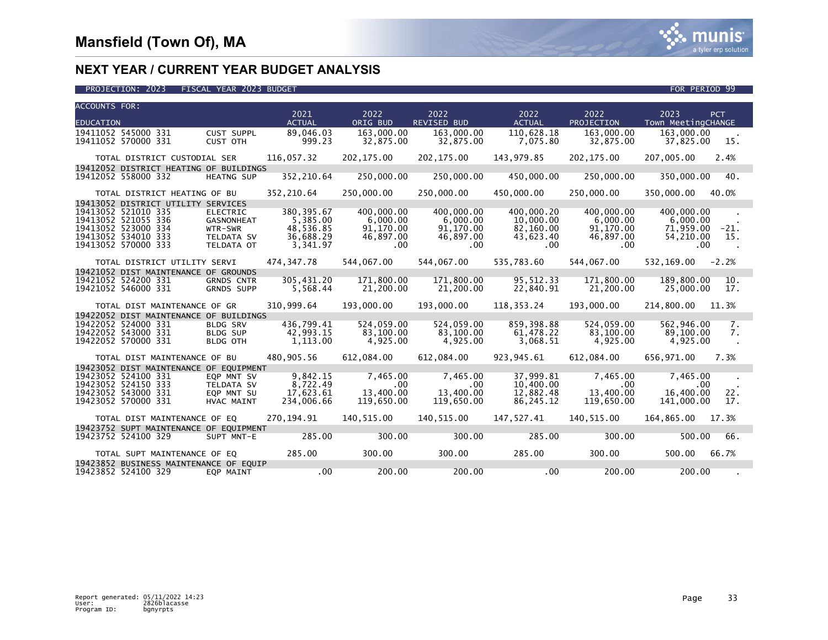| <b>ACCOUNTS FOR:</b> |                                                                                                                 |                                                                                |                                                               |                                                         |                                                              |                                                               |                                                         |                                                                               |
|----------------------|-----------------------------------------------------------------------------------------------------------------|--------------------------------------------------------------------------------|---------------------------------------------------------------|---------------------------------------------------------|--------------------------------------------------------------|---------------------------------------------------------------|---------------------------------------------------------|-------------------------------------------------------------------------------|
| <b>EDUCATION</b>     |                                                                                                                 |                                                                                | 2021<br><b>ACTUAL</b>                                         | 2022<br>ORIG BUD                                        | 2022<br>REVISED BUD                                          | 2022<br><b>ACTUAL</b>                                         | 2022<br>PROJECTION                                      | 2023<br>PCT<br>Town MeetingCHANGE                                             |
|                      | 19411052 545000 331<br>19411052 570000 331                                                                      | CUST SUPPL<br>CUST OTH                                                         | 89,046.03<br>999.23                                           | 163,000.00<br>32,875.00                                 | 163,000,00<br>32,875.00                                      | 110.628.18<br>7,075.80                                        | 163,000.00<br>32,875.00                                 | 163,000.00<br>37,825.00<br>15.                                                |
|                      | TOTAL DISTRICT CUSTODIAL SER                                                                                    |                                                                                | 116,057.32                                                    | 202,175.00                                              | 202,175.00                                                   | 143,979.85                                                    | 202,175.00                                              | 207,005.00<br>2.4%                                                            |
|                      |                                                                                                                 | 19412052 DISTRICT HEATING OF BUILDINGS                                         |                                                               |                                                         |                                                              |                                                               |                                                         |                                                                               |
|                      | 19412052 558000 332                                                                                             | <b>HEATNG SUP</b>                                                              |                                                               | 352,210.64 250,000.00                                   | 250,000.00                                                   | 450,000.00                                                    | 250,000.00                                              | 350,000.00 40.                                                                |
|                      |                                                                                                                 | TOTAL DISTRICT HEATING OF BU                                                   | 352,210.64                                                    | 250,000.00                                              | 250,000.00                                                   | 450.000.00                                                    | 250,000.00                                              | 350,000.00<br>40.0%                                                           |
|                      |                                                                                                                 | 19413052 DISTRICT UTILITY SERVICES                                             |                                                               |                                                         |                                                              |                                                               |                                                         |                                                                               |
|                      | 19413052 521010 335<br>19413052 521055 336<br>19413052 523000 334<br>19413052 534010 333<br>19413052 570000 333 | <b>ELECTRIC</b><br>GASNONHEAT<br>WTR-SWR<br>TELDATA SV<br>TELDATA OT           | 380, 395.67<br>5,385.00<br>48,536.85<br>36,688.29<br>3,341.97 | 400,000.00<br>6,000.00<br>91,170.00<br>46,897.00<br>.00 | 400,000.00<br>6,000.00<br>91.170.00<br>46,897.00<br>$.00 \,$ | 400,000.20<br>10,000.00<br>82,160.00<br>43,623.40<br>$.00 \,$ | 400,000.00<br>6,000.00<br>91,170.00<br>46,897.00<br>.00 | 400,000.00<br>6,000.00<br>71.959.00<br>$-21.$<br>54,210.00<br>15.<br>.00      |
|                      |                                                                                                                 |                                                                                |                                                               |                                                         |                                                              |                                                               |                                                         |                                                                               |
|                      |                                                                                                                 | TOTAL DISTRICT UTILITY SERVI                                                   | 474,347.78                                                    | 544,067.00                                              | 544,067.00                                                   | 535,783.60                                                    | 544.067.00                                              | $532, 169.00 -2.2%$                                                           |
|                      | 19421052 524200 331<br>19421052 546000 331                                                                      | 19421052 DIST MAINTENANCE OF GROUNDS<br><b>GRNDS CNTR</b><br><b>GRNDS SUPP</b> | 305,431.20<br>5,568.44                                        | 171,800.00<br>21,200.00                                 | 171,800.00<br>21,200.00                                      | 95,512.33<br>22,840.91                                        | 171,800.00<br>21,200.00                                 | 189,800.00<br>10.<br>25,000.00<br>17.                                         |
|                      | TOTAL DIST MAINTENANCE OF GR                                                                                    |                                                                                | 310,999.64                                                    | 193,000.00                                              | 193,000.00                                                   |                                                               | 118,353.24 193,000.00                                   | 214,800.00 11.3%                                                              |
|                      |                                                                                                                 | 19422052 DIST MAINTENANCE OF BUILDINGS                                         |                                                               |                                                         |                                                              |                                                               |                                                         |                                                                               |
|                      | 19422052 524000 331<br>19422052 543000 331<br>19422052 570000 331                                               | <b>BLDG SRV</b><br><b>BLDG SUP</b><br><b>BLDG OTH</b>                          | 436,799.41<br>42,993.15<br>1,113.00                           | 524,059.00<br>83,100.00<br>4,925.00                     | 524,059.00<br>83,100.00<br>4,925.00                          | 859,398.88<br>61,478.22<br>3,068.51                           | 524,059.00<br>83,100.00<br>4,925.00                     | 562,946.00<br>7.<br>7.<br>89,100.00<br>4,925.00                               |
|                      | TOTAL DIST MAINTENANCE OF BU                                                                                    |                                                                                | 480,905.56                                                    | 612,084.00                                              |                                                              | 612,084.00 923,945.61 612,084.00                              |                                                         | 656,971.00 7.3%                                                               |
|                      |                                                                                                                 | 19423052 DIST MAINTENANCE OF EQUIPMENT                                         |                                                               |                                                         |                                                              |                                                               |                                                         |                                                                               |
|                      | 19423052 524100 331                                                                                             | EOP MNT SV                                                                     | 9.842.15                                                      | 7.465.00                                                | 7.465.00                                                     | 37.999.81                                                     | 7.465.00                                                | 7.465.00                                                                      |
|                      | 19423052 524150 333                                                                                             | TELDATA SV                                                                     | 8,722.49                                                      | $\sim 00$                                               | $.00 \,$                                                     | 10,400.00                                                     | .00                                                     | $\sim 00$                                                                     |
|                      | 19423052 543000 331<br>19423052 570000 331                                                                      | EOP MNT SU<br>HVAC MAINT                                                       | 17,623.61<br>234,006.66                                       | 13,400.00<br>119,650.00                                 | 13,400,00<br>119,650.00                                      | 12,882.48<br>86,245.12                                        | 13,400.00<br>119,650.00                                 | 16,400,00<br>22.<br>141,000.00<br>17.                                         |
|                      | TOTAL DIST MAINTENANCE OF EQ                                                                                    |                                                                                |                                                               |                                                         |                                                              |                                                               |                                                         | 270,194.91  140,515.00  140,515.00  147,527.41  140,515.00  164,865.00  17.3% |
|                      |                                                                                                                 | 19423752 SUPT MAINTENANCE OF EOUIPMENT                                         |                                                               |                                                         |                                                              |                                                               |                                                         |                                                                               |
|                      | 19423752 524100 329                                                                                             | SUPT MNT-E                                                                     | 285.00                                                        | <b>Contract Contract</b><br>300.00                      | 300.00                                                       | 285.00                                                        | 300.00                                                  | 500.00<br>66.                                                                 |
|                      | TOTAL SUPT MAINTENANCE OF EQ                                                                                    |                                                                                | 285.00                                                        | 300.00                                                  | 300.00                                                       | 285.00                                                        | 300.00                                                  | 500.00 66.7%                                                                  |
|                      |                                                                                                                 | 19423852 BUSINESS MAINTENANCE OF EQUIP                                         |                                                               |                                                         |                                                              |                                                               |                                                         |                                                                               |
|                      | 19423852 524100 329                                                                                             | <b>EOP MAINT</b>                                                               | $\sim$ 00.                                                    | 200.00                                                  | 200.00                                                       | .00                                                           | 200.00                                                  | 200.00                                                                        |

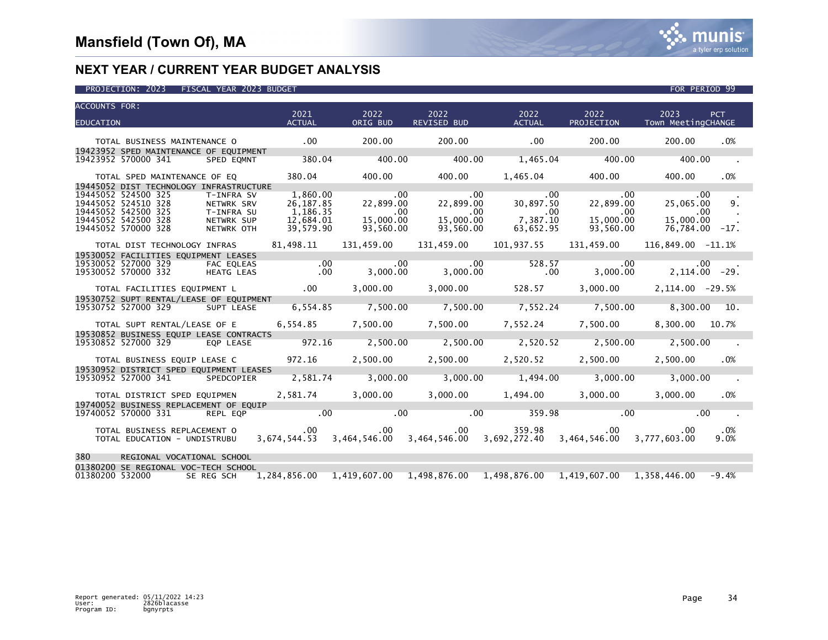| <b>ACCOUNTS FOR:</b>                                                                                                                                                                             |                                                                |                                                                                                                                                                                                                                                                                  |                    |                   |                 |                                          |
|--------------------------------------------------------------------------------------------------------------------------------------------------------------------------------------------------|----------------------------------------------------------------|----------------------------------------------------------------------------------------------------------------------------------------------------------------------------------------------------------------------------------------------------------------------------------|--------------------|-------------------|-----------------|------------------------------------------|
|                                                                                                                                                                                                  | 2021                                                           | 2022 2022                                                                                                                                                                                                                                                                        |                    | $2022$ and $2022$ | 2022            | 2023<br>PCT                              |
| <b>EDUCATION</b>                                                                                                                                                                                 | <b>ACTUAL</b>                                                  | ORIG BUD                                                                                                                                                                                                                                                                         | REVISED BUD ACTUAL |                   |                 | PROJECTION Town MeetingCHANGE            |
|                                                                                                                                                                                                  |                                                                |                                                                                                                                                                                                                                                                                  |                    |                   |                 |                                          |
|                                                                                                                                                                                                  |                                                                |                                                                                                                                                                                                                                                                                  |                    | $\sim$ 00         | 200.00          | 200.00 0%                                |
| 19423952 SPED MAINTENANCE OF EQUIPMENT                                                                                                                                                           |                                                                |                                                                                                                                                                                                                                                                                  |                    |                   |                 |                                          |
| 19423952 570000 341                                                                                                                                                                              | SPED EOMNT                                                     | 380.04 400.00                                                                                                                                                                                                                                                                    |                    |                   |                 |                                          |
| TOTAL SPED MAINTENANCE OF EQ                                                                                                                                                                     |                                                                | 380.04 400.00 400.00                                                                                                                                                                                                                                                             |                    |                   | 1,465.04 400.00 | 400.00 .0%                               |
| 19445052 DIST TECHNOLOGY INFRASTRUCTURE                                                                                                                                                          |                                                                |                                                                                                                                                                                                                                                                                  |                    |                   |                 |                                          |
| 19445052 524500 325                                                                                                                                                                              | T-INFRA SV                                                     |                                                                                                                                                                                                                                                                                  |                    |                   |                 | $25,065.00$ 9.                           |
| 19445052 524510 328                                                                                                                                                                              | <b>NETWRK SRV<br/>T-INFRA SU<br/>NETWRK SUP<br/>NETWRK OTH</b> |                                                                                                                                                                                                                                                                                  |                    |                   |                 |                                          |
| 19445052 542500 325                                                                                                                                                                              | 1,186.35                                                       |                                                                                                                                                                                                                                                                                  |                    |                   |                 | $\begin{matrix}00\15,000.00\end{matrix}$ |
| 19445052 542500 328                                                                                                                                                                              |                                                                |                                                                                                                                                                                                                                                                                  |                    |                   |                 |                                          |
| 19445052 570000 328                                                                                                                                                                              |                                                                | $\begin{array}{cccc} 1,860.00 & .00 & .00 & .00 & .00 \\ 26,187.85 & 22,899.00 & 22,899.00 & 30,897.50 & 22,899.00 \\ 1,186.35 & .00 & .00 & .00 & .00 & .00 \\ 12,684.01 & 15,000.00 & 15,000.00 & 7,387.10 & 15,000.00 \\ 39,579.90 & 93,560.00 & 93,560.00 & 63,652.95 & 93,$ |                    |                   |                 | 76,784.00 -17.                           |
| TOTAL DIST TECHNOLOGY INFRAS 81,498.11 131,459.00 131,459.00 101,937.55 131,459.00 116,849.00 -11.1%                                                                                             |                                                                |                                                                                                                                                                                                                                                                                  |                    |                   |                 |                                          |
| 19530052 FACILITIES EQUIPMENT LEASES                                                                                                                                                             |                                                                |                                                                                                                                                                                                                                                                                  |                    |                   |                 |                                          |
| 19530052 527000 329                                                                                                                                                                              | FAC EQLEAS                                                     |                                                                                                                                                                                                                                                                                  |                    |                   |                 |                                          |
| 19530052 570000 332                                                                                                                                                                              | <b>HEATG LEAS</b>                                              |                                                                                                                                                                                                                                                                                  |                    |                   |                 |                                          |
| TOTAL FACILITIES EQUIPMENT L .00 3,000.00 3,000.00 528.57                                                                                                                                        |                                                                |                                                                                                                                                                                                                                                                                  |                    |                   |                 | 3,000.00 2,114.00 -29.5%                 |
|                                                                                                                                                                                                  |                                                                |                                                                                                                                                                                                                                                                                  |                    |                   |                 |                                          |
| 19530752 SUPT RENTAL/LEASE OF EQUIPMENT<br>19530752 527000 329    SUPT LEASE    6,554.85    7,500.00    7,500.00    7,552.24    7,500.00                                                         |                                                                |                                                                                                                                                                                                                                                                                  |                    |                   |                 | 8,300.00 10.                             |
|                                                                                                                                                                                                  |                                                                |                                                                                                                                                                                                                                                                                  |                    |                   |                 |                                          |
| TOTAL SUPT RENTAL/LEASE OF E 6,554.85 7,500.00 7,500.00 7,552.24 7,500.00                                                                                                                        |                                                                |                                                                                                                                                                                                                                                                                  |                    |                   |                 | 8,300.00 10.7%                           |
|                                                                                                                                                                                                  |                                                                |                                                                                                                                                                                                                                                                                  |                    |                   |                 |                                          |
| 19530852 BUSINESS EQUIP LEASE CONTRACTS<br>19530852 527000 329        EQP LEASE          972.16        2,500.00       2,500.00       2,520.52       2,500.00      2,500.00    .                  |                                                                |                                                                                                                                                                                                                                                                                  |                    |                   |                 |                                          |
| TOTAL BUSINESS EQUIP LEASE C 972.16 2,500.00 2,500.00 2,520.52                                                                                                                                   |                                                                |                                                                                                                                                                                                                                                                                  |                    |                   |                 | 2,500.00 2,500.00 .0%                    |
| 19530952 DISTRICT SPED EQUIPMENT LEASES                                                                                                                                                          |                                                                |                                                                                                                                                                                                                                                                                  |                    |                   |                 |                                          |
| <u>19530952 527000 341</u> SPEDCOPIER 2,581.74 3,000.00 3,000.00 1,494.00                                                                                                                        |                                                                |                                                                                                                                                                                                                                                                                  |                    |                   | 3,000.00        | $3,000.00$ .                             |
|                                                                                                                                                                                                  |                                                                |                                                                                                                                                                                                                                                                                  |                    |                   |                 |                                          |
| TOTAL DISTRICT SPED EQUIPMEN  2,581.74  3,000.00  3,000.00  1,494.00                                                                                                                             |                                                                |                                                                                                                                                                                                                                                                                  |                    |                   | 3,000.00        | 3,000.00 .0%                             |
|                                                                                                                                                                                                  |                                                                |                                                                                                                                                                                                                                                                                  |                    |                   |                 |                                          |
|                                                                                                                                                                                                  |                                                                |                                                                                                                                                                                                                                                                                  |                    |                   |                 |                                          |
|                                                                                                                                                                                                  |                                                                |                                                                                                                                                                                                                                                                                  |                    |                   |                 | .0%                                      |
| 00 . 00 . 00 . 07 .00 . 07 . 07AL BUSINESS REPLACEMENT O . 00 . 00<br>TOTAL EDUCATION – UNDISTRUBU     3,674,544.53    3,464,546.00    3,464,546.00    3,692,272.40    3,464,546.00 3,777,603.00 |                                                                |                                                                                                                                                                                                                                                                                  |                    |                   |                 | 9.0%                                     |
| 380                                                                                                                                                                                              |                                                                |                                                                                                                                                                                                                                                                                  |                    |                   |                 |                                          |
| REGIONAL VOCATIONAL SCHOOL                                                                                                                                                                       |                                                                |                                                                                                                                                                                                                                                                                  |                    |                   |                 |                                          |
| 01380200 SE REGIONAL VOC-TECH SCHOOL                                                                                                                                                             |                                                                |                                                                                                                                                                                                                                                                                  |                    |                   |                 |                                          |
| 01380200 532000 SE REG SCH 1,284,856.00 1,419,607.00 1,498,876.00 1,498,876.00 1,419,607.00 1,358,446.00 -9.4%                                                                                   |                                                                |                                                                                                                                                                                                                                                                                  |                    |                   |                 |                                          |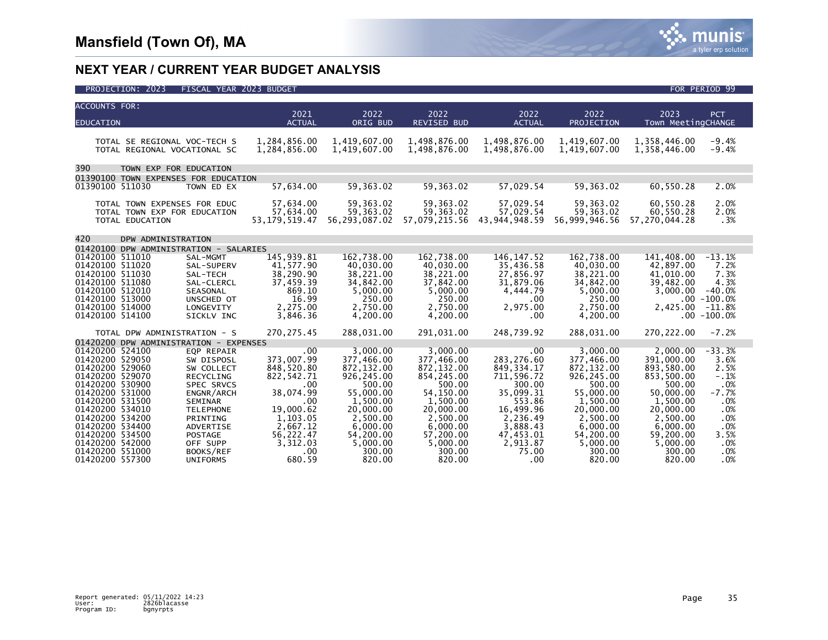| <b>ACCOUNTS FOR:</b>                                                                                                                                                                                                                                                                                                                                                                                                                         |                                                                                                                                                   |                                                                                                                                                     |                                                                                                                                                     |                                                                                                                                                          |                                                                                                                                                     |                                                                                                                                                     |                                                                                                  |
|----------------------------------------------------------------------------------------------------------------------------------------------------------------------------------------------------------------------------------------------------------------------------------------------------------------------------------------------------------------------------------------------------------------------------------------------|---------------------------------------------------------------------------------------------------------------------------------------------------|-----------------------------------------------------------------------------------------------------------------------------------------------------|-----------------------------------------------------------------------------------------------------------------------------------------------------|----------------------------------------------------------------------------------------------------------------------------------------------------------|-----------------------------------------------------------------------------------------------------------------------------------------------------|-----------------------------------------------------------------------------------------------------------------------------------------------------|--------------------------------------------------------------------------------------------------|
|                                                                                                                                                                                                                                                                                                                                                                                                                                              | 2021                                                                                                                                              | 2022                                                                                                                                                | 2022                                                                                                                                                | 2022                                                                                                                                                     | 2022                                                                                                                                                | 2023                                                                                                                                                | <b>PCT</b>                                                                                       |
| <b>EDUCATION</b>                                                                                                                                                                                                                                                                                                                                                                                                                             | <b>ACTUAL</b>                                                                                                                                     | ORIG BUD                                                                                                                                            | <b>REVISED BUD</b>                                                                                                                                  | <b>ACTUAL</b>                                                                                                                                            | PROJECTION                                                                                                                                          | Town MeetingCHANGE                                                                                                                                  |                                                                                                  |
| TOTAL SE REGIONAL VOC-TECH S<br>TOTAL REGIONAL VOCATIONAL SC                                                                                                                                                                                                                                                                                                                                                                                 | 1,284,856.00<br>1,284,856.00                                                                                                                      | 1,419,607.00<br>1,419,607.00                                                                                                                        | 1,498,876.00<br>1,498,876.00                                                                                                                        | 1,498,876.00<br>1,498,876.00                                                                                                                             | 1,419,607.00<br>1,419,607.00                                                                                                                        | 1,358,446.00<br>1,358,446.00                                                                                                                        | $-9.4%$<br>$-9.4%$                                                                               |
| 390<br>TOWN EXP FOR EDUCATION                                                                                                                                                                                                                                                                                                                                                                                                                |                                                                                                                                                   |                                                                                                                                                     |                                                                                                                                                     |                                                                                                                                                          |                                                                                                                                                     |                                                                                                                                                     |                                                                                                  |
| 01390100 TOWN EXPENSES FOR EDUCATION                                                                                                                                                                                                                                                                                                                                                                                                         |                                                                                                                                                   |                                                                                                                                                     |                                                                                                                                                     |                                                                                                                                                          |                                                                                                                                                     |                                                                                                                                                     |                                                                                                  |
| 01390100 511030<br>TOWN ED EX                                                                                                                                                                                                                                                                                                                                                                                                                | 57,634.00                                                                                                                                         | 59,363.02                                                                                                                                           | 59,363.02                                                                                                                                           | 57,029.54                                                                                                                                                | 59,363.02                                                                                                                                           | 60,550.28                                                                                                                                           | 2.0%                                                                                             |
| TOTAL TOWN EXPENSES FOR EDUC<br>TOTAL TOWN EXP FOR EDUCATION<br>TOTAL EDUCATION                                                                                                                                                                                                                                                                                                                                                              | 57,634.00<br>57,634.00<br>53, 179, 519.47                                                                                                         | 59, 363.02<br>59,363.02<br>56, 293, 087.02                                                                                                          | 59,363.02<br>59,363.02<br>57,079,215.56                                                                                                             | 57.029.54<br>57,029.54<br>43,944,948.59                                                                                                                  | 59,363.02<br>59,363.02<br>56,999,946.56                                                                                                             | 60,550.28<br>60,550.28<br>57, 270, 044.28                                                                                                           | 2.0%<br>2.0%<br>.3%                                                                              |
| 420<br>DPW ADMINISTRATION                                                                                                                                                                                                                                                                                                                                                                                                                    |                                                                                                                                                   |                                                                                                                                                     |                                                                                                                                                     |                                                                                                                                                          |                                                                                                                                                     |                                                                                                                                                     |                                                                                                  |
| 01420100 DPW ADMINISTRATION - SALARIES                                                                                                                                                                                                                                                                                                                                                                                                       |                                                                                                                                                   |                                                                                                                                                     |                                                                                                                                                     |                                                                                                                                                          |                                                                                                                                                     |                                                                                                                                                     |                                                                                                  |
| 01420100 511010<br>SAL-MGMT<br>01420100 511020<br>SAL-SUPERV<br>01420100 511030<br>SAL-TECH<br>01420100 511080<br>SAL-CLERCL<br>01420100 512010<br>SEASONAL<br>01420100 513000<br>UNSCHED OT<br>01420100 514000<br>LONGEVITY<br>01420100 514100<br><b>SICKLV INC</b>                                                                                                                                                                         | 145,939.81<br>41,577.90<br>38,290.90<br>37,459.39<br>869.10<br>16.99<br>2,275.00<br>3,846.36                                                      | 162,738.00<br>40,030.00<br>38,221.00<br>34,842.00<br>5,000.00<br>250.00<br>2,750.00<br>4,200.00                                                     | 162.738.00<br>40,030.00<br>38,221.00<br>37,842.00<br>5,000.00<br>250.00<br>2,750.00<br>4,200.00                                                     | 146.147.52<br>35,436.58<br>27,856.97<br>31,879.06<br>4,444.79<br>$.00 \times$<br>2,975.00<br>$.00 \times$                                                | 162.738.00<br>40,030.00<br>38,221.00<br>34,842.00<br>5,000.00<br>250.00<br>2,750.00<br>4,200.00                                                     | 141,408.00<br>42,897.00<br>41,010.00<br>39,482.00<br>3,000.00<br>$.00 - 100.0%$<br>2.425.00<br>$.00 - 100.0%$                                       | $-13.1%$<br>7.2%<br>7.3%<br>4.3%<br>$-40.0%$<br>$-11.8%$                                         |
| TOTAL DPW ADMINISTRATION - S                                                                                                                                                                                                                                                                                                                                                                                                                 | 270, 275.45                                                                                                                                       | 288,031.00                                                                                                                                          | 291.031.00                                                                                                                                          | 248,739.92                                                                                                                                               | 288.031.00                                                                                                                                          | 270.222.00                                                                                                                                          | $-7.2%$                                                                                          |
| 01420200 DPW ADMINISTRATION - EXPENSES                                                                                                                                                                                                                                                                                                                                                                                                       |                                                                                                                                                   |                                                                                                                                                     |                                                                                                                                                     |                                                                                                                                                          |                                                                                                                                                     |                                                                                                                                                     |                                                                                                  |
| 01420200 524100<br><b>EQP REPAIR</b><br>01420200 529050<br>SW DISPOSL<br>01420200 529060<br>SW COLLECT<br>01420200 529070<br><b>RECYCLING</b><br>01420200 530900<br><b>SPEC SRVCS</b><br>01420200 531000<br>ENGNR/ARCH<br>01420200 531500<br><b>SEMINAR</b><br>01420200 534010<br><b>TELEPHONE</b><br>01420200 534200<br>PRINTING<br>01420200 534400<br><b>ADVERTISE</b><br>01420200 534500<br><b>POSTAGE</b><br>01420200 542000<br>OFF SUPP | $.00 \times$<br>373,007.99<br>848,520.80<br>822, 542. 71<br>.00<br>38,074.99<br>.00<br>19,000.62<br>1,103.05<br>2.667.12<br>56,222.47<br>3,312.03 | 3.000.00<br>377,466.00<br>872,132.00<br>926,245.00<br>500.00<br>55,000.00<br>1,500.00<br>20,000.00<br>2,500.00<br>6.000.00<br>54,200.00<br>5,000.00 | 3.000.00<br>377,466.00<br>872,132.00<br>854,245.00<br>500.00<br>54,150.00<br>1,500.00<br>20,000.00<br>2,500.00<br>6.000.00<br>57,200.00<br>5,000.00 | $.00 \times$<br>283, 276.60<br>849, 334. 17<br>711,596.72<br>300.00<br>35,099.31<br>553.86<br>16,499.96<br>2,236.49<br>3,888.43<br>47,453.01<br>2,913.87 | 3.000.00<br>377,466.00<br>872,132.00<br>926,245.00<br>500.00<br>55,000.00<br>1.500.00<br>20,000,00<br>2,500.00<br>6.000.00<br>54,200.00<br>5,000.00 | 2.000.00<br>391,000.00<br>893,580.00<br>853,500.00<br>500.00<br>50,000.00<br>1.500.00<br>20,000.00<br>2,500.00<br>6.000.00<br>59,200.00<br>5,000.00 | $-33.3%$<br>3.6%<br>2.5%<br>$-1.1%$<br>.0%<br>$-7.7%$<br>.0%<br>.0%<br>.0%<br>.0%<br>3.5%<br>.0% |
| 01420200 551000<br>BOOKS/REF<br>01420200 557300<br><b>UNIFORMS</b>                                                                                                                                                                                                                                                                                                                                                                           | .00<br>680.59                                                                                                                                     | 300.00<br>820.00                                                                                                                                    | 300.00<br>820.00                                                                                                                                    | 75.00<br>$.00 \,$                                                                                                                                        | 300.00<br>820.00                                                                                                                                    | 300.00<br>820.00                                                                                                                                    | .0%<br>.0%                                                                                       |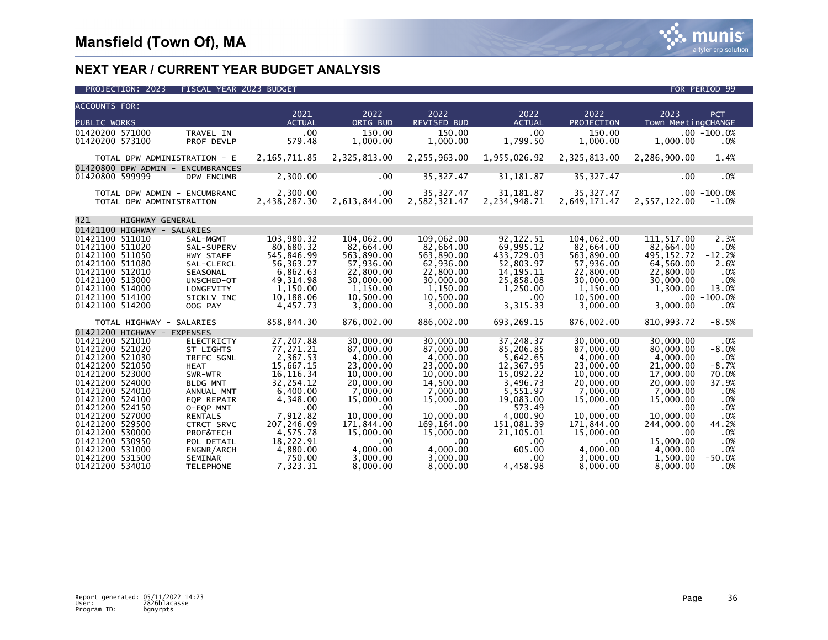| <b>ACCOUNTS FOR:</b>                                                                                                                                                                                                                                                   |                                                          |                                                                                                                                                                                                             |                                                                                                                                                                           |                                                                                                                                                                                |                                                                                                                                                                           |                                                                                                                                                                      |                                                                                                                                                                      |                                                                                                                                                                                                                                                                                                  |  |
|------------------------------------------------------------------------------------------------------------------------------------------------------------------------------------------------------------------------------------------------------------------------|----------------------------------------------------------|-------------------------------------------------------------------------------------------------------------------------------------------------------------------------------------------------------------|---------------------------------------------------------------------------------------------------------------------------------------------------------------------------|--------------------------------------------------------------------------------------------------------------------------------------------------------------------------------|---------------------------------------------------------------------------------------------------------------------------------------------------------------------------|----------------------------------------------------------------------------------------------------------------------------------------------------------------------|----------------------------------------------------------------------------------------------------------------------------------------------------------------------|--------------------------------------------------------------------------------------------------------------------------------------------------------------------------------------------------------------------------------------------------------------------------------------------------|--|
| <b>PUBLIC WORKS</b>                                                                                                                                                                                                                                                    |                                                          |                                                                                                                                                                                                             | 2021<br><b>ACTUAL</b>                                                                                                                                                     | 2022<br>ORIG BUD                                                                                                                                                               | 2022<br><b>REVISED BUD</b>                                                                                                                                                | 2022<br><b>ACTUAL</b>                                                                                                                                                | 2022<br>PROJECTION                                                                                                                                                   | 2023<br>PCT<br>Town MeetingCHANGE                                                                                                                                                                                                                                                                |  |
| 01420200 571000<br>01420200 573100                                                                                                                                                                                                                                     |                                                          | TRAVEL IN<br>PROF DEVLP                                                                                                                                                                                     | .00<br>579.48                                                                                                                                                             | 150.00<br>1,000.00                                                                                                                                                             | 150.00<br>1,000.00                                                                                                                                                        | .00<br>1,799.50                                                                                                                                                      | 150.00<br>1,000.00                                                                                                                                                   | $.00 - 100.0%$<br>1,000.00<br>.0%                                                                                                                                                                                                                                                                |  |
|                                                                                                                                                                                                                                                                        | TOTAL DPW ADMINISTRATION - E                             |                                                                                                                                                                                                             | 2, 165, 711.85                                                                                                                                                            | 2,325,813.00                                                                                                                                                                   | 2,255,963.00                                                                                                                                                              | 1,955,026.92                                                                                                                                                         | 2,325,813.00                                                                                                                                                         | 2,286,900.00<br>1.4%                                                                                                                                                                                                                                                                             |  |
| 01420800 599999                                                                                                                                                                                                                                                        | 01420800 DPW ADMIN - ENCUMBRANCES                        | DPW ENCUMB                                                                                                                                                                                                  | 2,300.00                                                                                                                                                                  | $.00 \,$                                                                                                                                                                       | 35, 327.47                                                                                                                                                                | 31, 181.87                                                                                                                                                           | 35, 327.47                                                                                                                                                           | $.00 \,$<br>$.0\%$                                                                                                                                                                                                                                                                               |  |
|                                                                                                                                                                                                                                                                        | TOTAL DPW ADMIN - ENCUMBRANC<br>TOTAL DPW ADMINISTRATION |                                                                                                                                                                                                             | 2,300.00<br>2,438,287.30                                                                                                                                                  | $.00 \ \,$<br>2,613,844.00                                                                                                                                                     | 35,327.47<br>2,582,321.47                                                                                                                                                 | 31, 181.87<br>2,234,948.71                                                                                                                                           | 35, 327.47<br>2,649,171.47                                                                                                                                           | $.00 - 100.0%$<br>2,557,122.00<br>$-1.0%$                                                                                                                                                                                                                                                        |  |
| 421                                                                                                                                                                                                                                                                    | <b>HIGHWAY GENERAL</b>                                   |                                                                                                                                                                                                             |                                                                                                                                                                           |                                                                                                                                                                                |                                                                                                                                                                           |                                                                                                                                                                      |                                                                                                                                                                      |                                                                                                                                                                                                                                                                                                  |  |
|                                                                                                                                                                                                                                                                        | 01421100 HIGHWAY - SALARIES                              |                                                                                                                                                                                                             |                                                                                                                                                                           |                                                                                                                                                                                |                                                                                                                                                                           |                                                                                                                                                                      |                                                                                                                                                                      |                                                                                                                                                                                                                                                                                                  |  |
| 01421100 511010<br>01421100 511020<br>01421100 511050<br>01421100 511080<br>01421100 512010<br>01421100 513000<br>01421100 514000<br>01421100 514100<br>01421100 514200                                                                                                |                                                          | SAL-MGMT<br>SAL-SUPERV<br>HWY STAFF<br>SAL-CLERCL<br>SEASONAL<br>UNSCHED-OT<br>LONGEVITY<br>SICKLV INC<br>OOG PAY                                                                                           | 103,980.32<br>80,680.32<br>545,846.99<br>56, 363. 27<br>6,862.63<br>49, 314.98<br>1,150.00<br>10,188.06<br>4,457.73                                                       | 104,062.00<br>82,664.00<br>563,890.00<br>57,936.00<br>22,800.00<br>30,000.00<br>1,150.00<br>10,500.00<br>3,000.00                                                              | 109,062.00<br>82,664.00<br>563,890.00<br>62,936.00<br>22,800.00<br>30,000.00<br>1,150.00<br>10,500.00<br>3,000.00                                                         | 92, 122. 51<br>69,995.12<br>433,729.03<br>52,803.97<br>14, 195. 11<br>25,858.08<br>1,250.00<br>.00<br>3,315.33                                                       | 104,062.00<br>82,664.00<br>563,890.00<br>57,936.00<br>22,800.00<br>30,000.00<br>1,150.00<br>10,500.00<br>3,000.00                                                    | 111,517.00<br>2.3%<br>.0%<br>82,664.00<br>495, 152. 72<br>$-12.2%$<br>64,560.00<br>2.6%<br>.0%<br>22,800.00<br>30,000.00<br>$.0\%$<br>1.300.00<br>13.0%<br>$.00 - 100.0%$<br>3,000.00<br>$.0\%$                                                                                                  |  |
|                                                                                                                                                                                                                                                                        | TOTAL HIGHWAY - SALARIES                                 |                                                                                                                                                                                                             | 858,844.30                                                                                                                                                                | 876.002.00                                                                                                                                                                     | 886,002.00                                                                                                                                                                | 693,269.15                                                                                                                                                           | 876.002.00                                                                                                                                                           | $-8.5%$<br>810,993.72                                                                                                                                                                                                                                                                            |  |
|                                                                                                                                                                                                                                                                        | 01421200 HIGHWAY - EXPENSES                              |                                                                                                                                                                                                             |                                                                                                                                                                           |                                                                                                                                                                                |                                                                                                                                                                           |                                                                                                                                                                      |                                                                                                                                                                      |                                                                                                                                                                                                                                                                                                  |  |
| 01421200 521010<br>01421200 521020<br>01421200 521030<br>01421200 521050<br>01421200 523000<br>01421200 524000<br>01421200 524010<br>01421200 524100<br>01421200 524150<br>01421200 527000<br>01421200 529500<br>01421200 530000<br>01421200 530950<br>01421200 531000 |                                                          | <b>ELECTRICTY</b><br>ST LIGHTS<br>TRFFC SGNL<br><b>HEAT</b><br>SWR-WTR<br><b>BLDG MNT</b><br>ANNUAL MNT<br>EQP REPAIR<br>O-EQP MNT<br><b>RENTALS</b><br>CTRCT SRVC<br>PROF&TECH<br>POL DETAIL<br>ENGNR/ARCH | 27,207.88<br>77,271.21<br>2,367.53<br>15,667.15<br>16, 116, 34<br>32,254.12<br>6,400.00<br>4,348.00<br>.00<br>7,912.82<br>207.246.09<br>4,575.78<br>18,222.91<br>4,880.00 | 30,000.00<br>87,000.00<br>4,000.00<br>23,000.00<br>10.000.00<br>20,000.00<br>7,000.00<br>15,000.00<br>$.00 \,$<br>10,000.00<br>171.844.00<br>15,000.00<br>$.00 \,$<br>4,000.00 | 30,000.00<br>87,000.00<br>4,000.00<br>23,000.00<br>10,000,00<br>14,500.00<br>7,000.00<br>15,000.00<br>$.00 \,$<br>10.000.00<br>169.164.00<br>15,000.00<br>.00<br>4,000.00 | 37,248.37<br>85,206.85<br>5,642.65<br>12,367.95<br>15,092.22<br>3,496.73<br>5,551.97<br>19,083.00<br>573.49<br>4,000.90<br>151.081.39<br>21, 105.01<br>.00<br>605.00 | 30,000.00<br>87,000.00<br>4,000.00<br>23,000.00<br>10.000.00<br>20,000.00<br>7,000.00<br>15,000.00<br>.00<br>10,000.00<br>171,844.00<br>15,000.00<br>.00<br>4,000.00 | 30,000.00<br>$.0\%$<br>$-8.0%$<br>80,000.00<br>4,000.00<br>$.0\%$<br>21,000.00<br>$-8.7%$<br>17,000,00<br>70.0%<br>20,000.00<br>37.9%<br>7,000.00<br>.0%<br>15,000.00<br>$.0\%$<br>.0%<br>.00<br>10,000.00<br>.0%<br>244,000,00<br>44.2%<br>.0%<br>.00<br>15,000.00<br>.0%<br>4,000.00<br>$.0\%$ |  |
| 01421200 531500<br>01421200 534010                                                                                                                                                                                                                                     |                                                          | SEMINAR<br><b>TELEPHONE</b>                                                                                                                                                                                 | 750.00<br>7.323.31                                                                                                                                                        | 3,000.00<br>8.000.00                                                                                                                                                           | 3,000.00<br>8.000.00                                                                                                                                                      | .00<br>4,458.98                                                                                                                                                      | 3,000.00<br>8.000.00                                                                                                                                                 | $-50.0%$<br>1,500.00<br>8,000.00<br>.0%                                                                                                                                                                                                                                                          |  |

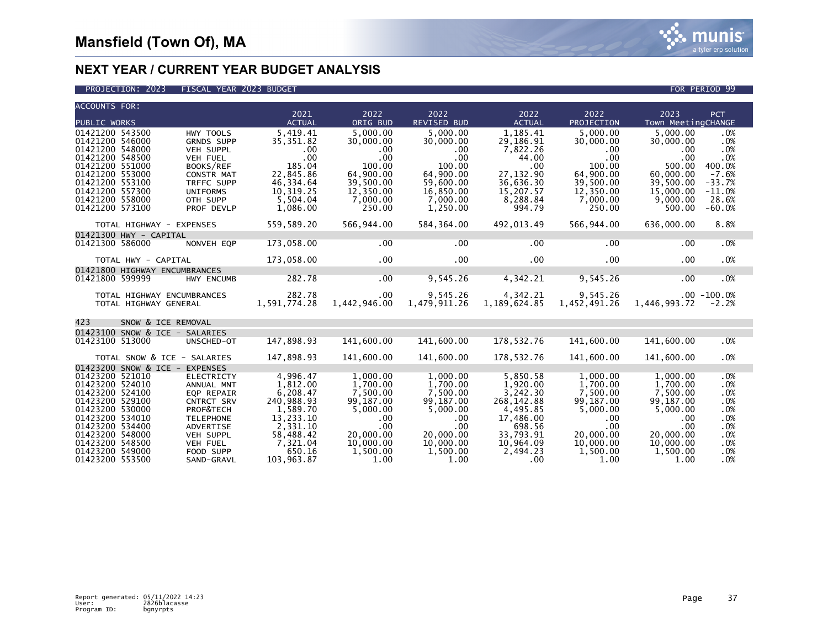

| <b>ACCOUNTS FOR:</b>                                                                                                                                                |                                                                                                                  |                                                                                     |                                                                              |                                                                          |                                                                                   |                                                                          |                                                                         |                                                      |
|---------------------------------------------------------------------------------------------------------------------------------------------------------------------|------------------------------------------------------------------------------------------------------------------|-------------------------------------------------------------------------------------|------------------------------------------------------------------------------|--------------------------------------------------------------------------|-----------------------------------------------------------------------------------|--------------------------------------------------------------------------|-------------------------------------------------------------------------|------------------------------------------------------|
| <b>PUBLIC WORKS</b>                                                                                                                                                 |                                                                                                                  | 2021<br><b>ACTUAL</b>                                                               | 2022<br>ORIG BUD                                                             | 2022<br><b>REVISED BUD</b>                                               | 2022<br><b>ACTUAL</b>                                                             | 2022<br>PROJECTION                                                       | 2023<br>Town MeetingCHANGE                                              | PCT                                                  |
| 01421200 543500<br>01421200 546000<br>01421200 548000<br>01421200 548500<br>01421200 551000                                                                         | HWY TOOLS<br><b>GRNDS SUPP</b><br><b>VEH SUPPL</b><br><b>VEH FUEL</b><br>BOOKS/REF                               | 5.419.41<br>35, 351.82<br>.00.<br>.00<br>185.04                                     | 5.000.00<br>30,000.00<br>$.00 \,$<br>.00<br>100.00                           | 5.000.00<br>30,000.00<br>.00<br>$.00 \times$<br>100.00                   | 1.185.41<br>29,186.91<br>7,822.26<br>44.00<br>.00 <sub>1</sub>                    | 5.000.00<br>30,000.00<br>.00<br>.00<br>100.00                            | 5.000.00<br>30,000.00<br>$.00 \,$<br>$.00 \,$<br>500.00                 | .0%<br>.0%<br>.0%<br>.0%<br>400.0%                   |
| 01421200 553000<br>01421200 553100<br>01421200 557300<br>01421200 558000<br>01421200 573100                                                                         | CONSTR MAT<br>TRFFC SUPP<br><b>UNIFORMS</b><br>OTH SUPP<br>PROF DEVLP                                            | 22,845.86<br>46,334.64<br>10.319.25<br>5,504.04<br>1,086.00                         | 64,900.00<br>39,500.00<br>12.350.00<br>7,000.00<br>250.00                    | 64,900,00<br>59,600.00<br>16,850.00<br>7,000.00<br>1,250.00              | 27.132.90<br>36,636.30<br>15,207.57<br>8,288.84<br>994.79                         | 64.900.00<br>39,500.00<br>12.350.00<br>7,000.00<br>250.00                | 60,000,00<br>39,500.00<br>15,000,00<br>9,000.00<br>500.00               | $-7.6%$<br>$-33.7%$<br>$-11.0%$<br>28.6%<br>$-60.0%$ |
| TOTAL HIGHWAY - EXPENSES                                                                                                                                            |                                                                                                                  | 559,589.20                                                                          | 566,944.00                                                                   | 584,364.00                                                               | 492,013.49                                                                        | 566,944.00                                                               | 636,000.00                                                              | 8.8%                                                 |
| 01421300 HWY - CAPITAL<br>01421300 586000                                                                                                                           | NONVEH EQP                                                                                                       | 173,058.00                                                                          | .00                                                                          | .00                                                                      | $.00 \,$                                                                          | .00                                                                      | $.00 \,$                                                                | .0%                                                  |
| TOTAL HWY - CAPITAL<br>01421800 HIGHWAY ENCUMBRANCES                                                                                                                |                                                                                                                  | 173,058.00                                                                          | $.00 \,$                                                                     | $.00 \times$                                                             | $.00 \,$                                                                          | .00                                                                      | $.00 \,$                                                                | .0%                                                  |
| 01421800 599999                                                                                                                                                     | <b>HWY ENCUMB</b>                                                                                                | 282.78                                                                              | .00                                                                          | 9,545.26                                                                 | 4,342.21                                                                          | 9,545.26                                                                 | $.00 \,$                                                                | .0%                                                  |
| TOTAL HIGHWAY ENCUMBRANCES<br>TOTAL HIGHWAY GENERAL                                                                                                                 |                                                                                                                  | 282.78<br>1,591,774.28                                                              | $.00 \ \,$<br>1,442,946.00                                                   | 9,545.26<br>1,479,911.26                                                 | 4,342.21<br>1,189,624.85                                                          | 9,545.26<br>1,452,491.26                                                 | 1,446,993.72                                                            | $.00 - 100.0%$<br>$-2.2%$                            |
| 423<br>SNOW & ICE REMOVAL                                                                                                                                           |                                                                                                                  |                                                                                     |                                                                              |                                                                          |                                                                                   |                                                                          |                                                                         |                                                      |
| 01423100 SNOW & ICE - SALARIES<br>01423100 513000                                                                                                                   | UNSCHED-OT                                                                                                       | 147,898.93                                                                          | 141,600.00                                                                   | 141,600.00                                                               | 178,532.76                                                                        | 141,600.00                                                               | 141,600.00                                                              | .0%                                                  |
| TOTAL SNOW & ICE - SALARIES                                                                                                                                         |                                                                                                                  | 147,898.93                                                                          | 141,600.00                                                                   | 141,600.00                                                               | 178,532.76                                                                        | 141,600.00                                                               | 141,600.00                                                              | .0%                                                  |
| 01423200 SNOW & ICE - EXPENSES<br>01423200 521010<br>01423200 524010<br>01423200 524100<br>01423200 529100<br>01423200 530000<br>01423200 534010<br>01423200 534400 | <b>ELECTRICTY</b><br>ANNUAL MNT<br>EQP REPAIR<br><b>CNTRCT SRV</b><br>PROF&TECH<br><b>TELEPHONE</b><br>ADVERTISE | 4,996.47<br>1.812.00<br>6,208.47<br>240,988.93<br>1,589.70<br>13,233.10<br>2,331.10 | 1,000.00<br>1.700.00<br>7,500.00<br>99.187.00<br>5,000.00<br>$.00 \,$<br>.00 | 1,000.00<br>1.700.00<br>7,500.00<br>99,187.00<br>5,000.00<br>.00<br>.00. | 5,850.58<br>1,920.00<br>3,242.30<br>268.142.88<br>4,495.85<br>17,486.00<br>698.56 | 1,000.00<br>1.700.00<br>7,500.00<br>99.187.00<br>5,000.00<br>.00<br>.00. | 1,000.00<br>1.700.00<br>7,500.00<br>99,187.00<br>5,000.00<br>.00<br>.00 | .0%<br>.0%<br>.0%<br>.0%<br>.0%<br>.0%<br>.0%        |
| 01423200 548000<br>01423200 548500<br>01423200 549000<br>01423200 553500                                                                                            | <b>VEH SUPPL</b><br><b>VEH FUEL</b><br>FOOD SUPP<br>SAND-GRAVL                                                   | 58,488.42<br>7,321.04<br>650.16<br>103,963.87                                       | 20,000.00<br>10,000.00<br>1,500.00<br>1.00                                   | 20,000.00<br>10,000.00<br>1,500.00<br>1.00                               | 33,793.91<br>10,964.09<br>2,494.23<br>$.00 \times$                                | 20,000,00<br>10,000.00<br>1,500.00<br>1.00                               | 20,000,00<br>10,000.00<br>1,500.00<br>1.00                              | .0%<br>.0%<br>.0%<br>.0%                             |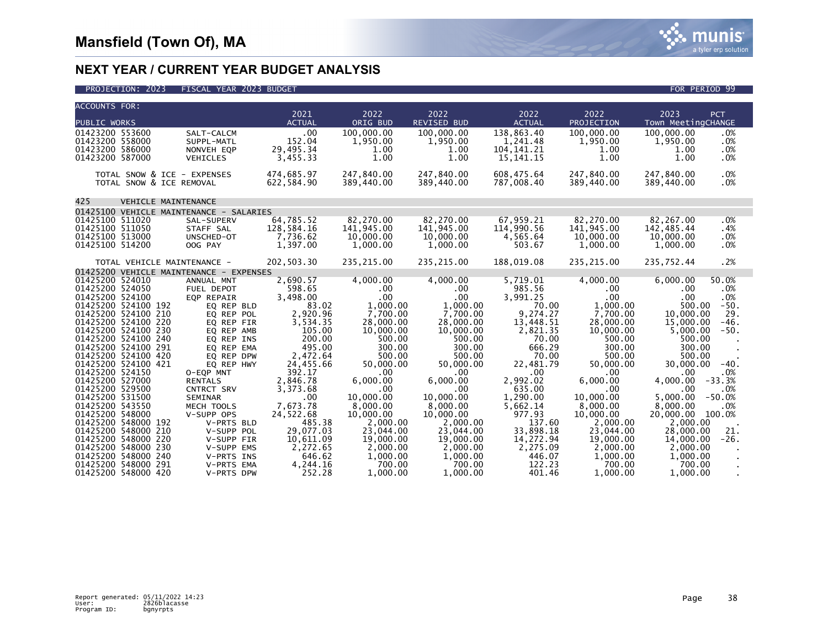

| 2021<br>2022<br>2022<br>2022<br>2022<br>2023<br><b>PCT</b><br><b>ACTUAL</b><br><b>PUBLIC WORKS</b><br><b>ACTUAL</b><br>ORIG BUD<br><b>REVISED BUD</b><br>PROJECTION<br>Town MeetingCHANGE<br>100,000.00<br>100,000.00<br>138,863.40<br>100,000.00<br>100,000.00<br>01423200 553600<br>.00<br>.0%<br>SALT-CALCM<br>01423200 558000<br>152.04<br>1.950.00<br>1,950.00<br>1.241.48<br>1,950.00<br>1,950.00<br>SUPPL-MATL<br>.0%<br>29,495.34<br>01423200 586000<br>1.00<br>1.00<br>104, 141, 21<br>1.00<br>.0%<br>NONVEH EQP<br>1.00<br>01423200 587000<br>3,455.33<br>1.00<br>1.00<br>1.00<br>.0%<br>15,141.15<br>1.00<br><b>VEHICLES</b><br>474.685.97<br>247,840.00<br>247,840.00<br>247,840.00<br>247,840.00<br>TOTAL SNOW & ICE - EXPENSES<br>608,475.64<br>.0%<br>622,584.90<br>TOTAL SNOW & ICE REMOVAL<br>389,440.00<br>389,440.00<br>787,008.40<br>389,440.00<br>389,440.00<br>.0%<br>425<br><b>VEHICLE MAINTENANCE</b><br>01425100 VEHICLE MAINTENANCE - SALARIES<br>64,785.52<br>82,270.00<br>82.270.00<br>67,959.21<br>82,270.00<br>82,267.00<br>01425100 511020<br>.0%<br>SAL-SUPERV<br>01425100 511050<br>128,584.16<br>141,945.00<br>141,945.00<br>114,990.56<br>141,945.00<br>142,485.44<br>STAFF SAL<br>.4%<br>01425100 513000<br>10,000.00<br>UNSCHED-OT<br>7,736.62<br>10,000.00<br>4,565.64<br>10,000.00<br>10,000.00<br>.0%<br>01425100 514200<br>1,397.00<br>1,000.00<br>1,000.00<br>503.67<br>1,000.00<br>1,000.00<br>OOG PAY<br>.0%<br>202,503.30<br>235,215.00<br>235,215.00<br>235,215.00<br>188,019.08<br>235,752.44<br>.2%<br>TOTAL VEHICLE MAINTENANCE -<br>01425200 VEHICLE MAINTENANCE - EXPENSES<br>2,690.57<br>4,000.00<br>4,000.00<br>4,000.00<br>6,000.00<br>01425200 524010<br>5,719.01<br>50.0%<br>ANNUAL MNT<br>01425200 524050<br>598.65<br>FUEL DEPOT<br>$.00 \,$<br>.00.<br>985.56<br>$.00 \,$<br>.00<br>.0%<br>$.00 \,$<br>01425200 524100<br>3,498.00<br>$.00 \,$<br>$.00 \ \,$<br>3,991.25<br>.00<br>.0%<br>EQP REPAIR<br>1,000.00<br>83.02<br>1,000.00<br>1,000.00<br>70.00<br>500.00<br>01425200 524100 192<br>$-50.$<br>EQ REP BLD<br>7,700.00<br>9.274.27<br>01425200 524100 210<br>2,920.96<br>7,700.00<br>7,700.00<br>10,000,00<br>29.<br>EO REP POL<br>01425200 524100 220<br>3,534.35<br>28,000.00<br>28,000.00<br>13,448.51<br>15,000.00<br>28,000,00<br>$-46.$<br>EQ REP FIR<br>105.00<br>10,000.00<br>2,821.35<br>10,000.00<br>01425200 524100 230<br>10,000.00<br>5,000.00<br>$-50.$<br>EQ REP AMB<br>01425200 524100 240<br>200.00<br>500.00<br>70.00<br>500.00<br>500.00<br>500.00<br>EO REP INS<br>495.00<br>300.00<br>666.29<br>300.00<br>01425200 524100 291<br>EO REP EMA<br>300.00<br>300.00<br>01425200 524100 420<br>2,472.64<br>500.00<br>500.00<br>500.00<br>70.00<br>500.00<br>EQ REP DPW<br>01425200 524100 421<br>24,455.66<br>50,000.00<br>50,000.00<br>22,481.79<br>50,000.00<br>30,000.00<br>EO REP HWY<br>$-40.$<br>392.17<br>01425200 524150<br>.00<br>.00<br>.0%<br>O-EQP MNT<br>$.00 \,$<br>$.00 \cdot$<br>$.00 \cdot$ | <b>ACCOUNTS FOR:</b> |                |          |          |          |          |          |                      |
|--------------------------------------------------------------------------------------------------------------------------------------------------------------------------------------------------------------------------------------------------------------------------------------------------------------------------------------------------------------------------------------------------------------------------------------------------------------------------------------------------------------------------------------------------------------------------------------------------------------------------------------------------------------------------------------------------------------------------------------------------------------------------------------------------------------------------------------------------------------------------------------------------------------------------------------------------------------------------------------------------------------------------------------------------------------------------------------------------------------------------------------------------------------------------------------------------------------------------------------------------------------------------------------------------------------------------------------------------------------------------------------------------------------------------------------------------------------------------------------------------------------------------------------------------------------------------------------------------------------------------------------------------------------------------------------------------------------------------------------------------------------------------------------------------------------------------------------------------------------------------------------------------------------------------------------------------------------------------------------------------------------------------------------------------------------------------------------------------------------------------------------------------------------------------------------------------------------------------------------------------------------------------------------------------------------------------------------------------------------------------------------------------------------------------------------------------------------------------------------------------------------------------------------------------------------------------------------------------------------------------------------------------------------------------------------------------------------------------------------------------------------------------------------------------------------------------------------------------------------------------------------------------------------------------------------------------------------------------------------------------|----------------------|----------------|----------|----------|----------|----------|----------|----------------------|
|                                                                                                                                                                                                                                                                                                                                                                                                                                                                                                                                                                                                                                                                                                                                                                                                                                                                                                                                                                                                                                                                                                                                                                                                                                                                                                                                                                                                                                                                                                                                                                                                                                                                                                                                                                                                                                                                                                                                                                                                                                                                                                                                                                                                                                                                                                                                                                                                                                                                                                                                                                                                                                                                                                                                                                                                                                                                                                                                                                                                  |                      |                |          |          |          |          |          |                      |
|                                                                                                                                                                                                                                                                                                                                                                                                                                                                                                                                                                                                                                                                                                                                                                                                                                                                                                                                                                                                                                                                                                                                                                                                                                                                                                                                                                                                                                                                                                                                                                                                                                                                                                                                                                                                                                                                                                                                                                                                                                                                                                                                                                                                                                                                                                                                                                                                                                                                                                                                                                                                                                                                                                                                                                                                                                                                                                                                                                                                  |                      |                |          |          |          |          |          |                      |
|                                                                                                                                                                                                                                                                                                                                                                                                                                                                                                                                                                                                                                                                                                                                                                                                                                                                                                                                                                                                                                                                                                                                                                                                                                                                                                                                                                                                                                                                                                                                                                                                                                                                                                                                                                                                                                                                                                                                                                                                                                                                                                                                                                                                                                                                                                                                                                                                                                                                                                                                                                                                                                                                                                                                                                                                                                                                                                                                                                                                  |                      |                |          |          |          |          |          |                      |
|                                                                                                                                                                                                                                                                                                                                                                                                                                                                                                                                                                                                                                                                                                                                                                                                                                                                                                                                                                                                                                                                                                                                                                                                                                                                                                                                                                                                                                                                                                                                                                                                                                                                                                                                                                                                                                                                                                                                                                                                                                                                                                                                                                                                                                                                                                                                                                                                                                                                                                                                                                                                                                                                                                                                                                                                                                                                                                                                                                                                  |                      |                |          |          |          |          |          |                      |
|                                                                                                                                                                                                                                                                                                                                                                                                                                                                                                                                                                                                                                                                                                                                                                                                                                                                                                                                                                                                                                                                                                                                                                                                                                                                                                                                                                                                                                                                                                                                                                                                                                                                                                                                                                                                                                                                                                                                                                                                                                                                                                                                                                                                                                                                                                                                                                                                                                                                                                                                                                                                                                                                                                                                                                                                                                                                                                                                                                                                  |                      |                |          |          |          |          |          |                      |
|                                                                                                                                                                                                                                                                                                                                                                                                                                                                                                                                                                                                                                                                                                                                                                                                                                                                                                                                                                                                                                                                                                                                                                                                                                                                                                                                                                                                                                                                                                                                                                                                                                                                                                                                                                                                                                                                                                                                                                                                                                                                                                                                                                                                                                                                                                                                                                                                                                                                                                                                                                                                                                                                                                                                                                                                                                                                                                                                                                                                  |                      |                |          |          |          |          |          |                      |
|                                                                                                                                                                                                                                                                                                                                                                                                                                                                                                                                                                                                                                                                                                                                                                                                                                                                                                                                                                                                                                                                                                                                                                                                                                                                                                                                                                                                                                                                                                                                                                                                                                                                                                                                                                                                                                                                                                                                                                                                                                                                                                                                                                                                                                                                                                                                                                                                                                                                                                                                                                                                                                                                                                                                                                                                                                                                                                                                                                                                  |                      |                |          |          |          |          |          |                      |
|                                                                                                                                                                                                                                                                                                                                                                                                                                                                                                                                                                                                                                                                                                                                                                                                                                                                                                                                                                                                                                                                                                                                                                                                                                                                                                                                                                                                                                                                                                                                                                                                                                                                                                                                                                                                                                                                                                                                                                                                                                                                                                                                                                                                                                                                                                                                                                                                                                                                                                                                                                                                                                                                                                                                                                                                                                                                                                                                                                                                  |                      |                |          |          |          |          |          |                      |
|                                                                                                                                                                                                                                                                                                                                                                                                                                                                                                                                                                                                                                                                                                                                                                                                                                                                                                                                                                                                                                                                                                                                                                                                                                                                                                                                                                                                                                                                                                                                                                                                                                                                                                                                                                                                                                                                                                                                                                                                                                                                                                                                                                                                                                                                                                                                                                                                                                                                                                                                                                                                                                                                                                                                                                                                                                                                                                                                                                                                  |                      |                |          |          |          |          |          |                      |
|                                                                                                                                                                                                                                                                                                                                                                                                                                                                                                                                                                                                                                                                                                                                                                                                                                                                                                                                                                                                                                                                                                                                                                                                                                                                                                                                                                                                                                                                                                                                                                                                                                                                                                                                                                                                                                                                                                                                                                                                                                                                                                                                                                                                                                                                                                                                                                                                                                                                                                                                                                                                                                                                                                                                                                                                                                                                                                                                                                                                  |                      |                |          |          |          |          |          |                      |
|                                                                                                                                                                                                                                                                                                                                                                                                                                                                                                                                                                                                                                                                                                                                                                                                                                                                                                                                                                                                                                                                                                                                                                                                                                                                                                                                                                                                                                                                                                                                                                                                                                                                                                                                                                                                                                                                                                                                                                                                                                                                                                                                                                                                                                                                                                                                                                                                                                                                                                                                                                                                                                                                                                                                                                                                                                                                                                                                                                                                  |                      |                |          |          |          |          |          |                      |
|                                                                                                                                                                                                                                                                                                                                                                                                                                                                                                                                                                                                                                                                                                                                                                                                                                                                                                                                                                                                                                                                                                                                                                                                                                                                                                                                                                                                                                                                                                                                                                                                                                                                                                                                                                                                                                                                                                                                                                                                                                                                                                                                                                                                                                                                                                                                                                                                                                                                                                                                                                                                                                                                                                                                                                                                                                                                                                                                                                                                  |                      |                |          |          |          |          |          |                      |
|                                                                                                                                                                                                                                                                                                                                                                                                                                                                                                                                                                                                                                                                                                                                                                                                                                                                                                                                                                                                                                                                                                                                                                                                                                                                                                                                                                                                                                                                                                                                                                                                                                                                                                                                                                                                                                                                                                                                                                                                                                                                                                                                                                                                                                                                                                                                                                                                                                                                                                                                                                                                                                                                                                                                                                                                                                                                                                                                                                                                  |                      |                |          |          |          |          |          |                      |
|                                                                                                                                                                                                                                                                                                                                                                                                                                                                                                                                                                                                                                                                                                                                                                                                                                                                                                                                                                                                                                                                                                                                                                                                                                                                                                                                                                                                                                                                                                                                                                                                                                                                                                                                                                                                                                                                                                                                                                                                                                                                                                                                                                                                                                                                                                                                                                                                                                                                                                                                                                                                                                                                                                                                                                                                                                                                                                                                                                                                  |                      |                |          |          |          |          |          |                      |
|                                                                                                                                                                                                                                                                                                                                                                                                                                                                                                                                                                                                                                                                                                                                                                                                                                                                                                                                                                                                                                                                                                                                                                                                                                                                                                                                                                                                                                                                                                                                                                                                                                                                                                                                                                                                                                                                                                                                                                                                                                                                                                                                                                                                                                                                                                                                                                                                                                                                                                                                                                                                                                                                                                                                                                                                                                                                                                                                                                                                  |                      |                |          |          |          |          |          |                      |
|                                                                                                                                                                                                                                                                                                                                                                                                                                                                                                                                                                                                                                                                                                                                                                                                                                                                                                                                                                                                                                                                                                                                                                                                                                                                                                                                                                                                                                                                                                                                                                                                                                                                                                                                                                                                                                                                                                                                                                                                                                                                                                                                                                                                                                                                                                                                                                                                                                                                                                                                                                                                                                                                                                                                                                                                                                                                                                                                                                                                  |                      |                |          |          |          |          |          |                      |
|                                                                                                                                                                                                                                                                                                                                                                                                                                                                                                                                                                                                                                                                                                                                                                                                                                                                                                                                                                                                                                                                                                                                                                                                                                                                                                                                                                                                                                                                                                                                                                                                                                                                                                                                                                                                                                                                                                                                                                                                                                                                                                                                                                                                                                                                                                                                                                                                                                                                                                                                                                                                                                                                                                                                                                                                                                                                                                                                                                                                  |                      |                |          |          |          |          |          |                      |
|                                                                                                                                                                                                                                                                                                                                                                                                                                                                                                                                                                                                                                                                                                                                                                                                                                                                                                                                                                                                                                                                                                                                                                                                                                                                                                                                                                                                                                                                                                                                                                                                                                                                                                                                                                                                                                                                                                                                                                                                                                                                                                                                                                                                                                                                                                                                                                                                                                                                                                                                                                                                                                                                                                                                                                                                                                                                                                                                                                                                  |                      |                |          |          |          |          |          |                      |
|                                                                                                                                                                                                                                                                                                                                                                                                                                                                                                                                                                                                                                                                                                                                                                                                                                                                                                                                                                                                                                                                                                                                                                                                                                                                                                                                                                                                                                                                                                                                                                                                                                                                                                                                                                                                                                                                                                                                                                                                                                                                                                                                                                                                                                                                                                                                                                                                                                                                                                                                                                                                                                                                                                                                                                                                                                                                                                                                                                                                  |                      |                |          |          |          |          |          |                      |
|                                                                                                                                                                                                                                                                                                                                                                                                                                                                                                                                                                                                                                                                                                                                                                                                                                                                                                                                                                                                                                                                                                                                                                                                                                                                                                                                                                                                                                                                                                                                                                                                                                                                                                                                                                                                                                                                                                                                                                                                                                                                                                                                                                                                                                                                                                                                                                                                                                                                                                                                                                                                                                                                                                                                                                                                                                                                                                                                                                                                  |                      |                |          |          |          |          |          |                      |
|                                                                                                                                                                                                                                                                                                                                                                                                                                                                                                                                                                                                                                                                                                                                                                                                                                                                                                                                                                                                                                                                                                                                                                                                                                                                                                                                                                                                                                                                                                                                                                                                                                                                                                                                                                                                                                                                                                                                                                                                                                                                                                                                                                                                                                                                                                                                                                                                                                                                                                                                                                                                                                                                                                                                                                                                                                                                                                                                                                                                  |                      |                |          |          |          |          |          |                      |
|                                                                                                                                                                                                                                                                                                                                                                                                                                                                                                                                                                                                                                                                                                                                                                                                                                                                                                                                                                                                                                                                                                                                                                                                                                                                                                                                                                                                                                                                                                                                                                                                                                                                                                                                                                                                                                                                                                                                                                                                                                                                                                                                                                                                                                                                                                                                                                                                                                                                                                                                                                                                                                                                                                                                                                                                                                                                                                                                                                                                  |                      |                |          |          |          |          |          |                      |
|                                                                                                                                                                                                                                                                                                                                                                                                                                                                                                                                                                                                                                                                                                                                                                                                                                                                                                                                                                                                                                                                                                                                                                                                                                                                                                                                                                                                                                                                                                                                                                                                                                                                                                                                                                                                                                                                                                                                                                                                                                                                                                                                                                                                                                                                                                                                                                                                                                                                                                                                                                                                                                                                                                                                                                                                                                                                                                                                                                                                  |                      |                |          |          |          |          |          |                      |
|                                                                                                                                                                                                                                                                                                                                                                                                                                                                                                                                                                                                                                                                                                                                                                                                                                                                                                                                                                                                                                                                                                                                                                                                                                                                                                                                                                                                                                                                                                                                                                                                                                                                                                                                                                                                                                                                                                                                                                                                                                                                                                                                                                                                                                                                                                                                                                                                                                                                                                                                                                                                                                                                                                                                                                                                                                                                                                                                                                                                  |                      |                |          |          |          |          |          |                      |
|                                                                                                                                                                                                                                                                                                                                                                                                                                                                                                                                                                                                                                                                                                                                                                                                                                                                                                                                                                                                                                                                                                                                                                                                                                                                                                                                                                                                                                                                                                                                                                                                                                                                                                                                                                                                                                                                                                                                                                                                                                                                                                                                                                                                                                                                                                                                                                                                                                                                                                                                                                                                                                                                                                                                                                                                                                                                                                                                                                                                  |                      |                |          |          |          |          |          |                      |
|                                                                                                                                                                                                                                                                                                                                                                                                                                                                                                                                                                                                                                                                                                                                                                                                                                                                                                                                                                                                                                                                                                                                                                                                                                                                                                                                                                                                                                                                                                                                                                                                                                                                                                                                                                                                                                                                                                                                                                                                                                                                                                                                                                                                                                                                                                                                                                                                                                                                                                                                                                                                                                                                                                                                                                                                                                                                                                                                                                                                  |                      |                |          |          |          |          |          |                      |
|                                                                                                                                                                                                                                                                                                                                                                                                                                                                                                                                                                                                                                                                                                                                                                                                                                                                                                                                                                                                                                                                                                                                                                                                                                                                                                                                                                                                                                                                                                                                                                                                                                                                                                                                                                                                                                                                                                                                                                                                                                                                                                                                                                                                                                                                                                                                                                                                                                                                                                                                                                                                                                                                                                                                                                                                                                                                                                                                                                                                  |                      |                |          |          |          |          |          |                      |
|                                                                                                                                                                                                                                                                                                                                                                                                                                                                                                                                                                                                                                                                                                                                                                                                                                                                                                                                                                                                                                                                                                                                                                                                                                                                                                                                                                                                                                                                                                                                                                                                                                                                                                                                                                                                                                                                                                                                                                                                                                                                                                                                                                                                                                                                                                                                                                                                                                                                                                                                                                                                                                                                                                                                                                                                                                                                                                                                                                                                  |                      |                |          |          |          |          |          |                      |
|                                                                                                                                                                                                                                                                                                                                                                                                                                                                                                                                                                                                                                                                                                                                                                                                                                                                                                                                                                                                                                                                                                                                                                                                                                                                                                                                                                                                                                                                                                                                                                                                                                                                                                                                                                                                                                                                                                                                                                                                                                                                                                                                                                                                                                                                                                                                                                                                                                                                                                                                                                                                                                                                                                                                                                                                                                                                                                                                                                                                  |                      |                |          |          |          |          |          |                      |
|                                                                                                                                                                                                                                                                                                                                                                                                                                                                                                                                                                                                                                                                                                                                                                                                                                                                                                                                                                                                                                                                                                                                                                                                                                                                                                                                                                                                                                                                                                                                                                                                                                                                                                                                                                                                                                                                                                                                                                                                                                                                                                                                                                                                                                                                                                                                                                                                                                                                                                                                                                                                                                                                                                                                                                                                                                                                                                                                                                                                  |                      |                |          |          |          |          |          |                      |
|                                                                                                                                                                                                                                                                                                                                                                                                                                                                                                                                                                                                                                                                                                                                                                                                                                                                                                                                                                                                                                                                                                                                                                                                                                                                                                                                                                                                                                                                                                                                                                                                                                                                                                                                                                                                                                                                                                                                                                                                                                                                                                                                                                                                                                                                                                                                                                                                                                                                                                                                                                                                                                                                                                                                                                                                                                                                                                                                                                                                  | 01425200 527000      | <b>RENTALS</b> | 2,846.78 | 6,000.00 | 6,000.00 | 2,992.02 | 6,000.00 | 4,000.00<br>$-33.3%$ |
| 635.00<br>01425200 529500<br>CNTRCT SRV<br>3.373.68<br>.00.<br>.0%<br>.00<br>.00<br>.00                                                                                                                                                                                                                                                                                                                                                                                                                                                                                                                                                                                                                                                                                                                                                                                                                                                                                                                                                                                                                                                                                                                                                                                                                                                                                                                                                                                                                                                                                                                                                                                                                                                                                                                                                                                                                                                                                                                                                                                                                                                                                                                                                                                                                                                                                                                                                                                                                                                                                                                                                                                                                                                                                                                                                                                                                                                                                                          |                      |                |          |          |          |          |          |                      |
| 10,000,00<br>1,290.00<br>10,000.00<br>5.000.00<br>$-50.0%$<br>01425200 531500<br><b>SEMINAR</b><br>.00<br>10,000,00                                                                                                                                                                                                                                                                                                                                                                                                                                                                                                                                                                                                                                                                                                                                                                                                                                                                                                                                                                                                                                                                                                                                                                                                                                                                                                                                                                                                                                                                                                                                                                                                                                                                                                                                                                                                                                                                                                                                                                                                                                                                                                                                                                                                                                                                                                                                                                                                                                                                                                                                                                                                                                                                                                                                                                                                                                                                              |                      |                |          |          |          |          |          |                      |
| 01425200 543550<br>7,673.78<br>8,000.00<br>8,000.00<br>5,662.14<br>8,000.00<br>8,000.00<br>.0%<br>MECH TOOLS                                                                                                                                                                                                                                                                                                                                                                                                                                                                                                                                                                                                                                                                                                                                                                                                                                                                                                                                                                                                                                                                                                                                                                                                                                                                                                                                                                                                                                                                                                                                                                                                                                                                                                                                                                                                                                                                                                                                                                                                                                                                                                                                                                                                                                                                                                                                                                                                                                                                                                                                                                                                                                                                                                                                                                                                                                                                                     |                      |                |          |          |          |          |          |                      |
| 977.93<br>20,000.00<br>100.0%<br>01425200 548000<br>24.522.68<br>10,000.00<br>10,000.00<br>10,000.00<br>V-SUPP OPS                                                                                                                                                                                                                                                                                                                                                                                                                                                                                                                                                                                                                                                                                                                                                                                                                                                                                                                                                                                                                                                                                                                                                                                                                                                                                                                                                                                                                                                                                                                                                                                                                                                                                                                                                                                                                                                                                                                                                                                                                                                                                                                                                                                                                                                                                                                                                                                                                                                                                                                                                                                                                                                                                                                                                                                                                                                                               |                      |                |          |          |          |          |          |                      |
| 485.38<br>2,000.00<br>01425200 548000 192<br>2,000,00<br>137.60<br>2.000.00<br>2.000.00<br><b>V-PRTS BLD</b>                                                                                                                                                                                                                                                                                                                                                                                                                                                                                                                                                                                                                                                                                                                                                                                                                                                                                                                                                                                                                                                                                                                                                                                                                                                                                                                                                                                                                                                                                                                                                                                                                                                                                                                                                                                                                                                                                                                                                                                                                                                                                                                                                                                                                                                                                                                                                                                                                                                                                                                                                                                                                                                                                                                                                                                                                                                                                     |                      |                |          |          |          |          |          |                      |
| 01425200 548000 210<br>33,898.18<br>21.<br>V-SUPP POL<br>29,077.03<br>23,044.00<br>28,000.00<br>23,044.00<br>23,044.00                                                                                                                                                                                                                                                                                                                                                                                                                                                                                                                                                                                                                                                                                                                                                                                                                                                                                                                                                                                                                                                                                                                                                                                                                                                                                                                                                                                                                                                                                                                                                                                                                                                                                                                                                                                                                                                                                                                                                                                                                                                                                                                                                                                                                                                                                                                                                                                                                                                                                                                                                                                                                                                                                                                                                                                                                                                                           |                      |                |          |          |          |          |          |                      |
| 01425200 548000 220<br>10,611.09<br>19,000.00<br>19,000.00<br>14,272.94<br>19,000.00<br>14,000.00<br>$-26.$<br>V-SUPP FIR                                                                                                                                                                                                                                                                                                                                                                                                                                                                                                                                                                                                                                                                                                                                                                                                                                                                                                                                                                                                                                                                                                                                                                                                                                                                                                                                                                                                                                                                                                                                                                                                                                                                                                                                                                                                                                                                                                                                                                                                                                                                                                                                                                                                                                                                                                                                                                                                                                                                                                                                                                                                                                                                                                                                                                                                                                                                        |                      |                |          |          |          |          |          |                      |
| 2,275.09<br>01425200 548000 230<br>V-SUPP EMS<br>2,272.65<br>2,000.00<br>2,000.00<br>2,000.00<br>2,000.00<br>01425200 548000 240<br>V-PRTS INS<br>1,000.00<br>1,000.00<br>446.07<br>1,000.00<br>1,000.00<br>646.62                                                                                                                                                                                                                                                                                                                                                                                                                                                                                                                                                                                                                                                                                                                                                                                                                                                                                                                                                                                                                                                                                                                                                                                                                                                                                                                                                                                                                                                                                                                                                                                                                                                                                                                                                                                                                                                                                                                                                                                                                                                                                                                                                                                                                                                                                                                                                                                                                                                                                                                                                                                                                                                                                                                                                                               |                      |                |          |          |          |          |          |                      |
| 4,244.16<br>01425200 548000 291<br>700.00<br>700.00<br>122.23<br>700.00<br>700.00<br>V-PRTS EMA                                                                                                                                                                                                                                                                                                                                                                                                                                                                                                                                                                                                                                                                                                                                                                                                                                                                                                                                                                                                                                                                                                                                                                                                                                                                                                                                                                                                                                                                                                                                                                                                                                                                                                                                                                                                                                                                                                                                                                                                                                                                                                                                                                                                                                                                                                                                                                                                                                                                                                                                                                                                                                                                                                                                                                                                                                                                                                  |                      |                |          |          |          |          |          |                      |
| 252.28<br>1,000.00<br>01425200 548000 420<br>V-PRTS DPW<br>1,000.00<br>401.46<br>1,000.00<br>1,000.00                                                                                                                                                                                                                                                                                                                                                                                                                                                                                                                                                                                                                                                                                                                                                                                                                                                                                                                                                                                                                                                                                                                                                                                                                                                                                                                                                                                                                                                                                                                                                                                                                                                                                                                                                                                                                                                                                                                                                                                                                                                                                                                                                                                                                                                                                                                                                                                                                                                                                                                                                                                                                                                                                                                                                                                                                                                                                            |                      |                |          |          |          |          |          |                      |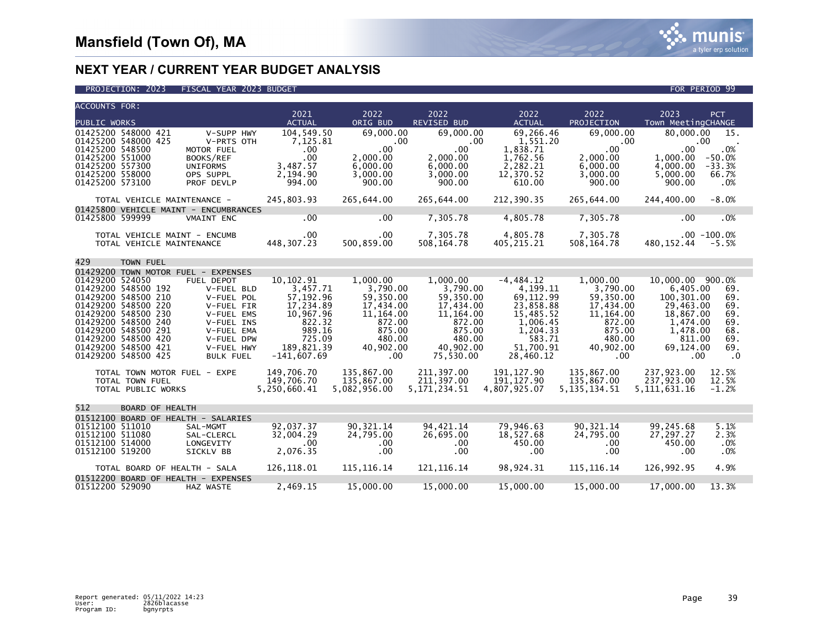

| <b>ACCOUNTS FOR:</b>                                     |                                    |                              |                     |                     |                     |                                    |            |
|----------------------------------------------------------|------------------------------------|------------------------------|---------------------|---------------------|---------------------|------------------------------------|------------|
|                                                          | 2021                               | 2022                         | 2022                | 2022                | 2022                | 2023<br>PCT                        |            |
| <b>PUBLIC WORKS</b>                                      | <b>ACTUAL</b>                      | ORIG BUD                     | REVISED BUD         | <b>ACTUAL</b>       | <b>PROJECTION</b>   | Town MeetingCHANGE                 |            |
| 01425200 548000 421<br>V-SUPP HWY                        | 104,549.50                         | 69,000.00                    | 69,000.00           | 69,266.46           | 69,000.00           | 80,000.00<br>15.                   |            |
| 01425200 548000 425<br>V-PRTS OTH                        | 7,125.81                           | $\overline{\phantom{0}}$ .00 | .00                 | 1,551.20            | $.00 \,$            | .00                                |            |
| 01425200 548500<br>MOTOR FUEL                            | .00                                | .00                          | .00                 | 1,838.71            | $.00 \times$        | .0%<br>$.00 \,$                    |            |
| 01425200 551000<br>BOOKS/REF                             | $.00 \,$                           | 2,000.00                     | 2,000.00            | 1,762.56            | 2,000.00            | 1,000.00<br>$-50.0%$               |            |
| 01425200 557300<br><b>UNIFORMS</b>                       | 3,487.57                           | 6,000.00                     | 6,000.00            | 2,282.21            | 6,000.00            | 4,000.00<br>$-33.3%$               |            |
| 01425200 558000<br>OPS SUPPL<br>01425200 573100          | 2,194.90<br>994.00                 | 3,000.00<br>900.00           | 3,000.00            | 12,370.52<br>610.00 | 3,000.00<br>900.00  | 66.7%<br>5,000.00<br>900.00<br>.0% |            |
| PROF DEVLP                                               |                                    |                              | 900.00              |                     |                     |                                    |            |
| TOTAL VEHICLE MAINTENANCE -                              | 245,803.93                         | 265,644.00                   | 265,644.00          | 212,390.35          | 265,644.00          | $-8.0%$<br>244,400.00              |            |
| 01425800 VEHICLE MAINT - ENCUMBRANCES                    |                                    |                              |                     |                     |                     |                                    |            |
| 01425800 599999<br><b>VMAINT ENC</b>                     | $.00 \,$                           | $.00 \,$                     | 7,305.78            | 4,805.78            | 7,305.78            | $.00 \,$<br>.0%                    |            |
|                                                          |                                    |                              |                     |                     |                     |                                    |            |
| TOTAL VEHICLE MAINT - ENCUMB                             | $.00 \times$<br>8.00<br>448,307.23 | $.00 \,$                     | 7,305.78            | 4,805.78            | 7,305.78            | $.00 - 100.0%$                     |            |
| TOTAL VEHICLE MAINTENANCE                                |                                    | 500,859.00                   | 508,164.78          | 405,215.21          | 508,164.78          | 480,152.44<br>$-5.5\%$             |            |
|                                                          |                                    |                              |                     |                     |                     |                                    |            |
| 429<br>TOWN FUEL                                         |                                    |                              |                     |                     |                     |                                    |            |
| 01429200 TOWN MOTOR FUEL - EXPENSES                      |                                    |                              |                     |                     |                     |                                    |            |
| 01429200 524050<br>FUEL DEPOT                            | 10,102.91                          | 1,000.00                     | 1.000.00            | -4,484.12           | 1,000.00            | 10,000.00 900.0%                   |            |
| 01429200 548500 192<br>V-FUEL BLD                        | 3,457.71                           | 3,790.00                     | 3.790.00            | 4,199.11            | 3,790.00            | 6,405.00                           | 69.        |
| 01429200 548500 210<br>V-FUEL POL                        | 57,192.96                          | 59,350.00                    | 59,350.00           | 69, 112.99          | 59,350.00           | 100,301.00                         | 69.        |
| 01429200 548500 220<br>V-FUEL FIR                        | 17,234.89                          | 17,434.00                    | 17,434.00           | 23,858.88           | 17,434.00           | 29,463.00                          | 69.        |
| 01429200 548500 230<br>V-FUEL EMS                        | 10,967.96                          | 11, 164.00                   | 11, 164.00          | 15,485.52           | 11, 164.00          | 18,867.00                          | 69.        |
| 01429200 548500 240<br>V-FUEL INS                        | 822.32                             | 872.00                       | 872.00              | 1,006.45            | 872.00              | 1,474.00                           | 69.        |
| 01429200 548500 291<br>V-FUEL EMA<br>01429200 548500 420 | 989.16                             | 875.00                       | 875.00              | 1,204.33            | 875.00              | 1,478.00                           | 68.        |
| V-FUEL DPW<br>01429200 548500 421<br>V-FUEL HWY          | 725.09<br>189,821.39               | 480.00<br>40,902.00          | 480.00<br>40,902.00 | 583.71<br>51.700.91 | 480.00<br>40,902.00 | 811.00<br>69,124.00                | 69.<br>69. |
| 01429200 548500 425<br><b>BULK FUEL</b>                  | -141,607.69                        | $.00 \,$                     | 75,530.00           | 28,460.12           | $.00 \ \,$          | $.00 \ \,$                         | $\cdot$ 0  |
|                                                          |                                    |                              |                     |                     |                     |                                    |            |
| TOTAL TOWN MOTOR FUEL - EXPE                             | 149,706.70                         | 135,867.00                   | 211,397.00          | 191,127.90          | 135,867.00          | 12.5%<br>237,923.00                |            |
| TOTAL TOWN FUEL                                          | 149,706.70                         | 135,867.00                   | 211,397.00          | 191,127.90          | 135,867.00          | 237,923.00<br>12.5%                |            |
| TOTAL PUBLIC WORKS                                       | 5,250,660.41                       | 5,082,956.00                 | 5, 171, 234.51      | 4,807,925.07        | 5, 135, 134.51      | 5, 111, 631. 16<br>$-1.2%$         |            |
|                                                          |                                    |                              |                     |                     |                     |                                    |            |
| 512<br>BOARD OF HEALTH                                   |                                    |                              |                     |                     |                     |                                    |            |
| 01512100 BOARD OF HEALTH - SALARIES                      |                                    |                              |                     |                     |                     |                                    |            |
| 01512100 511010<br>SAL-MGMT                              | 92,037.37                          | 90,321.14                    | 94,421.14           | 79,946.63           | 90, 321.14          | 99,245.68<br>5.1%                  |            |
| 01512100 511080<br>SAL-CLERCL                            | 32,004.29                          | 24,795.00                    | 26,695.00           | 18,527.68           | 24,795.00           | 27,297.27<br>2.3%                  |            |
| 01512100 514000<br>LONGEVITY                             | .00                                | $.00 \,$                     | $.00 \,$            | 450.00              | .00.                | 450.00<br>.0%                      |            |
| 01512100 519200<br>SICKLV BB                             | 2,076.35                           | $.00 \,$                     | .00                 | .00                 | .00                 | $.00 \,$<br>.0%                    |            |
| TOTAL BOARD OF HEALTH - SALA                             | 126,118.01                         | 115,116.14                   | 121,116.14          | 98,924.31           | 115,116.14          | 126,992.95<br>4.9%                 |            |
| 01512200 BOARD OF HEALTH - EXPENSES                      |                                    |                              |                     |                     |                     |                                    |            |
| 01512200 529090<br>HAZ WASTE                             | 2,469.15                           | 15,000.00                    | 15,000.00           | 15,000.00           | 15,000.00           | 17,000.00<br>13.3%                 |            |
|                                                          |                                    |                              |                     |                     |                     |                                    |            |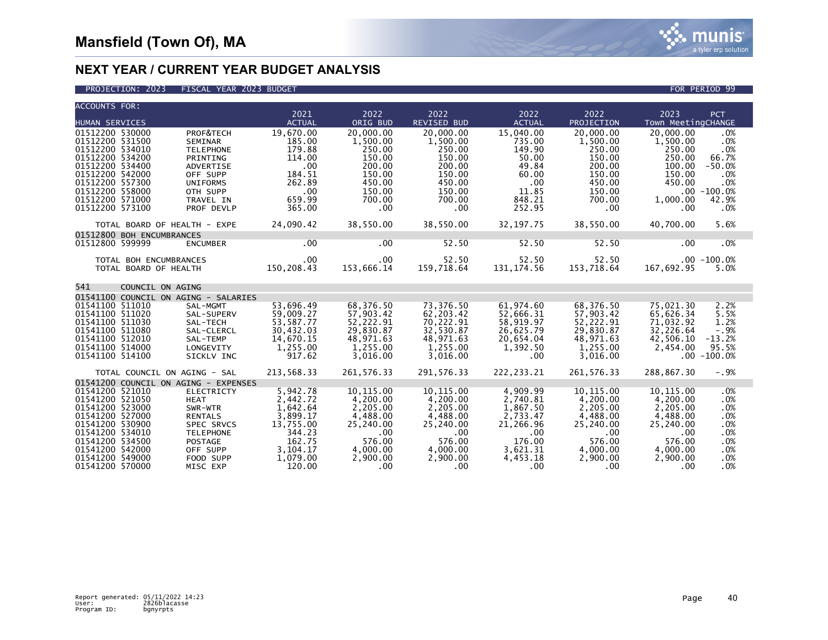

| <b>ACCOUNTS FOR:</b>                                                                                                                                                                       |                                                 |                                                                                                                                                |                                                                                                         |                                                                                                         |                                                                                                           |                                                                                              |                                                                                                     |                                                                                                 |                                                                                        |
|--------------------------------------------------------------------------------------------------------------------------------------------------------------------------------------------|-------------------------------------------------|------------------------------------------------------------------------------------------------------------------------------------------------|---------------------------------------------------------------------------------------------------------|---------------------------------------------------------------------------------------------------------|-----------------------------------------------------------------------------------------------------------|----------------------------------------------------------------------------------------------|-----------------------------------------------------------------------------------------------------|-------------------------------------------------------------------------------------------------|----------------------------------------------------------------------------------------|
| HUMAN SERVICES                                                                                                                                                                             |                                                 |                                                                                                                                                | 2021<br><b>ACTUAL</b>                                                                                   | 2022<br>ORIG BUD                                                                                        | 2022<br><b>REVISED BUD</b>                                                                                | 2022<br><b>ACTUAL</b>                                                                        | 2022<br>PROJECTION                                                                                  | 2023<br>Town MeetingCHANGE                                                                      | PCT                                                                                    |
| 01512200 530000<br>01512200 531500<br>01512200 534010<br>01512200 534200<br>01512200 534400<br>01512200 542000<br>01512200 557300<br>01512200 558000<br>01512200 571000<br>01512200 573100 |                                                 | PROF&TECH<br><b>SEMINAR</b><br><b>TELEPHONE</b><br>PRINTING<br>ADVERTISE<br>OFF SUPP<br><b>UNIFORMS</b><br>OTH SUPP<br>TRAVEL IN<br>PROF DEVLP | 19.670.00<br>185.00<br>179.88<br>114.00<br>$.00 \,$<br>184.51<br>262.89<br>$.00 \,$<br>659.99<br>365.00 | 20,000,00<br>1,500.00<br>250.00<br>150.00<br>200.00<br>150.00<br>450.00<br>150.00<br>700.00<br>$.00 \,$ | 20,000,00<br>1,500.00<br>250.00<br>150.00<br>200.00<br>150.00<br>450.00<br>150.00<br>700.00<br>$.00 \ \,$ | 15,040,00<br>735.00<br>149.90<br>50.00<br>49.84<br>60.00<br>.00<br>11.85<br>848.21<br>252.95 | 20,000,00<br>1,500.00<br>250.00<br>150.00<br>200.00<br>150.00<br>450.00<br>150.00<br>700.00<br>.00. | 20,000,00<br>1,500.00<br>250.00<br>250.00<br>100.00<br>150.00<br>450.00<br>1,000.00<br>$.00 \,$ | .0%<br>.0%<br>.0%<br>66.7%<br>$-50.0%$<br>.0%<br>.0%<br>$.00 - 100.0%$<br>42.9%<br>.0% |
|                                                                                                                                                                                            | TOTAL BOARD OF HEALTH - EXPE                    |                                                                                                                                                | 24,090.42                                                                                               | 38,550.00                                                                                               | 38,550.00                                                                                                 | 32, 197. 75                                                                                  | 38,550.00                                                                                           | 40,700.00                                                                                       | 5.6%                                                                                   |
|                                                                                                                                                                                            | 01512800 BOH ENCUMBRANCES                       |                                                                                                                                                |                                                                                                         |                                                                                                         |                                                                                                           |                                                                                              |                                                                                                     |                                                                                                 |                                                                                        |
| 01512800 599999                                                                                                                                                                            |                                                 | <b>ENCUMBER</b>                                                                                                                                | $.00 \,$                                                                                                | $.00 \,$                                                                                                | 52.50                                                                                                     | 52.50                                                                                        | 52.50                                                                                               | $.00 \,$                                                                                        | $.0\%$                                                                                 |
|                                                                                                                                                                                            | TOTAL BOH ENCUMBRANCES<br>TOTAL BOARD OF HEALTH |                                                                                                                                                | $.00 \,$<br>150,208.43                                                                                  | $.00 \,$<br>153,666.14                                                                                  | 52.50<br>159,718.64                                                                                       | 52.50<br>131, 174.56                                                                         | 52.50<br>153,718.64                                                                                 | 167,692.95                                                                                      | $.00 - 100.0%$<br>5.0%                                                                 |
| 541                                                                                                                                                                                        | COUNCIL ON AGING                                |                                                                                                                                                |                                                                                                         |                                                                                                         |                                                                                                           |                                                                                              |                                                                                                     |                                                                                                 |                                                                                        |
| 01541100 511010<br>01541100 511020<br>01541100 511030<br>01541100 511080<br>01541100 512010<br>01541100 514000<br>01541100 514100                                                          |                                                 | 01541100 COUNCIL ON AGING - SALARIES<br>SAL-MGMT<br>SAL-SUPERV<br>SAL-TECH<br>SAL-CLERCL<br>SAL-TEMP<br>LONGEVITY<br>SICKLV INC                | 53.696.49<br>59,009.27<br>53,587.77<br>30,432.03<br>14,670.15<br>1,255.00<br>917.62                     | 68,376.50<br>57,903.42<br>52,222.91<br>29,830.87<br>48,971.63<br>1,255.00<br>3,016.00                   | 73.376.50<br>62,203.42<br>70,222.91<br>32,530.87<br>48,971.63<br>1,255.00<br>3,016.00                     | 61.974.60<br>52,666.31<br>58,919.97<br>26,625.79<br>20,654.04<br>1,392.50<br>.00             | 68,376.50<br>57,903.42<br>52,222.91<br>29,830.87<br>48,971.63<br>1,255.00<br>3,016.00               | 75,021.30<br>65,626.34<br>71,032.92<br>32,226.64<br>42,506.10<br>2,454.00                       | 2.2%<br>5.5%<br>1.2%<br>$-.9%$<br>$-13.2%$<br>95.5%<br>$.00 - 100.0%$                  |
|                                                                                                                                                                                            | TOTAL COUNCIL ON AGING - SAL                    |                                                                                                                                                | 213,568.33                                                                                              | 261,576.33                                                                                              | 291,576.33                                                                                                | 222,233.21                                                                                   | 261,576.33                                                                                          | 288,867.30                                                                                      | $-.9%$                                                                                 |
| 01541200 521010<br>01541200 521050                                                                                                                                                         |                                                 | 01541200 COUNCIL ON AGING - EXPENSES<br><b>ELECTRICTY</b><br><b>HEAT</b>                                                                       | 5,942.78<br>2,442.72                                                                                    | 10,115.00<br>4,200.00                                                                                   | 10.115.00<br>4,200.00                                                                                     | 4.909.99<br>2,740.81                                                                         | 10.115.00<br>4,200.00                                                                               | 10.115.00<br>4,200.00                                                                           | .0%<br>.0%                                                                             |
| 01541200 523000<br>01541200 527000<br>01541200 530900<br>01541200 534010                                                                                                                   |                                                 | SWR-WTR<br><b>RENTALS</b><br>SPEC SRVCS<br><b>TELEPHONE</b>                                                                                    | 1,642.64<br>3,899.17<br>13,755.00<br>344.23                                                             | 2,205.00<br>4,488.00<br>25,240.00<br>.00.                                                               | 2,205.00<br>4,488.00<br>25,240.00<br>.00.                                                                 | 1,867.50<br>2,733.47<br>21,266.96<br>.00                                                     | 2,205.00<br>4,488.00<br>25,240.00<br>.00.                                                           | 2.205.00<br>4,488.00<br>25,240.00<br>.00                                                        | .0%<br>.0%<br>.0%<br>.0%                                                               |
| 01541200 534500<br>01541200 542000<br>01541200 549000<br>01541200 570000                                                                                                                   |                                                 | <b>POSTAGE</b><br>OFF SUPP<br>FOOD SUPP<br>MISC EXP                                                                                            | 162.75<br>3,104.17<br>1,079.00<br>120.00                                                                | 576.00<br>4,000.00<br>2,900.00<br>.00                                                                   | 576.00<br>4.000.00<br>2,900.00<br>$.00 \,$                                                                | 176.00<br>3,621.31<br>4,453.18<br>$.00 \,$                                                   | 576.00<br>4.000.00<br>2,900.00<br>$.00 \,$                                                          | 576.00<br>4.000.00<br>2,900.00<br>$.00 \,$                                                      | .0%<br>$.0\%$<br>.0%<br>.0%                                                            |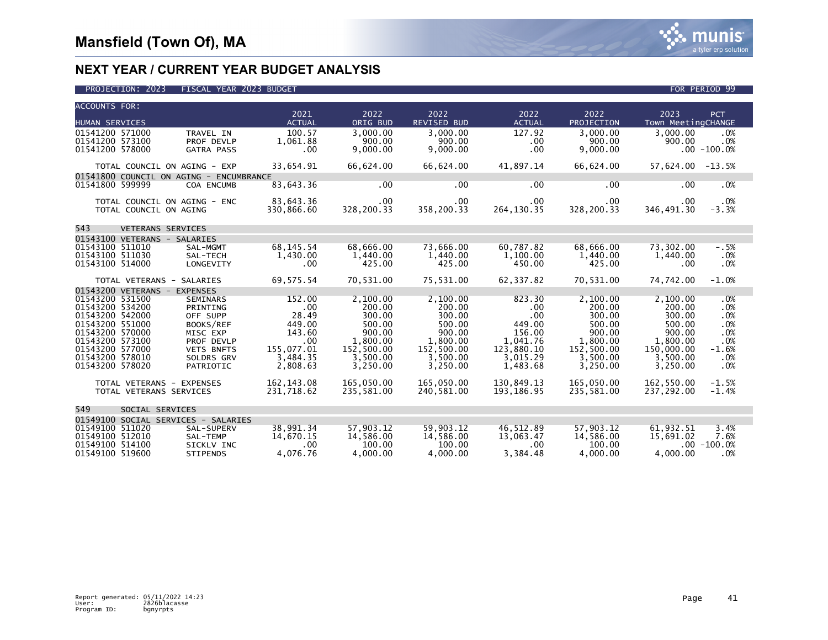| <b>ACCOUNTS FOR:</b> |                              |                                         | 2021          | 2022            | 2022               | 2022          | 2022              | 2023<br>PCT           |
|----------------------|------------------------------|-----------------------------------------|---------------|-----------------|--------------------|---------------|-------------------|-----------------------|
| HUMAN SERVICES       |                              |                                         | <b>ACTUAL</b> | <b>ORIG BUD</b> | <b>REVISED BUD</b> | <b>ACTUAL</b> | <b>PROJECTION</b> | Town MeetingCHANGE    |
| 01541200 571000      |                              | TRAVEL IN                               | 100.57        | 3,000.00        | 3,000.00           | 127.92        | 3,000.00          | 3,000.00<br>.0%       |
| 01541200 573100      |                              | PROF DEVLP                              | 1,061.88      | 900.00          | 900.00             | .00           | 900.00            | 900.00<br>.0%         |
| 01541200 578000      |                              | <b>GATRA PASS</b>                       | .00           | 9,000.00        | 9,000.00           | .00           | 9,000.00          | $.00 - 100.0%$        |
|                      |                              |                                         |               |                 |                    |               |                   |                       |
|                      | TOTAL COUNCIL ON AGING - EXP |                                         | 33,654.91     | 66,624.00       | 66,624.00          | 41,897.14     | 66,624.00         | 57,624.00<br>$-13.5%$ |
|                      |                              | 01541800 COUNCIL ON AGING - ENCUMBRANCE |               |                 |                    |               |                   |                       |
| 01541800 599999      |                              | COA ENCUMB                              | 83,643.36     | .00             | $.00 \cdot$        | .00           | .00               | $.00 \,$<br>.0%       |
|                      |                              |                                         |               |                 |                    |               |                   |                       |
|                      | TOTAL COUNCIL ON AGING - ENC |                                         | 83,643.36     | $.00 \,$        | $.00 \,$           | .00           | .00               | .0%<br>$.00 \times$   |
|                      | TOTAL COUNCIL ON AGING       |                                         | 330,866.60    | 328,200.33      | 358,200.33         | 264,130.35    | 328,200.33        | $-3.3%$<br>346,491.30 |
| 543                  | <b>VETERANS SERVICES</b>     |                                         |               |                 |                    |               |                   |                       |
|                      |                              |                                         |               |                 |                    |               |                   |                       |
| 01543100 511010      | 01543100 VETERANS - SALARIES |                                         | 68, 145. 54   | 68,666.00       | 73,666.00          | 60,787.82     | 68,666.00         | 73.302.00<br>$-1.5%$  |
| 01543100 511030      |                              | SAL-MGMT<br>SAL-TECH                    | 1,430.00      | 1,440.00        | 1,440.00           | 1,100.00      | 1,440.00          | .0%<br>1,440.00       |
| 01543100 514000      |                              | LONGEVITY                               | .00           | 425.00          | 425.00             | 450.00        | 425.00            | .00<br>.0%            |
|                      |                              |                                         |               |                 |                    |               |                   |                       |
|                      | TOTAL VETERANS - SALARIES    |                                         | 69,575.54     | 70,531.00       | 75,531.00          | 62, 337.82    | 70,531.00         | 74,742.00<br>$-1.0%$  |
|                      | 01543200 VETERANS - EXPENSES |                                         |               |                 |                    |               |                   |                       |
| 01543200 531500      |                              | <b>SEMINARS</b>                         | 152.00        | 2,100.00        | 2,100.00           | 823.30        | 2,100.00          | 2,100.00<br>.0%       |
| 01543200 534200      |                              | PRINTING                                | .00           | 200.00          | 200.00             | .00           | 200.00            | 200.00<br>.0%         |
| 01543200 542000      |                              | OFF SUPP                                | 28.49         | 300.00          | 300.00             | .00           | 300.00            | .0%<br>300.00         |
| 01543200 551000      |                              | BOOKS/REF                               | 449.00        | 500.00          | 500.00             | 449.00        | 500.00            | 500.00<br>.0%         |
| 01543200 570000      |                              | MISC EXP                                | 143.60        | 900.00          | 900.00             | 156.00        | 900.00            | 900.00<br>.0%         |
| 01543200 573100      |                              | PROF DEVLP                              | .00           | 1,800.00        | 1,800.00           | 1,041.76      | 1,800.00          | .0%<br>1,800.00       |
| 01543200 577000      |                              | <b>VETS BNFTS</b>                       | 155,077.01    | 152,500.00      | 152,500.00         | 123,880.10    | 152,500.00        | 150,000,00<br>$-1.6%$ |
| 01543200 578010      |                              | SOLDRS GRV                              | 3,484.35      | 3,500.00        | 3,500.00           | 3,015.29      | 3.500.00          | 3.500.00<br>.0%       |
| 01543200 578020      |                              | PATRIOTIC                               | 2,808.63      | 3,250.00        | 3,250.00           | 1,483.68      | 3,250.00          | 3,250.00<br>.0%       |
|                      | TOTAL VETERANS - EXPENSES    |                                         | 162, 143.08   | 165,050.00      | 165,050.00         | 130,849.13    | 165,050.00        | 162,550.00<br>$-1.5%$ |
|                      | TOTAL VETERANS SERVICES      |                                         | 231,718.62    | 235.581.00      | 240.581.00         | 193.186.95    | 235.581.00        | 237.292.00<br>$-1.4%$ |
|                      |                              |                                         |               |                 |                    |               |                   |                       |
| 549                  | SOCIAL SERVICES              |                                         |               |                 |                    |               |                   |                       |
|                      |                              | 01549100 SOCIAL SERVICES - SALARIES     |               |                 |                    |               |                   |                       |
| 01549100 511020      |                              | SAL-SUPERV                              | 38.991.34     | 57.903.12       | 59.903.12          | 46,512.89     | 57.903.12         | 61.932.51<br>3.4%     |
| 01549100 512010      |                              | SAL-TEMP                                | 14,670.15     | 14,586.00       | 14,586.00          | 13,063.47     | 14,586.00         | 7.6%<br>15,691.02     |
| 01549100 514100      |                              | SICKLV INC                              | .00           | 100.00          | 100.00             | .00           | 100.00            | $.00 - 100.0%$        |
| 01549100 519600      |                              | <b>STIPENDS</b>                         | 4,076.76      | 4,000.00        | 4,000.00           | 3,384.48      | 4,000.00          | .0%<br>4,000.00       |

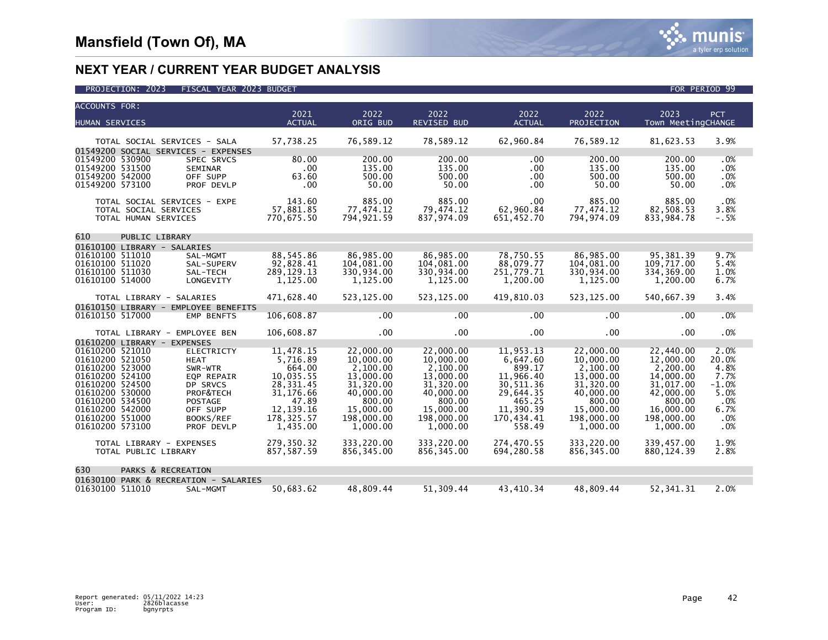

| <b>ACCOUNTS FOR:</b>                                                        |                           |                          |                          |                         |                          |                          |               |
|-----------------------------------------------------------------------------|---------------------------|--------------------------|--------------------------|-------------------------|--------------------------|--------------------------|---------------|
|                                                                             | 2021                      | 2022                     | 2022                     | 2022                    | 2022                     | 2023                     | <b>PCT</b>    |
| HUMAN SERVICES                                                              | <b>ACTUAL</b>             | ORIG BUD                 | <b>REVISED BUD</b>       | <b>ACTUAL</b>           | PROJECTION               | Town MeetingCHANGE       |               |
| TOTAL SOCIAL SERVICES - SALA                                                | 57,738.25                 | 76,589.12                | 78,589.12                | 62,960.84               | 76,589.12                | 81,623.53                | 3.9%          |
| 01549200 SOCIAL SERVICES - EXPENSES<br>01549200 530900<br><b>SPEC SRVCS</b> | 80.00                     | 200.00                   | 200.00                   | .00                     | 200.00                   | 200.00                   | .0%           |
| 01549200 531500<br><b>SEMINAR</b>                                           | .00                       | 135.00                   | 135.00                   | .00                     | 135.00                   | 135.00                   | .0%           |
| 01549200 542000<br>OFF SUPP                                                 | 63.60                     | 500.00                   | 500.00                   | $.00 \times$            | 500.00                   | 500.00                   | .0%           |
| 01549200 573100<br>PROF DEVLP                                               | .00                       | 50.00                    | 50.00                    | .00.                    | 50.00                    | 50.00                    | .0%           |
| TOTAL SOCIAL SERVICES - EXPE                                                | 143.60                    | 885.00                   | 885.00                   | .00 <sub>1</sub>        | 885.00                   | 885.00                   | .0%           |
| TOTAL SOCIAL SERVICES                                                       | 57,881.85                 | 77,474.12                | 79,474.12                | 62,960.84               | 77,474.12                | 82,508.53                | 3.8%          |
| TOTAL HUMAN SERVICES                                                        | 770,675.50                | 794,921.59               | 837,974.09               | 651,452.70              | 794,974.09               | 833,984.78               | $-.5%$        |
| 610<br>PUBLIC LIBRARY                                                       |                           |                          |                          |                         |                          |                          |               |
| 01610100 LIBRARY - SALARIES                                                 |                           |                          |                          |                         |                          |                          |               |
| 01610100 511010<br>SAL-MGMT                                                 | 88,545.86                 | 86,985.00                | 86,985.00                | 78,750.55               | 86,985.00                | 95, 381.39               | 9.7%          |
| 01610100 511020<br>SAL-SUPERV<br>01610100 511030<br>SAL-TECH                | 92,828.41<br>289, 129. 13 | 104,081.00<br>330,934.00 | 104,081.00<br>330,934.00 | 88,079.77<br>251,779.71 | 104,081.00<br>330,934.00 | 109,717.00<br>334,369.00 | 5.4%<br>1.0%  |
| 01610100 514000<br>LONGEVITY                                                | 1,125.00                  | 1,125.00                 | 1,125.00                 | 1,200.00                | 1,125.00                 | 1,200.00                 | 6.7%          |
|                                                                             |                           |                          |                          |                         |                          |                          |               |
| TOTAL LIBRARY - SALARIES                                                    | 471,628.40                | 523,125.00               | 523,125.00               | 419,810.03              | 523,125.00               | 540,667.39               | 3.4%          |
| 01610150 LIBRARY - EMPLOYEE BENEFITS                                        |                           |                          |                          |                         |                          |                          |               |
| 01610150 517000<br><b>EMP BENFTS</b>                                        | 106,608.87                | .00                      | $.00 \,$                 | .00.                    | .00.                     | $.00 \,$                 | .0%           |
| TOTAL LIBRARY - EMPLOYEE BEN                                                | 106,608.87                | .00                      | $.00 \,$                 | .00                     | .00                      | $.00 \,$                 | .0%           |
| 01610200 LIBRARY - EXPENSES                                                 |                           |                          |                          |                         |                          |                          |               |
| 01610200 521010<br>ELECTRICTY                                               | 11,478.15                 | 22,000.00                | 22,000,00                | 11.953.13               | 22,000,00                | 22,440.00                | 2.0%          |
| 01610200 521050<br><b>HEAT</b><br>01610200 523000                           | 5,716.89<br>664.00        | 10,000.00                | 10,000,00                | 6,647.60<br>899.17      | 10,000.00                | 12,000,00<br>2,200.00    | 20.0%<br>4.8% |
| SWR-WTR<br>01610200 524100<br>EQP REPAIR                                    | 10.035.55                 | 2,100.00<br>13,000.00    | 2,100.00<br>13,000.00    | 11.966.40               | 2,100.00<br>13,000.00    | 14,000.00                | 7.7%          |
| 01610200 524500<br>DP SRVCS                                                 | 28,331.45                 | 31,320.00                | 31.320.00                | 30.511.36               | 31.320.00                | 31.017.00                | $-1.0%$       |
| 01610200 530000<br>PROF&TECH                                                | 31,176.66                 | 40,000.00                | 40,000.00                | 29,644.35               | 40,000.00                | 42,000.00                | 5.0%          |
| 01610200 534500<br><b>POSTAGE</b>                                           | 47.89                     | 800.00                   | 800.00                   | 465.25                  | 800.00                   | 800.00                   | .0%           |
| 01610200 542000<br>OFF SUPP                                                 | 12.139.16                 | 15,000,00                | 15,000,00                | 11.390.39               | 15,000,00                | 16,000,00                | 6.7%          |
| 01610200 551000<br>BOOKS/REF                                                | 178, 325.57               | 198,000.00               | 198,000.00               | 170,434.41              | 198,000.00               | 198,000.00               | .0%           |
| 01610200 573100<br>PROF DEVLP                                               | 1,435.00                  | 1,000.00                 | 1,000.00                 | 558.49                  | 1,000.00                 | 1,000.00                 | .0%           |
| TOTAL LIBRARY - EXPENSES                                                    | 279,350.32                | 333,220.00               | 333,220.00               | 274,470.55              | 333,220.00               | 339,457.00               | 1.9%          |
| TOTAL PUBLIC LIBRARY                                                        | 857,587.59                | 856,345.00               | 856, 345.00              | 694,280.58              | 856,345.00               | 880, 124.39              | 2.8%          |
| 630<br>PARKS & RECREATION                                                   |                           |                          |                          |                         |                          |                          |               |
| 01630100 PARK & RECREATION - SALARIES                                       |                           |                          |                          |                         |                          |                          |               |
| 01630100 511010<br>SAL-MGMT                                                 | 50.683.62                 | 48.809.44                | 51.309.44                | 43.410.34               | 48.809.44                | 52.341.31                | 2.0%          |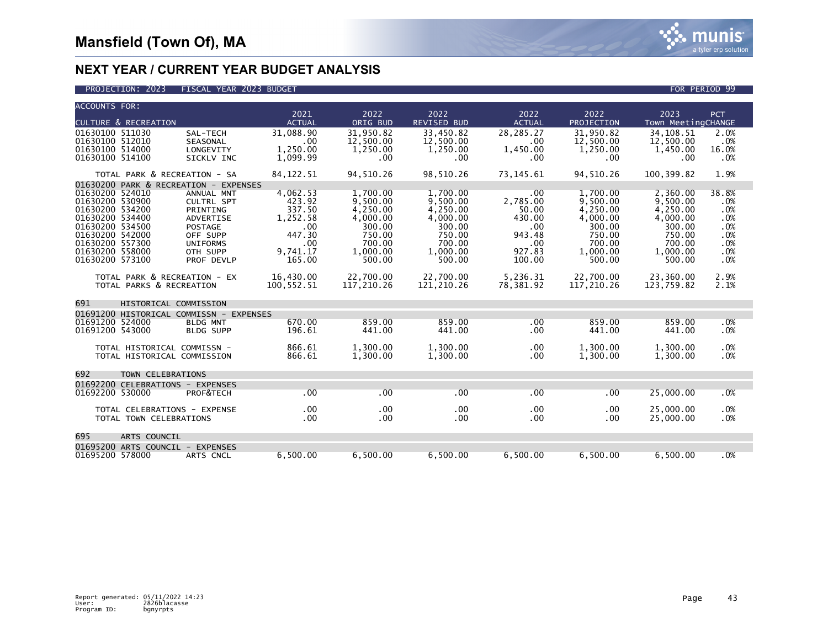| <b>ACCOUNTS FOR:</b>            |                                                            |                                         | 2021          | 2022                 | 2022                 | 2022          | 2022                 | 2023                 |            |
|---------------------------------|------------------------------------------------------------|-----------------------------------------|---------------|----------------------|----------------------|---------------|----------------------|----------------------|------------|
| <b>CULTURE &amp; RECREATION</b> |                                                            |                                         | <b>ACTUAL</b> | ORIG BUD             | <b>REVISED BUD</b>   | <b>ACTUAL</b> | <b>PROJECTION</b>    | Town MeetingCHANGE   | <b>PCT</b> |
| 01630100 511030                 |                                                            | SAL-TECH                                | 31.088.90     | 31.950.82            | 33.450.82            | 28.285.27     | 31.950.82            | 34.108.51            | 2.0%       |
| 01630100 512010                 |                                                            | SEASONAL                                | .00           | 12,500.00            | 12,500.00            | .00           | 12,500.00            | 12,500.00            | .0%        |
| 01630100 514000                 |                                                            | LONGEVITY                               | 1.250.00      | 1,250.00             | 1,250.00             | 1,450.00      | 1,250.00             | 1,450.00             | 16.0%      |
| 01630100 514100                 |                                                            | SICKLV INC                              | 1,099.99      | .00                  | .00                  | .00           | .00                  | .00                  | .0%        |
|                                 |                                                            |                                         |               |                      |                      |               |                      |                      |            |
|                                 | TOTAL PARK & RECREATION - SA                               |                                         | 84, 122.51    | 94,510.26            | 98,510.26            | 73, 145.61    | 94,510.26            | 100,399.82           | 1.9%       |
| 01630200                        |                                                            | PARK & RECREATION - EXPENSES            |               |                      |                      |               |                      |                      |            |
| 01630200 524010                 |                                                            | ANNUAL MNT                              | 4,062.53      | 1,700.00             | 1,700.00             | .00           | 1.700.00             | 2,360.00             | 38.8%      |
| 01630200 530900                 |                                                            | <b>CULTRL SPT</b>                       | 423.92        | 9,500.00             | 9.500.00             | 2.785.00      | 9.500.00             | 9.500.00             | .0%        |
| 01630200 534200                 |                                                            | PRINTING                                | 337.50        | 4,250.00             | 4,250.00             | 50.00         | 4,250.00             | 4.250.00             | .0%        |
| 01630200 534400                 |                                                            | <b>ADVERTISE</b>                        | 1,252.58      | 4,000.00             | 4.000.00             | 430.00        | 4.000.00             | 4.000.00             | .0%        |
| 01630200 534500                 |                                                            | <b>POSTAGE</b>                          | .00           | 300.00               | 300.00               | .00           | 300.00               | 300.00               | .0%        |
| 01630200 542000                 |                                                            | OFF SUPP                                | 447.30        | 750.00               | 750.00               | 943.48        | 750.00               | 750.00               | .0%        |
| 01630200 557300                 |                                                            | <b>UNIFORMS</b>                         | .00           | 700.00               | 700.00               | .00.          | 700.00               | 700.00               | .0%        |
| 01630200 558000                 |                                                            | OTH SUPP                                | 9.741.17      | 1,000.00             | 1,000.00             | 927.83        | 1.000.00             | 1.000.00             | .0%        |
| 01630200 573100                 |                                                            | PROF DEVLP                              | 165.00        | 500.00               | 500.00               | 100.00        | 500.00               | 500.00               | .0%        |
|                                 | TOTAL PARK & RECREATION - EX                               |                                         | 16.430.00     | 22,700.00            | 22,700.00            | 5,236.31      | 22.700.00            | 23,360.00            | 2.9%       |
|                                 | TOTAL PARKS & RECREATION                                   |                                         | 100,552.51    | 117,210.26           | 121,210.26           | 78,381.92     | 117,210.26           | 123,759.82           | 2.1%       |
|                                 |                                                            |                                         |               |                      |                      |               |                      |                      |            |
| 691                             | HISTORICAL COMMISSION                                      |                                         |               |                      |                      |               |                      |                      |            |
|                                 |                                                            | 01691200 HISTORICAL COMMISSN - EXPENSES |               |                      |                      |               |                      |                      |            |
| 01691200 524000                 |                                                            | <b>BLDG MNT</b>                         | 670.00        | 859.00               | 859.00               | $.00 \,$      | 859.00               | 859.00               | .0%        |
| 01691200 543000                 |                                                            | <b>BLDG SUPP</b>                        | 196.61        | 441.00               | 441.00               | .00           | 441.00               | 441.00               | .0%        |
|                                 |                                                            |                                         | 866.61        |                      |                      |               |                      |                      |            |
|                                 | TOTAL HISTORICAL COMMISSN -<br>TOTAL HISTORICAL COMMISSION |                                         | 866.61        | 1,300.00<br>1,300.00 | 1.300.00<br>1,300.00 | .00<br>.00    | 1,300.00<br>1,300.00 | 1,300.00<br>1,300.00 | .0%<br>.0% |
|                                 |                                                            |                                         |               |                      |                      |               |                      |                      |            |
| 692                             | TOWN CELEBRATIONS                                          |                                         |               |                      |                      |               |                      |                      |            |
|                                 | 01692200 CELEBRATIONS - EXPENSES                           |                                         |               |                      |                      |               |                      |                      |            |
| 01692200 530000                 |                                                            | PROF&TECH                               | .00           | .00                  | .00                  | .00           | .00                  | 25,000.00            | .0%        |
|                                 |                                                            |                                         |               |                      |                      |               |                      |                      |            |
|                                 | TOTAL CELEBRATIONS - EXPENSE                               |                                         | .00           | .00                  | $.00 \,$             | .00           | .00                  | 25,000.00            | .0%        |
|                                 | TOTAL TOWN CELEBRATIONS                                    |                                         | .00           | .00                  | .00                  | .00           | .00                  | 25,000.00            | .0%        |
|                                 |                                                            |                                         |               |                      |                      |               |                      |                      |            |
| 695                             | ARTS COUNCIL                                               |                                         |               |                      |                      |               |                      |                      |            |
|                                 | 01695200 ARTS COUNCIL - EXPENSES                           |                                         |               |                      |                      |               |                      |                      |            |
| 01695200 578000                 |                                                            | ARTS CNCL                               | 6,500.00      | 6,500.00             | 6,500.00             | 6,500.00      | 6.500.00             | 6,500.00             | .0%        |
|                                 |                                                            |                                         |               |                      |                      |               |                      |                      |            |

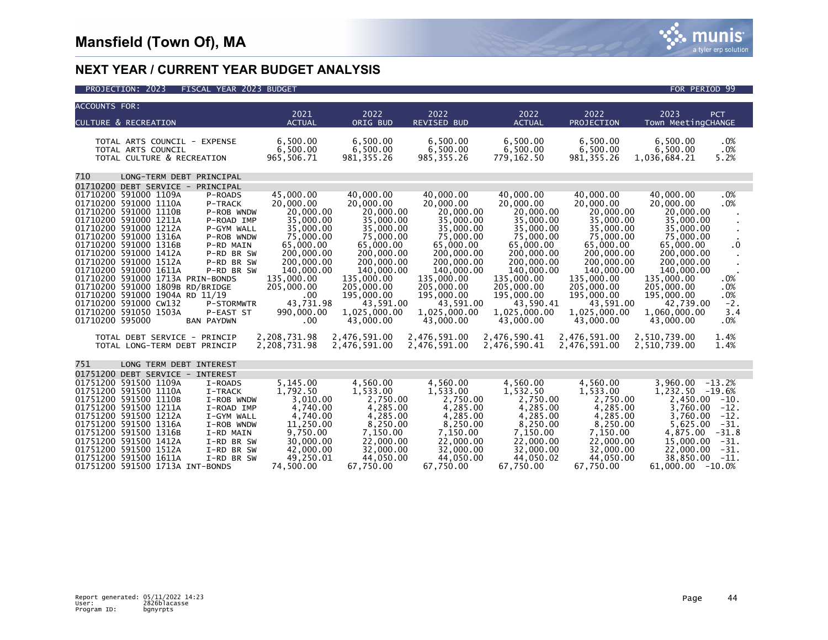| <b>ACCOUNTS FOR:</b><br><b>CULTURE &amp; RECREATION</b>                                                                                                                                                                                                                                                                                                                                                                                                                                                                                                                                                                   | 2021<br><b>ACTUAL</b>                                                                                                                                                                                            | 2022<br>ORIG BUD                                                                                                                                                                                                      | 2022<br><b>REVISED BUD</b>                                                                                                                                                                                            | 2022<br><b>ACTUAL</b>                                                                                                                                                                                                 | 2022<br>PROJECTION                                                                                                                                                                                                    | 2023<br><b>PCT</b><br>Town MeetingCHANGE                                                                                                                                                                                                                                                        |
|---------------------------------------------------------------------------------------------------------------------------------------------------------------------------------------------------------------------------------------------------------------------------------------------------------------------------------------------------------------------------------------------------------------------------------------------------------------------------------------------------------------------------------------------------------------------------------------------------------------------------|------------------------------------------------------------------------------------------------------------------------------------------------------------------------------------------------------------------|-----------------------------------------------------------------------------------------------------------------------------------------------------------------------------------------------------------------------|-----------------------------------------------------------------------------------------------------------------------------------------------------------------------------------------------------------------------|-----------------------------------------------------------------------------------------------------------------------------------------------------------------------------------------------------------------------|-----------------------------------------------------------------------------------------------------------------------------------------------------------------------------------------------------------------------|-------------------------------------------------------------------------------------------------------------------------------------------------------------------------------------------------------------------------------------------------------------------------------------------------|
|                                                                                                                                                                                                                                                                                                                                                                                                                                                                                                                                                                                                                           |                                                                                                                                                                                                                  |                                                                                                                                                                                                                       |                                                                                                                                                                                                                       |                                                                                                                                                                                                                       |                                                                                                                                                                                                                       |                                                                                                                                                                                                                                                                                                 |
| TOTAL ARTS COUNCIL - EXPENSE<br>TOTAL ARTS COUNCIL<br>TOTAL CULTURE & RECREATION                                                                                                                                                                                                                                                                                                                                                                                                                                                                                                                                          | 6.500.00<br>6,500.00<br>965,506.71                                                                                                                                                                               | 6.500.00<br>6,500.00<br>981, 355.26                                                                                                                                                                                   | 6.500.00<br>6,500.00<br>985, 355.26                                                                                                                                                                                   | 6.500.00<br>6,500.00<br>779,162.50                                                                                                                                                                                    | 6.500.00<br>6,500.00<br>981, 355.26                                                                                                                                                                                   | 6,500.00<br>.0%<br>.0%<br>6,500.00<br>1,036,684.21<br>5.2%                                                                                                                                                                                                                                      |
| 710<br>LONG-TERM DEBT PRINCIPAL                                                                                                                                                                                                                                                                                                                                                                                                                                                                                                                                                                                           |                                                                                                                                                                                                                  |                                                                                                                                                                                                                       |                                                                                                                                                                                                                       |                                                                                                                                                                                                                       |                                                                                                                                                                                                                       |                                                                                                                                                                                                                                                                                                 |
| 01710200 DEBT SERVICE - PRINCIPAL                                                                                                                                                                                                                                                                                                                                                                                                                                                                                                                                                                                         |                                                                                                                                                                                                                  |                                                                                                                                                                                                                       |                                                                                                                                                                                                                       |                                                                                                                                                                                                                       |                                                                                                                                                                                                                       |                                                                                                                                                                                                                                                                                                 |
| 01710200 591000 1109A<br>P-ROADS<br>01710200 591000 1110A<br>P-TRACK<br>01710200 591000 1110B<br>P-ROB WNDW<br>01710200 591000 1211A<br>P-ROAD IMP<br>01710200 591000 1212A<br>P-GYM WALL<br>01710200 591000 1316A<br>P-ROB WNDW<br>01710200 591000 1316B<br>P-RD MAIN<br>01710200 591000 1412A<br>P-RD BR SW<br>01710200 591000 1512A<br>P-RD BR SW<br>01710200 591000 1611A<br>P-RD BR SW<br>01710200 591000 1713A PRIN-BONDS<br>01710200 591000 1809B RD/BRIDGE<br>01710200 591000 1904A RD 11/19<br>01710200 591000 CW132<br>P-STORMWTR<br>01710200 591050 1503A<br>P-EAST ST<br>01710200 595000<br><b>BAN PAYDWN</b> | 45.000.00<br>20,000.00<br>20,000.00<br>35,000.00<br>35,000.00<br>75.000.00<br>65,000.00<br>200,000,00<br>200,000.00<br>140,000.00<br>135,000.00<br>205,000.00<br>$.00 \,$<br>43,731.98<br>990,000.00<br>$.00 \,$ | 40.000.00<br>20,000.00<br>20,000.00<br>35,000.00<br>35,000.00<br>75.000.00<br>65,000.00<br>200,000,00<br>200,000.00<br>140,000.00<br>135,000.00<br>205,000.00<br>195,000.00<br>43.591.00<br>1,025,000.00<br>43,000.00 | 40.000.00<br>20,000.00<br>20,000.00<br>35,000.00<br>35,000.00<br>75,000,00<br>65,000.00<br>200,000,00<br>200,000.00<br>140,000.00<br>135,000.00<br>205,000.00<br>195,000.00<br>43,591.00<br>1,025,000.00<br>43,000.00 | 40.000.00<br>20,000.00<br>20,000.00<br>35,000.00<br>35,000.00<br>75,000,00<br>65,000.00<br>200,000.00<br>200,000.00<br>140,000.00<br>135,000.00<br>205,000.00<br>195,000.00<br>43.590.41<br>1,025,000.00<br>43,000.00 | 40.000.00<br>20,000.00<br>20,000.00<br>35,000.00<br>35,000.00<br>75,000.00<br>65,000.00<br>200,000.00<br>200,000.00<br>140,000.00<br>135,000.00<br>205,000.00<br>195,000.00<br>43,591.00<br>1,025,000.00<br>43,000.00 | 40.000.00<br>$.0\%$<br>20,000.00<br>.0%<br>20,000.00<br>35,000.00<br>35,000.00<br>75,000,00<br>$\cdot$ 0<br>65,000.00<br>200,000,00<br>200,000.00<br>140,000.00<br>135,000.00<br>.0%<br>205,000.00<br>.0%<br>195,000.00<br>.0%<br>42.739.00<br>$-2.$<br>1,060,000.00<br>3.4<br>43,000.00<br>.0% |
| TOTAL DEBT SERVICE - PRINCIP<br>TOTAL LONG-TERM DEBT PRINCIP                                                                                                                                                                                                                                                                                                                                                                                                                                                                                                                                                              | 2,208,731.98<br>2,208,731.98                                                                                                                                                                                     | 2,476,591.00<br>2,476,591.00                                                                                                                                                                                          | 2,476,591.00<br>2,476,591.00                                                                                                                                                                                          | 2,476,590.41<br>2,476,590.41                                                                                                                                                                                          | 2,476,591.00<br>2,476,591.00                                                                                                                                                                                          | 2,510,739.00<br>1.4%<br>2,510,739.00<br>1.4%                                                                                                                                                                                                                                                    |
| 751<br>LONG TERM DEBT INTEREST                                                                                                                                                                                                                                                                                                                                                                                                                                                                                                                                                                                            |                                                                                                                                                                                                                  |                                                                                                                                                                                                                       |                                                                                                                                                                                                                       |                                                                                                                                                                                                                       |                                                                                                                                                                                                                       |                                                                                                                                                                                                                                                                                                 |
| 01751200 DEBT SERVICE - INTEREST                                                                                                                                                                                                                                                                                                                                                                                                                                                                                                                                                                                          |                                                                                                                                                                                                                  |                                                                                                                                                                                                                       |                                                                                                                                                                                                                       |                                                                                                                                                                                                                       |                                                                                                                                                                                                                       |                                                                                                                                                                                                                                                                                                 |
| 01751200 591500 1109A<br>I-ROADS<br>01751200 591500 1110A<br>I-TRACK<br>01751200 591500 1110B<br>I-ROB WNDW<br>01751200 591500 1211A<br>I-ROAD IMP<br>01751200 591500 1212A<br>I-GYM WALL<br>01751200 591500 1316A<br>I-ROB WNDW<br>01751200 591500 1316B<br>I-RD MAIN<br>01751200 591500 1412A<br>I-RD BR SW<br>01751200 591500 1512A<br>I-RD BR SW<br>01751200 591500 1611A<br>I-RD BR SW<br>01751200 591500 1713A INT-BONDS                                                                                                                                                                                            | 5,145.00<br>1.792.50<br>3,010.00<br>4,740.00<br>4.740.00<br>11,250.00<br>9,750.00<br>30,000.00<br>42,000,00<br>49,250.01<br>74,500.00                                                                            | 4,560.00<br>1,533.00<br>2,750.00<br>4,285.00<br>4,285.00<br>8,250.00<br>7,150.00<br>22,000.00<br>32,000,00<br>44,050.00<br>67,750.00                                                                                  | 4,560.00<br>1.533.00<br>2,750.00<br>4,285.00<br>4,285.00<br>8,250.00<br>7,150.00<br>22,000.00<br>32,000,00<br>44,050.00<br>67,750.00                                                                                  | 4,560.00<br>1,532.50<br>2,750.00<br>4,285.00<br>4,285.00<br>8,250.00<br>7,150.00<br>22,000.00<br>32,000,00<br>44,050.02<br>67,750.00                                                                                  | 4,560.00<br>1,533.00<br>2,750.00<br>4,285.00<br>4,285.00<br>8,250.00<br>7,150.00<br>22,000.00<br>32,000.00<br>44,050.00<br>67,750.00                                                                                  | $3,960.00 - 13.2%$<br>$1.232.50 -19.6%$<br>$2,450.00 -10.$<br>3,760.00<br>$-12.$<br>$3.760.00 - 12$ .<br>$5,625.00 -31.$<br>$4,875.00 -31.8$<br>$-31.$<br>15,000.00<br>22,000,00<br>$-31.$<br>38,850.00<br>-11.<br>$61,000.00 - 10.0%$                                                          |

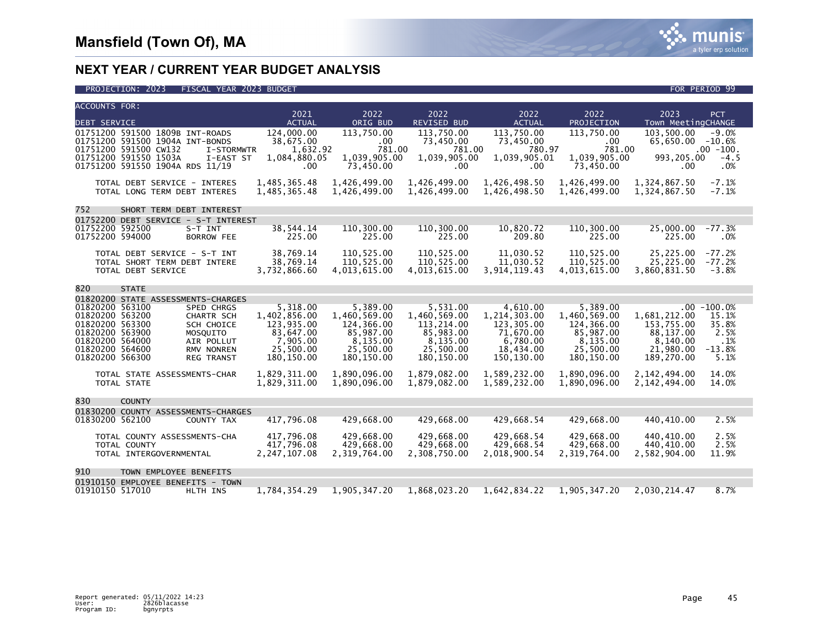

| <b>ACCOUNTS FOR:</b>                                               |                          |                          |                          |                          |                          |                                                |  |
|--------------------------------------------------------------------|--------------------------|--------------------------|--------------------------|--------------------------|--------------------------|------------------------------------------------|--|
|                                                                    | 2021                     | 2022                     | 2022                     | 2022                     | 2022                     | 2023<br>PCT                                    |  |
| <b>DEBT SERVICE</b>                                                | <b>ACTUAL</b>            | ORIG BUD                 | <b>REVISED BUD</b>       | <b>ACTUAL</b>            | PROJECTION               | Town MeetingCHANGE                             |  |
| 01751200 591500 1809B INT-ROADS<br>01751200 591500 1904A INT-BONDS | 124,000.00<br>38,675.00  | 113,750.00<br>$.00 \,$   | 113,750.00<br>73,450.00  | 113,750.00<br>73,450.00  | 113,750.00<br>.00        | 103,500.00<br>$-9.0%$<br>65,650.00 -10.6%      |  |
| 01751200 591500 CW132<br>I-STORMWTR                                | 1,632.92                 | 781.00                   | 781.00                   | 780.97                   | 781.00                   | $.00 - 100.$                                   |  |
| 01751200 591550 1503A<br>I-EAST ST                                 | 1,084,880.05             | 1,039,905.00             | 1,039,905.00             | 1,039,905.01             | 1,039,905.00             | 993,205.00<br>$-4.5$                           |  |
| 01751200 591550 1904A RDS 11/19                                    | $.00 \,$                 | 73,450.00                | .00.                     | .00.                     | 73,450.00                | .0%<br>.00                                     |  |
|                                                                    |                          |                          |                          |                          |                          |                                                |  |
| TOTAL DEBT SERVICE - INTERES                                       | 1,485,365.48             | 1,426,499.00             | 1,426,499.00             | 1,426,498.50             | 1,426,499.00             | $-7.1%$<br>1,324,867.50                        |  |
| TOTAL LONG TERM DEBT INTERES                                       | 1,485,365.48             | 1,426,499.00             | 1,426,499.00             | 1,426,498.50             | 1,426,499.00             | $-7.1%$<br>1,324,867.50                        |  |
| 752<br>SHORT TERM DEBT INTEREST                                    |                          |                          |                          |                          |                          |                                                |  |
| 01752200 DEBT SERVICE - S-T INTEREST                               |                          |                          |                          |                          |                          |                                                |  |
| 01752200 592500<br>S-T INT                                         | 38,544.14                | 110,300.00               | 110,300.00               | 10,820.72                | 110,300.00               | 25,000.00<br>$-77.3%$                          |  |
| 01752200 594000<br><b>BORROW FEE</b>                               | 225.00                   | 225.00                   | 225.00                   | 209.80                   | 225.00                   | 225.00<br>.0%                                  |  |
|                                                                    |                          |                          |                          |                          |                          |                                                |  |
| TOTAL DEBT SERVICE - S-T INT<br>TOTAL SHORT TERM DEBT INTERE       | 38,769.14<br>38,769.14   | 110,525.00<br>110,525.00 | 110,525.00<br>110,525.00 | 11,030.52<br>11,030.52   | 110,525.00<br>110,525.00 | 25,225.00<br>$-77.2%$<br>25,225.00<br>$-77.2%$ |  |
| TOTAL DEBT SERVICE                                                 | 3,732,866.60             | 4,013,615.00             | 4,013,615.00             | 3,914,119.43             | 4,013,615.00             | 3,860,831.50<br>$-3.8%$                        |  |
|                                                                    |                          |                          |                          |                          |                          |                                                |  |
| 820<br><b>STATE</b>                                                |                          |                          |                          |                          |                          |                                                |  |
| 01820200 STATE ASSESSMENTS-CHARGES                                 |                          |                          |                          |                          |                          |                                                |  |
| 01820200 563100<br>SPED CHRGS                                      | 5,318.00                 | 5,389.00                 | 5,531.00                 | 4,610.00                 | 5,389.00                 | $.00 - 100.0%$                                 |  |
| 01820200 563200<br><b>CHARTR SCH</b>                               | 1.402.856.00             | 1,460,569.00             | 1.460.569.00             | 1,214,303.00             | 1.460.569.00             | 1.681.212.00<br>15.1%                          |  |
| 01820200 563300<br>SCH CHOICE<br>01820200 563900                   | 123,935.00               | 124,366.00               | 113,214.00               | 123,305.00               | 124,366.00               | 153,755.00<br>35.8%                            |  |
| MOSQUITO<br>01820200 564000<br>AIR POLLUT                          | 83,647.00<br>7.905.00    | 85,987.00<br>8.135.00    | 85,983.00<br>8,135.00    | 71,670.00<br>6,780.00    | 85,987.00<br>8,135.00    | 88,137.00<br>2.5%<br>8.140.00<br>.1%           |  |
| 01820200 564600<br>RMV NONREN                                      | 25,500.00                | 25.500.00                | 25,500.00                | 18,434.00                | 25.500.00                | 21,980.00<br>$-13.8%$                          |  |
| 01820200 566300<br><b>REG TRANST</b>                               | 180,150.00               | 180, 150.00              | 180,150.00               | 150,130.00               | 180,150.00               | 5.1%<br>189,270.00                             |  |
|                                                                    |                          |                          |                          |                          |                          |                                                |  |
| TOTAL STATE ASSESSMENTS-CHAR                                       | 1,829,311.00             | 1,890,096.00             | 1.879.082.00             | 1,589,232.00             | 1,890,096.00             | 2,142,494.00<br>14.0%                          |  |
| TOTAL STATE                                                        | 1,829,311.00             | 1,890,096.00             | 1,879,082.00             | 1,589,232.00             | 1,890,096.00             | 2,142,494.00<br>14.0%                          |  |
| 830<br><b>COUNTY</b>                                               |                          |                          |                          |                          |                          |                                                |  |
| 01830200 COUNTY ASSESSMENTS-CHARGES                                |                          |                          |                          |                          |                          |                                                |  |
| 01830200 562100<br>COUNTY TAX                                      | 417,796.08               | 429,668.00               | 429,668.00               | 429,668.54               | 429,668.00               | 440,410.00<br>2.5%                             |  |
|                                                                    |                          |                          |                          |                          |                          |                                                |  |
| TOTAL COUNTY ASSESSMENTS-CHA                                       | 417,796.08<br>417,796.08 | 429,668.00<br>429,668.00 | 429,668.00<br>429,668.00 | 429,668.54<br>429,668.54 | 429,668.00<br>429,668.00 | 2.5%<br>440,410.00<br>440,410.00<br>2.5%       |  |
| TOTAL COUNTY<br>TOTAL INTERGOVERNMENTAL                            | 2,247,107.08             | 2,319,764.00             | 2,308,750.00             | 2,018,900.54             | 2,319,764.00             | 2,582,904.00<br>11.9%                          |  |
|                                                                    |                          |                          |                          |                          |                          |                                                |  |
| 910<br>TOWN EMPLOYEE BENEFITS                                      |                          |                          |                          |                          |                          |                                                |  |
| 01910150 EMPLOYEE BENEFITS - TOWN                                  |                          |                          |                          |                          |                          |                                                |  |
| 01910150 517010<br>HLTH INS                                        | 1,784,354.29             | 1,905,347.20             | 1,868,023.20             | 1,642,834.22             | 1,905,347.20             | 2,030,214.47<br>8.7%                           |  |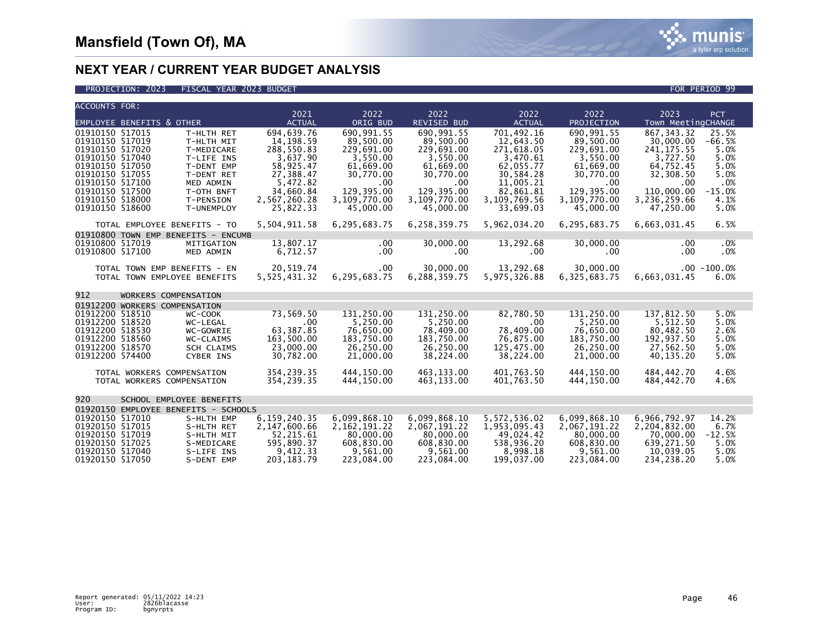

| <b>ACCOUNTS FOR:</b>                                                                                                                                                    |                                                                                                                          |                                                                                                                      |                                                                                                                       |                                                                                                                       |                                                                                                                       |                                                                                                                       |                                                                                                                                                                                                         |
|-------------------------------------------------------------------------------------------------------------------------------------------------------------------------|--------------------------------------------------------------------------------------------------------------------------|----------------------------------------------------------------------------------------------------------------------|-----------------------------------------------------------------------------------------------------------------------|-----------------------------------------------------------------------------------------------------------------------|-----------------------------------------------------------------------------------------------------------------------|-----------------------------------------------------------------------------------------------------------------------|---------------------------------------------------------------------------------------------------------------------------------------------------------------------------------------------------------|
|                                                                                                                                                                         | <b>EMPLOYEE BENEFITS &amp; OTHER</b>                                                                                     | 2021<br><b>ACTUAL</b>                                                                                                | 2022<br>ORIG BUD                                                                                                      | 2022<br><b>REVISED BUD</b>                                                                                            | 2022<br><b>ACTUAL</b>                                                                                                 | 2022<br>PROJECTION                                                                                                    | 2023<br>PCT<br>Town MeetingCHANGE                                                                                                                                                                       |
| 01910150 517015<br>01910150 517019<br>01910150 517020<br>01910150 517040<br>01910150 517050<br>01910150 517055<br>01910150 517100<br>01910150 517500<br>01910150 518000 | T-HLTH RET<br>T-HLTH MIT<br>T-MEDICARE<br>T-LIFE INS<br>T-DENT EMP<br>T-DENT RET<br>MED ADMIN<br>T-OTH BNFT<br>T-PENSION | 694.639.76<br>14.198.59<br>288,550.83<br>3,637.90<br>58,925.47<br>27,388.47<br>5,472.82<br>34.660.84<br>2,567,260.28 | 690.991.55<br>89,500.00<br>229,691.00<br>3,550.00<br>61,669.00<br>30,770.00<br>$.00 \,$<br>129,395.00<br>3,109,770.00 | 690.991.55<br>89,500.00<br>229,691.00<br>3,550.00<br>61,669.00<br>30,770.00<br>$.00 \,$<br>129,395.00<br>3,109,770.00 | 701.492.16<br>12.643.50<br>271.618.05<br>3,470.61<br>62,055.77<br>30,584.28<br>11,005.21<br>82,861.81<br>3,109,769.56 | 690.991.55<br>89,500.00<br>229.691.00<br>3,550.00<br>61,669.00<br>30,770.00<br>$.00 \,$<br>129,395.00<br>3,109,770.00 | 25.5%<br>867, 343.32<br>30,000.00<br>$-66.5%$<br>241, 175.55<br>5.0%<br>5.0%<br>3,727.50<br>64,752.45<br>5.0%<br>32,308.50<br>5.0%<br>.0%<br>$.00 \,$<br>110,000.00<br>$-15.0%$<br>3,236,259.66<br>4.1% |
| 01910150 518600                                                                                                                                                         | T-UNEMPLOY                                                                                                               | 25,822.33                                                                                                            | 45,000.00                                                                                                             | 45,000.00                                                                                                             | 33,699.03                                                                                                             | 45,000.00                                                                                                             | 5.0%<br>47,250.00                                                                                                                                                                                       |
|                                                                                                                                                                         | TOTAL EMPLOYEE BENEFITS - TO                                                                                             | 5,504,911.58                                                                                                         | 6,295,683.75                                                                                                          | 6,258,359.75                                                                                                          | 5,962,034.20                                                                                                          | 6,295,683.75                                                                                                          | 6.5%<br>6,663,031.45                                                                                                                                                                                    |
|                                                                                                                                                                         | 01910800 TOWN EMP BENEFITS - ENCUMB                                                                                      |                                                                                                                      |                                                                                                                       |                                                                                                                       |                                                                                                                       |                                                                                                                       |                                                                                                                                                                                                         |
| 01910800 517019<br>01910800 517100                                                                                                                                      | MITIGATION<br>MED ADMIN                                                                                                  | 13,807.17<br>6,712.57                                                                                                | $.00 \,$<br>$.00 \,$                                                                                                  | 30,000.00<br>.00.                                                                                                     | 13,292.68<br>.00.                                                                                                     | 30,000.00<br>.00                                                                                                      | $.00 \cdot$<br>$.0\%$<br>$.00 \,$<br>.0%                                                                                                                                                                |
|                                                                                                                                                                         | TOTAL TOWN EMP BENEFITS - EN<br>TOTAL TOWN EMPLOYEE BENEFITS                                                             | 20,519.74<br>5, 525, 431.32                                                                                          | $.00 \,$<br>6,295,683.75                                                                                              | 30,000.00<br>6,288,359.75                                                                                             | 13,292.68<br>5,975,326.88                                                                                             | 30,000.00<br>6, 325, 683. 75                                                                                          | $.00 - 100.0%$<br>6,663,031.45<br>6.0%                                                                                                                                                                  |
| 912                                                                                                                                                                     | WORKERS COMPENSATION                                                                                                     |                                                                                                                      |                                                                                                                       |                                                                                                                       |                                                                                                                       |                                                                                                                       |                                                                                                                                                                                                         |
|                                                                                                                                                                         | 01912200 WORKERS COMPENSATION                                                                                            |                                                                                                                      |                                                                                                                       |                                                                                                                       |                                                                                                                       |                                                                                                                       |                                                                                                                                                                                                         |
| 01912200 518510<br>01912200 518520<br>01912200 518530<br>01912200 518560<br>01912200 518570<br>01912200 574400                                                          | WC-COOK<br>WC-LEGAL<br>WC-GOWRIE<br>WC-CLAIMS<br><b>SCH CLAIMS</b><br>CYBER INS                                          | 73.569.50<br>.00<br>63,387.85<br>163,500.00<br>23,000,00<br>30,782.00                                                | 131,250.00<br>5,250.00<br>76,650.00<br>183,750.00<br>26,250.00<br>21,000.00                                           | 131,250.00<br>5,250.00<br>78,409.00<br>183,750.00<br>26,250.00<br>38,224.00                                           | 82,780.50<br>.00<br>78,409.00<br>76,875.00<br>125,475.00<br>38,224.00                                                 | 131,250.00<br>5.250.00<br>76,650.00<br>183,750.00<br>26,250.00<br>21,000.00                                           | 137,812.50<br>5.0%<br>5,512.50<br>5.0%<br>80,482.50<br>2.6%<br>192,937.50<br>5.0%<br>27,562.50<br>5.0%<br>40,135.20<br>5.0%                                                                             |
|                                                                                                                                                                         | TOTAL WORKERS COMPENSATION<br>TOTAL WORKERS COMPENSATION                                                                 | 354,239.35<br>354,239.35                                                                                             | 444,150.00<br>444,150.00                                                                                              | 463,133.00<br>463,133.00                                                                                              | 401,763.50<br>401.763.50                                                                                              | 444,150.00<br>444,150.00                                                                                              | 4.6%<br>484,442.70<br>484,442.70<br>4.6%                                                                                                                                                                |
| 920                                                                                                                                                                     | SCHOOL EMPLOYEE BENEFITS                                                                                                 |                                                                                                                      |                                                                                                                       |                                                                                                                       |                                                                                                                       |                                                                                                                       |                                                                                                                                                                                                         |
| 01920150 517010<br>01920150 517015<br>01920150 517019<br>01920150 517025<br>01920150 517040<br>01920150 517050                                                          | 01920150 EMPLOYEE BENEFITS - SCHOOLS<br>S-HLTH EMP<br>S-HLTH RET<br>S-HLTH MIT<br>S-MEDICARE<br>S-LIFE INS<br>S-DENT EMP | 6, 159, 240, 35<br>2,147,600.66<br>52, 215.61<br>595,890.37<br>9,412.33<br>203, 183. 79                              | 6,099,868.10<br>2, 162, 191. 22<br>80,000.00<br>608,830.00<br>9,561.00<br>223,084.00                                  | 6,099,868.10<br>2,067,191.22<br>80,000.00<br>608,830.00<br>9,561.00<br>223,084.00                                     | 5,572,536.02<br>1,953,095.43<br>49,024.42<br>538,936.20<br>8,998.18<br>199,037.00                                     | 6,099,868.10<br>2,067,191.22<br>80,000.00<br>608,830.00<br>9,561.00<br>223,084.00                                     | 6,966,792.97<br>14.2%<br>2,204,832.00<br>6.7%<br>$-12.5%$<br>70,000.00<br>639,271.50<br>5.0%<br>5.0%<br>10,039.05<br>234,238.20<br>5.0%                                                                 |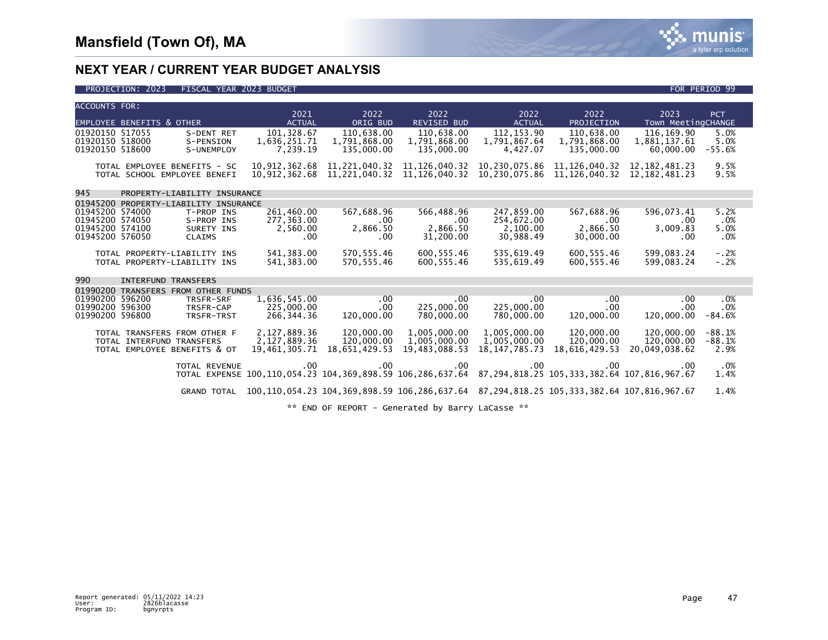

| <b>ACCOUNTS FOR:</b>               |                                      |                                       |                                                                                                        |                            |                                                                                                            |                          |                            |                           |                  |
|------------------------------------|--------------------------------------|---------------------------------------|--------------------------------------------------------------------------------------------------------|----------------------------|------------------------------------------------------------------------------------------------------------|--------------------------|----------------------------|---------------------------|------------------|
|                                    |                                      |                                       | 2021                                                                                                   | 2022                       | 2022                                                                                                       | 2022                     | 2022                       | 2023                      | <b>PCT</b>       |
|                                    | <b>EMPLOYEE BENEFITS &amp; OTHER</b> |                                       | <b>ACTUAL</b>                                                                                          | ORIG BUD                   | <b>REVISED BUD</b>                                                                                         | <b>ACTUAL</b>            | PROJECTION                 | Town MeetingCHANGE        |                  |
| 01920150 517055                    |                                      | S-DENT RET                            | 101,328.67                                                                                             | 110,638.00                 | 110,638.00                                                                                                 | 112, 153.90              | 110,638.00                 | 116, 169.90               | 5.0%             |
| 01920150 518000<br>01920150 518600 |                                      | S-PENSION<br>S-UNEMPLOY               | 1,636,251.71<br>7,239.19                                                                               | 1,791,868.00<br>135,000.00 | 1,791,868.00<br>135,000.00                                                                                 | 1,791,867.64<br>4,427.07 | 1,791,868.00<br>135,000.00 | 1,881,137.61<br>60,000.00 | 5.0%<br>$-55.6%$ |
|                                    |                                      |                                       |                                                                                                        |                            |                                                                                                            |                          |                            |                           |                  |
|                                    |                                      | TOTAL EMPLOYEE BENEFITS - SC          | 10,912,362.68                                                                                          | 11,221,040.32              | 11, 126, 040. 32                                                                                           | 10,230,075.86            | 11, 126, 040. 32           | 12, 182, 481. 23          | 9.5%             |
|                                    |                                      | TOTAL SCHOOL EMPLOYEE BENEFI          | 10,912,362.68                                                                                          | 11,221,040.32              | 11, 126, 040. 32                                                                                           | 10,230,075.86            | 11, 126, 040. 32           | 12, 182, 481. 23          | 9.5%             |
|                                    |                                      |                                       |                                                                                                        |                            |                                                                                                            |                          |                            |                           |                  |
| 945                                |                                      | PROPERTY-LIABILITY INSURANCE          |                                                                                                        |                            |                                                                                                            |                          |                            |                           |                  |
|                                    |                                      | 01945200 PROPERTY-LIABILITY INSURANCE |                                                                                                        |                            |                                                                                                            |                          |                            |                           |                  |
| 01945200 574000                    |                                      | T-PROP INS                            | 261,460.00                                                                                             | 567,688.96                 | 566,488.96                                                                                                 | 247,859.00               | 567,688.96                 | 596,073.41                | 5.2%             |
| 01945200 574050<br>01945200 574100 |                                      | S-PROP INS                            | 277,363.00<br>2.560.00                                                                                 | .00<br>2,866.50            | $.00 \times$<br>2,866.50                                                                                   | 254,672.00<br>2,100.00   | .00<br>2,866.50            | $.00 \times$<br>3,009.83  | .0%<br>5.0%      |
| 01945200 576050                    |                                      | SURETY INS<br><b>CLAIMS</b>           | .00                                                                                                    | .00                        | 31,200.00                                                                                                  | 30,988.49                | 30,000.00                  | .00                       | .0%              |
|                                    |                                      |                                       |                                                                                                        |                            |                                                                                                            |                          |                            |                           |                  |
|                                    |                                      | TOTAL PROPERTY-LIABILITY INS          | 541, 383.00                                                                                            | 570, 555.46                | 600, 555.46                                                                                                | 535,619.49               | 600, 555.46                | 599,083.24                | $-.2%$           |
|                                    |                                      | TOTAL PROPERTY-LIABILITY INS          | 541,383.00                                                                                             | 570, 555.46                | 600, 555.46                                                                                                | 535,619.49               | 600, 555.46                | 599,083.24                | $-.2%$           |
|                                    |                                      |                                       |                                                                                                        |                            |                                                                                                            |                          |                            |                           |                  |
| 990                                | <b>INTERFUND TRANSFERS</b>           |                                       |                                                                                                        |                            |                                                                                                            |                          |                            |                           |                  |
|                                    |                                      | 01990200 TRANSFERS FROM OTHER FUNDS   |                                                                                                        |                            |                                                                                                            |                          |                            |                           |                  |
| 01990200 596200                    |                                      | TRSFR-SRF                             | 1,636,545.00                                                                                           | .00                        | $.00 \ \,$                                                                                                 | $.00 \,$                 | .00                        | .00                       | .0%              |
| 01990200 596300                    |                                      | TRSFR-CAP                             | 225,000.00                                                                                             | .00                        | 225,000.00                                                                                                 | 225,000.00               | $.00 \,$                   | .00                       | .0%              |
| 01990200 596800                    |                                      | TRSFR-TRST                            | 266, 344. 36                                                                                           | 120,000.00                 | 780,000.00                                                                                                 | 780,000,00               | 120,000.00                 | 120,000.00                | $-84.6%$         |
|                                    |                                      | TOTAL TRANSFERS FROM OTHER F          | 2,127,889.36                                                                                           | 120,000.00                 | 1,005,000.00                                                                                               | 1,005,000.00             | 120,000.00                 | 120,000.00                | $-88.1%$         |
|                                    | TOTAL INTERFUND TRANSFERS            |                                       | 2,127,889.36                                                                                           | 120,000.00                 | 1,005,000.00                                                                                               | 1,005,000.00             | 120,000.00                 | 120,000.00                | $-88.1%$         |
|                                    |                                      | TOTAL EMPLOYEE BENEFITS & OT          | 19,461,305.71                                                                                          | 18,651,429.53              | 19,483,088.53                                                                                              | 18, 147, 785. 73         | 18,616,429.53              | 20,049,038.62             | 2.9%             |
|                                    |                                      |                                       |                                                                                                        |                            |                                                                                                            |                          |                            |                           |                  |
|                                    |                                      | <b>TOTAL REVENUE</b>                  | .00                                                                                                    | $.00 \times$               | $.00 \,$                                                                                                   | .00                      | $.00 \,$                   | .00                       | .0%              |
|                                    |                                      |                                       | TOTAL EXPENSE 100,110,054.23 104,369,898.59 106,286,637.64 87,294,818.25 105,333,382.64 107,816,967.67 |                            |                                                                                                            |                          |                            |                           | 1.4%             |
|                                    |                                      | <b>GRAND TOTAL</b>                    |                                                                                                        |                            | 100, 110, 054, 23 104, 369, 898, 59 106, 286, 637, 64 87, 294, 818, 25 105, 333, 382, 64 107, 816, 967, 67 |                          |                            |                           | 1.4%             |
|                                    |                                      |                                       |                                                                                                        |                            |                                                                                                            |                          |                            |                           |                  |
|                                    |                                      |                                       |                                                                                                        |                            | ** END OF REPORT - Generated by Barry LaCasse **                                                           |                          |                            |                           |                  |